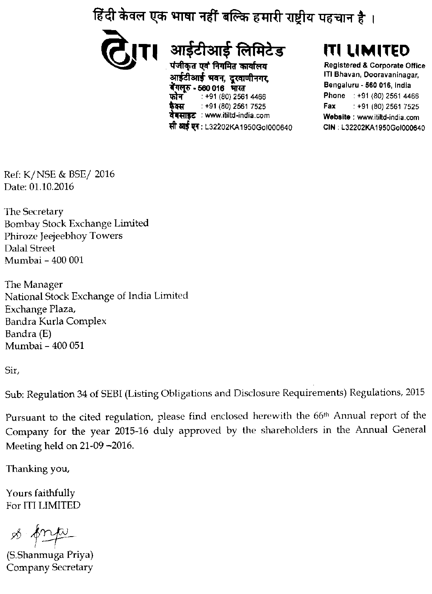हिंदी केवल एक भाषा नहीं बल्कि हमारी राष्ट्रीय पहचान है।



## आईटीआई लिमिटेड पंजीकृत एवं निगमित कार्यालय आईटीआई भवन, दूरवाणीनगर, बेंगलूरु - 560 016 भारत  $\div$  +91 (80) 2561 4466 फोन  $\div$  +91 (80) 2561 7525 फक्स **वेबसाइट**ः www.itiltd-india.com

**सी आई एन : L32202KA1950Go1000640** 

# **ITI LIMITED**

**Registered & Corporate Office** ITI Bhavan, Dooravaninagar, Bengaluru - 560 016, India **Phone**  $: +91(80)25614466$ Fax  $\div$  +91 (80) 2561 7525 Website: www.itiltd-india.com CIN: L32202KA1950Gol000640

Ref: K/NSE & BSE/ 2016 Date: 01.10.2016

The Secretary Bombay Stock Exchange Limited Phiroze Jeejeebhoy Towers Dalal Street Mumbai - 400 001

The Manager National Stock Exchange of India Limited Exchange Plaza, Bandra Kurla Complex Bandra (E) Mumbai - 400 051

Sir,

Sub: Regulation 34 of SEBI (Listing Obligations and Disclosure Requirements) Regulations, 2015

Pursuant to the cited regulation, please find enclosed herewith the 66<sup>th</sup> Annual report of the Company for the year 2015-16 duly approved by the shareholders in the Annual General Meeting held on  $21-09 - 2016$ .

Thanking you,

Yours faithfully For ITI LIMITED

 $\frac{1}{2}$ 

(S.Shanmuga Priya) Company Secretary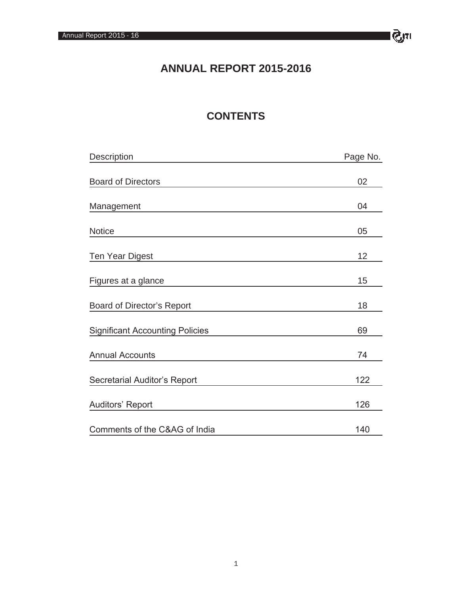**ANNUAL REPORT 2015-2016**

।∂ुुग

## **CONTENTS**

| Description                            | Page No. |
|----------------------------------------|----------|
| <b>Board of Directors</b>              | 02       |
| Management                             | 04       |
| <b>Notice</b>                          | 05       |
| <b>Ten Year Digest</b>                 | 12       |
| Figures at a glance                    | 15       |
| <b>Board of Director's Report</b>      | 18       |
| <b>Significant Accounting Policies</b> | 69       |
| <b>Annual Accounts</b>                 | 74       |
| Secretarial Auditor's Report           | 122      |
| Auditors' Report                       | 126      |
| Comments of the C&AG of India          | 140      |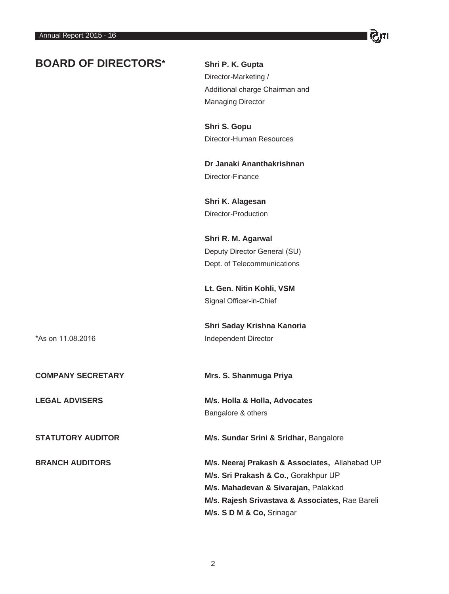## **BOARD OF DIRECTORS\* Shri P. K. Gupta**

 Director-Marketing / Additional charge Chairman and Managing Director

 **Shri S. Gopu** Director-Human Resources

 **Dr Janaki Ananthakrishnan** Director-Finance

 **Shri K. Alagesan** Director-Production

 **Shri R. M. Agarwal** Deputy Director General (SU) Dept. of Telecommunications

 **Lt. Gen. Nitin Kohli, VSM** Signal Officer-in-Chief

 **Shri Saday Krishna Kanoria** \*As on 11.08.2016 Independent Director

COMPANY SECRETARY Mrs. S. Shanmuga Priya

**LEGAL ADVISERS M/s. Holla & Holla, Advocates**  Bangalore & others

**STATUTORY AUDITOR M/s. Sundar Srini & Sridhar, Bangalore** 

**BRANCH AUDITORS M/s. Neeraj Prakash & Associates,** Allahabad UP  **M/s. Sri Prakash & Co.,** Gorakhpur UP  **M/s. Mahadevan & Sivarajan,** Palakkad  **M/s. Rajesh Srivastava & Associates,** Rae Bareli  **M/s. S D M & Co,** Srinagar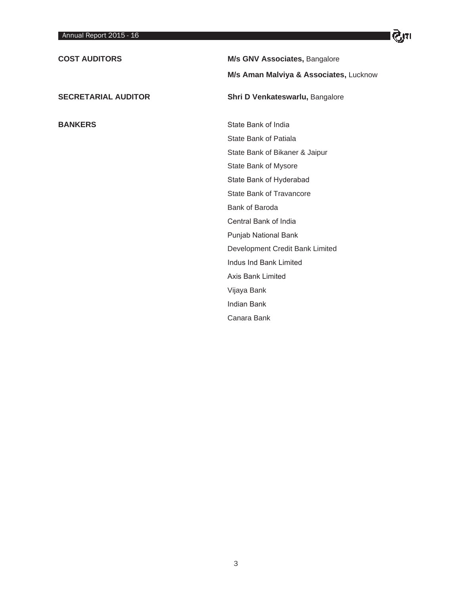**COST AUDITORS M/s GNV Associates,** Bangalore **M/s Aman Malviya & Associates,** Lucknow **SECRETARIAL AUDITOR Shri D Venkateswarlu,** Bangalore **BANKERS** State Bank of India State Bank of Patiala State Bank of Bikaner & Jaipur State Bank of Mysore State Bank of Hyderabad State Bank of Travancore Bank of Baroda Central Bank of India Punjab National Bank Development Credit Bank Limited Indus Ind Bank Limited Axis Bank Limited

Vijaya Bank

Indian Bank

Canara Bank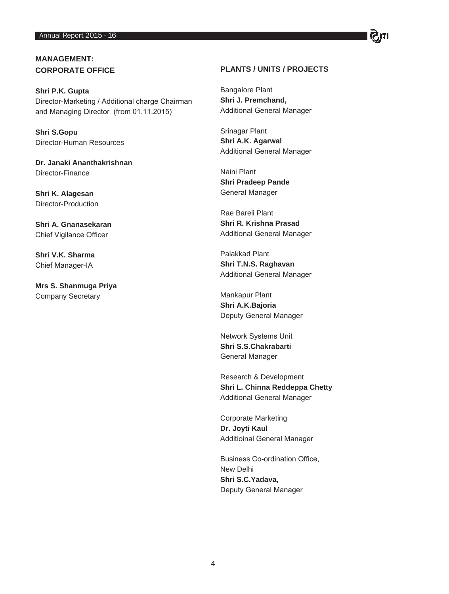#### Annual Report 2015 - 16

**MANAGEMENT: CORPORATE OFFICE**

**Shri P.K. Gupta** Director-Marketing / Additional charge Chairman and Managing Director (from 01.11.2015)

**Shri S.Gopu** Director-Human Resources

**Dr. Janaki Ananthakrishnan**  Director-Finance

**Shri K. Alagesan**  Director-Production

**Shri A. Gnanasekaran**  Chief Vigilance Officer

**Shri V.K. Sharma**  Chief Manager-IA

**Mrs S. Shanmuga Priya** Company Secretary

#### **PLANTS / UNITS / PROJECTS**

Bangalore Plant **Shri J. Premchand,**  Additional General Manager

Srinagar Plant **Shri A.K. Agarwal** Additional General Manager

Naini Plant **Shri Pradeep Pande**  General Manager

Rae Bareli Plant **Shri R. Krishna Prasad** Additional General Manager

Palakkad Plant **Shri T.N.S. Raghavan** Additional General Manager

Mankapur Plant **Shri A.K.Bajoria** Deputy General Manager

Network Systems Unit **Shri S.S.Chakrabarti**  General Manager

Research & Development **Shri L. Chinna Reddeppa Chetty** Additional General Manager

Corporate Marketing **Dr. Joyti Kaul** Additioinal General Manager

Business Co-ordination Office, New Delhi **Shri S.C.Yadava,** Deputy General Manager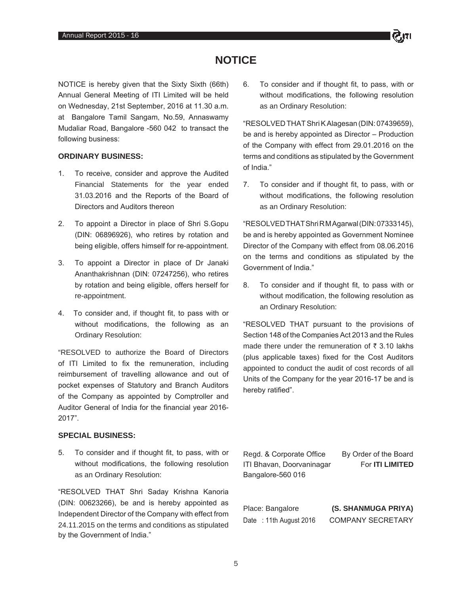### **NOTICE**

NOTICE is hereby given that the Sixty Sixth (66th) Annual General Meeting of ITI Limited will be held on Wednesday, 21st September, 2016 at 11.30 a.m. at Bangalore Tamil Sangam, No.59, Annaswamy Mudaliar Road, Bangalore -560 042 to transact the following business:

#### **ORDINARY BUSINESS:**

- 1. To receive, consider and approve the Audited Financial Statements for the year ended 31.03.2016 and the Reports of the Board of Directors and Auditors thereon
- 2. To appoint a Director in place of Shri S.Gopu (DIN: 06896926), who retires by rotation and being eligible, offers himself for re-appointment.
- 3. To appoint a Director in place of Dr Janaki Ananthakrishnan (DIN: 07247256), who retires by rotation and being eligible, offers herself for re-appointment.
- 4. To consider and, if thought fit, to pass with or without modifications, the following as an Ordinary Resolution:

"RESOLVED to authorize the Board of Directors of ITI Limited to fix the remuneration, including reimbursement of travelling allowance and out of pocket expenses of Statutory and Branch Auditors of the Company as appointed by Comptroller and Auditor General of India for the financial year 2016- 2017".

#### **SPECIAL BUSINESS:**

5. To consider and if thought fit, to pass, with or without modifications, the following resolution as an Ordinary Resolution:

"RESOLVED THAT Shri Saday Krishna Kanoria (DIN: 00623266), be and is hereby appointed as Independent Director of the Company with effect from 24.11.2015 on the terms and conditions as stipulated by the Government of India."

6. To consider and if thought fit, to pass, with or without modifications, the following resolution as an Ordinary Resolution:

"RESOLVED THAT Shri K Alagesan (DIN: 07439659), be and is hereby appointed as Director – Production of the Company with effect from 29.01.2016 on the terms and conditions as stipulated by the Government of India."

7. To consider and if thought fit, to pass, with or without modifications, the following resolution as an Ordinary Resolution:

"RESOLVED THAT Shri R M Agarwal (DIN: 07333145), be and is hereby appointed as Government Nominee Director of the Company with effect from 08.06.2016 on the terms and conditions as stipulated by the Government of India."

8. To consider and if thought fit, to pass with or without modification, the following resolution as an Ordinary Resolution:

"RESOLVED THAT pursuant to the provisions of Section 148 of the Companies Act 2013 and the Rules made there under the remuneration of  $\bar{\tau}$  3.10 lakhs (plus applicable taxes) fixed for the Cost Auditors appointed to conduct the audit of cost records of all Units of the Company for the year 2016-17 be and is hereby ratified".

Regd. & Corporate Office By Order of the Board **ITI Bhavan, Doorvaninagar For ITI LIMITED** Bangalore-560 016

Place: Bangalore **(S. SHANMUGA PRIYA)**  Date: 11th August 2016 COMPANY SECRETARY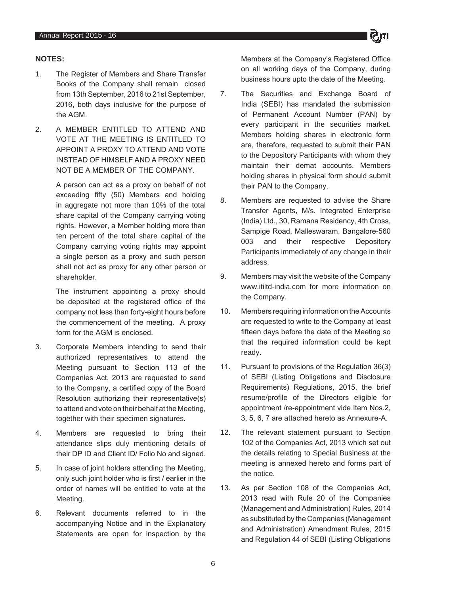#### **NOTES:**

- 1. The Register of Members and Share Transfer Books of the Company shall remain closed from 13th September, 2016 to 21st September, 2016, both days inclusive for the purpose of the AGM.
- 2 A MEMBER ENTITLED TO ATTEND AND VOTE AT THE MEETING IS ENTITLED TO APPOINT A PROXY TO ATTEND AND VOTE INSTEAD OF HIMSELF AND A PROXY NEED NOT BE A MEMBER OF THE COMPANY.

A person can act as a proxy on behalf of not exceeding fifty (50) Members and holding in aggregate not more than 10% of the total share capital of the Company carrying voting rights. However, a Member holding more than ten percent of the total share capital of the Company carrying voting rights may appoint a single person as a proxy and such person shall not act as proxy for any other person or shareholder.

The instrument appointing a proxy should be deposited at the registered office of the company not less than forty-eight hours before the commencement of the meeting. A proxy form for the AGM is enclosed.

- 3. Corporate Members intending to send their authorized representatives to attend the Meeting pursuant to Section 113 of the Companies Act, 2013 are requested to send to the Company, a certified copy of the Board Resolution authorizing their representative(s) to attend and vote on their behalf at the Meeting, together with their specimen signatures.
- 4. Members are requested to bring their attendance slips duly mentioning details of their DP ID and Client ID/ Folio No and signed.
- 5. In case of joint holders attending the Meeting, only such joint holder who is first / earlier in the order of names will be entitled to vote at the Meeting.
- 6. Relevant documents referred to in the accompanying Notice and in the Explanatory Statements are open for inspection by the

Members at the Company's Registered Office on all working days of the Company, during business hours upto the date of the Meeting.

- 7. The Securities and Exchange Board of India (SEBI) has mandated the submission of Permanent Account Number (PAN) by every participant in the securities market. Members holding shares in electronic form are, therefore, requested to submit their PAN to the Depository Participants with whom they maintain their demat accounts. Members holding shares in physical form should submit their PAN to the Company.
- 8. Members are requested to advise the Share Transfer Agents, M/s. Integrated Enterprise (India) Ltd., 30, Ramana Residency, 4th Cross, Sampige Road, Malleswaram, Bangalore-560 003 and their respective Depository Participants immediately of any change in their address.
- 9. Members may visit the website of the Company www.itiltd-india.com for more information on the Company.
- 10. Members requiring information on the Accounts are requested to write to the Company at least fifteen days before the date of the Meeting so that the required information could be kept ready.
- 11. Pursuant to provisions of the Regulation 36(3) of SEBI (Listing Obligations and Disclosure Requirements) Regulations, 2015, the brief resume/profile of the Directors eligible for appointment /re-appointment vide Item Nos.2, 3, 5, 6, 7 are attached hereto as Annexure-A.
- 12. The relevant statement pursuant to Section 102 of the Companies Act, 2013 which set out the details relating to Special Business at the meeting is annexed hereto and forms part of the notice.
- 13. As per Section 108 of the Companies Act, 2013 read with Rule 20 of the Companies (Management and Administration) Rules, 2014 as substituted by the Companies (Management and Administration) Amendment Rules, 2015 and Regulation 44 of SEBI (Listing Obligations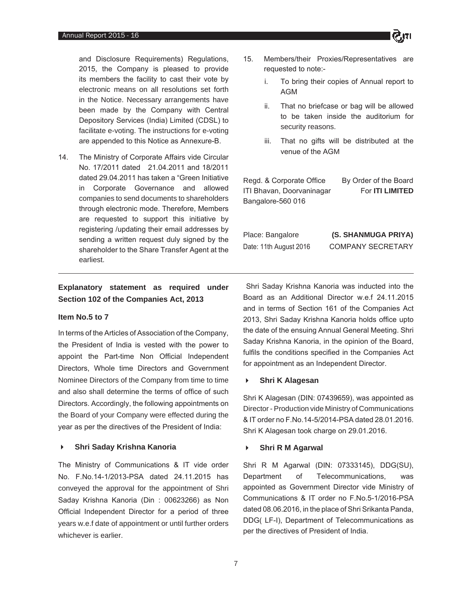and Disclosure Requirements) Regulations, 2015, the Company is pleased to provide its members the facility to cast their vote by electronic means on all resolutions set forth in the Notice. Necessary arrangements have been made by the Company with Central Depository Services (India) Limited (CDSL) to facilitate e-voting. The instructions for e-voting are appended to this Notice as Annexure-B.

14. The Ministry of Corporate Affairs vide Circular No. 17/2011 dated 21.04.2011 and 18/2011 dated 29.04.2011 has taken a "Green Initiative in Corporate Governance and allowed companies to send documents to shareholders through electronic mode. Therefore, Members are requested to support this initiative by registering /updating their email addresses by sending a written request duly signed by the shareholder to the Share Transfer Agent at the earliest.

#### **Explanatory statement as required under Section 102 of the Companies Act, 2013**

#### **Item No.5 to 7**

In terms of the Articles of Association of the Company, the President of India is vested with the power to appoint the Part-time Non Official Independent Directors, Whole time Directors and Government Nominee Directors of the Company from time to time and also shall determine the terms of office of such Directors. Accordingly, the following appointments on the Board of your Company were effected during the year as per the directives of the President of India:

#### **Shri Saday Krishna Kanoria**

The Ministry of Communications & IT vide order No. F.No.14-1/2013-PSA dated 24.11.2015 has conveyed the approval for the appointment of Shri Saday Krishna Kanoria (Din : 00623266) as Non Official Independent Director for a period of three years w.e.f date of appointment or until further orders whichever is earlier.

 Shri Saday Krishna Kanoria was inducted into the Board as an Additional Director w.e.f 24.11.2015 and in terms of Section 161 of the Companies Act 2013, Shri Saday Krishna Kanoria holds office upto the date of the ensuing Annual General Meeting. Shri Saday Krishna Kanoria, in the opinion of the Board, fulfils the conditions specified in the Companies Act for appointment as an Independent Director.

#### **Shri K Alagesan**

Shri K Alagesan (DIN: 07439659), was appointed as Director - Production vide Ministry of Communications & IT order no F.No.14-5/2014-PSA dated 28.01.2016. Shri K Alagesan took charge on 29.01.2016.

#### **Shri R M Agarwal**

Shri R M Agarwal (DIN: 07333145), DDG(SU), Department of Telecommunications, was appointed as Government Director vide Ministry of Communications & IT order no F.No.5-1/2016-PSA dated 08.06.2016, in the place of Shri Srikanta Panda, DDG( LF-I), Department of Telecommunications as per the directives of President of India.

- 15. Members/their Proxies/Representatives are requested to note:
	- i. To bring their copies of Annual report to AGM
	- ii. That no briefcase or bag will be allowed to be taken inside the auditorium for security reasons.
	- iii. That no gifts will be distributed at the venue of the AGM

| Regd. & Corporate Office  | By Order of the Board  |
|---------------------------|------------------------|
| ITI Bhavan, Doorvaninagar | For <b>ITI LIMITED</b> |
| Bangalore-560 016         |                        |
|                           |                        |
|                           |                        |

| Place: Bangalore       | (S. SHANMUGA PRIYA)      |
|------------------------|--------------------------|
| Date: 11th August 2016 | <b>COMPANY SECRETARY</b> |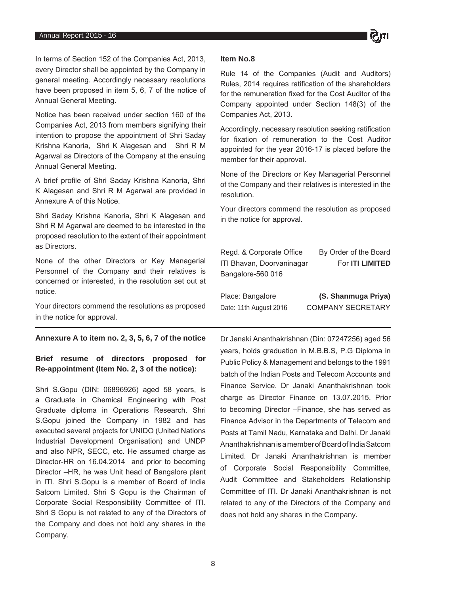

In terms of Section 152 of the Companies Act, 2013, every Director shall be appointed by the Company in general meeting. Accordingly necessary resolutions have been proposed in item 5, 6, 7 of the notice of Annual General Meeting.

Notice has been received under section 160 of the Companies Act, 2013 from members signifying their intention to propose the appointment of Shri Saday Krishna Kanoria, Shri K Alagesan and Shri R M Agarwal as Directors of the Company at the ensuing Annual General Meeting.

A brief profile of Shri Saday Krishna Kanoria, Shri K Alagesan and Shri R M Agarwal are provided in Annexure A of this Notice.

Shri Saday Krishna Kanoria, Shri K Alagesan and Shri R M Agarwal are deemed to be interested in the proposed resolution to the extent of their appointment as Directors.

None of the other Directors or Key Managerial Personnel of the Company and their relatives is concerned or interested, in the resolution set out at notice.

Your directors commend the resolutions as proposed in the notice for approval.

#### **Annexure A to item no. 2, 3, 5, 6, 7 of the notice**

#### **Brief resume of directors proposed for Re-appointment (Item No. 2, 3 of the notice):**

Shri S.Gopu (DIN: 06896926) aged 58 years, is a Graduate in Chemical Engineering with Post Graduate diploma in Operations Research. Shri S.Gopu joined the Company in 1982 and has executed several projects for UNIDO (United Nations Industrial Development Organisation) and UNDP and also NPR, SECC, etc. He assumed charge as Director-HR on 16.04.2014 and prior to becoming Director –HR, he was Unit head of Bangalore plant in ITI. Shri S.Gopu is a member of Board of India Satcom Limited. Shri S Gopu is the Chairman of Corporate Social Responsibility Committee of ITI. Shri S Gopu is not related to any of the Directors of the Company and does not hold any shares in the Company.

#### **Item No.8**

Rule 14 of the Companies (Audit and Auditors) Rules, 2014 requires ratification of the shareholders for the remuneration fixed for the Cost Auditor of the Company appointed under Section 148(3) of the Companies Act, 2013.

Accordingly, necessary resolution seeking ratification for fixation of remuneration to the Cost Auditor appointed for the year 2016-17 is placed before the member for their approval.

None of the Directors or Key Managerial Personnel of the Company and their relatives is interested in the resolution.

Your directors commend the resolution as proposed in the notice for approval.

Regd. & Corporate Office By Order of the Board **ITI Bhavan, Doorvaninagar** For **ITI LIMITED** Bangalore-560 016

Place: Bangalore **(S. Shanmuga Priya)**  Date: 11th August 2016 COMPANY SECRETARY

Dr Janaki Ananthakrishnan (Din: 07247256) aged 56 years, holds graduation in M.B.B.S, P.G Diploma in Public Policy & Management and belongs to the 1991 batch of the Indian Posts and Telecom Accounts and Finance Service. Dr Janaki Ananthakrishnan took charge as Director Finance on 13.07.2015. Prior to becoming Director –Finance, she has served as Finance Advisor in the Departments of Telecom and Posts at Tamil Nadu, Karnataka and Delhi. Dr Janaki Ananthakrishnan is a member of Board of India Satcom Limited. Dr Janaki Ananthakrishnan is member of Corporate Social Responsibility Committee, Audit Committee and Stakeholders Relationship Committee of ITI. Dr Janaki Ananthakrishnan is not related to any of the Directors of the Company and does not hold any shares in the Company.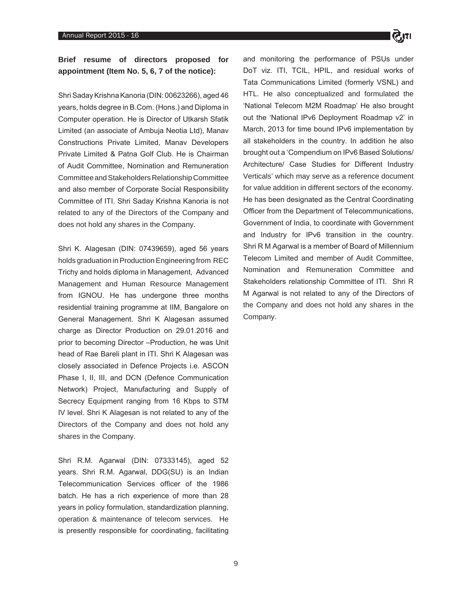#### **Brief resume of directors proposed for appointment (Item No. 5, 6, 7 of the notice):**

Shri Saday Krishna Kanoria (DIN: 00623266), aged 46 years, holds degree in B.Com. (Hons.) and Diploma in Computer operation. He is Director of Utkarsh Sfatik Limited (an associate of Ambuja Neotia Ltd), Manav Constructions Private Limited, Manav Developers Private Limited & Patna Golf Club. He is Chairman of Audit Committee, Nomination and Remuneration Committee and Stakeholders Relationship Committee and also member of Corporate Social Responsibility Committee of ITI. Shri Saday Krishna Kanoria is not related to any of the Directors of the Company and does not hold any shares in the Company.

Shri K. Alagesan (DIN: 07439659), aged 56 years holds graduation in Production Engineering from REC Trichy and holds diploma in Management, Advanced Management and Human Resource Management from IGNOU. He has undergone three months residential training programme at IIM, Bangalore on General Management. Shri K Alagesan assumed charge as Director Production on 29.01.2016 and prior to becoming Director –Production, he was Unit head of Rae Bareli plant in ITI. Shri K Alagesan was closely associated in Defence Projects i.e. ASCON Phase I, II, III, and DCN (Defence Communication Network) Project, Manufacturing and Supply of Secrecy Equipment ranging from 16 Kbps to STM IV level. Shri K Alagesan is not related to any of the Directors of the Company and does not hold any shares in the Company.

Shri R.M. Agarwal (DIN: 07333145), aged 52 years. Shri R.M. Agarwal, DDG(SU) is an Indian Telecommunication Services officer of the 1986 batch. He has a rich experience of more than 28 years in policy formulation, standardization planning, operation & maintenance of telecom services. He is presently responsible for coordinating, facilitating

and monitoring the performance of PSUs under DoT viz. ITI, TCIL, HPIL, and residual works of Tata Communications Limited (formerly VSNL) and HTL. He also conceptualized and formulated the 'National Telecom M2M Roadmap' He also brought out the 'National IPv6 Deployment Roadmap v2' in March, 2013 for time bound IPv6 implementation by all stakeholders in the country. In addition he also brought out a 'Compendium on IPv6 Based Solutions/ Architecture/ Case Studies for Different Industry Verticals' which may serve as a reference document for value addition in different sectors of the economy. He has been designated as the Central Coordinating Officer from the Department of Telecommunications, Government of India, to coordinate with Government and Industry for IPv6 transition in the country. Shri R M Agarwal is a member of Board of Millennium Telecom Limited and member of Audit Committee, Nomination and Remuneration Committee and Stakeholders relationship Committee of ITI. Shri R M Agarwal is not related to any of the Directors of the Company and does not hold any shares in the Company.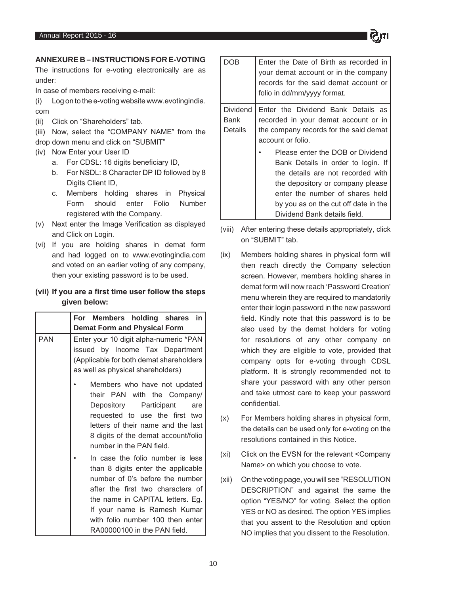#### **ANNEXURE B – INSTRUCTIONS FOR E-VOTING**

The instructions for e-voting electronically are as under:

In case of members receiving e-mail:

(i) Log on to the e-voting website www.evotingindia. com

(ii) Click on "Shareholders" tab.

(iii) Now, select the "COMPANY NAME" from the drop down menu and click on "SUBMIT"

- (iv) Now Enter your User ID
	- a. For CDSL: 16 digits beneficiary ID,
	- b. For NSDL: 8 Character DP ID followed by 8 Digits Client ID,
	- c. Members holding shares in Physical Form should enter Folio Number registered with the Company.
- (v) Next enter the Image Verification as displayed and Click on Login.
- (vi) If you are holding shares in demat form and had logged on to www.evotingindia.com and voted on an earlier voting of any company, then your existing password is to be used.
- **(vii) If you are a first time user follow the steps given below:**

|            | For Members holding shares in                                                                                                                                                                                                                                                          |
|------------|----------------------------------------------------------------------------------------------------------------------------------------------------------------------------------------------------------------------------------------------------------------------------------------|
|            | <b>Demat Form and Physical Form</b>                                                                                                                                                                                                                                                    |
| <b>PAN</b> | Enter your 10 digit alpha-numeric *PAN<br>issued by Income Tax Department<br>(Applicable for both demat shareholders<br>as well as physical shareholders)                                                                                                                              |
|            | Members who have not updated<br>their PAN with the Company/<br>Depository Participant are<br>requested to use the first two<br>letters of their name and the last<br>8 digits of the demat account/folio<br>number in the PAN field.                                                   |
|            | In case the folio number is less<br>than 8 digits enter the applicable<br>number of 0's before the number<br>after the first two characters of<br>the name in CAPITAL letters. Eg.<br>If your name is Ramesh Kumar<br>with folio number 100 then enter<br>RA00000100 in the PAN field. |

|                             | Enter the Date of Birth as recorded in<br>your demat account or in the company<br>records for the said demat account or<br>folio in dd/mm/yyyy format.                                                                                                     |
|-----------------------------|------------------------------------------------------------------------------------------------------------------------------------------------------------------------------------------------------------------------------------------------------------|
| Dividend<br>Bank<br>Details | Enter the Dividend Bank Details as<br>recorded in your demat account or in<br>the company records for the said demat<br>account or folio.                                                                                                                  |
|                             | Please enter the DOB or Dividend<br>Bank Details in order to login. If<br>the details are not recorded with<br>the depository or company please<br>enter the number of shares held<br>by you as on the cut off date in the<br>Dividend Bank details field. |

- (viii) After entering these details appropriately, click on "SUBMIT" tab.
- (ix) Members holding shares in physical form will then reach directly the Company selection screen. However, members holding shares in demat form will now reach 'Password Creation' menu wherein they are required to mandatorily enter their login password in the new password field. Kindly note that this password is to be also used by the demat holders for voting for resolutions of any other company on which they are eligible to vote, provided that company opts for e-voting through CDSL platform. It is strongly recommended not to share your password with any other person and take utmost care to keep your password confidential.
- (x) For Members holding shares in physical form, the details can be used only for e-voting on the resolutions contained in this Notice.
- (xi) Click on the EVSN for the relevant <Company Name> on which you choose to vote.
- (xii) On the voting page, you will see "RESOLUTION DESCRIPTION" and against the same the option "YES/NO" for voting. Select the option YES or NO as desired. The option YES implies that you assent to the Resolution and option NO implies that you dissent to the Resolution.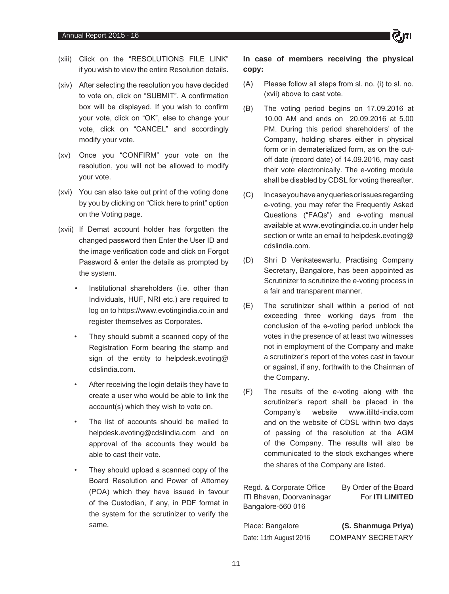- (xiii) Click on the "RESOLUTIONS FILE LINK" if you wish to view the entire Resolution details.
- (xiv) After selecting the resolution you have decided to vote on, click on "SUBMIT". A confirmation box will be displayed. If you wish to confirm your vote, click on "OK", else to change your vote, click on "CANCEL" and accordingly modify your vote.
- (xv) Once you "CONFIRM" your vote on the resolution, you will not be allowed to modify your vote.
- (xvi) You can also take out print of the voting done by you by clicking on "Click here to print" option on the Voting page.
- (xvii) If Demat account holder has forgotten the changed password then Enter the User ID and the image verification code and click on Forgot Password & enter the details as prompted by the system.
	- Institutional shareholders (i.e. other than Individuals, HUF, NRI etc.) are required to log on to https://www.evotingindia.co.in and register themselves as Corporates.
	- They should submit a scanned copy of the Registration Form bearing the stamp and sign of the entity to helpdesk.evoting@ cdslindia.com.
	- After receiving the login details they have to create a user who would be able to link the account(s) which they wish to vote on.
	- The list of accounts should be mailed to helpdesk.evoting@cdslindia.com and on approval of the accounts they would be able to cast their vote.
	- They should upload a scanned copy of the Board Resolution and Power of Attorney (POA) which they have issued in favour of the Custodian, if any, in PDF format in the system for the scrutinizer to verify the same.

#### **In case of members receiving the physical copy:**

- (A) Please follow all steps from sl. no. (i) to sl. no. (xvii) above to cast vote.
- (B) The voting period begins on 17.09.2016 at 10.00 AM and ends on 20.09.2016 at 5.00 PM. During this period shareholders' of the Company, holding shares either in physical form or in dematerialized form, as on the cutoff date (record date) of 14.09.2016, may cast their vote electronically. The e-voting module shall be disabled by CDSL for voting thereafter.
- (C) In case you have any queries or issues regarding e-voting, you may refer the Frequently Asked Questions ("FAQs") and e-voting manual available at www.evotingindia.co.in under help section or write an email to helpdesk.evoting@ cdslindia.com.
- (D) Shri D Venkateswarlu, Practising Company Secretary, Bangalore, has been appointed as Scrutinizer to scrutinize the e-voting process in a fair and transparent manner.
- (E) The scrutinizer shall within a period of not exceeding three working days from the conclusion of the e-voting period unblock the votes in the presence of at least two witnesses not in employment of the Company and make a scrutinizer's report of the votes cast in favour or against, if any, forthwith to the Chairman of the Company.
- (F) The results of the e-voting along with the scrutinizer's report shall be placed in the Company's website www.itiltd-india.com and on the website of CDSL within two days of passing of the resolution at the AGM of the Company. The results will also be communicated to the stock exchanges where the shares of the Company are listed.

| Regd. & Corporate Office  | By Order of the Board  |
|---------------------------|------------------------|
| ITI Bhavan, Doorvaninagar | For <b>ITI LIMITED</b> |
| Bangalore-560 016         |                        |
|                           |                        |

| Place: Bangalore       | (S. Shanmuga Priya)      |
|------------------------|--------------------------|
| Date: 11th August 2016 | <b>COMPANY SECRETARY</b> |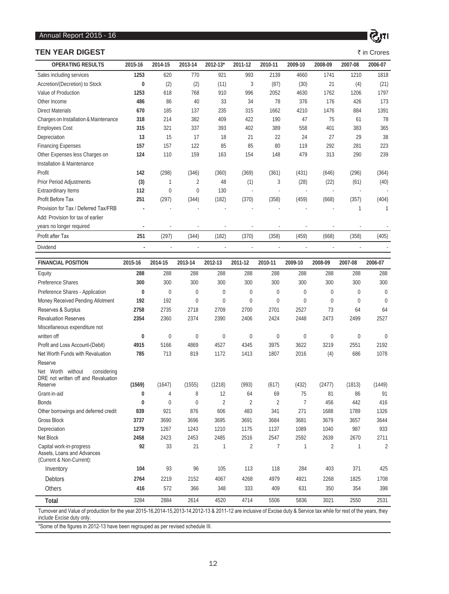| TEN YEAR DIGEST                                                                    |         |                  |                  |                |                     |                |                          |                  |         | ₹ in Crores  |
|------------------------------------------------------------------------------------|---------|------------------|------------------|----------------|---------------------|----------------|--------------------------|------------------|---------|--------------|
| <b>OPERATING RESULTS</b>                                                           | 2015-16 | 2014-15          | 2013-14          | 2012-13*       | 2011-12             | 2010-11        | 2009-10                  | 2008-09          | 2007-08 | 2006-07      |
| Sales including services                                                           | 1253    | 620              | 770              | 921            | 993                 | 2139           | 4660                     | 1741             | 1210    | 1818         |
| Accretion/(Decretion) to Stock                                                     | 0       | (2)              | (2)              | (11)           | 3                   | (87)           | (30)                     | 21               | (4)     | (21)         |
| Value of Production                                                                | 1253    | 618              | 768              | 910            | 996                 | 2052           | 4630                     | 1762             | 1206    | 1797         |
| Other Income                                                                       | 486     | 86               | 40               | 33             | 34                  | 78             | 376                      | 176              | 426     | 173          |
| <b>Direct Materials</b>                                                            | 670     | 185              | 137              | 235            | 315                 | 1662           | 4210                     | 1476             | 884     | 1391         |
| Charges on Installation & Maintenance                                              | 318     | 214              | 382              | 409            | 422                 | 190            | 47                       | 75               | 61      | 78           |
| <b>Employees Cost</b>                                                              | 315     | 321              | 337              | 393            | 402                 | 389            | 558                      | 401              | 383     | 365          |
| Depreciation                                                                       | 13      | 15               | 17               | 18             | 21                  | 22             | 24                       | 27               | 29      | 38           |
| <b>Financing Expenses</b>                                                          | 157     | 157              | 122              | 85             | 85                  | 80             | 119                      | 292              | 281     | 223          |
| Other Expenses less Charges on                                                     | 124     | 110              | 159              | 163            | 154                 | 148            | 479                      | 313              | 290     | 239          |
| Installation & Maintenance                                                         |         |                  |                  |                |                     |                |                          |                  |         |              |
| Profit                                                                             | 142     | (298)            | (346)            | (360)          | (369)               | (361)          | (431)                    | (646)            | (296)   | (364)        |
| Prior Period Adjustments                                                           | (3)     | 1                | 2                | 48             | (1)                 | 3              | (28)                     | (22)             | (61)    | (40)         |
| <b>Extraordinary Items</b>                                                         | 112     | 0                | $\boldsymbol{0}$ | 130            | ÷,                  |                | $\overline{\phantom{a}}$ | ÷,               |         |              |
| Profit Before Tax                                                                  | 251     | (297)            | (344)            | (182)          | (370)               | (358)          | (459)                    | (668)            | (357)   | (404)        |
| Provision for Tax / Deferred Tax/FRB                                               |         |                  |                  |                |                     |                |                          |                  | 1       | $\mathbf{1}$ |
| Add: Provision for tax of earlier                                                  |         |                  |                  |                |                     |                |                          |                  |         |              |
| years no longer required                                                           |         |                  |                  |                |                     |                |                          |                  |         |              |
| Profit after Tax                                                                   | 251     | (297)            | (344)            | (182)          | (370)               | (358)          | (459)                    | (668)            | (358)   | (405)        |
| Dividend                                                                           | Ĭ.      |                  | $\blacksquare$   | L,             | $\bar{\phantom{a}}$ | ÷,             | ÷,                       | L,               | ÷,      |              |
| <b>FINANCIAL POSITION</b>                                                          | 2015-16 | 2014-15          | 2013-14          | 2012-13        | 2011-12             | 2010-11        | 2009-10                  | 2008-09          | 2007-08 | 2006-07      |
| Equity                                                                             | 288     | 288              | 288              | 288            | 288                 | 288            | 288                      | 288              | 288     | 288          |
| Preference Shares                                                                  | 300     | 300              | 300              | 300            | 300                 | 300            | 300                      | 300              | 300     | 300          |
| Preference Shares - Application                                                    | 0       | $\boldsymbol{0}$ | 0                | $\mathbf 0$    | $\mathbf 0$         | 0              | $\mathbf 0$              | $\mathbf 0$      | 0       | $\mathbf 0$  |
| Money Received Pending Allotment                                                   | 192     | 192              | 0                | $\mathbf{0}$   | $\mathbf 0$         | 0              | $\mathbf 0$              | 0                | 0       | $\Omega$     |
| Reserves & Surplus                                                                 | 2758    | 2735             | 2718             | 2709           | 2700                | 2701           | 2527                     | 73               | 64      | 64           |
| <b>Revaluation Reserves</b>                                                        | 2354    | 2360             | 2374             | 2390           | 2406                | 2424           | 2448                     | 2473             | 2499    | 2527         |
| Miscellaneous expenditure not                                                      |         |                  |                  |                |                     |                |                          |                  |         |              |
| written off                                                                        | 0       | $\boldsymbol{0}$ | $\mathbf 0$      | $\mathbf 0$    | $\mathbf 0$         | $\mathbf 0$    | $\mathbf 0$              | $\boldsymbol{0}$ | 0       | $\mathbf{0}$ |
| Profit and Loss Account-(Debit)                                                    | 4915    | 5166             | 4869             | 4527           | 4345                | 3975           | 3622                     | 3219             | 2551    | 2192         |
| Net Worth Funds with Revaluation                                                   | 785     | 713              | 819              | 1172           | 1413                | 1807           | 2016                     | (4)              | 686     | 1078         |
| Reserve                                                                            |         |                  |                  |                |                     |                |                          |                  |         |              |
| Net Worth without<br>considering<br>DRE not written off and Revaluation            |         |                  |                  |                |                     |                |                          |                  |         |              |
| Reserve                                                                            | (1569)  | (1647)           | (1555)           | (1218)         | (993)               | (617)          | (432)                    | (2477)           | (1813)  | (1449)       |
| Grant-in-aid                                                                       | 0       | 4                | 8                | 12             | 64                  | 69             | 75                       | 81               | 86      | 91           |
| <b>Bonds</b>                                                                       | 0       | $\mathbf 0$      | $\mathbf 0$      | $\overline{2}$ | $\overline{2}$      | $\overline{2}$ | 7                        | 456              | 442     | 416          |
| Other borrowings and deferred credit                                               | 839     | 921              | 876              | 606            | 483                 | 341            | 271                      | 1688             | 1789    | 1326         |
| Gross Block                                                                        | 3737    | 3690             | 3696             | 3695           | 3691                | 3684           | 3681                     | 3679             | 3657    | 3644         |
| Depreciation                                                                       | 1279    | 1267             | 1243             | 1210           | 1175                | 1137           | 1089                     | 1040             | 987     | 933          |
| Net Block                                                                          | 2458    | 2423             | 2453             | 2485           | 2516                | 2547           | 2592                     | 2639             | 2670    | 2711         |
| Capital work-in-progress<br>Assets, Loans and Advances<br>(Current & Non-Current): | 92      | 33               | 21               | $\mathbf{1}$   | $\overline{2}$      | $\overline{7}$ | 1                        | $\overline{2}$   | 1       | 2            |
| Inventory                                                                          | 104     | 93               | 96               | 105            | 113                 | 118            | 284                      | 403              | 371     | 425          |
| Debtors                                                                            | 2764    | 2219             | 2152             | 4067           | 4268                | 4979           | 4921                     | 2268             | 1825    | 1708         |
| Others                                                                             | 416     | 572              | 366              | 348            | 333                 | 409            | 631                      | 350              | 354     | 398          |
| Total                                                                              | 3284    | 2884             | 2614             | 4520           | 4714                | 5506           | 5836                     | 3021             | 2550    | 2531         |

Turnover and Value of production for the year 2015-16,2014-15,2013-14,2012-13 & 2011-12 are inclusive of Excise duty & Service tax while for rest of the years, they include Excise duty only.

\*Some of the figures in 2012-13 have been regrouped as per revised schedule III.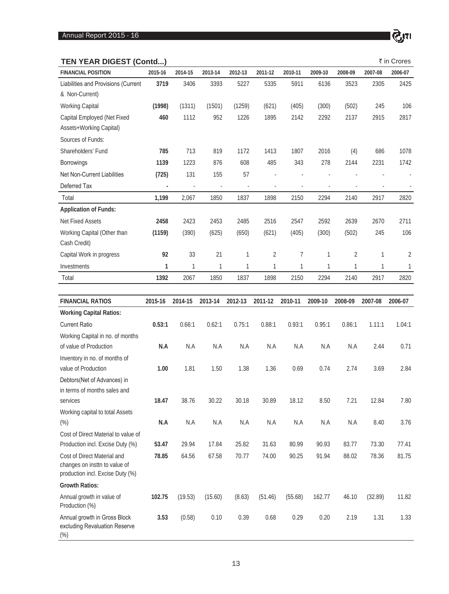**द्धाः** 

| ₹ in Crores<br><b>TEN YEAR DIGEST (Contd)</b>                        |         |                          |                          |         |                          |         |         |         |         |                |
|----------------------------------------------------------------------|---------|--------------------------|--------------------------|---------|--------------------------|---------|---------|---------|---------|----------------|
| <b>FINANCIAL POSITION</b>                                            | 2015-16 | 2014-15                  | 2013-14                  | 2012-13 | 2011-12                  | 2010-11 | 2009-10 | 2008-09 | 2007-08 | 2006-07        |
| Liabilities and Provisions (Current                                  | 3719    | 3406                     | 3393                     | 5227    | 5335                     | 5911    | 6136    | 3523    | 2305    | 2425           |
| & Non-Current)                                                       |         |                          |                          |         |                          |         |         |         |         |                |
| <b>Working Capital</b>                                               | (1998)  | (1311)                   | (1501)                   | (1259)  | (621)                    | (405)   | (300)   | (502)   | 245     | 106            |
| Capital Employed (Net Fixed                                          | 460     | 1112                     | 952                      | 1226    | 1895                     | 2142    | 2292    | 2137    | 2915    | 2817           |
| Assets+Working Capital)                                              |         |                          |                          |         |                          |         |         |         |         |                |
| Sources of Funds:                                                    |         |                          |                          |         |                          |         |         |         |         |                |
| Shareholders' Fund                                                   | 785     | 713                      | 819                      | 1172    | 1413                     | 1807    | 2016    | (4)     | 686     | 1078           |
| <b>Borrowings</b>                                                    | 1139    | 1223                     | 876                      | 608     | 485                      | 343     | 278     | 2144    | 2231    | 1742           |
| Net Non-Current Liabilities                                          | (725)   | 131                      | 155                      | 57      | $\overline{\phantom{a}}$ |         | ä,      | ÷,      |         |                |
| Deferred Tax                                                         |         | $\overline{\phantom{a}}$ | $\overline{\phantom{a}}$ | ÷,      |                          |         |         |         |         |                |
| Total                                                                | 1,199   | 2,067                    | 1850                     | 1837    | 1898                     | 2150    | 2294    | 2140    | 2917    | 2820           |
| <b>Application of Funds:</b>                                         |         |                          |                          |         |                          |         |         |         |         |                |
| Net Fixed Assets                                                     | 2458    | 2423                     | 2453                     | 2485    | 2516                     | 2547    | 2592    | 2639    | 2670    | 2711           |
| Working Capital (Other than                                          | (1159)  | (390)                    | (625)                    | (650)   | (621)                    | (405)   | (300)   | (502)   | 245     | 106            |
| Cash Credit)                                                         |         |                          |                          |         |                          |         |         |         |         |                |
| Capital Work in progress                                             | 92      | 33                       | 21                       | 1       | 2                        | 7       | 1       | 2       | 1       | $\overline{2}$ |
| Investments                                                          | 1       | $\mathbf{1}$             | $\mathbf 1$              | 1       | $\mathbf{1}$             | 1       | 1       | 1       | 1       | 1              |
| Total                                                                | 1392    | 2067                     | 1850                     | 1837    | 1898                     | 2150    | 2294    | 2140    | 2917    | 2820           |
|                                                                      |         |                          |                          |         |                          |         |         |         |         |                |
| <b>FINANCIAL RATIOS</b>                                              | 2015-16 | 2014-15                  | 2013-14                  | 2012-13 | 2011-12                  | 2010-11 | 2009-10 | 2008-09 | 2007-08 | 2006-07        |
| <b>Working Capital Ratios:</b>                                       |         |                          |                          |         |                          |         |         |         |         |                |
| <b>Current Ratio</b>                                                 | 0.53:1  | 0.66:1                   | 0.62:1                   | 0.75:1  | 0.88:1                   | 0.93:1  | 0.95:1  | 0.86:1  | 1.11:1  | 1.04:1         |
| Working Capital in no. of months                                     |         |                          |                          |         |                          |         |         |         |         |                |
| of value of Production                                               | N.A     | N.A                      | N.A                      | N.A     | N.A                      | N.A     | N.A     | N.A     | 2.44    | 0.71           |
| Inventory in no. of months of                                        |         |                          |                          |         |                          |         |         |         |         |                |
| value of Production                                                  | 1.00    | 1.81                     | 1.50                     | 1.38    | 1.36                     | 0.69    | 0.74    | 2.74    | 3.69    | 2.84           |
| Debtors(Net of Advances) in                                          |         |                          |                          |         |                          |         |         |         |         |                |
| in terms of months sales and<br>services                             |         |                          |                          |         |                          |         |         |         |         | 7.80           |
|                                                                      | 18.47   | 38.76                    | 30.22                    | 30.18   | 30.89                    | 18.12   | 8.50    | 7.21    | 12.84   |                |
| Working capital to total Assets<br>(%)                               | N.A     | N.A                      | N.A                      | N.A     | N.A                      | N.A     | N.A     | N.A     | 8.40    | 3.76           |
| Cost of Direct Material to value of                                  |         |                          |                          |         |                          |         |         |         |         |                |
| Production incl. Excise Duty (%)                                     | 53.47   | 29.94                    | 17.84                    | 25.82   | 31.63                    | 80.99   | 90.93   | 83.77   | 73.30   | 77.41          |
| Cost of Direct Material and                                          | 78.85   | 64.56                    | 67.58                    | 70.77   | 74.00                    | 90.25   | 91.94   | 88.02   | 78.36   | 81.75          |
| changes on insttn to value of<br>production incl. Excise Duty (%)    |         |                          |                          |         |                          |         |         |         |         |                |
|                                                                      |         |                          |                          |         |                          |         |         |         |         |                |
| <b>Growth Ratios:</b>                                                |         |                          |                          |         |                          |         |         |         |         |                |
| Annual growth in value of<br>Production (%)                          | 102.75  | (19.53)                  | (15.60)                  | (8.63)  | (51.46)                  | (55.68) | 162.77  | 46.10   | (32.89) | 11.82          |
| Annual growth in Gross Block<br>excluding Revaluation Reserve<br>(%) | 3.53    | (0.58)                   | 0.10                     | 0.39    | 0.68                     | 0.29    | 0.20    | 2.19    | 1.31    | 1.33           |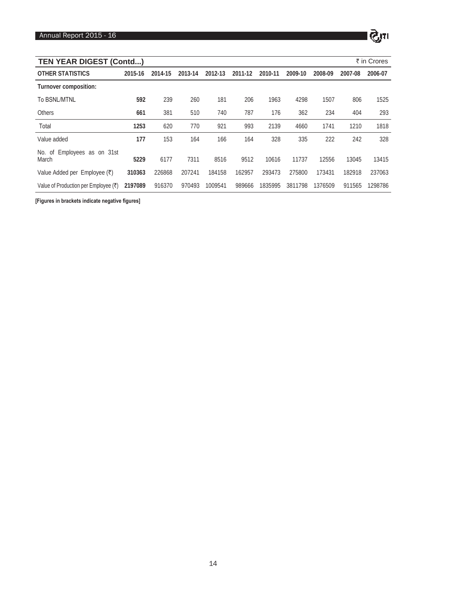| <b>TEN YEAR DIGEST (Contd)</b>                   |         |         |         |         |         |         |         |         |         | ₹ in Crores |
|--------------------------------------------------|---------|---------|---------|---------|---------|---------|---------|---------|---------|-------------|
| <b>OTHER STATISTICS</b>                          | 2015-16 | 2014-15 | 2013-14 | 2012-13 | 2011-12 | 2010-11 | 2009-10 | 2008-09 | 2007-08 | 2006-07     |
| Turnover composition:                            |         |         |         |         |         |         |         |         |         |             |
| To BSNL/MTNL                                     | 592     | 239     | 260     | 181     | 206     | 1963    | 4298    | 1507    | 806     | 1525        |
| Others                                           | 661     | 381     | 510     | 740     | 787     | 176     | 362     | 234     | 404     | 293         |
| Total                                            | 1253    | 620     | 770     | 921     | 993     | 2139    | 4660    | 1741    | 1210    | 1818        |
| Value added                                      | 177     | 153     | 164     | 166     | 164     | 328     | 335     | 222     | 242     | 328         |
| No. of Employees as on 31st<br>March             | 5229    | 6177    | 7311    | 8516    | 9512    | 10616   | 11737   | 12556   | 13045   | 13415       |
| Value Added per Employee $(\bar{\tau})$          | 310363  | 226868  | 207241  | 184158  | 162957  | 293473  | 275800  | 173431  | 182918  | 237063      |
| Value of Production per Employee $(\bar{\zeta})$ | 2197089 | 916370  | 970493  | 1009541 | 989666  | 1835995 | 3811798 | 1376509 | 911565  | 1298786     |

**[Figures in brackets indicate negative figures]**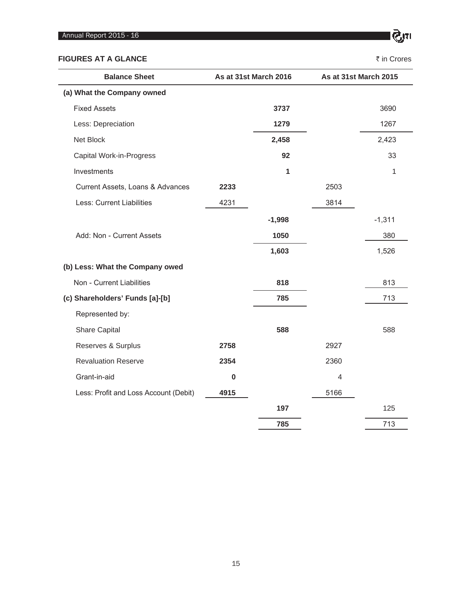**द्धाः** 

#### **FIGURES AT A GLANCE**  $\bar{\tau}$  in Crores

| <b>Balance Sheet</b>                  |             | As at 31st March 2016 | As at 31st March 2015 |          |
|---------------------------------------|-------------|-----------------------|-----------------------|----------|
| (a) What the Company owned            |             |                       |                       |          |
| <b>Fixed Assets</b>                   |             | 3737                  |                       | 3690     |
| Less: Depreciation                    |             | 1279                  |                       | 1267     |
| Net Block                             |             | 2,458                 |                       | 2,423    |
| <b>Capital Work-in-Progress</b>       |             | 92                    |                       | 33       |
| Investments                           |             | 1                     |                       | 1        |
| Current Assets, Loans & Advances      | 2233        |                       | 2503                  |          |
| Less: Current Liabilities             | 4231        |                       | 3814                  |          |
|                                       |             | $-1,998$              |                       | $-1,311$ |
| Add: Non - Current Assets             |             | 1050                  |                       | 380      |
|                                       |             | 1,603                 |                       | 1,526    |
| (b) Less: What the Company owed       |             |                       |                       |          |
| Non - Current Liabilities             |             | 818                   |                       | 813      |
| (c) Shareholders' Funds [a]-[b]       |             | 785                   |                       | 713      |
| Represented by:                       |             |                       |                       |          |
| Share Capital                         |             | 588                   |                       | 588      |
| Reserves & Surplus                    | 2758        |                       | 2927                  |          |
| <b>Revaluation Reserve</b>            | 2354        |                       | 2360                  |          |
| Grant-in-aid                          | $\mathbf 0$ |                       | 4                     |          |
| Less: Profit and Loss Account (Debit) | 4915        |                       | 5166                  |          |
|                                       |             | 197                   |                       | 125      |
|                                       |             | 785                   |                       | 713      |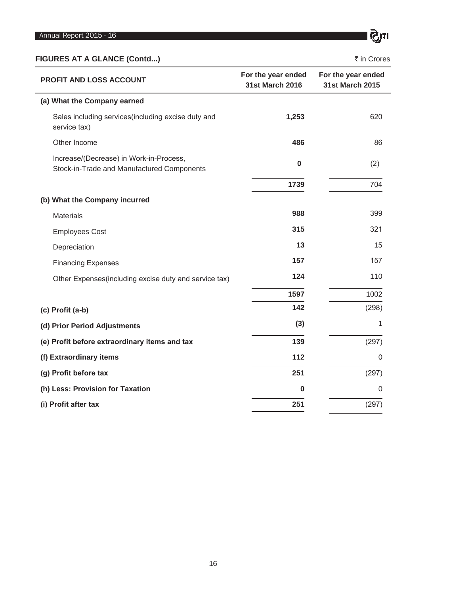**FIGURES AT A GLANCE (Contd...)** ` in Crores

दुमा

| PROFIT AND LOSS ACCOUNT                                                               | For the year ended<br><b>31st March 2016</b> | For the year ended<br><b>31st March 2015</b> |
|---------------------------------------------------------------------------------------|----------------------------------------------|----------------------------------------------|
| (a) What the Company earned                                                           |                                              |                                              |
| Sales including services (including excise duty and<br>service tax)                   | 1,253                                        | 620                                          |
| Other Income                                                                          | 486                                          | 86                                           |
| Increase/(Decrease) in Work-in-Process,<br>Stock-in-Trade and Manufactured Components | $\bf{0}$                                     | (2)                                          |
|                                                                                       | 1739                                         | 704                                          |
| (b) What the Company incurred                                                         |                                              |                                              |
| <b>Materials</b>                                                                      | 988                                          | 399                                          |
| <b>Employees Cost</b>                                                                 | 315                                          | 321                                          |
| Depreciation                                                                          | 13                                           | 15                                           |
| <b>Financing Expenses</b>                                                             | 157                                          | 157                                          |
| Other Expenses(including excise duty and service tax)                                 | 124                                          | 110                                          |
|                                                                                       | 1597                                         | 1002                                         |
| (c) Profit (a-b)                                                                      | 142                                          | (298)                                        |
| (d) Prior Period Adjustments                                                          | (3)                                          | 1                                            |
| (e) Profit before extraordinary items and tax                                         | 139                                          | (297)                                        |
| (f) Extraordinary items                                                               | 112                                          | 0                                            |
| (g) Profit before tax                                                                 | 251                                          | (297)                                        |
| (h) Less: Provision for Taxation                                                      | 0                                            | 0                                            |
| (i) Profit after tax                                                                  | 251                                          | (297)                                        |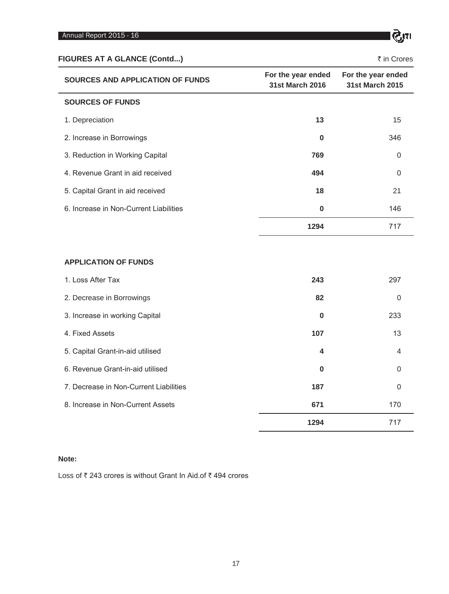#### Annual Report 2015 - 16

**FIGURES AT A GLANCE (Contd...)** ↓ in Crores

| SOURCES AND APPLICATION OF FUNDS       | For the year ended<br><b>31st March 2016</b> | For the year ended<br><b>31st March 2015</b> |
|----------------------------------------|----------------------------------------------|----------------------------------------------|
| <b>SOURCES OF FUNDS</b>                |                                              |                                              |
| 1. Depreciation                        | 13                                           | 15                                           |
| 2. Increase in Borrowings              | $\bf{0}$                                     | 346                                          |
| 3. Reduction in Working Capital        | 769                                          | $\mathbf 0$                                  |
| 4. Revenue Grant in aid received       | 494                                          | $\mathbf 0$                                  |
| 5. Capital Grant in aid received       | 18                                           | 21                                           |
| 6. Increase in Non-Current Liabilities | $\pmb{0}$                                    | 146                                          |
|                                        | 1294                                         | 717                                          |
|                                        |                                              |                                              |
| <b>APPLICATION OF FUNDS</b>            |                                              |                                              |
| 1. Loss After Tax                      | 243                                          | 297                                          |
| 2. Decrease in Borrowings              | 82                                           | $\Omega$                                     |
| 3. Increase in working Capital         | $\bf{0}$                                     | 233                                          |
| 4. Fixed Assets                        | 107                                          | 13                                           |
| 5. Capital Grant-in-aid utilised       | 4                                            | $\overline{4}$                               |
| 6. Revenue Grant-in-aid utilised       | $\bf{0}$                                     | $\Omega$                                     |
| 7. Decrease in Non-Current Liabilities | 187                                          | $\mathbf 0$                                  |
| 8. Increase in Non-Current Assets      | 671                                          | 170                                          |
|                                        | 1294                                         | 717                                          |

#### **Note:**

Loss of  $\bar{z}$  243 crores is without Grant In Aid.of  $\bar{z}$  494 crores

टेग़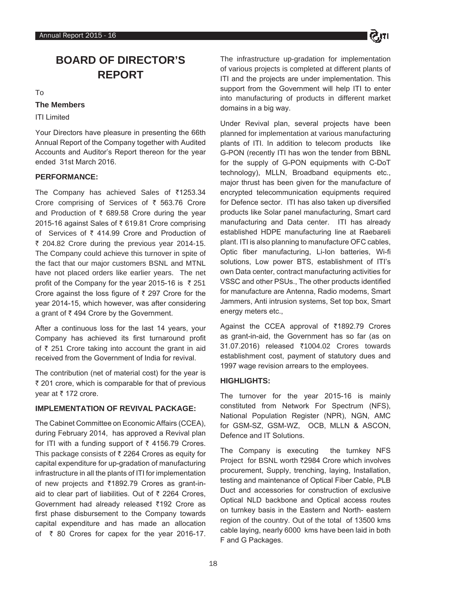## **BOARD OF DIRECTOR'S REPORT**

#### To

#### **The Members**

#### ITI Limited

Your Directors have pleasure in presenting the 66th Annual Report of the Company together with Audited Accounts and Auditor's Report thereon for the year ended 31st March 2016.

#### **PERFORMANCE:**

The Company has achieved Sales of  $\bar{\tau}$ 1253.34 Crore comprising of Services of  $\bar{\tau}$  563.76 Crore and Production of  $\bar{\tau}$  689.58 Crore during the year 2015-16 against Sales of  $\bar{\tau}$  619.81 Crore comprising of Services of  $\bar{\tau}$  414.99 Crore and Production of  $\bar{\tau}$  204.82 Crore during the previous year 2014-15. The Company could achieve this turnover in spite of the fact that our major customers BSNL and MTNL have not placed orders like earlier years. The net profit of the Company for the year 2015-16 is  $\bar{\tau}$  251 Crore against the loss figure of  $\bar{\tau}$  297 Crore for the year 2014-15, which however, was after considering a grant of  $\bar{\tau}$  494 Crore by the Government.

After a continuous loss for the last 14 years, your Company has achieved its first turnaround profit of  $\bar{\tau}$  251 Crore taking into account the grant in aid received from the Government of India for revival.

The contribution (net of material cost) for the year is  $\bar{\tau}$  201 crore, which is comparable for that of previous year at ₹ 172 crore.

#### **IMPLEMENTATION OF REVIVAL PACKAGE:**

The Cabinet Committee on Economic Affairs (CCEA), during February 2014, has approved a Revival plan for ITI with a funding support of  $\bar{\tau}$  4156.79 Crores. This package consists of  $\bar{\tau}$  2264 Crores as equity for capital expenditure for up-gradation of manufacturing infrastructure in all the plants of ITI for implementation of new projects and  $\overline{\tau}$ 1892.79 Crores as grant-inaid to clear part of liabilities. Out of  $\bar{\tau}$  2264 Crores, Government had already released ₹192 Crore as first phase disbursement to the Company towards capital expenditure and has made an allocation of  $\bar{\tau}$  80 Crores for capex for the year 2016-17.

The infrastructure up-gradation for implementation of various projects is completed at different plants of ITI and the projects are under implementation. This support from the Government will help ITI to enter into manufacturing of products in different market domains in a big way.

Under Revival plan, several projects have been planned for implementation at various manufacturing plants of ITI. In addition to telecom products like G-PON (recently ITI has won the tender from BBNL for the supply of G-PON equipments with C-DoT technology), MLLN, Broadband equipments etc., major thrust has been given for the manufacture of encrypted telecommunication equipments required for Defence sector. ITI has also taken up diversified products like Solar panel manufacturing, Smart card manufacturing and Data center. ITI has already established HDPE manufacturing line at Raebareli plant. ITI is also planning to manufacture OFC cables, Optic fiber manufacturing, Li-Ion batteries, Wi-fi solutions, Low power BTS, establishment of ITI's own Data center, contract manufacturing activities for VSSC and other PSUs., The other products identified for manufacture are Antenna, Radio modems, Smart Jammers, Anti intrusion systems, Set top box, Smart energy meters etc.,

Against the CCEA approval of  $\overline{5}$ 1892.79 Crores as grant-in-aid, the Government has so far (as on 31.07.2016) released `1004.02 Crores towards establishment cost, payment of statutory dues and 1997 wage revision arrears to the employees.

#### **HIGHLIGHTS:**

The turnover for the year 2015-16 is mainly constituted from Network For Spectrum (NFS), National Population Register (NPR), NGN, AMC for GSM-SZ, GSM-WZ, OCB, MLLN & ASCON, Defence and IT Solutions.

The Company is executing the turnkey NFS Project for BSNL worth ₹2984 Crore which involves procurement, Supply, trenching, laying, Installation, testing and maintenance of Optical Fiber Cable, PLB Duct and accessories for construction of exclusive Optical NLD backbone and Optical access routes on turnkey basis in the Eastern and North- eastern region of the country. Out of the total of 13500 kms cable laying, nearly 6000 kms have been laid in both F and G Packages.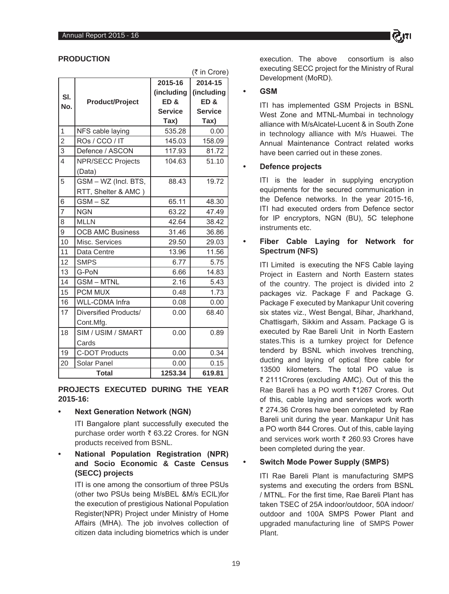

#### **PRODUCTION**

| 2014-15<br>2015-16<br>(including<br>(including<br>SI.<br>ED&<br>ED&<br><b>Product/Project</b><br>No.<br><b>Service</b><br><b>Service</b><br>Tax)<br>Tax)<br>$\mathbf{1}$<br>535.28<br>NFS cable laying<br>0.00<br>ROs / CCO / IT<br>158.09<br>$\overline{2}$<br>145.03<br>3<br>Defence / ASCON<br>117.93<br>81.72<br>$\overline{\mathbf{4}}$<br>51.10<br><b>NPR/SECC Projects</b><br>104.63<br>(Data)<br>GSM - WZ (Incl. BTS,<br>19.72<br>5<br>88.43<br>RTT, Shelter & AMC)<br>6<br>$GSM - SZ$<br>48.30<br>65.11<br>7<br><b>NGN</b><br>47.49<br>63.22<br>8<br><b>MLLN</b><br>38.42<br>42.64<br>9<br><b>OCB AMC Business</b><br>31.46<br>36.86<br>10<br>Misc. Services<br>29.03<br>29.50<br>11<br>11.56<br>13.96<br>Data Centre<br>12<br><b>SMPS</b><br>6.77<br>5.75<br>13<br>G-PoN<br>14.83<br>6.66<br>14<br><b>GSM-MTNL</b><br>2.16<br>5.43<br>15<br>1.73<br>PCM MUX<br>0.48<br>16<br><b>WLL-CDMA Infra</b><br>0.08<br>0.00<br>17<br>Diversified Products/<br>0.00<br>68.40<br>Cont.Mfg.<br>SIM / USIM / SMART<br>18<br>0.00<br>0.89<br>Cards<br>19<br><b>C-DOT Products</b><br>0.00<br>0.34<br>20<br>0.15<br>0.00<br>Solar Panel<br>1253.34<br><b>Total</b><br>619.81 |  |  | (₹ in Crore) |
|-------------------------------------------------------------------------------------------------------------------------------------------------------------------------------------------------------------------------------------------------------------------------------------------------------------------------------------------------------------------------------------------------------------------------------------------------------------------------------------------------------------------------------------------------------------------------------------------------------------------------------------------------------------------------------------------------------------------------------------------------------------------------------------------------------------------------------------------------------------------------------------------------------------------------------------------------------------------------------------------------------------------------------------------------------------------------------------------------------------------------------------------------------------------------|--|--|--------------|
|                                                                                                                                                                                                                                                                                                                                                                                                                                                                                                                                                                                                                                                                                                                                                                                                                                                                                                                                                                                                                                                                                                                                                                         |  |  |              |
|                                                                                                                                                                                                                                                                                                                                                                                                                                                                                                                                                                                                                                                                                                                                                                                                                                                                                                                                                                                                                                                                                                                                                                         |  |  |              |
|                                                                                                                                                                                                                                                                                                                                                                                                                                                                                                                                                                                                                                                                                                                                                                                                                                                                                                                                                                                                                                                                                                                                                                         |  |  |              |
|                                                                                                                                                                                                                                                                                                                                                                                                                                                                                                                                                                                                                                                                                                                                                                                                                                                                                                                                                                                                                                                                                                                                                                         |  |  |              |
|                                                                                                                                                                                                                                                                                                                                                                                                                                                                                                                                                                                                                                                                                                                                                                                                                                                                                                                                                                                                                                                                                                                                                                         |  |  |              |
|                                                                                                                                                                                                                                                                                                                                                                                                                                                                                                                                                                                                                                                                                                                                                                                                                                                                                                                                                                                                                                                                                                                                                                         |  |  |              |
|                                                                                                                                                                                                                                                                                                                                                                                                                                                                                                                                                                                                                                                                                                                                                                                                                                                                                                                                                                                                                                                                                                                                                                         |  |  |              |
|                                                                                                                                                                                                                                                                                                                                                                                                                                                                                                                                                                                                                                                                                                                                                                                                                                                                                                                                                                                                                                                                                                                                                                         |  |  |              |
|                                                                                                                                                                                                                                                                                                                                                                                                                                                                                                                                                                                                                                                                                                                                                                                                                                                                                                                                                                                                                                                                                                                                                                         |  |  |              |
|                                                                                                                                                                                                                                                                                                                                                                                                                                                                                                                                                                                                                                                                                                                                                                                                                                                                                                                                                                                                                                                                                                                                                                         |  |  |              |
|                                                                                                                                                                                                                                                                                                                                                                                                                                                                                                                                                                                                                                                                                                                                                                                                                                                                                                                                                                                                                                                                                                                                                                         |  |  |              |
|                                                                                                                                                                                                                                                                                                                                                                                                                                                                                                                                                                                                                                                                                                                                                                                                                                                                                                                                                                                                                                                                                                                                                                         |  |  |              |
|                                                                                                                                                                                                                                                                                                                                                                                                                                                                                                                                                                                                                                                                                                                                                                                                                                                                                                                                                                                                                                                                                                                                                                         |  |  |              |
|                                                                                                                                                                                                                                                                                                                                                                                                                                                                                                                                                                                                                                                                                                                                                                                                                                                                                                                                                                                                                                                                                                                                                                         |  |  |              |
|                                                                                                                                                                                                                                                                                                                                                                                                                                                                                                                                                                                                                                                                                                                                                                                                                                                                                                                                                                                                                                                                                                                                                                         |  |  |              |
|                                                                                                                                                                                                                                                                                                                                                                                                                                                                                                                                                                                                                                                                                                                                                                                                                                                                                                                                                                                                                                                                                                                                                                         |  |  |              |
|                                                                                                                                                                                                                                                                                                                                                                                                                                                                                                                                                                                                                                                                                                                                                                                                                                                                                                                                                                                                                                                                                                                                                                         |  |  |              |
|                                                                                                                                                                                                                                                                                                                                                                                                                                                                                                                                                                                                                                                                                                                                                                                                                                                                                                                                                                                                                                                                                                                                                                         |  |  |              |
|                                                                                                                                                                                                                                                                                                                                                                                                                                                                                                                                                                                                                                                                                                                                                                                                                                                                                                                                                                                                                                                                                                                                                                         |  |  |              |
|                                                                                                                                                                                                                                                                                                                                                                                                                                                                                                                                                                                                                                                                                                                                                                                                                                                                                                                                                                                                                                                                                                                                                                         |  |  |              |
|                                                                                                                                                                                                                                                                                                                                                                                                                                                                                                                                                                                                                                                                                                                                                                                                                                                                                                                                                                                                                                                                                                                                                                         |  |  |              |
|                                                                                                                                                                                                                                                                                                                                                                                                                                                                                                                                                                                                                                                                                                                                                                                                                                                                                                                                                                                                                                                                                                                                                                         |  |  |              |
|                                                                                                                                                                                                                                                                                                                                                                                                                                                                                                                                                                                                                                                                                                                                                                                                                                                                                                                                                                                                                                                                                                                                                                         |  |  |              |
|                                                                                                                                                                                                                                                                                                                                                                                                                                                                                                                                                                                                                                                                                                                                                                                                                                                                                                                                                                                                                                                                                                                                                                         |  |  |              |
|                                                                                                                                                                                                                                                                                                                                                                                                                                                                                                                                                                                                                                                                                                                                                                                                                                                                                                                                                                                                                                                                                                                                                                         |  |  |              |
|                                                                                                                                                                                                                                                                                                                                                                                                                                                                                                                                                                                                                                                                                                                                                                                                                                                                                                                                                                                                                                                                                                                                                                         |  |  |              |
|                                                                                                                                                                                                                                                                                                                                                                                                                                                                                                                                                                                                                                                                                                                                                                                                                                                                                                                                                                                                                                                                                                                                                                         |  |  |              |
|                                                                                                                                                                                                                                                                                                                                                                                                                                                                                                                                                                                                                                                                                                                                                                                                                                                                                                                                                                                                                                                                                                                                                                         |  |  |              |
|                                                                                                                                                                                                                                                                                                                                                                                                                                                                                                                                                                                                                                                                                                                                                                                                                                                                                                                                                                                                                                                                                                                                                                         |  |  |              |
|                                                                                                                                                                                                                                                                                                                                                                                                                                                                                                                                                                                                                                                                                                                                                                                                                                                                                                                                                                                                                                                                                                                                                                         |  |  |              |

#### **PROJECTS EXECUTED DURING THE YEAR 2015-16:**

**Next Generation Network (NGN)** 

ITI Bangalore plant successfully executed the purchase order worth  $\bar{\tau}$  63.22 Crores. for NGN products received from BSNL.

**National Population Registration (NPR) and Socio Economic & Caste Census (SECC) projects**

ITI is one among the consortium of three PSUs (other two PSUs being M/sBEL &M/s ECIL)for the execution of prestigious National Population Register(NPR) Project under Ministry of Home Affairs (MHA). The job involves collection of citizen data including biometrics which is under

execution. The above consortium is also executing SECC project for the Ministry of Rural Development (MoRD).

#### **• GSM**

ITI has implemented GSM Projects in BSNL West Zone and MTNL-Mumbai in technology alliance with M/sAlcatel-Lucent & in South Zone in technology alliance with M/s Huawei. The Annual Maintenance Contract related works have been carried out in these zones.

#### **• Defence projects**

ITI is the leader in supplying encryption equipments for the secured communication in the Defence networks. In the year 2015-16, ITI had executed orders from Defence sector for IP encryptors, NGN (BU), 5C telephone instruments etc.

#### **• Fiber Cable Laying for Network for Spectrum (NFS)**

ITI Limited is executing the NFS Cable laying Project in Eastern and North Eastern states of the country. The project is divided into 2 packages viz. Package F and Package G. Package F executed by Mankapur Unit covering six states viz., West Bengal, Bihar, Jharkhand, Chattisgarh, Sikkim and Assam. Package G is executed by Rae Bareli Unit in North Eastern states.This is a turnkey project for Defence tenderd by BSNL which involves trenching, ducting and laying of optical fibre cable for 13500 kilometers. The total PO value is ₹ 2111Crores (excluding AMC). Out of this the Rae Bareli has a PO worth ₹1267 Crores. Out of this, cable laying and services work worth ₹ 274.36 Crores have been completed by Rae Bareli unit during the year. Mankapur Unit has a PO worth 844 Crores. Out of this, cable laying and services work worth  $\bar{\tau}$  260.93 Crores have been completed during the year.

#### **• Switch Mode Power Supply (SMPS)**

ITI Rae Bareli Plant is manufacturing SMPS systems and executing the orders from BSNL / MTNL. For the first time, Rae Bareli Plant has taken TSEC of 25A indoor/outdoor, 50A indoor/ outdoor and 100A SMPS Power Plant and upgraded manufacturing line of SMPS Power Plant.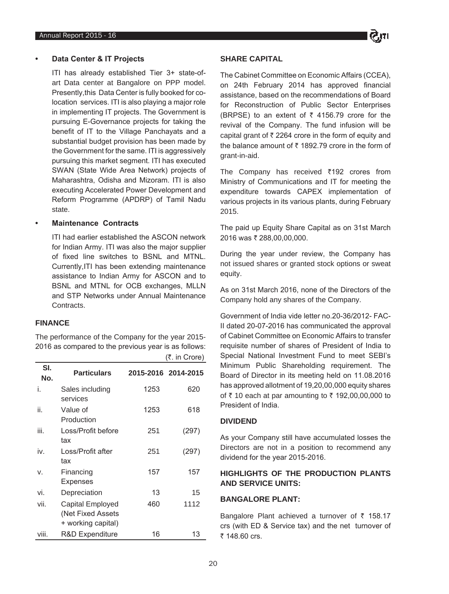#### **• Data Center & IT Projects**

ITI has already established Tier 3+ state-ofart Data center at Bangalore on PPP model. Presently,this Data Center is fully booked for colocation services. ITI is also playing a major role in implementing IT projects. The Government is pursuing E-Governance projects for taking the benefit of IT to the Village Panchayats and a substantial budget provision has been made by the Government for the same. ITI is aggressively pursuing this market segment. ITI has executed SWAN (State Wide Area Network) projects of Maharashtra, Odisha and Mizoram. ITI is also executing Accelerated Power Development and Reform Programme (APDRP) of Tamil Nadu state.

#### **Maintenance Contracts**

ITI had earlier established the ASCON network for Indian Army. ITI was also the major supplier of fixed line switches to BSNL and MTNL. Currently,ITI has been extending maintenance assistance to Indian Army for ASCON and to BSNL and MTNL for OCB exchanges, MLLN and STP Networks under Annual Maintenance Contracts.

#### **FINANCE**

The performance of the Company for the year 2015- 2016 as compared to the previous year is as follows:

|            |                                                             |      | (₹. in Crore)       |
|------------|-------------------------------------------------------------|------|---------------------|
| SI.<br>No. | <b>Particulars</b>                                          |      | 2015-2016 2014-2015 |
| i.         | Sales including<br>services                                 | 1253 | 620                 |
| ii.        | Value of<br>Production                                      | 1253 | 618                 |
| iii.       | Loss/Profit before<br>tax                                   | 251  | (297)               |
| iv.        | Loss/Profit after<br>tax                                    | 251  | (297)               |
| v.         | Financing<br>Expenses                                       | 157  | 157                 |
| vi.        | Depreciation                                                | 13   | 15                  |
| vii.       | Capital Employed<br>(Net Fixed Assets<br>+ working capital) | 460  | 1112                |
| viii.      | <b>R&amp;D Expenditure</b>                                  | 16   | 13                  |

#### **SHARE CAPITAL**

The Cabinet Committee on Economic Affairs (CCEA), on 24th February 2014 has approved financial assistance, based on the recommendations of Board for Reconstruction of Public Sector Enterprises (BRPSE) to an extent of  $\bar{\tau}$  4156.79 crore for the revival of the Company. The fund infusion will be capital grant of  $\bar{\tau}$  2264 crore in the form of equity and the balance amount of  $\bar{\tau}$  1892.79 crore in the form of grant-in-aid.

The Company has received  $\overline{5}192$  crores from Ministry of Communications and IT for meeting the expenditure towards CAPEX implementation of various projects in its various plants, during February 2015.

The paid up Equity Share Capital as on 31st March 2016 was ₹ 288,00,00,000.

During the year under review, the Company has not issued shares or granted stock options or sweat equity.

As on 31st March 2016, none of the Directors of the Company hold any shares of the Company.

Government of India vide letter no.20-36/2012- FAC-II dated 20-07-2016 has communicated the approval of Cabinet Committee on Economic Affairs to transfer requisite number of shares of President of India to Special National Investment Fund to meet SEBI's Minimum Public Shareholding requirement. The Board of Director in its meeting held on 11.08.2016 has approved allotment of 19,20,00,000 equity shares of ₹ 10 each at par amounting to ₹ 192,00,00,000 to President of India.

#### **DIVIDEND**

As your Company still have accumulated losses the Directors are not in a position to recommend any dividend for the year 2015-2016.

#### **HIGHLIGHTS OF THE PRODUCTION PLANTS AND SERVICE UNITS:**

#### **BANGALORE PLANT:**

Bangalore Plant achieved a turnover of  $\bar{\tau}$  158.17 crs (with ED & Service tax) and the net turnover of  $7148.60$  crs.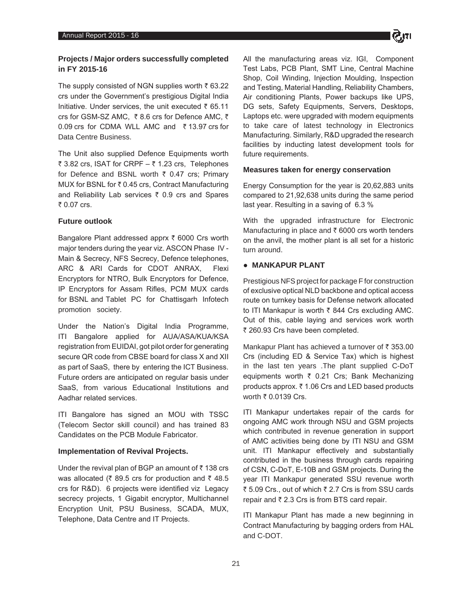#### **Projects / Major orders successfully completed in FY 2015-16**

The supply consisted of NGN supplies worth  $\bar{z}$  63.22 crs under the Government's prestigious Digital India Initiative. Under services, the unit executed  $\bar{\tau}$  65.11 crs for GSM-SZ AMC,  $\bar{z}$  8.6 crs for Defence AMC,  $\bar{z}$ 0.09 crs for CDMA WLL AMC and  $\bar{z}$  13.97 crs for Data Centre Business.

The Unit also supplied Defence Equipments worth ₹ 3.82 crs, ISAT for CRPF – ₹ 1.23 crs, Telephones for Defence and BSNL worth  $\bar{\tau}$  0.47 crs; Primary MUX for BSNL for  $\bar{\tau}$  0.45 crs, Contract Manufacturing and Reliability Lab services  $\bar{\tau}$  0.9 crs and Spares  $\bar{z}$  0.07 crs.

#### **Future outlook**

Bangalore Plant addressed apprx  $\bar{\tau}$  6000 Crs worth major tenders during the year viz. ASCON Phase IV - Main & Secrecy, NFS Secrecy, Defence telephones, ARC & ARI Cards for CDOT ANRAX, Flexi Encryptors for NTRO, Bulk Encryptors for Defence, IP Encryptors for Assam Rifles, PCM MUX cards for BSNL and Tablet PC for Chattisgarh Infotech promotion society.

Under the Nation's Digital India Programme, ITI Bangalore applied for AUA/ASA/KUA/KSA registration from EUIDAI, got pilot order for generating secure QR code from CBSE board for class X and XII as part of SaaS, there by entering the ICT Business. Future orders are anticipated on regular basis under SaaS, from various Educational Institutions and Aadhar related services.

ITI Bangalore has signed an MOU with TSSC (Telecom Sector skill council) and has trained 83 Candidates on the PCB Module Fabricator.

#### **Implementation of Revival Projects.**

Under the revival plan of BGP an amount of  $\bar{z}$  138 crs was allocated ( $\bar{\tau}$  89.5 crs for production and  $\bar{\tau}$  48.5 crs for R&D). 6 projects were identified viz Legacy secrecy projects, 1 Gigabit encryptor, Multichannel Encryption Unit, PSU Business, SCADA, MUX, Telephone, Data Centre and IT Projects.

All the manufacturing areas viz. IGI, Component Test Labs, PCB Plant, SMT Line, Central Machine Shop, Coil Winding, Injection Moulding, Inspection and Testing, Material Handling, Reliability Chambers, Air conditioning Plants, Power backups like UPS, DG sets, Safety Equipments, Servers, Desktops, Laptops etc. were upgraded with modern equipments to take care of latest technology in Electronics Manufacturing. Similarly, R&D upgraded the research facilities by inducting latest development tools for future requirements.

#### **Measures taken for energy conservation**

Energy Consumption for the year is 20,62,883 units compared to 21,92,638 units during the same period last year. Resulting in a saving of 6.3 %

With the upgraded infrastructure for Electronic Manufacturing in place and  $\bar{\tau}$  6000 crs worth tenders on the anvil, the mother plant is all set for a historic turn around.

#### ● **MANKAPUR PLANT**

Prestigious NFS project for package F for construction of exclusive optical NLD backbone and optical access route on turnkey basis for Defense network allocated to ITI Mankapur is worth  $\bar{\tau}$  844 Crs excluding AMC. Out of this, cable laying and services work worth ₹ 260.93 Crs have been completed.

Mankapur Plant has achieved a turnover of  $\bar{\tau}$  353.00 Crs (including ED & Service Tax) which is highest in the last ten years .The plant supplied C-DoT equipments worth  $\bar{\tau}$  0.21 Crs; Bank Mechanizing products approx.  $\bar{\tau}$  1.06 Crs and LED based products worth  $\bar{\tau}$  0.0139 Crs.

ITI Mankapur undertakes repair of the cards for ongoing AMC work through NSU and GSM projects which contributed in revenue generation in support of AMC activities being done by ITI NSU and GSM unit. ITI Mankapur effectively and substantially contributed in the business through cards repairing of CSN, C-DoT, E-10B and GSM projects. During the year ITI Mankapur generated SSU revenue worth ₹ 5.09 Crs., out of which  $\bar{\tau}$  2.7 Crs is from SSU cards repair and  $\bar{\tau}$  2.3 Crs is from BTS card repair.

ITI Mankapur Plant has made a new beginning in Contract Manufacturing by bagging orders from HAL and C-DOT.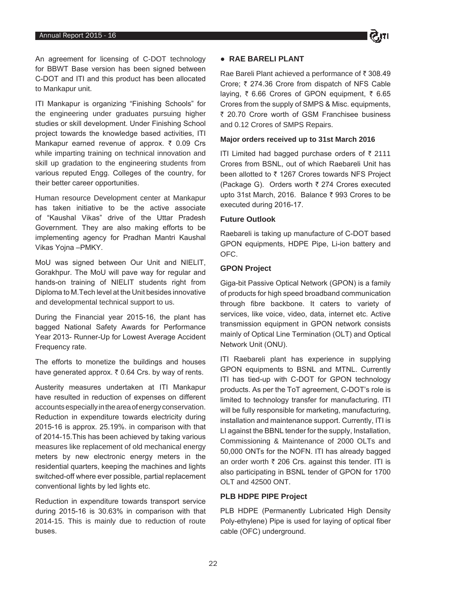

ITI Mankapur is organizing "Finishing Schools" for the engineering under graduates pursuing higher studies or skill development. Under Finishing School project towards the knowledge based activities, ITI Mankapur earned revenue of approx.  $\bar{\tau}$  0.09 Crs while imparting training on technical innovation and skill up gradation to the engineering students from various reputed Engg. Colleges of the country, for their better career opportunities.

Human resource Development center at Mankapur has taken initiative to be the active associate of "Kaushal Vikas" drive of the Uttar Pradesh Government. They are also making efforts to be implementing agency for Pradhan Mantri Kaushal Vikas Yojna –PMKY.

MoU was signed between Our Unit and NIELIT, Gorakhpur. The MoU will pave way for regular and hands-on training of NIELIT students right from Diploma to M.Tech level at the Unit besides innovative and developmental technical support to us.

During the Financial year 2015-16, the plant has bagged National Safety Awards for Performance Year 2013- Runner-Up for Lowest Average Accident Frequency rate.

The efforts to monetize the buildings and houses have generated approx.  $\bar{\tau}$  0.64 Crs. by way of rents.

Austerity measures undertaken at ITI Mankapur have resulted in reduction of expenses on different accounts especially in the area of energy conservation. Reduction in expenditure towards electricity during 2015-16 is approx. 25.19%. in comparison with that of 2014-15.This has been achieved by taking various measures like replacement of old mechanical energy meters by new electronic energy meters in the residential quarters, keeping the machines and lights switched-off where ever possible, partial replacement conventional lights by led lights etc.

Reduction in expenditure towards transport service during 2015-16 is 30.63% in comparison with that 2014-15. This is mainly due to reduction of route buses.

#### ● **RAE BARELI PLANT**

Rae Bareli Plant achieved a performance of  $\bar{z}$  308.49 Crore;  $\bar{\tau}$  274.36 Crore from dispatch of NFS Cable laying,  $\bar{\tau}$  6.66 Crores of GPON equipment,  $\bar{\tau}$  6.65 Crores from the supply of SMPS & Misc. equipments, ` 20.70 Crore worth of GSM Franchisee business and 0.12 Crores of SMPS Repairs.

#### **Major orders received up to 31st March 2016**

ITI Limited had bagged purchase orders of  $\bar{\tau}$  2111 Crores from BSNL, out of which Raebareli Unit has been allotted to  $\bar{\tau}$  1267 Crores towards NFS Project (Package G). Orders worth  $\bar{\tau}$  274 Crores executed upto 31st March, 2016. Balance ₹ 993 Crores to be executed during 2016-17.

#### **Future Outlook**

Raebareli is taking up manufacture of C-DOT based GPON equipments, HDPE Pipe, Li-ion battery and OFC.

#### **GPON Project**

Giga-bit Passive Optical Network (GPON) is a family of products for high speed broadband communication through fibre backbone. It caters to variety of services, like voice, video, data, internet etc. Active transmission equipment in GPON network consists mainly of Optical Line Termination (OLT) and Optical Network Unit (ONU).

ITI Raebareli plant has experience in supplying GPON equipments to BSNL and MTNL. Currently ITI has tied-up with C-DOT for GPON technology products. As per the ToT agreement, C-DOT's role is limited to technology transfer for manufacturing. ITI will be fully responsible for marketing, manufacturing, installation and maintenance support. Currently, ITI is LI against the BBNL tender for the supply, Installation, Commissioning & Maintenance of 2000 OLTs and 50,000 ONTs for the NOFN. ITI has already bagged an order worth  $\bar{\tau}$  206 Crs. against this tender. ITI is also participating in BSNL tender of GPON for 1700 OLT and 42500 ONT.

#### **PLB HDPE PIPE Project**

PLB HDPE (Permanently Lubricated High Density Poly-ethylene) Pipe is used for laying of optical fiber cable (OFC) underground.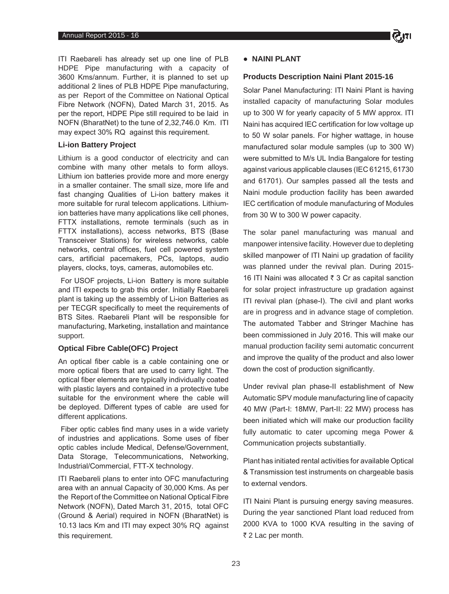

ITI Raebareli has already set up one line of PLB HDPE Pipe manufacturing with a capacity of 3600 Kms/annum. Further, it is planned to set up additional 2 lines of PLB HDPE Pipe manufacturing, as per Report of the Committee on National Optical Fibre Network (NOFN), Dated March 31, 2015. As per the report, HDPE Pipe still required to be laid in NOFN (BharatNet) to the tune of 2,32,746.0 Km. ITI may expect 30% RQ against this requirement.

#### **Li-ion Battery Project**

Lithium is a good conductor of electricity and can combine with many other metals to form alloys. Lithium ion batteries provide more and more energy in a smaller container. The small size, more life and fast changing Qualities of Li-ion battery makes it more suitable for rural telecom applications. Lithiumion batteries have many applications like cell phones, FTTX installations, remote terminals (such as in FTTX installations), access networks, BTS (Base Transceiver Stations) for wireless networks, cable networks, central offices, fuel cell powered system cars, artificial pacemakers, PCs, laptops, audio players, clocks, toys, cameras, automobiles etc.

 For USOF projects, Li-ion Battery is more suitable and ITI expects to grab this order. Initially Raebareli plant is taking up the assembly of Li-ion Batteries as per TECGR specifically to meet the requirements of BTS Sites. Raebareli Plant will be responsible for manufacturing, Marketing, installation and maintance support.

#### **Optical Fibre Cable(OFC) Project**

An optical fiber cable is a cable containing one or more optical fibers that are used to carry light. The optical fiber elements are typically individually coated with plastic layers and contained in a protective tube suitable for the environment where the cable will be deployed. Different types of cable are used for different applications.

 Fiber optic cables find many uses in a wide variety of industries and applications. Some uses of fiber optic cables include Medical, Defense/Government, Data Storage, Telecommunications, Networking, Industrial/Commercial, FTT-X technology.

ITI Raebareli plans to enter into OFC manufacturing area with an annual Capacity of 30,000 Kms. As per the Report of the Committee on National Optical Fibre Network (NOFN), Dated March 31, 2015, total OFC (Ground & Aerial) required in NOFN (BharatNet) is 10.13 lacs Km and ITI may expect 30% RQ against this requirement.

#### ● **NAINI PLANT**

#### **Products Description Naini Plant 2015-16**

Solar Panel Manufacturing: ITI Naini Plant is having installed capacity of manufacturing Solar modules up to 300 W for yearly capacity of 5 MW approx. ITI Naini has acquired IEC certification for low voltage up to 50 W solar panels. For higher wattage, in house manufactured solar module samples (up to 300 W) were submitted to M/s UL India Bangalore for testing against various applicable clauses (IEC 61215, 61730 and 61701). Our samples passed all the tests and Naini module production facility has been awarded IEC certification of module manufacturing of Modules from 30 W to 300 W power capacity.

The solar panel manufacturing was manual and manpower intensive facility. However due to depleting skilled manpower of ITI Naini up gradation of facility was planned under the revival plan. During 2015- 16 ITI Naini was allocated  $\bar{\tau}$  3 Cr as capital sanction for solar project infrastructure up gradation against ITI revival plan (phase-I). The civil and plant works are in progress and in advance stage of completion. The automated Tabber and Stringer Machine has been commissioned in July 2016. This will make our manual production facility semi automatic concurrent and improve the quality of the product and also lower down the cost of production significantly.

Under revival plan phase-II establishment of New Automatic SPV module manufacturing line of capacity 40 MW (Part-I: 18MW, Part-II: 22 MW) process has been initiated which will make our production facility fully automatic to cater upcoming mega Power & Communication projects substantially.

Plant has initiated rental activities for available Optical & Transmission test instruments on chargeable basis to external vendors.

ITI Naini Plant is pursuing energy saving measures. During the year sanctioned Plant load reduced from 2000 KVA to 1000 KVA resulting in the saving of ₹ 2 Lac per month.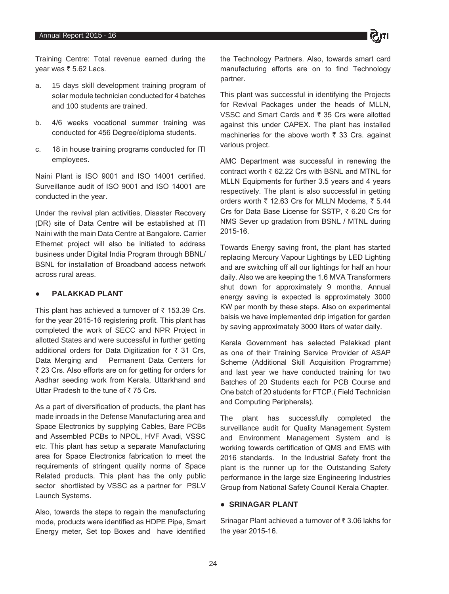

Training Centre: Total revenue earned during the vear was  $\bar{\tau}$  5.62 Lacs.

- a. 15 days skill development training program of solar module technician conducted for 4 batches and 100 students are trained.
- b. 4/6 weeks vocational summer training was conducted for 456 Degree/diploma students.
- c. 18 in house training programs conducted for ITI employees.

Naini Plant is ISO 9001 and ISO 14001 certified. Surveillance audit of ISO 9001 and ISO 14001 are conducted in the year.

Under the revival plan activities, Disaster Recovery (DR) site of Data Centre will be established at ITI Naini with the main Data Centre at Bangalore. Carrier Ethernet project will also be initiated to address business under Digital India Program through BBNL/ BSNL for installation of Broadband access network across rural areas.

#### **PALAKKAD PLANT**

This plant has achieved a turnover of  $\bar{\tau}$  153.39 Crs. for the year 2015-16 registering profit. This plant has completed the work of SECC and NPR Project in allotted States and were successful in further getting additional orders for Data Digitization for  $\bar{\tau}$  31 Crs, Data Merging and Permanent Data Centers for ₹ 23 Crs. Also efforts are on for getting for orders for Aadhar seeding work from Kerala, Uttarkhand and Uttar Pradesh to the tune of  $\bar{z}$  75 Crs.

As a part of diversification of products, the plant has made inroads in the Defense Manufacturing area and Space Electronics by supplying Cables, Bare PCBs and Assembled PCBs to NPOL, HVF Avadi, VSSC etc. This plant has setup a separate Manufacturing area for Space Electronics fabrication to meet the requirements of stringent quality norms of Space Related products. This plant has the only public sector shortlisted by VSSC as a partner for PSLV Launch Systems.

Also, towards the steps to regain the manufacturing mode, products were identified as HDPE Pipe, Smart Energy meter, Set top Boxes and have identified the Technology Partners. Also, towards smart card manufacturing efforts are on to find Technology partner.

This plant was successful in identifying the Projects for Revival Packages under the heads of MLLN, VSSC and Smart Cards and  $\bar{\tau}$  35 Crs were allotted against this under CAPEX. The plant has installed machineries for the above worth  $\bar{\tau}$  33 Crs. against various project.

AMC Department was successful in renewing the contract worth  $\bar{\tau}$  62.22 Crs with BSNL and MTNL for MLLN Equipments for further 3.5 years and 4 years respectively. The plant is also successful in getting orders worth  $\bar{\tau}$  12.63 Crs for MLLN Modems,  $\bar{\tau}$  5.44 Crs for Data Base License for SSTP,  $\bar{\tau}$  6.20 Crs for NMS Sever up gradation from BSNL / MTNL during 2015-16.

Towards Energy saving front, the plant has started replacing Mercury Vapour Lightings by LED Lighting and are switching off all our lightings for half an hour daily. Also we are keeping the 1.6 MVA Transformers shut down for approximately 9 months. Annual energy saving is expected is approximately 3000 KW per month by these steps. Also on experimental baisis we have implemented drip irrigation for garden by saving approximately 3000 liters of water daily.

Kerala Government has selected Palakkad plant as one of their Training Service Provider of ASAP Scheme (Additional Skill Acquisition Programme) and last year we have conducted training for two Batches of 20 Students each for PCB Course and One batch of 20 students for FTCP.( Field Technician and Computing Peripherals).

The plant has successfully completed the surveillance audit for Quality Management System and Environment Management System and is working towards certification of QMS and EMS with 2016 standards. In the Industrial Safety front the plant is the runner up for the Outstanding Safety performance in the large size Engineering Industries Group from National Safety Council Kerala Chapter.

#### ● **SRINAGAR PLANT**

Srinagar Plant achieved a turnover of  $\bar{\tau}$  3.06 lakhs for the year 2015-16.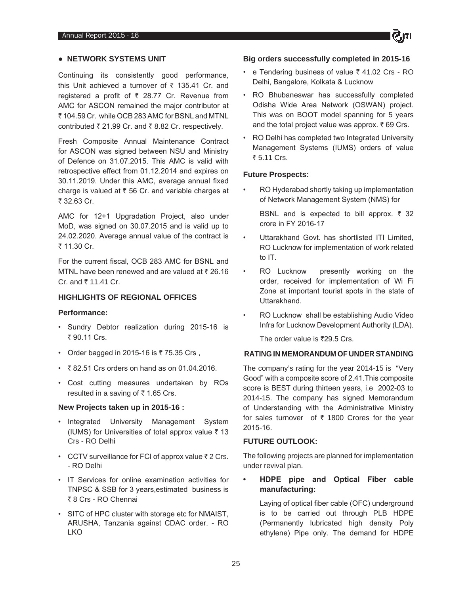#### **● NETWORK SYSTEMS UNIT**

Continuing its consistently good performance, this Unit achieved a turnover of  $\bar{\tau}$  135.41 Cr. and registered a profit of  $\bar{\tau}$  28.77 Cr. Revenue from AMC for ASCON remained the major contributor at ₹ 104.59 Cr. while OCB 283 AMC for BSNL and MTNL contributed  $\bar{\tau}$  21.99 Cr. and  $\bar{\tau}$  8.82 Cr. respectively.

Fresh Composite Annual Maintenance Contract for ASCON was signed between NSU and Ministry of Defence on 31.07.2015. This AMC is valid with retrospective effect from 01.12.2014 and expires on 30.11.2019. Under this AMC, average annual fixed charge is valued at  $\bar{z}$  56 Cr. and variable charges at ₹ 32.63 Cr.

AMC for 12+1 Upgradation Project, also under MoD, was signed on 30.07.2015 and is valid up to 24.02.2020. Average annual value of the contract is ₹ 11.30 Cr.

For the current fiscal, OCB 283 AMC for BSNL and MTNL have been renewed and are valued at  $\bar{\tau}$  26.16 Cr. and  $\bar{z}$  11.41 Cr.

#### **HIGHLIGHTS OF REGIONAL OFFICES**

#### **Performance:**

- Sundry Debtor realization during 2015-16 is ₹ 90.11 Crs.
- Order bagged in 2015-16 is  $\overline{z}$  75.35 Crs,
- $\cdot$  ₹82.51 Crs orders on hand as on 01.04.2016.
- Cost cutting measures undertaken by ROs resulted in a saving of  $\bar{\tau}$  1.65 Crs.

#### **New Projects taken up in 2015-16 :**

- Integrated University Management System (IUMS) for Universities of total approx value  $\bar{\tau}$  13 Crs - RO Delhi
- CCTV surveillance for FCI of approx value  $\bar{z}$  2 Crs. - RO Delhi
- IT Services for online examination activities for TNPSC & SSB for 3 years,estimated business is ₹ 8 Crs - RO Chennai
- SITC of HPC cluster with storage etc for NMAIST, ARUSHA, Tanzania against CDAC order. - RO LKO

#### **Big orders successfully completed in 2015-16**

- e Tendering business of value  $\bar{z}$  41.02 Crs RO Delhi, Bangalore, Kolkata & Lucknow
- RO Bhubaneswar has successfully completed Odisha Wide Area Network (OSWAN) project. This was on BOOT model spanning for 5 years and the total project value was approx.  $\bar{z}$  69 Crs.
- RO Delhi has completed two Integrated University Management Systems (IUMS) orders of value  $7.5.11$  Crs.

#### **Future Prospects:**

• RO Hyderabad shortly taking up implementation of Network Management System (NMS) for

BSNL and is expected to bill approx.  $\bar{\tau}$  32 crore in FY 2016-17

- Uttarakhand Govt, has shortlisted ITI Limited. RO Lucknow for implementation of work related to IT.
- RO Lucknow presently working on the order, received for implementation of Wi Fi Zone at important tourist spots in the state of Uttarakhand.
- RO Lucknow shall be establishing Audio Video Infra for Lucknow Development Authority (LDA).

The order value is  $\overline{5}29.5$  Crs.

#### **RATING IN MEMORANDUM OF UNDER STANDING**

The company's rating for the year 2014-15 is "Very Good" with a composite score of 2.41.This composite score is BEST during thirteen years, i.e 2002-03 to 2014-15. The company has signed Memorandum of Understanding with the Administrative Ministry for sales turnover of  $\bar{\tau}$  1800 Crores for the year 2015-16.

#### **FUTURE OUTLOOK:**

The following projects are planned for implementation under revival plan.

**• HDPE pipe and Optical Fiber cable manufacturing:** 

Laying of optical fiber cable (OFC) underground is to be carried out through PLB HDPE (Permanently lubricated high density Poly ethylene) Pipe only. The demand for HDPE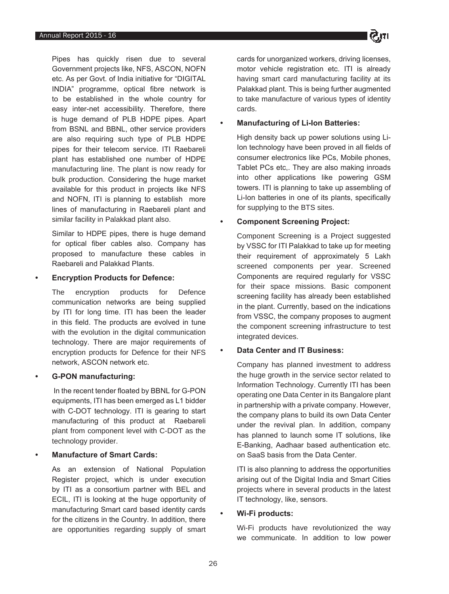Pipes has quickly risen due to several Government projects like, NFS, ASCON, NOFN etc. As per Govt. of India initiative for "DIGITAL INDIA" programme, optical fibre network is to be established in the whole country for easy inter-net accessibility. Therefore, there is huge demand of PLB HDPE pipes. Apart from BSNL and BBNL, other service providers are also requiring such type of PLB HDPE pipes for their telecom service. ITI Raebareli plant has established one number of HDPE manufacturing line. The plant is now ready for bulk production. Considering the huge market available for this product in projects like NFS and NOFN, ITI is planning to establish more lines of manufacturing in Raebareli plant and similar facility in Palakkad plant also.

Similar to HDPE pipes, there is huge demand for optical fiber cables also. Company has proposed to manufacture these cables in Raebareli and Palakkad Plants.

#### **Encryption Products for Defence:**

The encryption products for Defence communication networks are being supplied by ITI for long time. ITI has been the leader in this field. The products are evolved in tune with the evolution in the digital communication technology. There are major requirements of encryption products for Defence for their NFS network, ASCON network etc.

#### **• G-PON manufacturing:**

 In the recent tender floated by BBNL for G-PON equipments, ITI has been emerged as L1 bidder with C-DOT technology. ITI is gearing to start manufacturing of this product at Raebareli plant from component level with C-DOT as the technology provider.

**• Manufacture of Smart Cards:**

As an extension of National Population Register project, which is under execution by ITI as a consortium partner with BEL and ECIL, ITI is looking at the huge opportunity of manufacturing Smart card based identity cards for the citizens in the Country. In addition, there are opportunities regarding supply of smart

cards for unorganized workers, driving licenses, motor vehicle registration etc. ITI is already having smart card manufacturing facility at its Palakkad plant. This is being further augmented to take manufacture of various types of identity cards.

#### **• Manufacturing of Li-Ion Batteries:**

High density back up power solutions using Li-Ion technology have been proved in all fields of consumer electronics like PCs, Mobile phones, Tablet PCs etc,. They are also making inroads into other applications like powering GSM towers. ITI is planning to take up assembling of Li-Ion batteries in one of its plants, specifically for supplying to the BTS sites.

#### **Component Screening Project:**

Component Screening is a Project suggested by VSSC for ITI Palakkad to take up for meeting their requirement of approximately 5 Lakh screened components per year. Screened Components are required regularly for VSSC for their space missions. Basic component screening facility has already been established in the plant. Currently, based on the indications from VSSC, the company proposes to augment the component screening infrastructure to test integrated devices.

#### **Data Center and IT Business:**

Company has planned investment to address the huge growth in the service sector related to Information Technology. Currently ITI has been operating one Data Center in its Bangalore plant in partnership with a private company. However, the company plans to build its own Data Center under the revival plan. In addition, company has planned to launch some IT solutions, like E-Banking, Aadhaar based authentication etc. on SaaS basis from the Data Center.

ITI is also planning to address the opportunities arising out of the Digital India and Smart Cities projects where in several products in the latest IT technology, like, sensors.

#### **• Wi-Fi products:**

Wi-Fi products have revolutionized the way we communicate. In addition to low power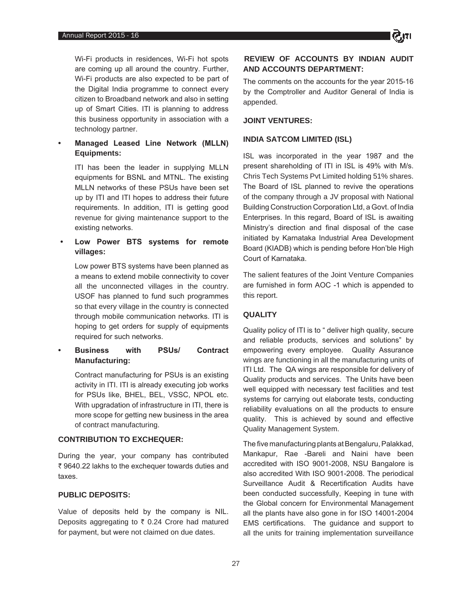Wi-Fi products in residences, Wi-Fi hot spots are coming up all around the country. Further, Wi-Fi products are also expected to be part of the Digital India programme to connect every citizen to Broadband network and also in setting up of Smart Cities. ITI is planning to address this business opportunity in association with a technology partner.

#### **• Managed Leased Line Network (MLLN) Equipments:**

ITI has been the leader in supplying MLLN equipments for BSNL and MTNL. The existing MLLN networks of these PSUs have been set up by ITI and ITI hopes to address their future requirements. In addition, ITI is getting good revenue for giving maintenance support to the existing networks.

#### **• Low Power BTS systems for remote villages:**

Low power BTS systems have been planned as a means to extend mobile connectivity to cover all the unconnected villages in the country. USOF has planned to fund such programmes so that every village in the country is connected through mobile communication networks. ITI is hoping to get orders for supply of equipments required for such networks.

#### **• Business with PSUs/ Contract Manufacturing:**

Contract manufacturing for PSUs is an existing activity in ITI. ITI is already executing job works for PSUs like, BHEL, BEL, VSSC, NPOL etc. With upgradation of infrastructure in ITI, there is more scope for getting new business in the area of contract manufacturing.

#### **CONTRIBUTION TO EXCHEQUER:**

During the year, your company has contributed ₹ 9640.22 lakhs to the exchequer towards duties and taxes.

#### **PUBLIC DEPOSITS:**

Value of deposits held by the company is NIL. Deposits aggregating to  $\bar{\tau}$  0.24 Crore had matured for payment, but were not claimed on due dates.

#### **REVIEW OF ACCOUNTS BY INDIAN AUDIT AND ACCOUNTS DEPARTMENT:**

The comments on the accounts for the year 2015-16 by the Comptroller and Auditor General of India is appended.

#### **JOINT VENTURES:**

#### **INDIA SATCOM LIMITED (ISL)**

ISL was incorporated in the year 1987 and the present shareholding of ITI in ISL is 49% with M/s. Chris Tech Systems Pvt Limited holding 51% shares. The Board of ISL planned to revive the operations of the company through a JV proposal with National Building Construction Corporation Ltd, a Govt. of India Enterprises. In this regard, Board of ISL is awaiting Ministry's direction and final disposal of the case initiated by Karnataka Industrial Area Development Board (KIADB) which is pending before Hon'ble High Court of Karnataka.

The salient features of the Joint Venture Companies are furnished in form AOC -1 which is appended to this report.

#### **QUALITY**

Quality policy of ITI is to " deliver high quality, secure and reliable products, services and solutions" by empowering every employee. Quality Assurance wings are functioning in all the manufacturing units of ITI Ltd. The QA wings are responsible for delivery of Quality products and services. The Units have been well equipped with necessary test facilities and test systems for carrying out elaborate tests, conducting reliability evaluations on all the products to ensure quality. This is achieved by sound and effective Quality Management System.

The five manufacturing plants at Bengaluru, Palakkad, Mankapur, Rae -Bareli and Naini have been accredited with ISO 9001-2008, NSU Bangalore is also accredited With ISO 9001-2008. The periodical Surveillance Audit & Recertification Audits have been conducted successfully, Keeping in tune with the Global concern for Environmental Management all the plants have also gone in for ISO 14001-2004 EMS certifications. The guidance and support to all the units for training implementation surveillance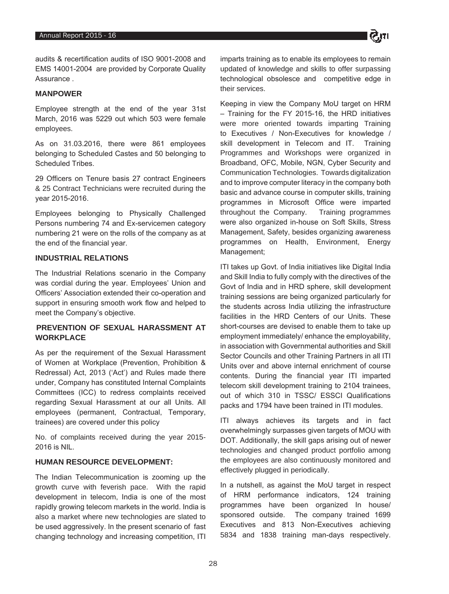audits & recertification audits of ISO 9001-2008 and EMS 14001-2004 are provided by Corporate Quality Assurance .

#### **MANPOWER**

Employee strength at the end of the year 31st March, 2016 was 5229 out which 503 were female employees.

As on 31.03.2016, there were 861 employees belonging to Scheduled Castes and 50 belonging to Scheduled Tribes.

29 Officers on Tenure basis 27 contract Engineers & 25 Contract Technicians were recruited during the year 2015-2016.

Employees belonging to Physically Challenged Persons numbering 74 and Ex-servicemen category numbering 21 were on the rolls of the company as at the end of the financial year.

#### **INDUSTRIAL RELATIONS**

The Industrial Relations scenario in the Company was cordial during the year. Employees' Union and Officers' Association extended their co-operation and support in ensuring smooth work flow and helped to meet the Company's objective.

#### **PREVENTION OF SEXUAL HARASSMENT AT WORKPLACE**

As per the requirement of the Sexual Harassment of Women at Workplace (Prevention, Prohibition & Redressal) Act, 2013 ('Act') and Rules made there under, Company has constituted Internal Complaints Committees (ICC) to redress complaints received regarding Sexual Harassment at our all Units. All employees (permanent, Contractual, Temporary, trainees) are covered under this policy

No. of complaints received during the year 2015- 2016 is NIL.

#### **HUMAN RESOURCE DEVELOPMENT:**

The Indian Telecommunication is zooming up the growth curve with feverish pace. With the rapid development in telecom, India is one of the most rapidly growing telecom markets in the world. India is also a market where new technologies are slated to be used aggressively. In the present scenario of fast changing technology and increasing competition, ITI imparts training as to enable its employees to remain updated of knowledge and skills to offer surpassing technological obsolesce and competitive edge in their services.

Keeping in view the Company MoU target on HRM – Training for the FY 2015-16, the HRD initiatives were more oriented towards imparting Training to Executives / Non-Executives for knowledge / skill development in Telecom and IT. Training Programmes and Workshops were organized in Broadband, OFC, Mobile, NGN, Cyber Security and Communication Technologies. Towards digitalization and to improve computer literacy in the company both basic and advance course in computer skills, training programmes in Microsoft Office were imparted throughout the Company. Training programmes were also organized in-house on Soft Skills, Stress Management, Safety, besides organizing awareness programmes on Health, Environment, Energy Management;

ITI takes up Govt. of India initiatives like Digital India and Skill India to fully comply with the directives of the Govt of India and in HRD sphere, skill development training sessions are being organized particularly for the students across India utilizing the infrastructure facilities in the HRD Centers of our Units. These short-courses are devised to enable them to take up employment immediately/ enhance the employability, in association with Governmental authorities and Skill Sector Councils and other Training Partners in all ITI Units over and above internal enrichment of course contents. During the financial year ITI imparted telecom skill development training to 2104 trainees, out of which 310 in TSSC/ ESSCI Qualifications packs and 1794 have been trained in ITI modules.

ITI always achieves its targets and in fact overwhelmingly surpasses given targets of MOU with DOT. Additionally, the skill gaps arising out of newer technologies and changed product portfolio among the employees are also continuously monitored and effectively plugged in periodically.

In a nutshell, as against the MoU target in respect of HRM performance indicators, 124 training programmes have been organized In house/ sponsored outside. The company trained 1699 Executives and 813 Non-Executives achieving 5834 and 1838 training man-days respectively.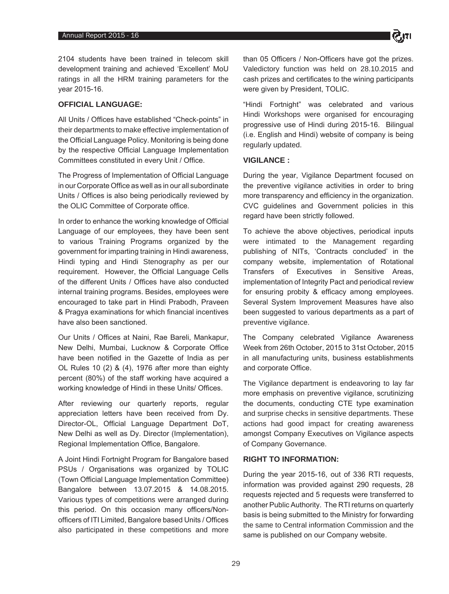2104 students have been trained in telecom skill development training and achieved 'Excellent' MoU ratings in all the HRM training parameters for the year 2015-16.

#### **OFFICIAL LANGUAGE:**

All Units / Offices have established "Check-points" in their departments to make effective implementation of the Official Language Policy. Monitoring is being done by the respective Official Language Implementation Committees constituted in every Unit / Office.

The Progress of Implementation of Official Language in our Corporate Office as well as in our all subordinate Units / Offices is also being periodically reviewed by the OLIC Committee of Corporate office.

In order to enhance the working knowledge of Official Language of our employees, they have been sent to various Training Programs organized by the government for imparting training in Hindi awareness, Hindi typing and Hindi Stenography as per our requirement. However, the Official Language Cells of the different Units / Offices have also conducted internal training programs. Besides, employees were encouraged to take part in Hindi Prabodh, Praveen & Pragya examinations for which financial incentives have also been sanctioned.

Our Units / Offices at Naini, Rae Bareli, Mankapur, New Delhi, Mumbai, Lucknow & Corporate Office have been notified in the Gazette of India as per OL Rules 10 (2) & (4), 1976 after more than eighty percent (80%) of the staff working have acquired a working knowledge of Hindi in these Units/ Offices.

After reviewing our quarterly reports, regular appreciation letters have been received from Dy. Director-OL, Official Language Department DoT, New Delhi as well as Dy. Director (Implementation), Regional Implementation Office, Bangalore.

A Joint Hindi Fortnight Program for Bangalore based PSUs / Organisations was organized by TOLIC (Town Official Language Implementation Committee) Bangalore between 13.07.2015 & 14.08.2015. Various types of competitions were arranged during this period. On this occasion many officers/Nonofficers of ITI Limited, Bangalore based Units / Offices also participated in these competitions and more

than 05 Officers / Non-Officers have got the prizes. Valedictory function was held on 28.10.2015 and cash prizes and certificates to the wining participants were given by President, TOLIC.

"Hindi Fortnight" was celebrated and various Hindi Workshops were organised for encouraging progressive use of Hindi during 2015-16. Bilingual (i.e. English and Hindi) website of company is being regularly updated.

#### **VIGILANCE :**

During the year, Vigilance Department focused on the preventive vigilance activities in order to bring more transparency and efficiency in the organization. CVC guidelines and Government policies in this regard have been strictly followed.

To achieve the above objectives, periodical inputs were intimated to the Management regarding publishing of NITs, 'Contracts concluded' in the company website, implementation of Rotational Transfers of Executives in Sensitive Areas, implementation of Integrity Pact and periodical review for ensuring probity & efficacy among employees. Several System Improvement Measures have also been suggested to various departments as a part of preventive vigilance.

The Company celebrated Vigilance Awareness Week from 26th October, 2015 to 31st October, 2015 in all manufacturing units, business establishments and corporate Office.

The Vigilance department is endeavoring to lay far more emphasis on preventive vigilance, scrutinizing the documents, conducting CTE type examination and surprise checks in sensitive departments. These actions had good impact for creating awareness amongst Company Executives on Vigilance aspects of Company Governance.

#### **RIGHT TO INFORMATION:**

During the year 2015-16, out of 336 RTI requests, information was provided against 290 requests, 28 requests rejected and 5 requests were transferred to another Public Authority. The RTI returns on quarterly basis is being submitted to the Ministry for forwarding the same to Central information Commission and the same is published on our Company website.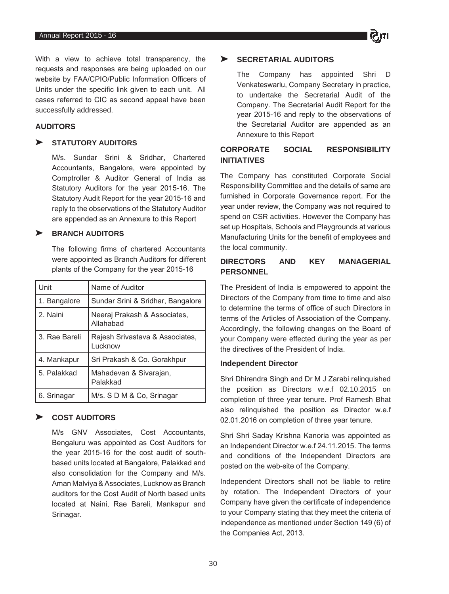With a view to achieve total transparency, the requests and responses are being uploaded on our website by FAA/CPIO/Public Information Officers of Units under the specific link given to each unit. All cases referred to CIC as second appeal have been successfully addressed.

#### **AUDITORS**

#### ä **STATUTORY AUDITORS**

M/s. Sundar Srini & Sridhar, Chartered Accountants, Bangalore, were appointed by Comptroller & Auditor General of India as Statutory Auditors for the year 2015-16. The Statutory Audit Report for the year 2015-16 and reply to the observations of the Statutory Auditor are appended as an Annexure to this Report

#### ä **BRANCH AUDITORS**

The following firms of chartered Accountants were appointed as Branch Auditors for different plants of the Company for the year 2015-16

| Unit          | Name of Auditor                            |
|---------------|--------------------------------------------|
| 1. Bangalore  | Sundar Srini & Sridhar, Bangalore          |
| 2. Naini      | Neeraj Prakash & Associates,<br>Allahabad  |
| 3. Rae Bareli | Rajesh Srivastava & Associates,<br>Lucknow |
| 4. Mankapur   | Sri Prakash & Co. Gorakhpur                |
| 5. Palakkad   | Mahadevan & Sivarajan,<br>Palakkad         |
| 6. Srinagar   | M/s. S D M & Co, Srinagar                  |

#### ä **COST AUDITORS**

M/s GNV Associates, Cost Accountants, Bengaluru was appointed as Cost Auditors for the year 2015-16 for the cost audit of southbased units located at Bangalore, Palakkad and also consolidation for the Company and M/s. Aman Malviya & Associates, Lucknow as Branch auditors for the Cost Audit of North based units located at Naini, Rae Bareli, Mankapur and Srinagar.

#### ä **SECRETARIAL AUDITORS**

The Company has appointed Shri D Venkateswarlu, Company Secretary in practice, to undertake the Secretarial Audit of the Company. The Secretarial Audit Report for the year 2015-16 and reply to the observations of the Secretarial Auditor are appended as an Annexure to this Report

#### **CORPORATE SOCIAL RESPONSIBILITY INITIATIVES**

The Company has constituted Corporate Social Responsibility Committee and the details of same are furnished in Corporate Governance report. For the year under review, the Company was not required to spend on CSR activities. However the Company has set up Hospitals, Schools and Playgrounds at various Manufacturing Units for the benefit of employees and the local community.

#### **DIRECTORS AND KEY MANAGERIAL PERSONNEL**

The President of India is empowered to appoint the Directors of the Company from time to time and also to determine the terms of office of such Directors in terms of the Articles of Association of the Company. Accordingly, the following changes on the Board of your Company were effected during the year as per the directives of the President of India.

#### **Independent Director**

Shri Dhirendra Singh and Dr M J Zarabi relinquished the position as Directors w.e.f 02.10.2015 on completion of three year tenure. Prof Ramesh Bhat also relinquished the position as Director w.e.f 02.01.2016 on completion of three year tenure.

Shri Shri Saday Krishna Kanoria was appointed as an Independent Director w.e.f 24.11.2015. The terms and conditions of the Independent Directors are posted on the web-site of the Company.

Independent Directors shall not be liable to retire by rotation. The Independent Directors of your Company have given the certificate of independence to your Company stating that they meet the criteria of independence as mentioned under Section 149 (6) of the Companies Act, 2013.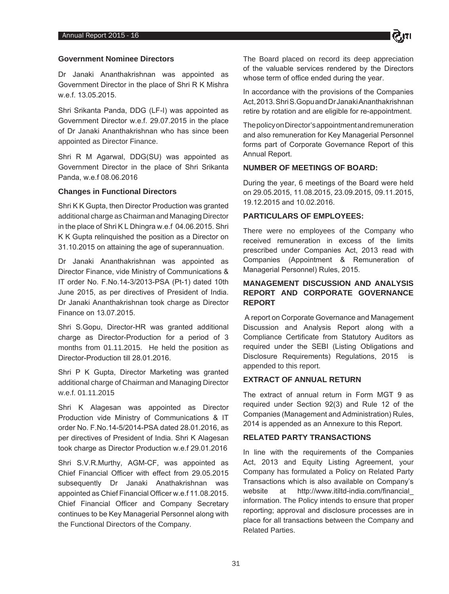

#### **Government Nominee Directors**

Dr Janaki Ananthakrishnan was appointed as Government Director in the place of Shri R K Mishra w.e.f. 13.05.2015.

Shri Srikanta Panda, DDG (LF-I) was appointed as Government Director w.e.f. 29.07.2015 in the place of Dr Janaki Ananthakrishnan who has since been appointed as Director Finance.

Shri R M Agarwal, DDG(SU) was appointed as Government Director in the place of Shri Srikanta Panda, w.e.f 08.06.2016

#### **Changes in Functional Directors**

Shri K K Gupta, then Director Production was granted additional charge as Chairman and Managing Director in the place of Shri K L Dhingra w.e.f 04.06.2015. Shri K K Gupta relinquished the position as a Director on 31.10.2015 on attaining the age of superannuation.

Dr Janaki Ananthakrishnan was appointed as Director Finance, vide Ministry of Communications & IT order No. F.No.14-3/2013-PSA (Pt-1) dated 10th June 2015, as per directives of President of India. Dr Janaki Ananthakrishnan took charge as Director Finance on 13.07.2015.

Shri S.Gopu, Director-HR was granted additional charge as Director-Production for a period of 3 months from 01.11.2015. He held the position as Director-Production till 28.01.2016.

Shri P K Gupta, Director Marketing was granted additional charge of Chairman and Managing Director w.e.f. 01.11.2015

Shri K Alagesan was appointed as Director Production vide Ministry of Communications & IT order No. F.No.14-5/2014-PSA dated 28.01.2016, as per directives of President of India. Shri K Alagesan took charge as Director Production w.e.f 29.01.2016

Shri S.V.R.Murthy, AGM-CF, was appointed as Chief Financial Officer with effect from 29.05.2015 subsequently Dr Janaki Anathakrishnan was appointed as Chief Financial Officer w.e.f 11.08.2015. Chief Financial Officer and Company Secretary continues to be Key Managerial Personnel along with the Functional Directors of the Company.

The Board placed on record its deep appreciation of the valuable services rendered by the Directors whose term of office ended during the year.

In accordance with the provisions of the Companies Act, 2013. Shri S.Gopu and Dr Janaki Ananthakrishnan retire by rotation and are eligible for re-appointment.

The policy on Director's appointment and remuneration and also remuneration for Key Managerial Personnel forms part of Corporate Governance Report of this Annual Report.

#### **NUMBER OF MEETINGS OF BOARD:**

During the year, 6 meetings of the Board were held on 29.05.2015, 11.08.2015, 23.09.2015, 09.11.2015, 19.12.2015 and 10.02.2016.

#### **PARTICULARS OF EMPLOYEES:**

There were no employees of the Company who received remuneration in excess of the limits prescribed under Companies Act, 2013 read with Companies (Appointment & Remuneration of Managerial Personnel) Rules, 2015.

#### **MANAGEMENT DISCUSSION AND ANALYSIS REPORT AND CORPORATE GOVERNANCE REPORT**

 A report on Corporate Governance and Management Discussion and Analysis Report along with a Compliance Certificate from Statutory Auditors as required under the SEBI (Listing Obligations and Disclosure Requirements) Requlations, 2015 appended to this report.

#### **EXTRACT OF ANNUAL RETURN**

The extract of annual return in Form MGT 9 as required under Section 92(3) and Rule 12 of the Companies (Management and Administration) Rules, 2014 is appended as an Annexure to this Report.

#### **RELATED PARTY TRANSACTIONS**

In line with the requirements of the Companies Act, 2013 and Equity Listing Agreement, your Company has formulated a Policy on Related Party Transactions which is also available on Company's website at http://www.itiltd-india.com/financial\_ information. The Policy intends to ensure that proper reporting; approval and disclosure processes are in place for all transactions between the Company and Related Parties.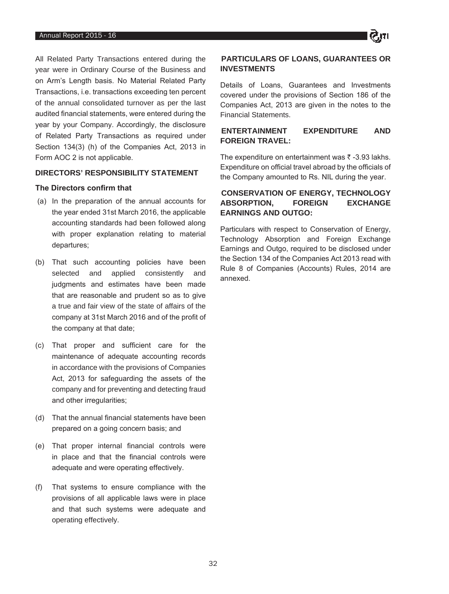All Related Party Transactions entered during the year were in Ordinary Course of the Business and on Arm's Length basis. No Material Related Party Transactions, i.e. transactions exceeding ten percent of the annual consolidated turnover as per the last audited financial statements, were entered during the year by your Company. Accordingly, the disclosure of Related Party Transactions as required under Section 134(3) (h) of the Companies Act, 2013 in Form AOC 2 is not applicable.

#### **DIRECTORS' RESPONSIBILITY STATEMENT**

#### **The Directors confirm that**

- (a) In the preparation of the annual accounts for the year ended 31st March 2016, the applicable accounting standards had been followed along with proper explanation relating to material departures;
- (b) That such accounting policies have been selected and applied consistently and judgments and estimates have been made that are reasonable and prudent so as to give a true and fair view of the state of affairs of the company at 31st March 2016 and of the profit of the company at that date;
- (c) That proper and sufficient care for the maintenance of adequate accounting records in accordance with the provisions of Companies Act, 2013 for safeguarding the assets of the company and for preventing and detecting fraud and other irregularities;
- (d) That the annual financial statements have been prepared on a going concern basis; and
- (e) That proper internal financial controls were in place and that the financial controls were adequate and were operating effectively.
- (f) That systems to ensure compliance with the provisions of all applicable laws were in place and that such systems were adequate and operating effectively.

#### **PARTICULARS OF LOANS, GUARANTEES OR INVESTMENTS**

Details of Loans, Guarantees and Investments covered under the provisions of Section 186 of the Companies Act, 2013 are given in the notes to the Financial Statements.

#### **ENTERTAINMENT EXPENDITURE AND FOREIGN TRAVEL:**

The expenditure on entertainment was  $\bar{z}$  -3.93 lakhs. Expenditure on official travel abroad by the officials of the Company amounted to Rs. NIL during the year.

#### **CONSERVATION OF ENERGY, TECHNOLOGY ABSORPTION, FOREIGN EXCHANGE EARNINGS AND OUTGO:**

Particulars with respect to Conservation of Energy, Technology Absorption and Foreign Exchange Earnings and Outgo, required to be disclosed under the Section 134 of the Companies Act 2013 read with Rule 8 of Companies (Accounts) Rules, 2014 are annexed.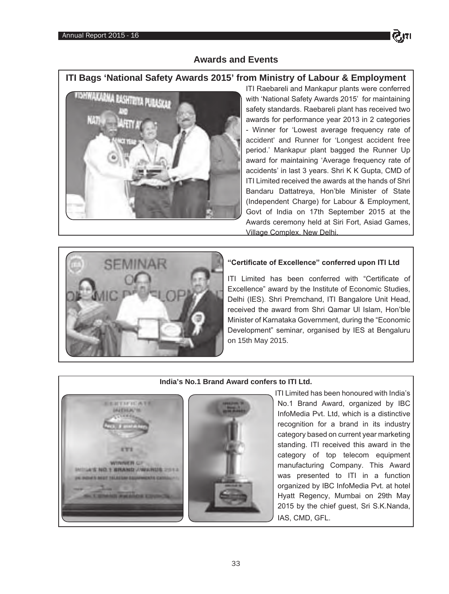

#### **Awards and Events**

#### **ITI Bags 'National Safety Awards 2015' from Ministry of Labour & Employment**



ITI Raebareli and Mankapur plants were conferred with 'National Safety Awards 2015' for maintaining safety standards. Raebareli plant has received two awards for performance year 2013 in 2 categories - Winner for 'Lowest average frequency rate of accident' and Runner for 'Longest accident free period.' Mankapur plant bagged the Runner Up award for maintaining 'Average frequency rate of accidents' in last 3 years. Shri K K Gupta, CMD of ITI Limited received the awards at the hands of Shri Bandaru Dattatreya, Hon'ble Minister of State (Independent Charge) for Labour & Employment, Govt of India on 17th September 2015 at the Awards ceremony held at Siri Fort, Asiad Games, Village Complex, New Delhi.



#### **"Certificate of Excellence" conferred upon ITI Ltd**

ITI Limited has been conferred with "Certificate of Excellence" award by the Institute of Economic Studies, Delhi (IES). Shri Premchand, ITI Bangalore Unit Head, received the award from Shri Qamar Ul Islam, Hon'ble Minister of Karnataka Government, during the "Economic Development" seminar, organised by IES at Bengaluru on 15th May 2015.



#### **India's No.1 Brand Award confers to ITI Ltd.**

 ITI Limited has been honoured with India's No.1 Brand Award, organized by IBC InfoMedia Pvt. Ltd, which is a distinctive recognition for a brand in its industry category based on current year marketing standing. ITI received this award in the category of top telecom equipment manufacturing Company. This Award was presented to ITI in a function organized by IBC InfoMedia Pvt. at hotel Hyatt Regency, Mumbai on 29th May 2015 by the chief guest, Sri S.K.Nanda, IAS, CMD, GFL.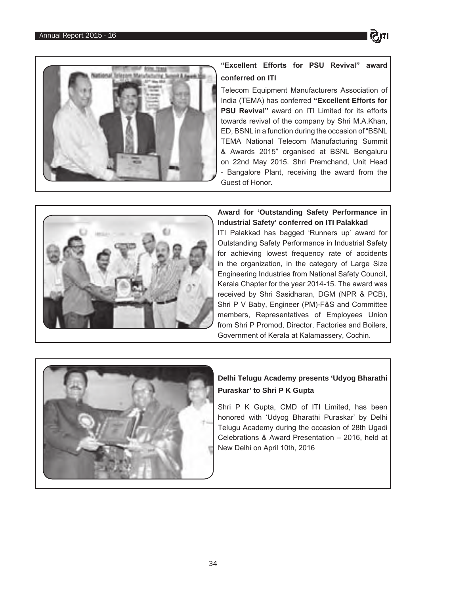

#### **"Excellent Efforts for PSU Revival" award conferred on ITI**

टि पा

Telecom Equipment Manufacturers Association of India (TEMA) has conferred **"Excellent Efforts for PSU Revival"** award on ITI Limited for its efforts towards revival of the company by Shri M.A.Khan, ED, BSNL in a function during the occasion of "BSNL TEMA National Telecom Manufacturing Summit & Awards 2015" organised at BSNL Bengaluru on 22nd May 2015. Shri Premchand, Unit Head - Bangalore Plant, receiving the award from the Guest of Honor.



#### **Award for 'Outstanding Safety Performance in Industrial Safety' conferred on ITI Palakkad**

ITI Palakkad has bagged 'Runners up' award for Outstanding Safety Performance in Industrial Safety for achieving lowest frequency rate of accidents in the organization, in the category of Large Size Engineering Industries from National Safety Council, Kerala Chapter for the year 2014-15. The award was received by Shri Sasidharan, DGM (NPR & PCB), Shri P V Baby, Engineer (PM)-F&S and Committee members, Representatives of Employees Union from Shri P Promod, Director, Factories and Boilers, Government of Kerala at Kalamassery, Cochin.



#### **Delhi Telugu Academy presents 'Udyog Bharathi Puraskar' to Shri P K Gupta**

Shri P K Gupta, CMD of ITI Limited, has been honored with 'Udyog Bharathi Puraskar' by Delhi Telugu Academy during the occasion of 28th Ugadi Celebrations & Award Presentation – 2016, held at New Delhi on April 10th, 2016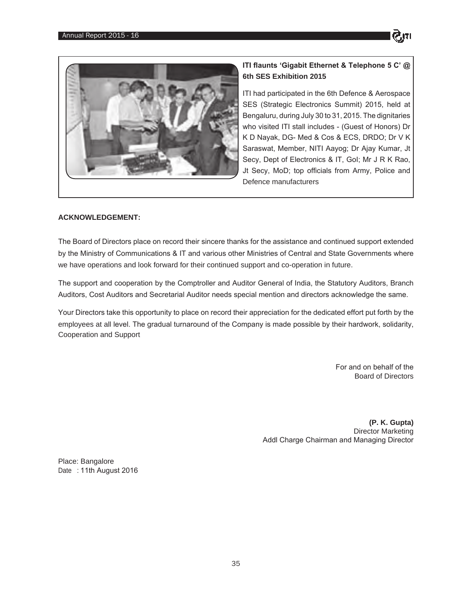



#### **ITI flaunts 'Gigabit Ethernet & Telephone 5 C' @ 6th SES Exhibition 2015**

ITI had participated in the 6th Defence & Aerospace SES (Strategic Electronics Summit) 2015, held at Bengaluru, during July 30 to 31, 2015. The dignitaries who visited ITI stall includes - (Guest of Honors) Dr K D Nayak, DG- Med & Cos & ECS, DRDO; Dr V K Saraswat, Member, NITI Aayog; Dr Ajay Kumar, Jt Secy, Dept of Electronics & IT, GoI; Mr J R K Rao, Jt Secy, MoD; top officials from Army, Police and Defence manufacturers

#### **ACKNOWLEDGEMENT:**

The Board of Directors place on record their sincere thanks for the assistance and continued support extended by the Ministry of Communications & IT and various other Ministries of Central and State Governments where we have operations and look forward for their continued support and co-operation in future.

The support and cooperation by the Comptroller and Auditor General of India, the Statutory Auditors, Branch Auditors, Cost Auditors and Secretarial Auditor needs special mention and directors acknowledge the same.

Your Directors take this opportunity to place on record their appreciation for the dedicated effort put forth by the employees at all level. The gradual turnaround of the Company is made possible by their hardwork, solidarity, Cooperation and Support

> For and on behalf of the Board of Directors

 **(P. K. Gupta)** Director Marketing Addl Charge Chairman and Managing Director

Place: Bangalore Date: 11th August 2016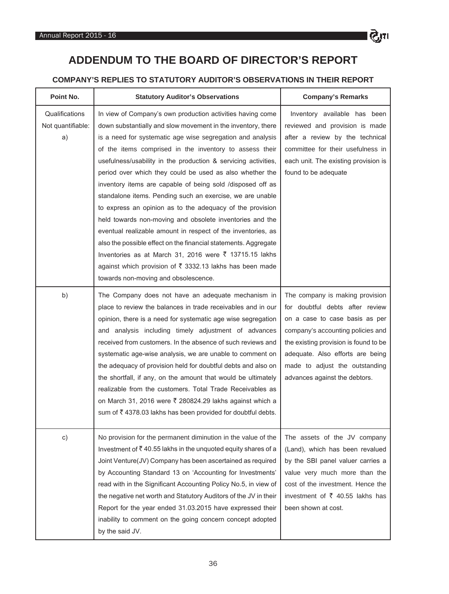# **ADDENDUM TO THE BOARD OF DIRECTOR'S REPORT**

द्धाा

| Point No.                                 | <b>Statutory Auditor's Observations</b>                                                                                                                                                                                                                                                                                                                                                                                                                                                                                                                                                                                                                                                                                                                                                                                                                                                                                                | <b>Company's Remarks</b>                                                                                                                                                                                                                                                                  |
|-------------------------------------------|----------------------------------------------------------------------------------------------------------------------------------------------------------------------------------------------------------------------------------------------------------------------------------------------------------------------------------------------------------------------------------------------------------------------------------------------------------------------------------------------------------------------------------------------------------------------------------------------------------------------------------------------------------------------------------------------------------------------------------------------------------------------------------------------------------------------------------------------------------------------------------------------------------------------------------------|-------------------------------------------------------------------------------------------------------------------------------------------------------------------------------------------------------------------------------------------------------------------------------------------|
| Qualifications<br>Not quantifiable:<br>a) | In view of Company's own production activities having come<br>down substantially and slow movement in the inventory, there<br>is a need for systematic age wise segregation and analysis<br>of the items comprised in the inventory to assess their<br>usefulness/usability in the production & servicing activities,<br>period over which they could be used as also whether the<br>inventory items are capable of being sold /disposed off as<br>standalone items. Pending such an exercise, we are unable<br>to express an opinion as to the adequacy of the provision<br>held towards non-moving and obsolete inventories and the<br>eventual realizable amount in respect of the inventories, as<br>also the possible effect on the financial statements. Aggregate<br>Inventories as at March 31, 2016 were ₹ 13715.15 lakhs<br>against which provision of ₹ 3332.13 lakhs has been made<br>towards non-moving and obsolescence. | Inventory available has been<br>reviewed and provision is made<br>after a review by the technical<br>committee for their usefulness in<br>each unit. The existing provision is<br>found to be adequate                                                                                    |
| b)                                        | The Company does not have an adequate mechanism in<br>place to review the balances in trade receivables and in our<br>opinion, there is a need for systematic age wise segregation<br>and analysis including timely adjustment of advances<br>received from customers. In the absence of such reviews and<br>systematic age-wise analysis, we are unable to comment on<br>the adequacy of provision held for doubtful debts and also on<br>the shortfall, if any, on the amount that would be ultimately<br>realizable from the customers. Total Trade Receivables as<br>on March 31, 2016 were ₹ 280824.29 lakhs against which a<br>sum of ₹4378.03 lakhs has been provided for doubtful debts.                                                                                                                                                                                                                                       | The company is making provision<br>for doubtful debts after review<br>on a case to case basis as per<br>company's accounting policies and<br>the existing provision is found to be<br>adequate. Also efforts are being<br>made to adjust the outstanding<br>advances against the debtors. |
| c)                                        | No provision for the permanent diminution in the value of the<br>Investment of $\bar{\tau}$ 40.55 lakhs in the unquoted equity shares of a<br>Joint Venture(JV) Company has been ascertained as required<br>by Accounting Standard 13 on 'Accounting for Investments'<br>read with in the Significant Accounting Policy No.5, in view of<br>the negative net worth and Statutory Auditors of the JV in their<br>Report for the year ended 31.03.2015 have expressed their<br>inability to comment on the going concern concept adopted<br>by the said JV.                                                                                                                                                                                                                                                                                                                                                                              | The assets of the JV company<br>(Land), which has been revalued<br>by the SBI panel valuer carries a<br>value very much more than the<br>cost of the investment. Hence the<br>investment of $\bar{\tau}$ 40.55 lakhs has<br>been shown at cost.                                           |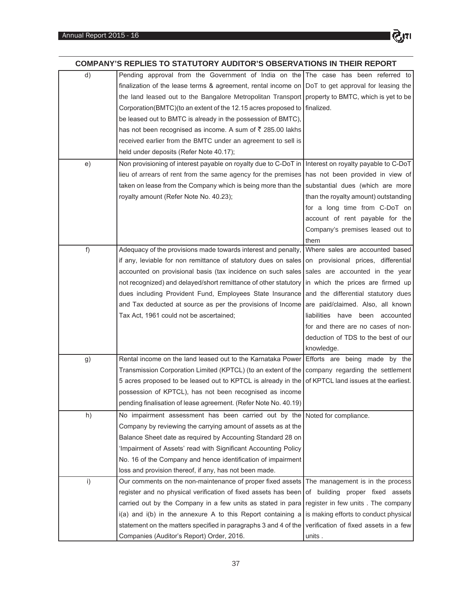|    | <b>COMPANY'S REPLIES TO STATUTORY AUDITOR'S OBSERVATIONS IN THEIR REPORT</b>                                   |                                       |
|----|----------------------------------------------------------------------------------------------------------------|---------------------------------------|
| d) | Pending approval from the Government of India on the The case has been referred to                             |                                       |
|    | finalization of the lease terms & agreement, rental income on $\overline{$ DoT to get approval for leasing the |                                       |
|    | the land leased out to the Bangalore Metropolitan Transport property to BMTC, which is yet to be               |                                       |
|    | Corporation (BMTC) (to an extent of the 12.15 acres proposed to   finalized.                                   |                                       |
|    | be leased out to BMTC is already in the possession of BMTC),                                                   |                                       |
|    | has not been recognised as income. A sum of ₹ 285.00 lakhs                                                     |                                       |
|    | received earlier from the BMTC under an agreement to sell is                                                   |                                       |
|    | held under deposits (Refer Note 40.17);                                                                        |                                       |
| e) | Non provisioning of interest payable on royalty due to C-DoT in I Interest on royalty payable to C-DoT         |                                       |
|    | lieu of arrears of rent from the same agency for the premises has not been provided in view of                 |                                       |
|    | taken on lease from the Company which is being more than the                                                   | substantial dues (which are more      |
|    | royalty amount (Refer Note No. 40.23);                                                                         | than the royalty amount) outstanding  |
|    |                                                                                                                | for a long time from C-DoT on         |
|    |                                                                                                                | account of rent payable for the       |
|    |                                                                                                                | Company's premises leased out to      |
|    |                                                                                                                | them                                  |
| f) | Adequacy of the provisions made towards interest and penalty,                                                  | Where sales are accounted based       |
|    | if any, leviable for non remittance of statutory dues on sales on provisional prices, differential             |                                       |
|    | accounted on provisional basis (tax incidence on such sales sales are accounted in the year                    |                                       |
|    | not recognized) and delayed/short remittance of other statutory in which the prices are firmed up              |                                       |
|    | dues including Provident Fund, Employees State Insurance and the differential statutory dues                   |                                       |
|    | and Tax deducted at source as per the provisions of Income are paid/claimed. Also, all known                   |                                       |
|    | Tax Act, 1961 could not be ascertained;                                                                        | liabilities have been accounted       |
|    |                                                                                                                | for and there are no cases of non-    |
|    |                                                                                                                | deduction of TDS to the best of our   |
|    |                                                                                                                | knowledge.                            |
| g) | Rental income on the land leased out to the Karnataka Power   Efforts are being made by the                    |                                       |
|    | Transmission Corporation Limited (KPTCL) (to an extent of the   company regarding the settlement               |                                       |
|    | 5 acres proposed to be leased out to KPTCL is already in the of KPTCL land issues at the earliest.             |                                       |
|    | possession of KPTCL), has not been recognised as income                                                        |                                       |
|    | pending finalisation of lease agreement. (Refer Note No. 40.19)                                                |                                       |
| h) | No impairment assessment has been carried out by the Noted for compliance.                                     |                                       |
|    | Company by reviewing the carrying amount of assets as at the                                                   |                                       |
|    | Balance Sheet date as required by Accounting Standard 28 on                                                    |                                       |
|    | 'Impairment of Assets' read with Significant Accounting Policy                                                 |                                       |
|    | No. 16 of the Company and hence identification of impairment                                                   |                                       |
|    | loss and provision thereof, if any, has not been made.                                                         |                                       |
| i) | Our comments on the non-maintenance of proper fixed assets The management is in the process                    |                                       |
|    | register and no physical verification of fixed assets has been of building proper fixed assets                 |                                       |
|    | carried out by the Company in a few units as stated in para                                                    | register in few units. The company    |
|    | $i(a)$ and $i(b)$ in the annexure A to this Report containing a is making efforts to conduct physical          |                                       |
|    | statement on the matters specified in paragraphs 3 and 4 of the                                                | verification of fixed assets in a few |
|    | Companies (Auditor's Report) Order, 2016.                                                                      | units.                                |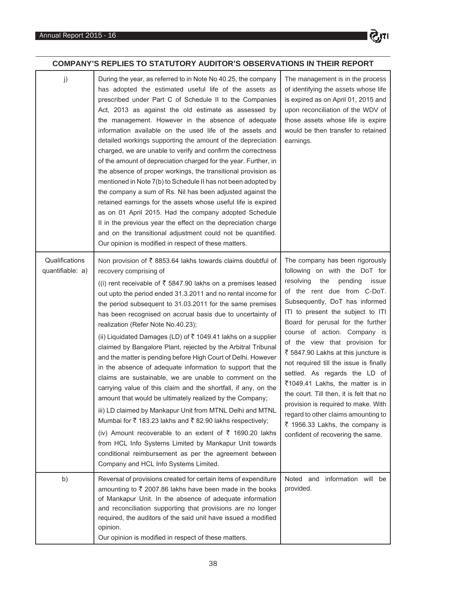| j)                                 | During the year, as referred to in Note No 40.25, the company<br>has adopted the estimated useful life of the assets as<br>prescribed under Part C of Schedule II to the Companies<br>Act, 2013 as against the old estimate as assessed by<br>the management. However in the absence of adequate<br>information available on the used life of the assets and<br>detailed workings supporting the amount of the depreciation<br>charged, we are unable to verify and confirm the correctness<br>of the amount of depreciation charged for the year. Further, in<br>the absence of proper workings, the transitional provision as<br>mentioned in Note 7(b) to Schedule II has not been adopted by<br>the company a sum of Rs. Nil has been adjusted against the<br>retained earnings for the assets whose useful life is expired<br>as on 01 April 2015. Had the company adopted Schedule<br>II in the previous year the effect on the depreciation charge<br>and on the transitional adjustment could not be quantified.<br>Our opinion is modified in respect of these matters.                                                                                                                                   | The management is in the process<br>of identifying the assets whose life<br>is expired as on April 01, 2015 and<br>upon reconciliation of the WDV of<br>those assets whose life is expire<br>would be then transfer to retained<br>earnings.                                                                                                                                                                                                                                                                                                                                                                                                                               |
|------------------------------------|--------------------------------------------------------------------------------------------------------------------------------------------------------------------------------------------------------------------------------------------------------------------------------------------------------------------------------------------------------------------------------------------------------------------------------------------------------------------------------------------------------------------------------------------------------------------------------------------------------------------------------------------------------------------------------------------------------------------------------------------------------------------------------------------------------------------------------------------------------------------------------------------------------------------------------------------------------------------------------------------------------------------------------------------------------------------------------------------------------------------------------------------------------------------------------------------------------------------|----------------------------------------------------------------------------------------------------------------------------------------------------------------------------------------------------------------------------------------------------------------------------------------------------------------------------------------------------------------------------------------------------------------------------------------------------------------------------------------------------------------------------------------------------------------------------------------------------------------------------------------------------------------------------|
| Qualifications<br>quantifiable: a) | Non provision of ₹8853.64 lakhs towards claims doubtful of<br>recovery comprising of<br>((i) rent receivable of ₹ 5847.90 lakhs on a premises leased<br>out upto the period ended 31.3.2011 and no rental income for<br>the period subsequent to 31.03.2011 for the same premises<br>has been recognised on accrual basis due to uncertainty of<br>realization (Refer Note No.40.23);<br>(ii) Liquidated Damages (LD) of $\bar{z}$ 1049.41 lakhs on a supplier<br>claimed by Bangalore Plant, rejected by the Arbitral Tribunal<br>and the matter is pending before High Court of Delhi. However<br>in the absence of adequate information to support that the<br>claims are sustainable, we are unable to comment on the<br>carrying value of this claim and the shortfall, if any, on the<br>amount that would be ultimately realized by the Company;<br>iii) LD claimed by Mankapur Unit from MTNL Delhi and MTNL<br>Mumbai for ₹183.23 lakhs and ₹82.90 lakhs respectively;<br>(iv) Amount recoverable to an extent of $\bar{\tau}$ 1690.20 lakhs<br>from HCL Info Systems Limited by Mankapur Unit towards<br>conditional reimbursement as per the agreement between<br>Company and HCL Info Systems Limited. | The company has been rigorously<br>following on with the DoT for<br>resolving the<br>pending<br>issue<br>of the rent due from C-DoT.<br>Subsequently, DoT has informed<br>ITI to present the subject to ITI<br>Board for perusal for the further<br>course of action. Company is<br>of the view that provision for<br>₹ 5847.90 Lakhs at this juncture is<br>not required till the issue is finally<br>settled. As regards the LD of<br>₹1049.41 Lakhs, the matter is in<br>the court. Till then, it is felt that no<br>provision is required to make. With<br>regard to other claims amounting to<br>₹ 1956.33 Lakhs, the company is<br>confident of recovering the same. |
| b)                                 | Reversal of provisions created for certain items of expenditure<br>amounting to ₹ 2007.86 lakhs have been made in the books<br>of Mankapur Unit. In the absence of adequate information<br>and reconciliation supporting that provisions are no longer<br>required, the auditors of the said unit have issued a modified<br>opinion.<br>Our opinion is modified in respect of these matters.                                                                                                                                                                                                                                                                                                                                                                                                                                                                                                                                                                                                                                                                                                                                                                                                                       | Noted and information will be<br>provided.                                                                                                                                                                                                                                                                                                                                                                                                                                                                                                                                                                                                                                 |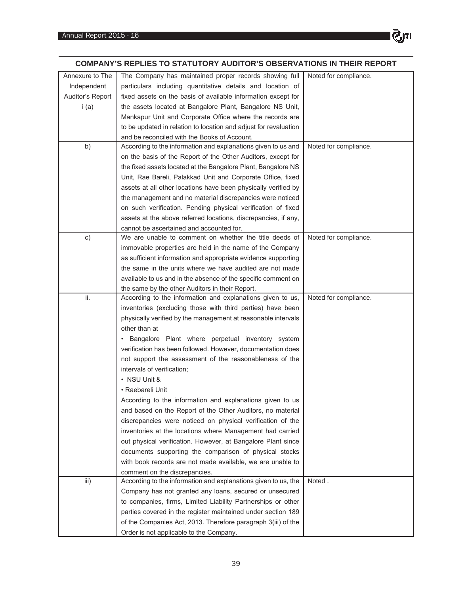

| Annexure to The  | The Company has maintained proper records showing full                                          | Noted for compliance. |
|------------------|-------------------------------------------------------------------------------------------------|-----------------------|
| Independent      | particulars including quantitative details and location of                                      |                       |
| Auditor's Report | fixed assets on the basis of available information except for                                   |                       |
| i(a)             | the assets located at Bangalore Plant, Bangalore NS Unit,                                       |                       |
|                  | Mankapur Unit and Corporate Office where the records are                                        |                       |
|                  | to be updated in relation to location and adjust for revaluation                                |                       |
|                  | and be reconciled with the Books of Account.                                                    |                       |
| b)               | According to the information and explanations given to us and                                   | Noted for compliance. |
|                  | on the basis of the Report of the Other Auditors, except for                                    |                       |
|                  | the fixed assets located at the Bangalore Plant, Bangalore NS                                   |                       |
|                  | Unit, Rae Bareli, Palakkad Unit and Corporate Office, fixed                                     |                       |
|                  | assets at all other locations have been physically verified by                                  |                       |
|                  | the management and no material discrepancies were noticed                                       |                       |
|                  | on such verification. Pending physical verification of fixed                                    |                       |
|                  | assets at the above referred locations, discrepancies, if any,                                  |                       |
|                  | cannot be ascertained and accounted for.                                                        |                       |
| c)               | We are unable to comment on whether the title deeds of                                          | Noted for compliance. |
|                  | immovable properties are held in the name of the Company                                        |                       |
|                  | as sufficient information and appropriate evidence supporting                                   |                       |
|                  | the same in the units where we have audited are not made                                        |                       |
|                  | available to us and in the absence of the specific comment on                                   |                       |
|                  | the same by the other Auditors in their Report.                                                 |                       |
| ii.              | According to the information and explanations given to us,                                      | Noted for compliance. |
|                  | inventories (excluding those with third parties) have been                                      |                       |
|                  | physically verified by the management at reasonable intervals                                   |                       |
|                  | other than at                                                                                   |                       |
|                  | Bangalore Plant where perpetual inventory system                                                |                       |
|                  | verification has been followed. However, documentation does                                     |                       |
|                  | not support the assessment of the reasonableness of the                                         |                       |
|                  | intervals of verification;                                                                      |                       |
|                  | • NSU Unit &                                                                                    |                       |
|                  | • Raebareli Unit                                                                                |                       |
|                  | According to the information and explanations given to us                                       |                       |
|                  | and based on the Report of the Other Auditors, no material                                      |                       |
|                  | discrepancies were noticed on physical verification of the                                      |                       |
|                  | inventories at the locations where Management had carried                                       |                       |
|                  | out physical verification. However, at Bangalore Plant since                                    |                       |
|                  | documents supporting the comparison of physical stocks                                          |                       |
|                  | with book records are not made available, we are unable to                                      |                       |
|                  |                                                                                                 |                       |
| iii)             | comment on the discrepancies.<br>According to the information and explanations given to us, the | Noted.                |
|                  | Company has not granted any loans, secured or unsecured                                         |                       |
|                  | to companies, firms, Limited Liability Partnerships or other                                    |                       |
|                  | parties covered in the register maintained under section 189                                    |                       |
|                  |                                                                                                 |                       |
|                  | of the Companies Act, 2013. Therefore paragraph 3(iii) of the                                   |                       |
|                  | Order is not applicable to the Company.                                                         |                       |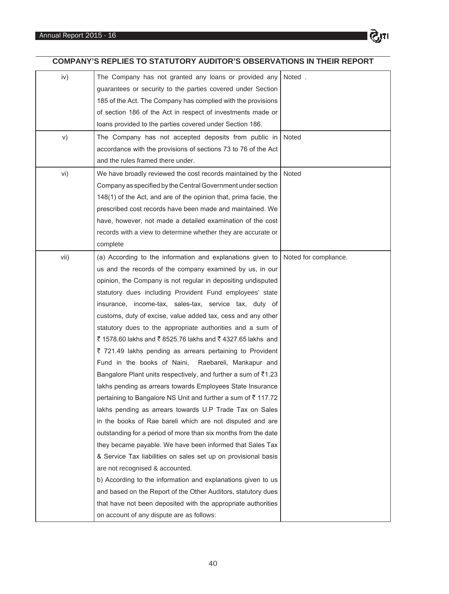| iv)<br>The Company has not granted any loans or provided any<br>Noted.<br>guarantees or security to the parties covered under Section<br>185 of the Act. The Company has complied with the provisions<br>of section 186 of the Act in respect of investments made or<br>loans provided to the parties covered under Section 186.<br>V)<br>The Company has not accepted deposits from public in<br>Noted<br>accordance with the provisions of sections 73 to 76 of the Act<br>and the rules framed there under.<br>vi)<br>We have broadly reviewed the cost records maintained by the<br>Noted<br>Company as specified by the Central Government under section<br>148(1) of the Act, and are of the opinion that, prima facie, the<br>prescribed cost records have been made and maintained. We<br>have, however, not made a detailed examination of the cost<br>records with a view to determine whether they are accurate or<br>complete<br>vii)<br>(a) According to the information and explanations given to<br>Noted for compliance.<br>us and the records of the company examined by us, in our<br>opinion, the Company is not regular in depositing undisputed<br>statutory dues including Provident Fund employees' state<br>insurance, income-tax, sales-tax, service tax, duty of<br>customs, duty of excise, value added tax, cess and any other<br>statutory dues to the appropriate authorities and a sum of<br>₹1578.60 lakhs and ₹8525.76 lakhs and ₹4327.65 lakhs and<br>₹ 721.49 lakhs pending as arrears pertaining to Provident<br>Fund in the books of Naini,<br>Raebareli, Mankapur and<br>Bangalore Plant units respectively, and further a sum of $\bar{z}$ 1.23<br>lakhs pending as arrears towards Employees State Insurance<br>pertaining to Bangalore NS Unit and further a sum of ₹117.72<br>lakhs pending as arrears towards U.P Trade Tax on Sales<br>in the books of Rae bareli which are not disputed and are<br>outstanding for a period of more than six months from the date<br>they became payable. We have been informed that Sales Tax<br>& Service Tax liabilities on sales set up on provisional basis<br>are not recognised & accounted.<br>b) According to the information and explanations given to us<br>and based on the Report of the Other Auditors, statutory dues<br>that have not been deposited with the appropriate authorities<br>on account of any dispute are as follows: |  |  |
|---------------------------------------------------------------------------------------------------------------------------------------------------------------------------------------------------------------------------------------------------------------------------------------------------------------------------------------------------------------------------------------------------------------------------------------------------------------------------------------------------------------------------------------------------------------------------------------------------------------------------------------------------------------------------------------------------------------------------------------------------------------------------------------------------------------------------------------------------------------------------------------------------------------------------------------------------------------------------------------------------------------------------------------------------------------------------------------------------------------------------------------------------------------------------------------------------------------------------------------------------------------------------------------------------------------------------------------------------------------------------------------------------------------------------------------------------------------------------------------------------------------------------------------------------------------------------------------------------------------------------------------------------------------------------------------------------------------------------------------------------------------------------------------------------------------------------------------------------------------------------------------------------------------------------------------------------------------------------------------------------------------------------------------------------------------------------------------------------------------------------------------------------------------------------------------------------------------------------------------------------------------------------------------------------------------------------------------------------------------------------------------------------------------------------------|--|--|
|                                                                                                                                                                                                                                                                                                                                                                                                                                                                                                                                                                                                                                                                                                                                                                                                                                                                                                                                                                                                                                                                                                                                                                                                                                                                                                                                                                                                                                                                                                                                                                                                                                                                                                                                                                                                                                                                                                                                                                                                                                                                                                                                                                                                                                                                                                                                                                                                                                 |  |  |
|                                                                                                                                                                                                                                                                                                                                                                                                                                                                                                                                                                                                                                                                                                                                                                                                                                                                                                                                                                                                                                                                                                                                                                                                                                                                                                                                                                                                                                                                                                                                                                                                                                                                                                                                                                                                                                                                                                                                                                                                                                                                                                                                                                                                                                                                                                                                                                                                                                 |  |  |
|                                                                                                                                                                                                                                                                                                                                                                                                                                                                                                                                                                                                                                                                                                                                                                                                                                                                                                                                                                                                                                                                                                                                                                                                                                                                                                                                                                                                                                                                                                                                                                                                                                                                                                                                                                                                                                                                                                                                                                                                                                                                                                                                                                                                                                                                                                                                                                                                                                 |  |  |
|                                                                                                                                                                                                                                                                                                                                                                                                                                                                                                                                                                                                                                                                                                                                                                                                                                                                                                                                                                                                                                                                                                                                                                                                                                                                                                                                                                                                                                                                                                                                                                                                                                                                                                                                                                                                                                                                                                                                                                                                                                                                                                                                                                                                                                                                                                                                                                                                                                 |  |  |
|                                                                                                                                                                                                                                                                                                                                                                                                                                                                                                                                                                                                                                                                                                                                                                                                                                                                                                                                                                                                                                                                                                                                                                                                                                                                                                                                                                                                                                                                                                                                                                                                                                                                                                                                                                                                                                                                                                                                                                                                                                                                                                                                                                                                                                                                                                                                                                                                                                 |  |  |
|                                                                                                                                                                                                                                                                                                                                                                                                                                                                                                                                                                                                                                                                                                                                                                                                                                                                                                                                                                                                                                                                                                                                                                                                                                                                                                                                                                                                                                                                                                                                                                                                                                                                                                                                                                                                                                                                                                                                                                                                                                                                                                                                                                                                                                                                                                                                                                                                                                 |  |  |
|                                                                                                                                                                                                                                                                                                                                                                                                                                                                                                                                                                                                                                                                                                                                                                                                                                                                                                                                                                                                                                                                                                                                                                                                                                                                                                                                                                                                                                                                                                                                                                                                                                                                                                                                                                                                                                                                                                                                                                                                                                                                                                                                                                                                                                                                                                                                                                                                                                 |  |  |
|                                                                                                                                                                                                                                                                                                                                                                                                                                                                                                                                                                                                                                                                                                                                                                                                                                                                                                                                                                                                                                                                                                                                                                                                                                                                                                                                                                                                                                                                                                                                                                                                                                                                                                                                                                                                                                                                                                                                                                                                                                                                                                                                                                                                                                                                                                                                                                                                                                 |  |  |
|                                                                                                                                                                                                                                                                                                                                                                                                                                                                                                                                                                                                                                                                                                                                                                                                                                                                                                                                                                                                                                                                                                                                                                                                                                                                                                                                                                                                                                                                                                                                                                                                                                                                                                                                                                                                                                                                                                                                                                                                                                                                                                                                                                                                                                                                                                                                                                                                                                 |  |  |
|                                                                                                                                                                                                                                                                                                                                                                                                                                                                                                                                                                                                                                                                                                                                                                                                                                                                                                                                                                                                                                                                                                                                                                                                                                                                                                                                                                                                                                                                                                                                                                                                                                                                                                                                                                                                                                                                                                                                                                                                                                                                                                                                                                                                                                                                                                                                                                                                                                 |  |  |
|                                                                                                                                                                                                                                                                                                                                                                                                                                                                                                                                                                                                                                                                                                                                                                                                                                                                                                                                                                                                                                                                                                                                                                                                                                                                                                                                                                                                                                                                                                                                                                                                                                                                                                                                                                                                                                                                                                                                                                                                                                                                                                                                                                                                                                                                                                                                                                                                                                 |  |  |
|                                                                                                                                                                                                                                                                                                                                                                                                                                                                                                                                                                                                                                                                                                                                                                                                                                                                                                                                                                                                                                                                                                                                                                                                                                                                                                                                                                                                                                                                                                                                                                                                                                                                                                                                                                                                                                                                                                                                                                                                                                                                                                                                                                                                                                                                                                                                                                                                                                 |  |  |
|                                                                                                                                                                                                                                                                                                                                                                                                                                                                                                                                                                                                                                                                                                                                                                                                                                                                                                                                                                                                                                                                                                                                                                                                                                                                                                                                                                                                                                                                                                                                                                                                                                                                                                                                                                                                                                                                                                                                                                                                                                                                                                                                                                                                                                                                                                                                                                                                                                 |  |  |
|                                                                                                                                                                                                                                                                                                                                                                                                                                                                                                                                                                                                                                                                                                                                                                                                                                                                                                                                                                                                                                                                                                                                                                                                                                                                                                                                                                                                                                                                                                                                                                                                                                                                                                                                                                                                                                                                                                                                                                                                                                                                                                                                                                                                                                                                                                                                                                                                                                 |  |  |
|                                                                                                                                                                                                                                                                                                                                                                                                                                                                                                                                                                                                                                                                                                                                                                                                                                                                                                                                                                                                                                                                                                                                                                                                                                                                                                                                                                                                                                                                                                                                                                                                                                                                                                                                                                                                                                                                                                                                                                                                                                                                                                                                                                                                                                                                                                                                                                                                                                 |  |  |
|                                                                                                                                                                                                                                                                                                                                                                                                                                                                                                                                                                                                                                                                                                                                                                                                                                                                                                                                                                                                                                                                                                                                                                                                                                                                                                                                                                                                                                                                                                                                                                                                                                                                                                                                                                                                                                                                                                                                                                                                                                                                                                                                                                                                                                                                                                                                                                                                                                 |  |  |
|                                                                                                                                                                                                                                                                                                                                                                                                                                                                                                                                                                                                                                                                                                                                                                                                                                                                                                                                                                                                                                                                                                                                                                                                                                                                                                                                                                                                                                                                                                                                                                                                                                                                                                                                                                                                                                                                                                                                                                                                                                                                                                                                                                                                                                                                                                                                                                                                                                 |  |  |
|                                                                                                                                                                                                                                                                                                                                                                                                                                                                                                                                                                                                                                                                                                                                                                                                                                                                                                                                                                                                                                                                                                                                                                                                                                                                                                                                                                                                                                                                                                                                                                                                                                                                                                                                                                                                                                                                                                                                                                                                                                                                                                                                                                                                                                                                                                                                                                                                                                 |  |  |
|                                                                                                                                                                                                                                                                                                                                                                                                                                                                                                                                                                                                                                                                                                                                                                                                                                                                                                                                                                                                                                                                                                                                                                                                                                                                                                                                                                                                                                                                                                                                                                                                                                                                                                                                                                                                                                                                                                                                                                                                                                                                                                                                                                                                                                                                                                                                                                                                                                 |  |  |
|                                                                                                                                                                                                                                                                                                                                                                                                                                                                                                                                                                                                                                                                                                                                                                                                                                                                                                                                                                                                                                                                                                                                                                                                                                                                                                                                                                                                                                                                                                                                                                                                                                                                                                                                                                                                                                                                                                                                                                                                                                                                                                                                                                                                                                                                                                                                                                                                                                 |  |  |
|                                                                                                                                                                                                                                                                                                                                                                                                                                                                                                                                                                                                                                                                                                                                                                                                                                                                                                                                                                                                                                                                                                                                                                                                                                                                                                                                                                                                                                                                                                                                                                                                                                                                                                                                                                                                                                                                                                                                                                                                                                                                                                                                                                                                                                                                                                                                                                                                                                 |  |  |
|                                                                                                                                                                                                                                                                                                                                                                                                                                                                                                                                                                                                                                                                                                                                                                                                                                                                                                                                                                                                                                                                                                                                                                                                                                                                                                                                                                                                                                                                                                                                                                                                                                                                                                                                                                                                                                                                                                                                                                                                                                                                                                                                                                                                                                                                                                                                                                                                                                 |  |  |
|                                                                                                                                                                                                                                                                                                                                                                                                                                                                                                                                                                                                                                                                                                                                                                                                                                                                                                                                                                                                                                                                                                                                                                                                                                                                                                                                                                                                                                                                                                                                                                                                                                                                                                                                                                                                                                                                                                                                                                                                                                                                                                                                                                                                                                                                                                                                                                                                                                 |  |  |
|                                                                                                                                                                                                                                                                                                                                                                                                                                                                                                                                                                                                                                                                                                                                                                                                                                                                                                                                                                                                                                                                                                                                                                                                                                                                                                                                                                                                                                                                                                                                                                                                                                                                                                                                                                                                                                                                                                                                                                                                                                                                                                                                                                                                                                                                                                                                                                                                                                 |  |  |
|                                                                                                                                                                                                                                                                                                                                                                                                                                                                                                                                                                                                                                                                                                                                                                                                                                                                                                                                                                                                                                                                                                                                                                                                                                                                                                                                                                                                                                                                                                                                                                                                                                                                                                                                                                                                                                                                                                                                                                                                                                                                                                                                                                                                                                                                                                                                                                                                                                 |  |  |
|                                                                                                                                                                                                                                                                                                                                                                                                                                                                                                                                                                                                                                                                                                                                                                                                                                                                                                                                                                                                                                                                                                                                                                                                                                                                                                                                                                                                                                                                                                                                                                                                                                                                                                                                                                                                                                                                                                                                                                                                                                                                                                                                                                                                                                                                                                                                                                                                                                 |  |  |
|                                                                                                                                                                                                                                                                                                                                                                                                                                                                                                                                                                                                                                                                                                                                                                                                                                                                                                                                                                                                                                                                                                                                                                                                                                                                                                                                                                                                                                                                                                                                                                                                                                                                                                                                                                                                                                                                                                                                                                                                                                                                                                                                                                                                                                                                                                                                                                                                                                 |  |  |
|                                                                                                                                                                                                                                                                                                                                                                                                                                                                                                                                                                                                                                                                                                                                                                                                                                                                                                                                                                                                                                                                                                                                                                                                                                                                                                                                                                                                                                                                                                                                                                                                                                                                                                                                                                                                                                                                                                                                                                                                                                                                                                                                                                                                                                                                                                                                                                                                                                 |  |  |
|                                                                                                                                                                                                                                                                                                                                                                                                                                                                                                                                                                                                                                                                                                                                                                                                                                                                                                                                                                                                                                                                                                                                                                                                                                                                                                                                                                                                                                                                                                                                                                                                                                                                                                                                                                                                                                                                                                                                                                                                                                                                                                                                                                                                                                                                                                                                                                                                                                 |  |  |
|                                                                                                                                                                                                                                                                                                                                                                                                                                                                                                                                                                                                                                                                                                                                                                                                                                                                                                                                                                                                                                                                                                                                                                                                                                                                                                                                                                                                                                                                                                                                                                                                                                                                                                                                                                                                                                                                                                                                                                                                                                                                                                                                                                                                                                                                                                                                                                                                                                 |  |  |
|                                                                                                                                                                                                                                                                                                                                                                                                                                                                                                                                                                                                                                                                                                                                                                                                                                                                                                                                                                                                                                                                                                                                                                                                                                                                                                                                                                                                                                                                                                                                                                                                                                                                                                                                                                                                                                                                                                                                                                                                                                                                                                                                                                                                                                                                                                                                                                                                                                 |  |  |
|                                                                                                                                                                                                                                                                                                                                                                                                                                                                                                                                                                                                                                                                                                                                                                                                                                                                                                                                                                                                                                                                                                                                                                                                                                                                                                                                                                                                                                                                                                                                                                                                                                                                                                                                                                                                                                                                                                                                                                                                                                                                                                                                                                                                                                                                                                                                                                                                                                 |  |  |
|                                                                                                                                                                                                                                                                                                                                                                                                                                                                                                                                                                                                                                                                                                                                                                                                                                                                                                                                                                                                                                                                                                                                                                                                                                                                                                                                                                                                                                                                                                                                                                                                                                                                                                                                                                                                                                                                                                                                                                                                                                                                                                                                                                                                                                                                                                                                                                                                                                 |  |  |
|                                                                                                                                                                                                                                                                                                                                                                                                                                                                                                                                                                                                                                                                                                                                                                                                                                                                                                                                                                                                                                                                                                                                                                                                                                                                                                                                                                                                                                                                                                                                                                                                                                                                                                                                                                                                                                                                                                                                                                                                                                                                                                                                                                                                                                                                                                                                                                                                                                 |  |  |
|                                                                                                                                                                                                                                                                                                                                                                                                                                                                                                                                                                                                                                                                                                                                                                                                                                                                                                                                                                                                                                                                                                                                                                                                                                                                                                                                                                                                                                                                                                                                                                                                                                                                                                                                                                                                                                                                                                                                                                                                                                                                                                                                                                                                                                                                                                                                                                                                                                 |  |  |
|                                                                                                                                                                                                                                                                                                                                                                                                                                                                                                                                                                                                                                                                                                                                                                                                                                                                                                                                                                                                                                                                                                                                                                                                                                                                                                                                                                                                                                                                                                                                                                                                                                                                                                                                                                                                                                                                                                                                                                                                                                                                                                                                                                                                                                                                                                                                                                                                                                 |  |  |
|                                                                                                                                                                                                                                                                                                                                                                                                                                                                                                                                                                                                                                                                                                                                                                                                                                                                                                                                                                                                                                                                                                                                                                                                                                                                                                                                                                                                                                                                                                                                                                                                                                                                                                                                                                                                                                                                                                                                                                                                                                                                                                                                                                                                                                                                                                                                                                                                                                 |  |  |
|                                                                                                                                                                                                                                                                                                                                                                                                                                                                                                                                                                                                                                                                                                                                                                                                                                                                                                                                                                                                                                                                                                                                                                                                                                                                                                                                                                                                                                                                                                                                                                                                                                                                                                                                                                                                                                                                                                                                                                                                                                                                                                                                                                                                                                                                                                                                                                                                                                 |  |  |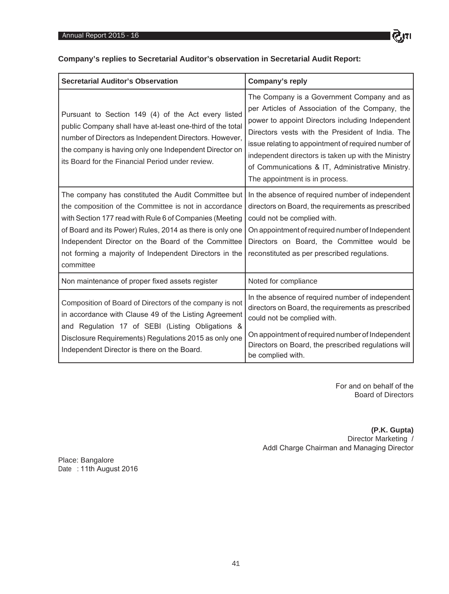

## **Company's replies to Secretarial Auditor's observation in Secretarial Audit Report:**

| <b>Secretarial Auditor's Observation</b>                                                                                                                                                                                                                                                                                                                         | Company's reply                                                                                                                                                                                                                                                                                                                                                                                           |  |
|------------------------------------------------------------------------------------------------------------------------------------------------------------------------------------------------------------------------------------------------------------------------------------------------------------------------------------------------------------------|-----------------------------------------------------------------------------------------------------------------------------------------------------------------------------------------------------------------------------------------------------------------------------------------------------------------------------------------------------------------------------------------------------------|--|
| Pursuant to Section 149 (4) of the Act every listed<br>public Company shall have at-least one-third of the total<br>number of Directors as Independent Directors. However,<br>the company is having only one Independent Director on<br>its Board for the Financial Period under review.                                                                         | The Company is a Government Company and as<br>per Articles of Association of the Company, the<br>power to appoint Directors including Independent<br>Directors vests with the President of India. The<br>issue relating to appointment of required number of<br>independent directors is taken up with the Ministry<br>of Communications & IT, Administrative Ministry.<br>The appointment is in process. |  |
| The company has constituted the Audit Committee but<br>the composition of the Committee is not in accordance<br>with Section 177 read with Rule 6 of Companies (Meeting<br>of Board and its Power) Rules, 2014 as there is only one<br>Independent Director on the Board of the Committee<br>not forming a majority of Independent Directors in the<br>committee | In the absence of required number of independent<br>directors on Board, the requirements as prescribed<br>could not be complied with.<br>On appointment of required number of Independent<br>Directors on Board, the Committee would be<br>reconstituted as per prescribed regulations.                                                                                                                   |  |
| Non maintenance of proper fixed assets register                                                                                                                                                                                                                                                                                                                  | Noted for compliance                                                                                                                                                                                                                                                                                                                                                                                      |  |
| Composition of Board of Directors of the company is not<br>in accordance with Clause 49 of the Listing Agreement<br>and Regulation 17 of SEBI (Listing Obligations &<br>Disclosure Requirements) Regulations 2015 as only one<br>Independent Director is there on the Board.                                                                                     | In the absence of required number of independent<br>directors on Board, the requirements as prescribed<br>could not be complied with.<br>On appointment of required number of Independent<br>Directors on Board, the prescribed regulations will<br>be complied with.                                                                                                                                     |  |

For and on behalf of the Board of Directors

 **(P.K. Gupta)** Director Marketing / Addl Charge Chairman and Managing Director

Place: Bangalore Date: 11th August 2016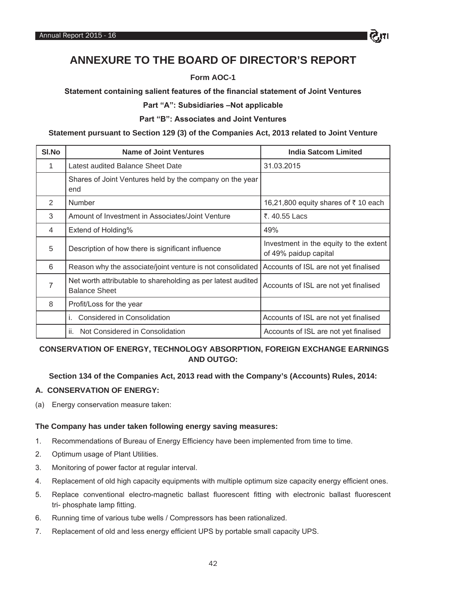# **ANNEXURE TO THE BOARD OF DIRECTOR'S REPORT**

**Form AOC-1**

**Statement containing salient features of the financial statement of Joint Ventures**

**Part "A": Subsidiaries –Not applicable**

#### **Part "B": Associates and Joint Ventures**

#### **Statement pursuant to Section 129 (3) of the Companies Act, 2013 related to Joint Venture**

| SI.No          | Name of Joint Ventures                                                               | <b>India Satcom Limited</b>                                     |
|----------------|--------------------------------------------------------------------------------------|-----------------------------------------------------------------|
| 1              | Latest audited Balance Sheet Date                                                    | 31.03.2015                                                      |
|                | Shares of Joint Ventures held by the company on the year<br>end                      |                                                                 |
| $\mathcal{P}$  | <b>Number</b>                                                                        | 16,21,800 equity shares of ₹10 each                             |
| 3              | Amount of Investment in Associates/Joint Venture                                     | ₹, 40.55 Lacs                                                   |
| $\overline{4}$ | Extend of Holding%                                                                   | 49%                                                             |
| 5              | Description of how there is significant influence                                    | Investment in the equity to the extent<br>of 49% paidup capital |
| 6              | Reason why the associate/joint venture is not consolidated                           | Accounts of ISL are not yet finalised                           |
| 7              | Net worth attributable to shareholding as per latest audited<br><b>Balance Sheet</b> | Accounts of ISL are not yet finalised                           |
| 8              | Profit/Loss for the year                                                             |                                                                 |
|                | Considered in Consolidation                                                          | Accounts of ISL are not yet finalised                           |
|                | Not Considered in Consolidation<br>ii.                                               | Accounts of ISL are not yet finalised                           |

## **CONSERVATION OF ENERGY, TECHNOLOGY ABSORPTION, FOREIGN EXCHANGE EARNINGS AND OUTGO:**

## **Section 134 of the Companies Act, 2013 read with the Company's (Accounts) Rules, 2014:**

#### **A. CONSERVATION OF ENERGY:**

(a) Energy conservation measure taken:

#### **The Company has under taken following energy saving measures:**

- 1. Recommendations of Bureau of Energy Efficiency have been implemented from time to time.
- 2. Optimum usage of Plant Utilities.
- 3. Monitoring of power factor at regular interval.
- 4. Replacement of old high capacity equipments with multiple optimum size capacity energy efficient ones.
- 5. Replace conventional electro-magnetic ballast fluorescent fitting with electronic ballast fluorescent tri- phosphate lamp fitting.
- 6. Running time of various tube wells / Compressors has been rationalized.
- 7. Replacement of old and less energy efficient UPS by portable small capacity UPS.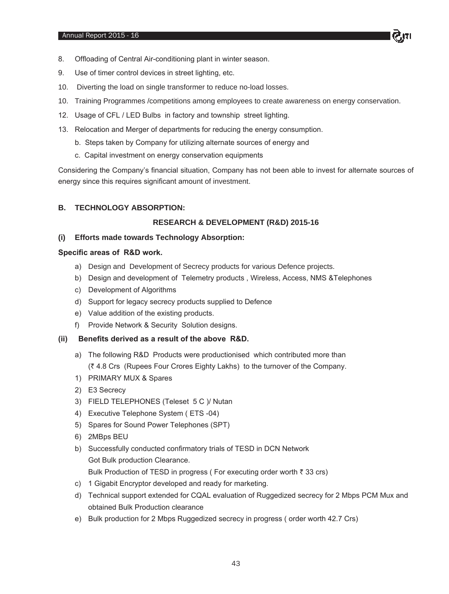

- 8. Offloading of Central Air-conditioning plant in winter season.
- 9. Use of timer control devices in street lighting, etc.
- 10. Diverting the load on single transformer to reduce no-load losses.
- 10. Training Programmes /competitions among employees to create awareness on energy conservation.
- 12. Usage of CFL / LED Bulbs in factory and township street lighting.
- 13. Relocation and Merger of departments for reducing the energy consumption.
	- b. Steps taken by Company for utilizing alternate sources of energy and
	- c. Capital investment on energy conservation equipments

Considering the Company's financial situation, Company has not been able to invest for alternate sources of energy since this requires significant amount of investment.

#### **B. TECHNOLOGY ABSORPTION:**

#### **RESEARCH & DEVELOPMENT (R&D) 2015-16**

#### **(i) Efforts made towards Technology Absorption:**

#### **Specific areas of R&D work.**

- a) Design and Development of Secrecy products for various Defence projects.
- b) Design and development of Telemetry products , Wireless, Access, NMS &Telephones
- c) Development of Algorithms
- d) Support for legacy secrecy products supplied to Defence
- e) Value addition of the existing products.
- f) Provide Network & Security Solution designs.

#### **(ii) Benefits derived as a result of the above R&D.**

- a) The following R&D Products were productionised which contributed more than  $(3.4.8 \text{ Crs})$  (Rupees Four Crores Eighty Lakhs) to the turnover of the Company.
- 1) PRIMARY MUX & Spares
- 2) E3 Secrecy
- 3) FIELD TELEPHONES (Teleset 5 C )/ Nutan
- 4) Executive Telephone System ( ETS -04)
- 5) Spares for Sound Power Telephones (SPT)
- 6) 2MBps BEU
- b) Successfully conducted confirmatory trials of TESD in DCN Network Got Bulk production Clearance. Bulk Production of TESD in progress (For executing order worth  $\bar{\tau}$  33 crs)
- c) 1 Gigabit Encryptor developed and ready for marketing.
- d) Technical support extended for CQAL evaluation of Ruggedized secrecy for 2 Mbps PCM Mux and obtained Bulk Production clearance
- e) Bulk production for 2 Mbps Ruggedized secrecy in progress ( order worth 42.7 Crs)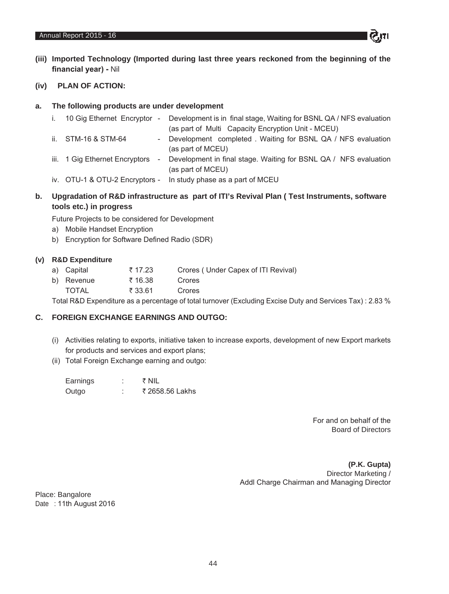Annual Report 2015 - 16

- **(iii) Imported Technology (Imported during last three years reckoned from the beginning of the financial year) -** Nil
- **(iv) PLAN OF ACTION:**

## **a. The following products are under development**

- i. 10 Gig Ethernet Encryptor Development is in final stage, Waiting for BSNL QA / NFS evaluation (as part of Multi Capacity Encryption Unit - MCEU)
- ii. STM-16 & STM-64 Development completed . Waiting for BSNL QA / NFS evaluation (as part of MCEU)
- iii. 1 Gig Ethernet Encryptors Development in final stage. Waiting for BSNL QA / NFS evaluation (as part of MCEU)
- iv. OTU-1 & OTU-2 Encryptors In study phase as a part of MCEU

## **b. Upgradation of R&D infrastructure as part of ITI's Revival Plan ( Test Instruments, software tools etc.) in progress**

Future Projects to be considered for Development

- a) Mobile Handset Encryption
- b) Encryption for Software Defined Radio (SDR)

## **(v) R&D Expenditure**

- a) Capital  $\frac{1}{2}$  17.23 Crores ( Under Capex of ITI Revival)
- b) Revenue ₹ 16.38 Crores
- TOTAL ₹ 33.61 Crores

Total R&D Expenditure as a percentage of total turnover (Excluding Excise Duty and Services Tax) : 2.83 %

## **C. FOREIGN EXCHANGE EARNINGS AND OUTGO:**

- (i) Activities relating to exports, initiative taken to increase exports, development of new Export markets for products and services and export plans;
- (ii) Total Foreign Exchange earning and outgo:

| Earnings | ₹ NIL           |
|----------|-----------------|
| Outgo    | ₹ 2658.56 Lakhs |

For and on behalf of the Board of Directors

 **(P.K. Gupta)** Director Marketing / Addl Charge Chairman and Managing Director

Place: Bangalore Date: 11th August 2016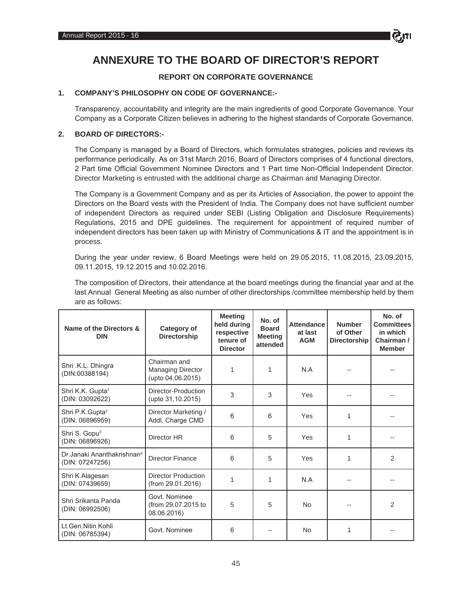# **ANNEXURE TO THE BOARD OF DIRECTOR'S REPORT**

#### **REPORT ON CORPORATE GOVERNANCE**

#### **1. COMPANY'S PHILOSOPHY ON CODE OF GOVERNANCE:-**

Transparency, accountability and integrity are the main ingredients of good Corporate Governance. Your Company as a Corporate Citizen believes in adhering to the highest standards of Corporate Governance.

#### **2. BOARD OF DIRECTORS:-**

The Company is managed by a Board of Directors, which formulates strategies, policies and reviews its performance periodically. As on 31st March 2016, Board of Directors comprises of 4 functional directors, 2 Part time Official Government Nominee Directors and 1 Part time Non-Official Independent Director. Director Marketing is entrusted with the additional charge as Chairman and Managing Director.

The Company is a Government Company and as per its Articles of Association, the power to appoint the Directors on the Board vests with the President of India. The Company does not have sufficient number of independent Directors as required under SEBI (Listing Obligation and Disclosure Requirements) Regulations, 2015 and DPE guidelines. The requirement for appointment of required number of independent directors has been taken up with Ministry of Communications & IT and the appointment is in process.

During the year under review, 6 Board Meetings were held on 29.05.2015, 11.08.2015, 23.09.2015, 09.11.2015, 19.12.2015 and 10.02.2016.

The composition of Directors, their attendance at the board meetings during the financial year and at the last Annual General Meeting as also number of other directorships /committee membership held by them are as follows:

| Name of the Directors &<br><b>DIN</b>                     | <b>Category of</b><br><b>Directorship</b>                     | <b>Meeting</b><br>held during<br>respective<br>tenure of<br><b>Director</b> | No. of<br><b>Board</b><br><b>Meeting</b><br>attended | <b>Attendance</b><br>at last<br><b>AGM</b> | <b>Number</b><br>of Other<br><b>Directorship</b> | No. of<br><b>Committees</b><br>in which<br>Chairman /<br><b>Member</b> |
|-----------------------------------------------------------|---------------------------------------------------------------|-----------------------------------------------------------------------------|------------------------------------------------------|--------------------------------------------|--------------------------------------------------|------------------------------------------------------------------------|
| Shri .K.L. Dhingra<br>(DIN:00388194)                      | Chairman and<br><b>Managing Director</b><br>(upto 04.06.2015) | 1                                                                           | 1                                                    | N.A                                        |                                                  |                                                                        |
| Shri K.K. Gupta <sup>1</sup><br>(DIN: 03092622)           | Director-Production<br>(upto 31.10.2015)                      | 3                                                                           | 3                                                    | Yes                                        |                                                  |                                                                        |
| Shri P.K.Gupta <sup>2</sup><br>(DIN: 06896959)            | Director Marketing /<br>Addl. Charge CMD                      | 6                                                                           | 6                                                    | Yes                                        |                                                  |                                                                        |
| Shri S. Gopu <sup>3</sup><br>(DIN: 06896926)              | Director HR                                                   | 6                                                                           | 5                                                    | Yes                                        | 1                                                |                                                                        |
| Dr Janaki Ananthakrishnan <sup>4</sup><br>(DIN: 07247256) | <b>Director Finance</b>                                       | 6                                                                           | 5                                                    | Yes                                        | 1                                                | $\overline{2}$                                                         |
| Shri K Alagesan<br>(DIN: 07439659)                        | <b>Director Production</b><br>(from 29.01.2016)               | 1                                                                           | 1                                                    | N.A                                        |                                                  |                                                                        |
| Shri Srikanta Panda<br>(DIN: 06992506)                    | Govt. Nominee<br>(from 29.07.2015 to<br>08.06.2016)           | 5                                                                           | 5                                                    | <b>No</b>                                  |                                                  | 2                                                                      |
| Lt.Gen.Nitin Kohli<br>(DIN: 06785394)                     | Govt. Nominee                                                 | 6                                                                           |                                                      | <b>No</b>                                  | 1                                                |                                                                        |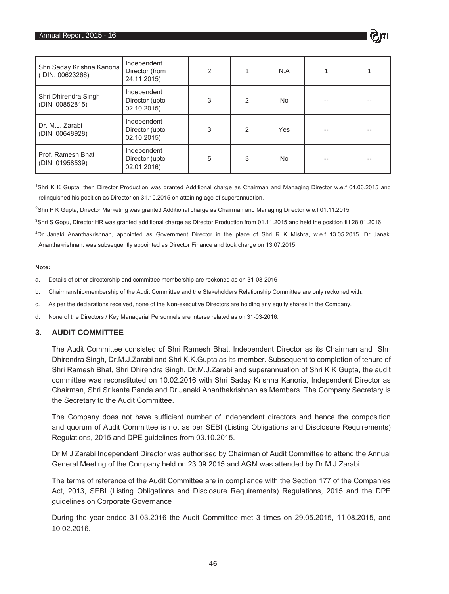| Shri Saday Krishna Kanoria<br>(DIN: 00623266) | Independent<br>Director (from<br>24.11.2015) | 2 |                | N.A |  |
|-----------------------------------------------|----------------------------------------------|---|----------------|-----|--|
| Shri Dhirendra Singh<br>(DIN: 00852815)       | Independent<br>Director (upto<br>02.10.2015) | 3 | 2              | No. |  |
| Dr. M.J. Zarabi<br>(DIN: 00648928)            | Independent<br>Director (upto<br>02.10.2015) | 3 | $\overline{2}$ | Yes |  |
| Prof. Ramesh Bhat<br>(DIN: 01958539)          | Independent<br>Director (upto<br>02.01.2016) | 5 | 3              | No. |  |

1 Shri K K Gupta, then Director Production was granted Additional charge as Chairman and Managing Director w.e.f 04.06.2015 and relinquished his position as Director on 31.10.2015 on attaining age of superannuation.

2 Shri P K Gupta, Director Marketing was granted Additional charge as Chairman and Managing Director w.e.f 01.11.2015

3 Shri S Gopu, Director HR was granted additional charge as Director Production from 01.11.2015 and held the position till 28.01.2016

4 Dr Janaki Ananthakrishnan, appointed as Government Director in the place of Shri R K Mishra, w.e.f 13.05.2015. Dr Janaki Ananthakrishnan, was subsequently appointed as Director Finance and took charge on 13.07.2015.

#### **Note:**

- a. Details of other directorship and committee membership are reckoned as on 31-03-2016
- b. Chairmanship/membership of the Audit Committee and the Stakeholders Relationship Committee are only reckoned with.
- c. As per the declarations received, none of the Non-executive Directors are holding any equity shares in the Company.
- d. None of the Directors / Key Managerial Personnels are interse related as on 31-03-2016.

#### **3. AUDIT COMMITTEE**

The Audit Committee consisted of Shri Ramesh Bhat, Independent Director as its Chairman and Shri Dhirendra Singh, Dr.M.J.Zarabi and Shri K.K.Gupta as its member. Subsequent to completion of tenure of Shri Ramesh Bhat, Shri Dhirendra Singh, Dr.M.J.Zarabi and superannuation of Shri K K Gupta, the audit committee was reconstituted on 10.02.2016 with Shri Saday Krishna Kanoria, Independent Director as Chairman, Shri Srikanta Panda and Dr Janaki Ananthakrishnan as Members. The Company Secretary is the Secretary to the Audit Committee.

The Company does not have sufficient number of independent directors and hence the composition and quorum of Audit Committee is not as per SEBI (Listing Obligations and Disclosure Requirements) Regulations, 2015 and DPE guidelines from 03.10.2015.

Dr M J Zarabi Independent Director was authorised by Chairman of Audit Committee to attend the Annual General Meeting of the Company held on 23.09.2015 and AGM was attended by Dr M J Zarabi.

The terms of reference of the Audit Committee are in compliance with the Section 177 of the Companies Act, 2013, SEBI (Listing Obligations and Disclosure Requirements) Regulations, 2015 and the DPE guidelines on Corporate Governance

During the year-ended 31.03.2016 the Audit Committee met 3 times on 29.05.2015, 11.08.2015, and 10.02.2016.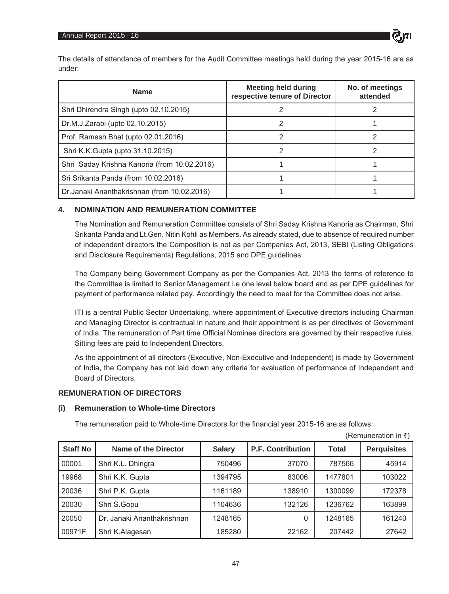The details of attendance of members for the Audit Committee meetings held during the year 2015-16 are as under:

| <b>Name</b>                                  | <b>Meeting held during</b><br>respective tenure of Director | No. of meetings<br>attended |
|----------------------------------------------|-------------------------------------------------------------|-----------------------------|
| Shri Dhirendra Singh (upto 02.10.2015)       |                                                             |                             |
| Dr.M.J.Zarabi (upto 02.10.2015)              |                                                             |                             |
| Prof. Ramesh Bhat (upto 02.01.2016)          |                                                             |                             |
| Shri K.K.Gupta (upto 31.10.2015)             |                                                             |                             |
| Shri Saday Krishna Kanoria (from 10.02.2016) |                                                             |                             |
| Sri Srikanta Panda (from 10.02.2016)         |                                                             |                             |
| Dr. Janaki Ananthakrishnan (from 10.02.2016) |                                                             |                             |

## **4. NOMINATION AND REMUNERATION COMMITTEE**

The Nomination and Remuneration Committee consists of Shri Saday Krishna Kanoria as Chairman, Shri Srikanta Panda and Lt.Gen. Nitin Kohli as Members. As already stated, due to absence of required number of independent directors the Composition is not as per Companies Act, 2013, SEBI (Listing Obligations and Disclosure Requirements) Regulations, 2015 and DPE guidelines.

The Company being Government Company as per the Companies Act, 2013 the terms of reference to the Committee is limited to Senior Management i.e one level below board and as per DPE guidelines for payment of performance related pay. Accordingly the need to meet for the Committee does not arise.

ITI is a central Public Sector Undertaking, where appointment of Executive directors including Chairman and Managing Director is contractual in nature and their appointment is as per directives of Government of India. The remuneration of Part time Official Nominee directors are governed by their respective rules. Sitting fees are paid to Independent Directors.

As the appointment of all directors (Executive, Non-Executive and Independent) is made by Government of India, the Company has not laid down any criteria for evaluation of performance of Independent and Board of Directors.

## **REMUNERATION OF DIRECTORS**

## **(i) Remuneration to Whole-time Directors**

The remuneration paid to Whole-time Directors for the financial year 2015-16 are as follows:

(Remuneration in  $\bar{z}$ )

| <b>Staff No</b> | <b>Name of the Director</b> | <b>Salary</b> | <b>P.F. Contribution</b> | <b>Total</b> | <b>Perquisites</b> |
|-----------------|-----------------------------|---------------|--------------------------|--------------|--------------------|
| 00001           | Shri K.L. Dhingra           | 750496        | 37070                    | 787566       | 45914              |
| 19968           | Shri K.K. Gupta             | 1394795       | 83006                    | 1477801      | 103022             |
| 20036           | Shri P.K. Gupta             | 1161189       | 138910                   | 1300099      | 172378             |
| 20030           | Shri S.Gopu                 | 1104636       | 132126                   | 1236762      | 163899             |
| 20050           | Dr. Janaki Ananthakrishnan  | 1248165       | 0                        | 1248165      | 161240             |
| 00971F          | Shri K.Alagesan             | 185280        | 22162                    | 207442       | 27642              |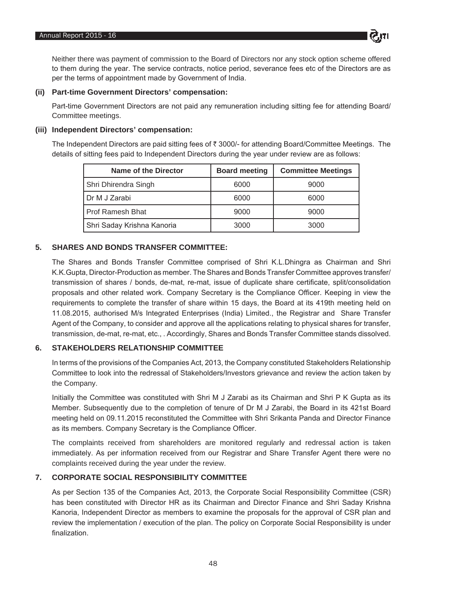Neither there was payment of commission to the Board of Directors nor any stock option scheme offered to them during the year. The service contracts, notice period, severance fees etc of the Directors are as per the terms of appointment made by Government of India.

#### **(ii) Part-time Government Directors' compensation:**

Part-time Government Directors are not paid any remuneration including sitting fee for attending Board/ Committee meetings.

#### **(iii) Independent Directors' compensation:**

The Independent Directors are paid sitting fees of  $\bar{\tau}$  3000/- for attending Board/Committee Meetings. The details of sitting fees paid to Independent Directors during the year under review are as follows:

| Name of the Director       | <b>Board meeting</b> | <b>Committee Meetings</b> |
|----------------------------|----------------------|---------------------------|
| Shri Dhirendra Singh       | 6000                 | 9000                      |
| Dr M J Zarabi              | 6000                 | 6000                      |
| <b>Prof Ramesh Bhat</b>    | 9000                 | 9000                      |
| Shri Saday Krishna Kanoria | 3000                 | 3000                      |

#### **5. SHARES AND BONDS TRANSFER COMMITTEE:**

The Shares and Bonds Transfer Committee comprised of Shri K.L.Dhingra as Chairman and Shri K.K.Gupta, Director-Production as member. The Shares and Bonds Transfer Committee approves transfer/ transmission of shares / bonds, de-mat, re-mat, issue of duplicate share certificate, split/consolidation proposals and other related work. Company Secretary is the Compliance Officer. Keeping in view the requirements to complete the transfer of share within 15 days, the Board at its 419th meeting held on 11.08.2015, authorised M/s Integrated Enterprises (India) Limited., the Registrar and Share Transfer Agent of the Company, to consider and approve all the applications relating to physical shares for transfer, transmission, de-mat, re-mat, etc., . Accordingly, Shares and Bonds Transfer Committee stands dissolved.

#### **6. STAKEHOLDERS RELATIONSHIP COMMITTEE**

In terms of the provisions of the Companies Act, 2013, the Company constituted Stakeholders Relationship Committee to look into the redressal of Stakeholders/Investors grievance and review the action taken by the Company.

Initially the Committee was constituted with Shri M J Zarabi as its Chairman and Shri P K Gupta as its Member. Subsequently due to the completion of tenure of Dr M J Zarabi, the Board in its 421st Board meeting held on 09.11.2015 reconstituted the Committee with Shri Srikanta Panda and Director Finance as its members. Company Secretary is the Compliance Officer.

The complaints received from shareholders are monitored regularly and redressal action is taken immediately. As per information received from our Registrar and Share Transfer Agent there were no complaints received during the year under the review.

#### **7. CORPORATE SOCIAL RESPONSIBILITY COMMITTEE**

As per Section 135 of the Companies Act, 2013, the Corporate Social Responsibility Committee (CSR) has been constituted with Director HR as its Chairman and Director Finance and Shri Saday Krishna Kanoria, Independent Director as members to examine the proposals for the approval of CSR plan and review the implementation / execution of the plan. The policy on Corporate Social Responsibility is under finalization.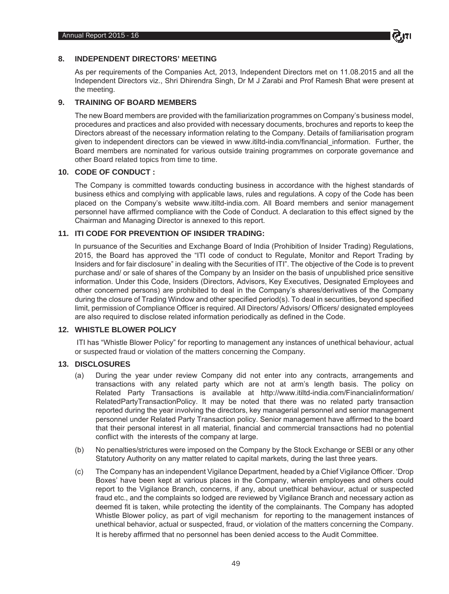

#### **8. INDEPENDENT DIRECTORS' MEETING**

As per requirements of the Companies Act, 2013, Independent Directors met on 11.08.2015 and all the Independent Directors viz., Shri Dhirendra Singh, Dr M J Zarabi and Prof Ramesh Bhat were present at the meeting.

#### **9. TRAINING OF BOARD MEMBERS**

The new Board members are provided with the familiarization programmes on Company's business model, procedures and practices and also provided with necessary documents, brochures and reports to keep the Directors abreast of the necessary information relating to the Company. Details of familiarisation program given to independent directors can be viewed in www.itiltd-india.com/financial\_information. Further, the Board members are nominated for various outside training programmes on corporate governance and other Board related topics from time to time.

#### **10. CODE OF CONDUCT :**

The Company is committed towards conducting business in accordance with the highest standards of business ethics and complying with applicable laws, rules and regulations. A copy of the Code has been placed on the Company's website www.itiltd-india.com. All Board members and senior management personnel have affirmed compliance with the Code of Conduct. A declaration to this effect signed by the Chairman and Managing Director is annexed to this report.

#### **11. ITI CODE FOR PREVENTION OF INSIDER TRADING:**

In pursuance of the Securities and Exchange Board of India (Prohibition of Insider Trading) Regulations, 2015, the Board has approved the "ITI code of conduct to Regulate, Monitor and Report Trading by Insiders and for fair disclosure" in dealing with the Securities of ITI". The objective of the Code is to prevent purchase and/ or sale of shares of the Company by an Insider on the basis of unpublished price sensitive information. Under this Code, Insiders (Directors, Advisors, Key Executives, Designated Employees and other concerned persons) are prohibited to deal in the Company's shares/derivatives of the Company during the closure of Trading Window and other specified period(s). To deal in securities, beyond specified limit, permission of Compliance Officer is required. All Directors/ Advisors/ Officers/ designated employees are also required to disclose related information periodically as defined in the Code.

#### **12. WHISTLE BLOWER POLICY**

 ITI has "Whistle Blower Policy" for reporting to management any instances of unethical behaviour, actual or suspected fraud or violation of the matters concerning the Company.

#### **13. DISCLOSURES**

- (a) During the year under review Company did not enter into any contracts, arrangements and transactions with any related party which are not at arm's length basis. The policy on Related Party Transactions is available at http://www.itiltd-india.com/Financialinformation/ RelatedPartyTransactionPolicy. It may be noted that there was no related party transaction reported during the year involving the directors, key managerial personnel and senior management personnel under Related Party Transaction policy. Senior management have affirmed to the board that their personal interest in all material, financial and commercial transactions had no potential conflict with the interests of the company at large.
- (b) No penalties/strictures were imposed on the Company by the Stock Exchange or SEBI or any other Statutory Authority on any matter related to capital markets, during the last three years.
- (c) The Company has an independent Vigilance Department, headed by a Chief Vigilance Officer. 'Drop Boxes' have been kept at various places in the Company, wherein employees and others could report to the Vigilance Branch, concerns, if any, about unethical behaviour, actual or suspected fraud etc., and the complaints so lodged are reviewed by Vigilance Branch and necessary action as deemed fit is taken, while protecting the identity of the complainants. The Company has adopted Whistle Blower policy, as part of vigil mechanism for reporting to the management instances of unethical behavior, actual or suspected, fraud, or violation of the matters concerning the Company. It is hereby affirmed that no personnel has been denied access to the Audit Committee.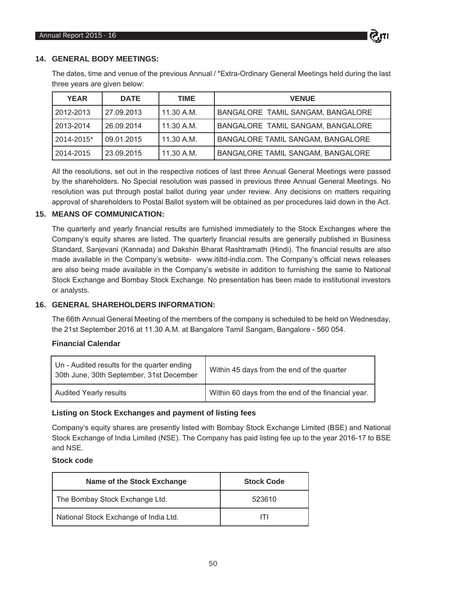Annual Report 2015 - 16



## **14. GENERAL BODY MEETINGS:**

The dates, time and venue of the previous Annual / \*Extra-Ordinary General Meetings held during the last three years are given below:

| <b>YEAR</b> | <b>DATE</b> | <b>TIME</b> | <b>VENUE</b>                      |
|-------------|-------------|-------------|-----------------------------------|
| 2012-2013   | 27.09.2013  | 11.30 A.M.  | BANGALORE TAMIL SANGAM, BANGALORE |
| 2013-2014   | 26.09.2014  | 11.30 A.M.  | BANGALORE TAMIL SANGAM, BANGALORE |
| 2014-2015*  | 09.01.2015  | 11.30 A.M.  | BANGALORE TAMIL SANGAM, BANGALORE |
| 2014-2015   | 23.09.2015  | 11.30 A.M.  | BANGALORE TAMIL SANGAM, BANGALORE |

All the resolutions, set out in the respective notices of last three Annual General Meetings were passed by the shareholders. No Special resolution was passed in previous three Annual General Meetings. No resolution was put through postal ballot during year under review. Any decisions on matters requiring approval of shareholders to Postal Ballot system will be obtained as per procedures laid down in the Act.

#### **15. MEANS OF COMMUNICATION:**

The quarterly and yearly financial results are furnished immediately to the Stock Exchanges where the Company's equity shares are listed. The quarterly financial results are generally published in Business Standard, Sanjevani (Kannada) and Dakshin Bharat Rashtramath (Hindi). The financial results are also made available in the Company's website- www.itiltd-india.com. The Company's official news releases are also being made available in the Company's website in addition to furnishing the same to National Stock Exchange and Bombay Stock Exchange. No presentation has been made to institutional investors or analysts.

#### **16. GENERAL SHAREHOLDERS INFORMATION:**

The 66th Annual General Meeting of the members of the company is scheduled to be held on Wednesday, the 21st September 2016 at 11.30 A.M. at Bangalore Tamil Sangam, Bangalore - 560 054.

#### **Financial Calendar**

| Un - Audited results for the quarter ending<br>30th June, 30th September, 31st December | Within 45 days from the end of the quarter         |  |  |
|-----------------------------------------------------------------------------------------|----------------------------------------------------|--|--|
| <b>Audited Yearly results</b>                                                           | Within 60 days from the end of the financial year. |  |  |

#### **Listing on Stock Exchanges and payment of listing fees**

Company's equity shares are presently listed with Bombay Stock Exchange Limited (BSE) and National Stock Exchange of India Limited (NSE). The Company has paid listing fee up to the year 2016-17 to BSE and NSE.

#### **Stock code**

| Name of the Stock Exchange            | <b>Stock Code</b> |
|---------------------------------------|-------------------|
| The Bombay Stock Exchange Ltd.        | 523610            |
| National Stock Exchange of India Ltd. | .                 |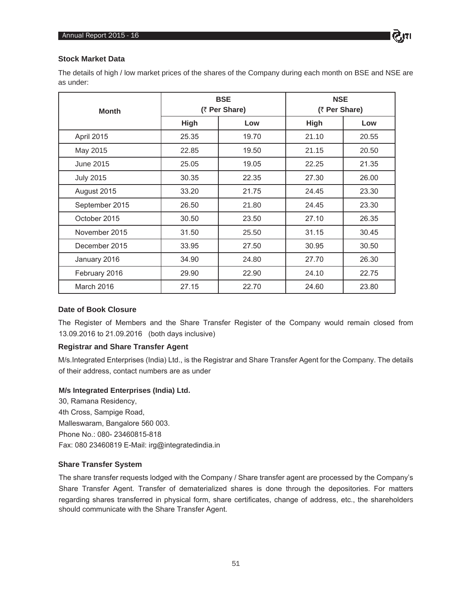## **Stock Market Data**

The details of high / low market prices of the shares of the Company during each month on BSE and NSE are as under:

| <b>Month</b>     |             | <b>BSE</b><br>(₹ Per Share) | <b>NSE</b><br>(₹ Per Share) |       |  |
|------------------|-------------|-----------------------------|-----------------------------|-------|--|
|                  | <b>High</b> | Low                         | <b>High</b>                 | Low   |  |
| April 2015       | 25.35       | 19.70                       | 21.10                       | 20.55 |  |
| May 2015         | 22.85       | 19.50                       | 21.15                       | 20.50 |  |
| June 2015        | 25.05       | 19.05                       | 22.25                       | 21.35 |  |
| <b>July 2015</b> | 30.35       | 22.35                       | 27.30                       | 26.00 |  |
| August 2015      | 33.20       | 21.75                       | 24.45                       | 23.30 |  |
| September 2015   | 26.50       | 21.80                       | 24.45                       | 23.30 |  |
| October 2015     | 30.50       | 23.50                       | 27.10                       | 26.35 |  |
| November 2015    | 31.50       | 25.50                       | 31.15                       | 30.45 |  |
| December 2015    | 33.95       | 27.50                       | 30.95                       | 30.50 |  |
| January 2016     | 34.90       | 24.80                       | 27.70                       | 26.30 |  |
| February 2016    | 29.90       | 22.90                       | 24.10                       | 22.75 |  |
| March 2016       | 27.15       | 22.70                       | 24.60                       | 23.80 |  |

#### **Date of Book Closure**

The Register of Members and the Share Transfer Register of the Company would remain closed from 13.09.2016 to 21.09.2016 (both days inclusive)

## **Registrar and Share Transfer Agent**

M/s.Integrated Enterprises (India) Ltd., is the Registrar and Share Transfer Agent for the Company. The details of their address, contact numbers are as under

#### **M/s Integrated Enterprises (India) Ltd.**

30, Ramana Residency, 4th Cross, Sampige Road, Malleswaram, Bangalore 560 003. Phone No.: 080- 23460815-818 Fax: 080 23460819 E-Mail: irg@integratedindia.in

#### **Share Transfer System**

The share transfer requests lodged with the Company / Share transfer agent are processed by the Company's Share Transfer Agent. Transfer of dematerialized shares is done through the depositories. For matters regarding shares transferred in physical form, share certificates, change of address, etc., the shareholders should communicate with the Share Transfer Agent.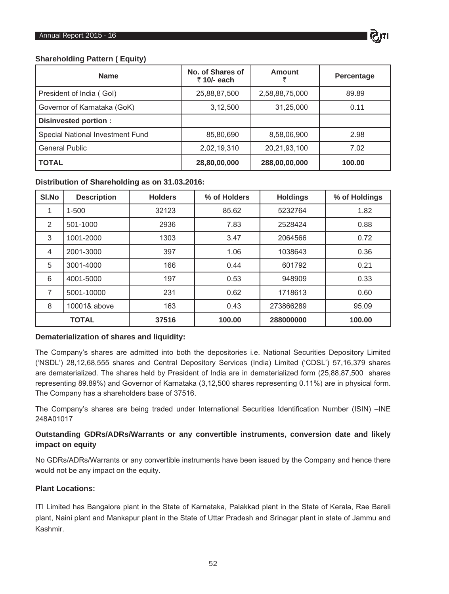## **Shareholding Pattern ( Equity)**

| <b>Name</b>                      | No. of Shares of<br>₹ 10/- each | Amount         | <b>Percentage</b> |
|----------------------------------|---------------------------------|----------------|-------------------|
| President of India (Gol)         | 25,88,87,500                    | 2,58,88,75,000 | 89.89             |
| Governor of Karnataka (GoK)      | 3,12,500                        | 31,25,000      | 0.11              |
| Disinvested portion :            |                                 |                |                   |
| Special National Investment Fund | 85,80,690                       | 8,58,06,900    | 2.98              |
| <b>General Public</b>            | 2,02,19,310<br>20,21,93,100     |                | 7.02              |
| <b>TOTAL</b>                     | 28,80,00,000                    | 288,00,00,000  | 100.00            |

## **Distribution of Shareholding as on 31.03.2016:**

| SI.No | <b>Description</b> | <b>Holders</b>          | % of Holders    | <b>Holdings</b> | % of Holdings |  |
|-------|--------------------|-------------------------|-----------------|-----------------|---------------|--|
|       | $1 - 500$          | 32123                   | 85.62           | 5232764         | 1.82          |  |
| 2     | 501-1000           | 2936                    | 7.83            | 2528424         | 0.88          |  |
| 3     | 1001-2000          | 1303<br>3.47<br>2064566 |                 | 0.72            |               |  |
| 4     | 2001-3000          | 397                     | 1.06<br>1038643 |                 | 0.36          |  |
| 5     | 3001-4000          | 166                     | 0.44            | 601792          |               |  |
| 6     | 4001-5000          | 197                     | 0.53<br>948909  |                 | 0.33          |  |
| 7     | 5001-10000         | 231                     |                 | 1718613         | 0.60          |  |
| 8     | 10001& above       | 163                     | 0.43            | 273866289       | 95.09         |  |
|       | <b>TOTAL</b>       | 37516                   | 100.00          | 288000000       | 100.00        |  |

## **Dematerialization of shares and liquidity:**

The Company's shares are admitted into both the depositories i.e. National Securities Depository Limited ('NSDL') 28,12,68,555 shares and Central Depository Services (India) Limited ('CDSL') 57,16,379 shares are dematerialized. The shares held by President of India are in dematerialized form (25,88,87,500 shares representing 89.89%) and Governor of Karnataka (3,12,500 shares representing 0.11%) are in physical form. The Company has a shareholders base of 37516.

The Company's shares are being traded under International Securities Identification Number (ISIN) –INE 248A01017

## **Outstanding GDRs/ADRs/Warrants or any convertible instruments, conversion date and likely impact on equity**

No GDRs/ADRs/Warrants or any convertible instruments have been issued by the Company and hence there would not be any impact on the equity.

## **Plant Locations:**

ITI Limited has Bangalore plant in the State of Karnataka, Palakkad plant in the State of Kerala, Rae Bareli plant, Naini plant and Mankapur plant in the State of Uttar Pradesh and Srinagar plant in state of Jammu and Kashmir.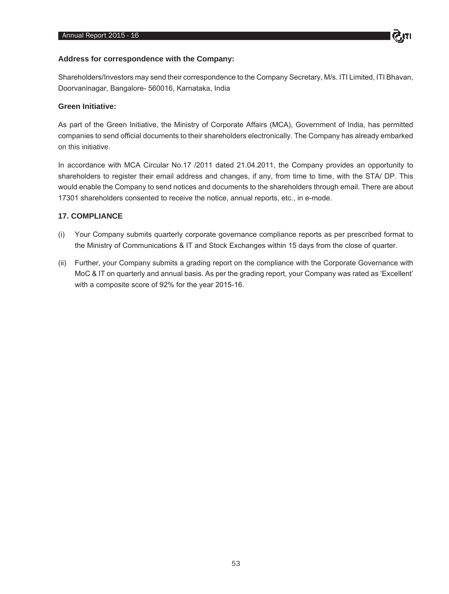

#### **Address for correspondence with the Company:**

Shareholders/Investors may send their correspondence to the Company Secretary, M/s. ITI Limited, ITI Bhavan, Doorvaninagar, Bangalore- 560016, Karnataka, India

#### **Green Initiative:**

As part of the Green Initiative, the Ministry of Corporate Affairs (MCA), Government of India, has permitted companies to send official documents to their shareholders electronically. The Company has already embarked on this initiative.

In accordance with MCA Circular No.17 /2011 dated 21.04.2011, the Company provides an opportunity to shareholders to register their email address and changes, if any, from time to time, with the STA/ DP. This would enable the Company to send notices and documents to the shareholders through email. There are about 17301 shareholders consented to receive the notice, annual reports, etc., in e-mode.

#### **17. COMPLIANCE**

- (i) Your Company submits quarterly corporate governance compliance reports as per prescribed format to the Ministry of Communications & IT and Stock Exchanges within 15 days from the close of quarter.
- (ii) Further, your Company submits a grading report on the compliance with the Corporate Governance with MoC & IT on quarterly and annual basis. As per the grading report, your Company was rated as 'Excellent' with a composite score of 92% for the year 2015-16.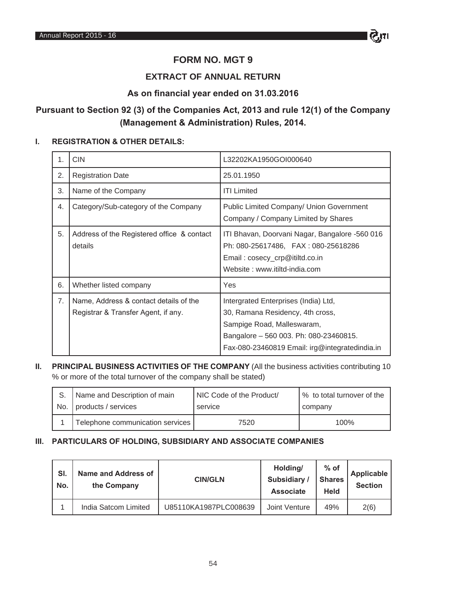## **FORM NO. MGT 9**

## **EXTRACT OF ANNUAL RETURN**

## **As on financial year ended on 31.03.2016**

# **Pursuant to Section 92 (3) of the Companies Act, 2013 and rule 12(1) of the Company (Management & Administration) Rules, 2014.**

## **I. REGISTRATION & OTHER DETAILS:**

| 1. | <b>CIN</b>                                                                    | L32202KA1950GOI000640                                                                                                                                                                              |
|----|-------------------------------------------------------------------------------|----------------------------------------------------------------------------------------------------------------------------------------------------------------------------------------------------|
| 2. | <b>Registration Date</b>                                                      | 25.01.1950                                                                                                                                                                                         |
| 3. | Name of the Company                                                           | <b>ITI Limited</b>                                                                                                                                                                                 |
| 4. | Category/Sub-category of the Company                                          | Public Limited Company/ Union Government<br>Company / Company Limited by Shares                                                                                                                    |
| 5. | Address of the Registered office & contact<br>details                         | ITI Bhavan, Doorvani Nagar, Bangalore -560 016<br>Ph: 080-25617486, FAX: 080-25618286<br>Email: cosecy_crp@itiltd.co.in<br>Website: www.itiltd-india.com                                           |
| 6. | Whether listed company                                                        | Yes                                                                                                                                                                                                |
| 7. | Name, Address & contact details of the<br>Registrar & Transfer Agent, if any. | Intergrated Enterprises (India) Ltd,<br>30, Ramana Residency, 4th cross,<br>Sampige Road, Malleswaram,<br>Bangalore - 560 003. Ph: 080-23460815.<br>Fax-080-23460819 Email: irg@integratedindia.in |

## **II.** PRINCIPAL BUSINESS ACTIVITIES OF THE COMPANY (All the business activities contributing 10 % or more of the total turnover of the company shall be stated)

|     | Name and Description of main     | NIC Code of the Product/ | % to total turnover of the |
|-----|----------------------------------|--------------------------|----------------------------|
| No. | products / services              | service                  | company                    |
|     | Telephone communication services | 7520                     | 100%                       |

## **III. PARTICULARS OF HOLDING, SUBSIDIARY AND ASSOCIATE COMPANIES**

| SI.<br>No. | Name and Address of<br>the Company | <b>CIN/GLN</b>        | Holding/<br>Subsidiary /<br><b>Associate</b> | $%$ of<br><b>Shares</b><br>Held | Applicable<br><b>Section</b> |
|------------|------------------------------------|-----------------------|----------------------------------------------|---------------------------------|------------------------------|
|            | India Satcom Limited               | U85110KA1987PLC008639 | Joint Venture                                | 49%                             | 2(6)                         |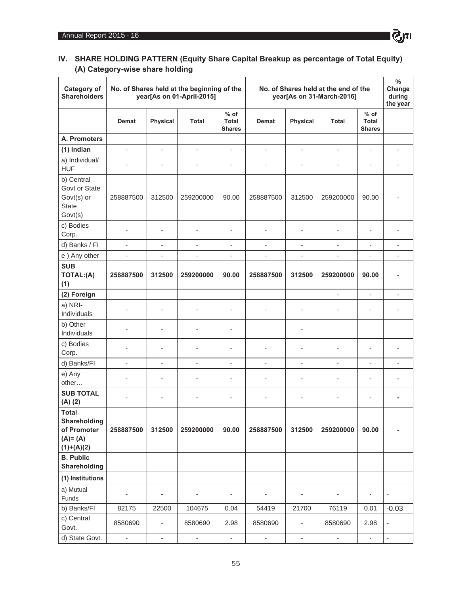## **IV. SHARE HOLDING PATTERN (Equity Share Capital Breakup as percentage of Total Equity) (A) Category-wise share holding**

द्धाा

| <b>Category of</b><br><b>Shareholders</b>                                  |                          | No. of Shares held at the beginning of the<br>year[As on 01-April-2015] |                          |                                  |                          | No. of Shares held at the end of the<br>year[As on 31-March-2016] |                          |                                         | Change<br>during<br>the year |  |  |  |
|----------------------------------------------------------------------------|--------------------------|-------------------------------------------------------------------------|--------------------------|----------------------------------|--------------------------|-------------------------------------------------------------------|--------------------------|-----------------------------------------|------------------------------|--|--|--|
|                                                                            | <b>Demat</b>             | Physical                                                                | <b>Total</b>             | $%$ of<br>Total<br><b>Shares</b> | <b>Demat</b>             | <b>Physical</b>                                                   | <b>Total</b>             | $%$ of<br><b>Total</b><br><b>Shares</b> |                              |  |  |  |
| A. Promoters                                                               |                          |                                                                         |                          |                                  |                          |                                                                   |                          |                                         |                              |  |  |  |
| $(1)$ Indian                                                               | $\overline{\phantom{a}}$ | $\frac{1}{2}$                                                           | $\blacksquare$           | $\overline{\phantom{a}}$         | $\overline{\phantom{a}}$ | $\blacksquare$                                                    | $\blacksquare$           | $\blacksquare$                          | $\overline{\phantom{0}}$     |  |  |  |
| a) Individual/<br><b>HUF</b>                                               |                          |                                                                         | ÷,                       | $\overline{\phantom{m}}$         |                          | $\blacksquare$                                                    |                          | $\centering \label{eq:reduced}$         | ٠                            |  |  |  |
| b) Central<br>Govt or State<br>Govt(s) or<br><b>State</b><br>Govt(s)       | 258887500                | 312500                                                                  | 259200000                | 90.00                            | 258887500                | 312500                                                            | 259200000                | 90.00                                   |                              |  |  |  |
| c) Bodies<br>Corp.                                                         | $\overline{\phantom{a}}$ |                                                                         | -                        | $\overline{\phantom{a}}$         |                          | $\qquad \qquad \blacksquare$                                      |                          | $\qquad \qquad \blacksquare$            | ٠                            |  |  |  |
| d) Banks / FI                                                              | $\overline{\phantom{a}}$ | $\overline{\phantom{a}}$                                                | ä,                       | ٠                                |                          | $\overline{\phantom{a}}$                                          |                          | $\overline{a}$                          |                              |  |  |  |
| e) Any other                                                               | $\overline{\phantom{a}}$ | $\blacksquare$                                                          | $\overline{\phantom{a}}$ | $\overline{\phantom{a}}$         | $\blacksquare$           | ÷,                                                                | $\overline{\phantom{a}}$ | $\overline{\phantom{a}}$                | $\overline{\phantom{0}}$     |  |  |  |
| <b>SUB</b><br>TOTAL:(A)<br>(1)                                             | 258887500                | 312500                                                                  | 259200000                | 90.00                            | 258887500                | 312500                                                            | 259200000                | 90.00                                   |                              |  |  |  |
| (2) Foreign                                                                |                          |                                                                         |                          |                                  |                          |                                                                   | ÷.                       | $\overline{\phantom{a}}$                | ٠                            |  |  |  |
| a) NRI-<br>Individuals                                                     |                          |                                                                         |                          | ٠                                |                          |                                                                   |                          | $\blacksquare$                          |                              |  |  |  |
| b) Other<br>Individuals                                                    |                          |                                                                         |                          |                                  |                          |                                                                   |                          |                                         |                              |  |  |  |
| c) Bodies<br>Corp.                                                         | ٠                        | $\overline{\phantom{a}}$                                                | ٠                        | ٠                                | $\overline{\phantom{a}}$ | $\overline{\phantom{a}}$                                          |                          | $\overline{\phantom{a}}$                |                              |  |  |  |
| d) Banks/FI                                                                | $\overline{\phantom{a}}$ |                                                                         | ä,                       | L,                               |                          | $\overline{a}$                                                    |                          | ä,                                      |                              |  |  |  |
| e) Any<br>other                                                            | $\overline{\phantom{m}}$ |                                                                         | -                        | ٠                                |                          | $\overline{\phantom{m}}$                                          |                          |                                         |                              |  |  |  |
| <b>SUB TOTAL</b><br>$(A)$ $(2)$                                            |                          |                                                                         |                          | $\overline{\phantom{a}}$         |                          |                                                                   |                          |                                         |                              |  |  |  |
| <b>Total</b><br>Shareholding<br>of Promoter<br>$(A) = (A)$<br>$(1)+(A)(2)$ | 258887500                | 312500                                                                  | 259200000                | 90.00                            | 258887500                | 312500                                                            | 259200000                | 90.00                                   |                              |  |  |  |
| <b>B. Public</b><br>Shareholding                                           |                          |                                                                         |                          |                                  |                          |                                                                   |                          |                                         |                              |  |  |  |
| (1) Institutions                                                           |                          |                                                                         |                          |                                  |                          |                                                                   |                          |                                         |                              |  |  |  |
| a) Mutual<br>Funds                                                         |                          |                                                                         |                          |                                  |                          |                                                                   |                          | $\overline{\phantom{a}}$                | $\blacksquare$               |  |  |  |
| b) Banks/FI                                                                | 82175                    | 22500                                                                   | 104675                   | 0.04                             | 54419                    | 21700                                                             | 76119                    | 0.01                                    | $-0.03$                      |  |  |  |
| c) Central<br>Govt.                                                        | 8580690                  |                                                                         | 8580690                  | 2.98                             | 8580690                  | $\qquad \qquad \blacksquare$                                      | 8580690                  | 2.98                                    | $\blacksquare$               |  |  |  |
| d) State Govt.                                                             | $\overline{\phantom{a}}$ | ÷                                                                       | $\overline{\phantom{a}}$ | $\overline{\phantom{a}}$         | ۰                        | $\mathcal{L}_{\mathcal{A}}$                                       |                          | $\blacksquare$                          | $\Box$                       |  |  |  |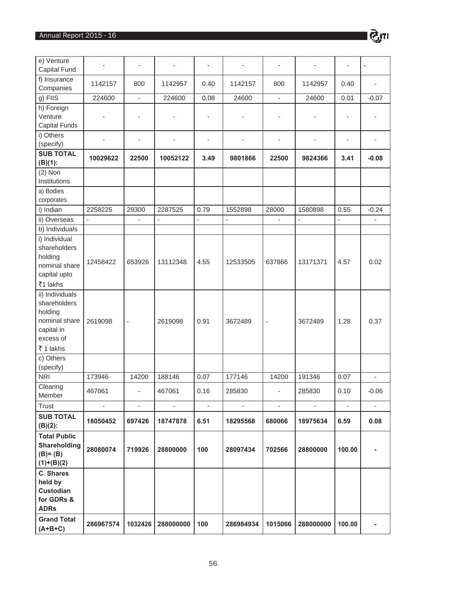| e) Venture<br>Capital Fund                                                             | ٠                        |                          |           | $\overline{\phantom{m}}$ |           |                          |           |        | L,                       |
|----------------------------------------------------------------------------------------|--------------------------|--------------------------|-----------|--------------------------|-----------|--------------------------|-----------|--------|--------------------------|
| f) Insurance<br>Companies                                                              | 1142157                  | 800                      | 1142957   | 0.40                     | 1142157   | 800                      | 1142957   | 0.40   |                          |
| g) FIIS                                                                                | 224600                   | $\overline{\phantom{a}}$ | 224600    | 0.08                     | 24600     | $\overline{\phantom{a}}$ | 24600     | 0.01   | $-0.07$                  |
| h) Foreign                                                                             |                          |                          |           |                          |           |                          |           |        |                          |
| Venture                                                                                |                          |                          |           |                          |           |                          |           |        |                          |
| Capital Funds                                                                          |                          |                          |           |                          |           |                          |           |        |                          |
| i) Others<br>(specify)                                                                 |                          |                          |           |                          |           |                          |           |        |                          |
| <b>SUB TOTAL</b>                                                                       | 10029622                 | 22500                    | 10052122  | 3.49                     | 9801866   | 22500                    | 9824366   | 3.41   | $-0.08$                  |
| $(B)(1)$ :                                                                             |                          |                          |           |                          |           |                          |           |        |                          |
| $(2)$ Non<br>Institutions                                                              |                          |                          |           |                          |           |                          |           |        |                          |
| a) Bodies                                                                              |                          |                          |           |                          |           |                          |           |        |                          |
| corporates                                                                             |                          |                          |           |                          |           |                          |           |        |                          |
| i) Indian                                                                              | 2258225                  | 29300                    | 2287525   | 0.79                     | 1552898   | 28000                    | 1580898   | 0.55   | $-0.24$                  |
| ii) Overseas                                                                           | $\overline{\phantom{a}}$ | ÷,                       | ÷,        | ÷,                       | ä,        | ä,                       | ä,        | ÷,     | L                        |
| b) Individuals<br>i) Individual                                                        |                          |                          |           |                          |           |                          |           |        |                          |
| shareholders                                                                           |                          |                          |           |                          |           |                          |           |        |                          |
| holding                                                                                |                          |                          |           |                          |           |                          |           |        |                          |
| nominal share                                                                          | 12458422                 | 653926                   | 13112348  | 4.55                     | 12533505  | 637866                   | 13171371  | 4.57   | 0.02                     |
| capital upto                                                                           |                          |                          |           |                          |           |                          |           |        |                          |
| ₹1 lakhs                                                                               |                          |                          |           |                          |           |                          |           |        |                          |
| ii) Individuals<br>shareholders<br>holding<br>nominal share<br>capital in<br>excess of | 2619098                  | ä,                       | 2619098   | 0.91                     | 3672489   | ÷,                       | 3672489   | 1.28   | 0.37                     |
| ₹ 1 lakhs<br>c) Others                                                                 |                          |                          |           |                          |           |                          |           |        |                          |
| (specify)                                                                              |                          |                          |           |                          |           |                          |           |        |                          |
| <b>NRI</b>                                                                             | 173946                   | 14200                    | 188146    | 0.07                     | 177146    | 14200                    | 191346    | 0.07   | $\overline{\phantom{a}}$ |
| Clearing<br>Member                                                                     | 467061                   | $\overline{\phantom{a}}$ | 467061    | 0.16                     | 285830    | $\overline{\phantom{a}}$ | 285830    | 0.10   | $-0.06$                  |
| Trust                                                                                  | ÷,                       |                          | ÷,        | ÷,                       |           |                          |           |        |                          |
| <b>SUB TOTAL</b><br>$(B)(2)$ :                                                         | 18050452                 | 697426                   | 18747878  | 6.51                     | 18295568  | 680066                   | 18975634  | 6.59   | 0.08                     |
| <b>Total Public</b><br>Shareholding<br>$(B)= (B)$<br>$(1)+(B)(2)$                      | 28080074                 | 719926                   | 28800000  | 100                      | 28097434  | 702566                   | 28800000  | 100.00 |                          |
| C. Shares<br>held by<br>Custodian<br>for GDRs &<br><b>ADRs</b>                         |                          |                          |           |                          |           |                          |           |        |                          |
| <b>Grand Total</b><br>$(A+B+C)$                                                        | 286967574                | 1032426                  | 288000000 | 100                      | 286984934 | 1015066                  | 288000000 | 100.00 |                          |

∣ह्युग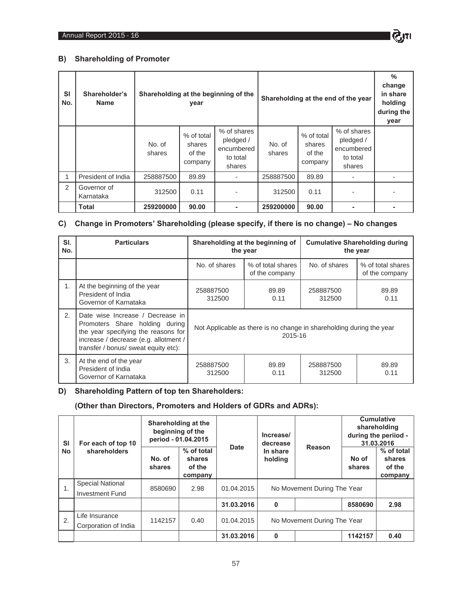

## **B) Shareholding of Promoter**

| <b>SI</b><br>No. | Shareholder's<br><b>Name</b> | Shareholding at the beginning of the<br>year |                                           |                                                              | Shareholding at the end of the year | $\frac{0}{0}$<br>change<br>in share<br>holding<br>during the<br>year |                                                              |  |
|------------------|------------------------------|----------------------------------------------|-------------------------------------------|--------------------------------------------------------------|-------------------------------------|----------------------------------------------------------------------|--------------------------------------------------------------|--|
|                  |                              | No. of<br>shares                             | % of total<br>shares<br>of the<br>company | % of shares<br>pledged /<br>encumbered<br>to total<br>shares | No. of<br>shares                    | % of total<br>shares<br>of the<br>company                            | % of shares<br>pledged /<br>encumbered<br>to total<br>shares |  |
|                  | President of India           | 258887500                                    | 89.89                                     |                                                              | 258887500                           | 89.89                                                                |                                                              |  |
| 2                | Governor of<br>Karnataka     | 312500                                       | 0.11                                      |                                                              | 312500                              | 0.11                                                                 |                                                              |  |
|                  | <b>Total</b>                 | 259200000                                    | 90.00                                     |                                                              | 259200000                           | 90.00                                                                |                                                              |  |

## **C) Change in Promoters' Shareholding (please specify, if there is no change) – No changes**

| SI.<br>No. | <b>Particulars</b>                                                                                                                                                                         |                                                                                 | Shareholding at the beginning of<br>the year | <b>Cumulative Shareholding during</b><br>the year |                                     |  |  |  |
|------------|--------------------------------------------------------------------------------------------------------------------------------------------------------------------------------------------|---------------------------------------------------------------------------------|----------------------------------------------|---------------------------------------------------|-------------------------------------|--|--|--|
|            |                                                                                                                                                                                            | No. of shares                                                                   | % of total shares<br>of the company          | No. of shares                                     | % of total shares<br>of the company |  |  |  |
| 1.         | At the beginning of the year<br>President of India<br>Governor of Karnataka                                                                                                                | 258887500<br>312500                                                             | 89.89<br>0.11                                | 258887500<br>312500                               | 89.89<br>0.11                       |  |  |  |
| 2.         | Date wise Increase / Decrease in<br>Promoters Share holding during<br>the year specifying the reasons for<br>increase / decrease (e.g. allotment /<br>transfer / bonus/ sweat equity etc): | Not Applicable as there is no change in shareholding during the year<br>2015-16 |                                              |                                                   |                                     |  |  |  |
| 3.         | At the end of the year<br>President of India<br>Governor of Karnataka                                                                                                                      | 258887500<br>312500                                                             | 89.89<br>0.11                                | 258887500<br>312500                               | 89.89<br>0.11                       |  |  |  |

## **D) Shareholding Pattern of top ten Shareholders:**

## **(Other than Directors, Promoters and Holders of GDRs and ADRs):**

| <b>SI</b><br><b>No</b> | For each of top 10                                | Shareholding at the<br>beginning of the<br>period - 01.04.2015 |                                           |             | Increase/<br>decrease       |        | <b>Cumulative</b><br>shareholding<br>during the periiod -<br>31.03.2016 |                                           |
|------------------------|---------------------------------------------------|----------------------------------------------------------------|-------------------------------------------|-------------|-----------------------------|--------|-------------------------------------------------------------------------|-------------------------------------------|
|                        | shareholders                                      | No. of<br>shares                                               | % of total<br>shares<br>of the<br>company | <b>Date</b> | In share<br>holding         | Reason | No of<br>shares                                                         | % of total<br>shares<br>of the<br>company |
| 1.                     | <b>Special National</b><br><b>Investment Fund</b> | 8580690                                                        | 2.98                                      | 01.04.2015  | No Movement During The Year |        |                                                                         |                                           |
|                        |                                                   |                                                                |                                           | 31.03.2016  | $\bf{0}$                    |        | 8580690                                                                 | 2.98                                      |
| 2.                     | Life Insurance<br>Corporation of India            | 1142157                                                        | 0.40                                      | 01.04.2015  | No Movement During The Year |        |                                                                         |                                           |
|                        |                                                   |                                                                |                                           | 31.03.2016  | 1142157<br>$\bf{0}$         |        | 0.40                                                                    |                                           |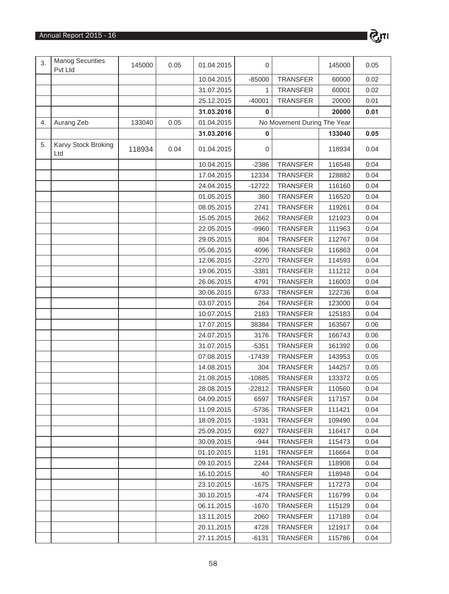| 3. | <b>Manog Securities</b><br>Pvt Ltd | 145000 | 0.05 | 01.04.2015 | 0        |                             | 145000 | 0.05 |
|----|------------------------------------|--------|------|------------|----------|-----------------------------|--------|------|
|    |                                    |        |      | 10.04.2015 | $-85000$ | <b>TRANSFER</b>             | 60000  | 0.02 |
|    |                                    |        |      | 31.07.2015 | 1        | <b>TRANSFER</b>             | 60001  | 0.02 |
|    |                                    |        |      | 25.12.2015 | $-40001$ | <b>TRANSFER</b>             | 20000  | 0.01 |
|    |                                    |        |      | 31.03.2016 | 0        |                             | 20000  | 0.01 |
| 4. | Aurang Zeb                         | 133040 | 0.05 | 01.04.2015 |          | No Movement During The Year |        |      |
|    |                                    |        |      | 31.03.2016 | 0        |                             | 133040 | 0.05 |
| 5. | Karvy Stock Broking<br>Ltd         | 118934 | 0.04 | 01.04.2015 | 0        |                             | 118934 | 0.04 |
|    |                                    |        |      | 10.04.2015 | $-2386$  | <b>TRANSFER</b>             | 116548 | 0.04 |
|    |                                    |        |      | 17.04.2015 | 12334    | <b>TRANSFER</b>             | 128882 | 0.04 |
|    |                                    |        |      | 24.04.2015 | $-12722$ | <b>TRANSFER</b>             | 116160 | 0.04 |
|    |                                    |        |      | 01.05.2015 | 360      | <b>TRANSFER</b>             | 116520 | 0.04 |
|    |                                    |        |      | 08.05.2015 | 2741     | <b>TRANSFER</b>             | 119261 | 0.04 |
|    |                                    |        |      | 15.05.2015 | 2662     | <b>TRANSFER</b>             | 121923 | 0.04 |
|    |                                    |        |      | 22.05.2015 | $-9960$  | <b>TRANSFER</b>             | 111963 | 0.04 |
|    |                                    |        |      | 29.05.2015 | 804      | <b>TRANSFER</b>             | 112767 | 0.04 |
|    |                                    |        |      | 05.06.2015 | 4096     | <b>TRANSFER</b>             | 116863 | 0.04 |
|    |                                    |        |      | 12.06.2015 | $-2270$  | <b>TRANSFER</b>             | 114593 | 0.04 |
|    |                                    |        |      | 19.06.2015 | $-3381$  | <b>TRANSFER</b>             | 111212 | 0.04 |
|    |                                    |        |      | 26.06.2015 | 4791     | <b>TRANSFER</b>             | 116003 | 0.04 |
|    |                                    |        |      | 30.06.2015 | 6733     | <b>TRANSFER</b>             | 122736 | 0.04 |
|    |                                    |        |      | 03.07.2015 | 264      | <b>TRANSFER</b>             | 123000 | 0.04 |
|    |                                    |        |      | 10.07.2015 | 2183     | <b>TRANSFER</b>             | 125183 | 0.04 |
|    |                                    |        |      | 17.07.2015 | 38384    | <b>TRANSFER</b>             | 163567 | 0.06 |
|    |                                    |        |      | 24.07.2015 | 3176     | <b>TRANSFER</b>             | 166743 | 0.06 |
|    |                                    |        |      | 31.07.2015 | $-5351$  | <b>TRANSFER</b>             | 161392 | 0.06 |
|    |                                    |        |      | 07.08.2015 | $-17439$ | <b>TRANSFER</b>             | 143953 | 0.05 |
|    |                                    |        |      | 14.08.2015 | 304      | <b>TRANSFER</b>             | 144257 | 0.05 |
|    |                                    |        |      | 21.08.2015 | $-10885$ | <b>TRANSFER</b>             | 133372 | 0.05 |
|    |                                    |        |      | 28.08.2015 | $-22812$ | <b>TRANSFER</b>             | 110560 | 0.04 |
|    |                                    |        |      | 04.09.2015 | 6597     | <b>TRANSFER</b>             | 117157 | 0.04 |
|    |                                    |        |      | 11.09.2015 | $-5736$  | <b>TRANSFER</b>             | 111421 | 0.04 |
|    |                                    |        |      | 18.09.2015 | $-1931$  | <b>TRANSFER</b>             | 109490 | 0.04 |
|    |                                    |        |      | 25.09.2015 | 6927     | <b>TRANSFER</b>             | 116417 | 0.04 |
|    |                                    |        |      | 30.09.2015 | $-944$   | <b>TRANSFER</b>             | 115473 | 0.04 |
|    |                                    |        |      | 01.10.2015 | 1191     | <b>TRANSFER</b>             | 116664 | 0.04 |
|    |                                    |        |      | 09.10.2015 | 2244     | <b>TRANSFER</b>             | 118908 | 0.04 |
|    |                                    |        |      | 16.10.2015 | 40       | <b>TRANSFER</b>             | 118948 | 0.04 |
|    |                                    |        |      | 23.10.2015 | $-1675$  | <b>TRANSFER</b>             | 117273 | 0.04 |
|    |                                    |        |      | 30.10.2015 | $-474$   | <b>TRANSFER</b>             | 116799 | 0.04 |
|    |                                    |        |      | 06.11.2015 | $-1670$  | <b>TRANSFER</b>             | 115129 | 0.04 |
|    |                                    |        |      | 13.11.2015 | 2060     | <b>TRANSFER</b>             | 117189 | 0.04 |
|    |                                    |        |      | 20.11.2015 | 4728     | <b>TRANSFER</b>             | 121917 | 0.04 |
|    |                                    |        |      | 27.11.2015 | $-6131$  | <b>TRANSFER</b>             | 115786 | 0.04 |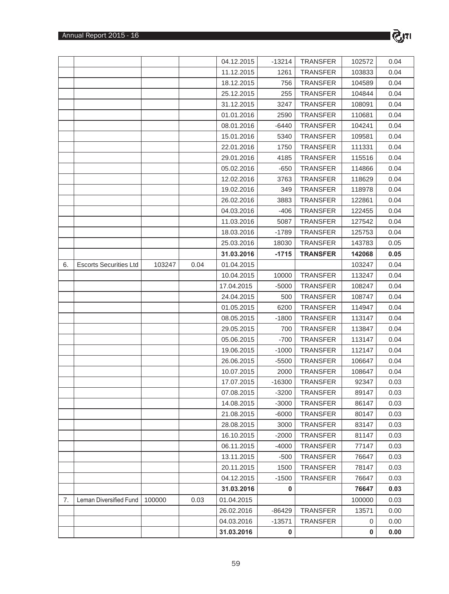

|    |                               |        |      | 04.12.2015 | $-13214$    | <b>TRANSFER</b> | 102572      | 0.04 |
|----|-------------------------------|--------|------|------------|-------------|-----------------|-------------|------|
|    |                               |        |      | 11.12.2015 | 1261        | <b>TRANSFER</b> | 103833      | 0.04 |
|    |                               |        |      | 18.12.2015 | 756         | <b>TRANSFER</b> | 104589      | 0.04 |
|    |                               |        |      | 25.12.2015 | 255         | <b>TRANSFER</b> | 104844      | 0.04 |
|    |                               |        |      | 31.12.2015 | 3247        | <b>TRANSFER</b> | 108091      | 0.04 |
|    |                               |        |      | 01.01.2016 | 2590        | <b>TRANSFER</b> | 110681      | 0.04 |
|    |                               |        |      | 08.01.2016 | $-6440$     | <b>TRANSFER</b> | 104241      | 0.04 |
|    |                               |        |      | 15.01.2016 | 5340        | <b>TRANSFER</b> | 109581      | 0.04 |
|    |                               |        |      | 22.01.2016 | 1750        | <b>TRANSFER</b> | 111331      | 0.04 |
|    |                               |        |      | 29.01.2016 | 4185        | <b>TRANSFER</b> | 115516      | 0.04 |
|    |                               |        |      | 05.02.2016 | $-650$      | <b>TRANSFER</b> | 114866      | 0.04 |
|    |                               |        |      | 12.02.2016 | 3763        | <b>TRANSFER</b> | 118629      | 0.04 |
|    |                               |        |      | 19.02.2016 | 349         | <b>TRANSFER</b> | 118978      | 0.04 |
|    |                               |        |      | 26.02.2016 | 3883        | <b>TRANSFER</b> | 122861      | 0.04 |
|    |                               |        |      | 04.03.2016 | $-406$      | <b>TRANSFER</b> | 122455      | 0.04 |
|    |                               |        |      | 11.03.2016 | 5087        | <b>TRANSFER</b> | 127542      | 0.04 |
|    |                               |        |      | 18.03.2016 | $-1789$     | <b>TRANSFER</b> | 125753      | 0.04 |
|    |                               |        |      | 25.03.2016 | 18030       | TRANSFER        | 143783      | 0.05 |
|    |                               |        |      | 31.03.2016 | $-1715$     | <b>TRANSFER</b> | 142068      | 0.05 |
| 6. | <b>Escorts Securities Ltd</b> | 103247 | 0.04 | 01.04.2015 |             |                 | 103247      | 0.04 |
|    |                               |        |      | 10.04.2015 | 10000       | <b>TRANSFER</b> | 113247      | 0.04 |
|    |                               |        |      | 17.04.2015 | $-5000$     | <b>TRANSFER</b> | 108247      | 0.04 |
|    |                               |        |      | 24.04.2015 | 500         | <b>TRANSFER</b> | 108747      | 0.04 |
|    |                               |        |      | 01.05.2015 | 6200        | <b>TRANSFER</b> | 114947      | 0.04 |
|    |                               |        |      | 08.05.2015 | $-1800$     | <b>TRANSFER</b> | 113147      | 0.04 |
|    |                               |        |      | 29.05.2015 | 700         | TRANSFER        | 113847      | 0.04 |
|    |                               |        |      | 05.06.2015 | $-700$      | <b>TRANSFER</b> | 113147      | 0.04 |
|    |                               |        |      | 19.06.2015 | $-1000$     | <b>TRANSFER</b> | 112147      | 0.04 |
|    |                               |        |      | 26.06.2015 | $-5500$     | <b>TRANSFER</b> | 106647      | 0.04 |
|    |                               |        |      | 10.07.2015 | 2000        | <b>TRANSFER</b> | 108647      | 0.04 |
|    |                               |        |      | 17.07.2015 | $-16300$    | TRANSFER        | 92347       | 0.03 |
|    |                               |        |      | 07.08.2015 | $-3200$     | <b>TRANSFER</b> | 89147       | 0.03 |
|    |                               |        |      | 14.08.2015 | $-3000$     | <b>TRANSFER</b> | 86147       | 0.03 |
|    |                               |        |      | 21.08.2015 | $-6000$     | <b>TRANSFER</b> | 80147       | 0.03 |
|    |                               |        |      | 28.08.2015 | 3000        | <b>TRANSFER</b> | 83147       | 0.03 |
|    |                               |        |      | 16.10.2015 | $-2000$     | <b>TRANSFER</b> | 81147       | 0.03 |
|    |                               |        |      | 06.11.2015 | $-4000$     | <b>TRANSFER</b> | 77147       | 0.03 |
|    |                               |        |      | 13.11.2015 | $-500$      | <b>TRANSFER</b> | 76647       | 0.03 |
|    |                               |        |      | 20.11.2015 | 1500        | <b>TRANSFER</b> | 78147       | 0.03 |
|    |                               |        |      | 04.12.2015 | $-1500$     | <b>TRANSFER</b> | 76647       | 0.03 |
|    |                               |        |      | 31.03.2016 | $\mathbf 0$ |                 | 76647       | 0.03 |
| 7. | Leman Diversified Fund        | 100000 | 0.03 | 01.04.2015 |             |                 | 100000      | 0.03 |
|    |                               |        |      | 26.02.2016 | $-86429$    | <b>TRANSFER</b> | 13571       | 0.00 |
|    |                               |        |      | 04.03.2016 | $-13571$    | <b>TRANSFER</b> | 0           | 0.00 |
|    |                               |        |      | 31.03.2016 | 0           |                 | $\mathbf 0$ | 0.00 |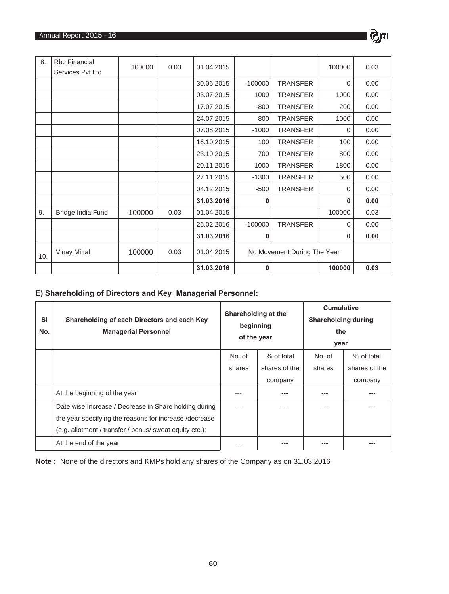| 8.  | <b>Rbc Financial</b><br>Services Pvt Ltd | 100000 | 0.03 | 01.04.2015 |                             |                 | 100000      | 0.03 |
|-----|------------------------------------------|--------|------|------------|-----------------------------|-----------------|-------------|------|
|     |                                          |        |      | 30.06.2015 | $-100000$                   | <b>TRANSFER</b> | $\Omega$    | 0.00 |
|     |                                          |        |      | 03.07.2015 | 1000                        | <b>TRANSFER</b> | 1000        | 0.00 |
|     |                                          |        |      | 17.07.2015 | $-800$                      | <b>TRANSFER</b> | 200         | 0.00 |
|     |                                          |        |      | 24.07.2015 | 800                         | <b>TRANSFER</b> | 1000        | 0.00 |
|     |                                          |        |      | 07.08.2015 | $-1000$                     | <b>TRANSFER</b> | 0           | 0.00 |
|     |                                          |        |      | 16.10.2015 | 100                         | <b>TRANSFER</b> | 100         | 0.00 |
|     |                                          |        |      | 23.10.2015 | 700                         | <b>TRANSFER</b> | 800         | 0.00 |
|     |                                          |        |      | 20.11.2015 | 1000                        | <b>TRANSFER</b> | 1800        | 0.00 |
|     |                                          |        |      | 27.11.2015 | $-1300$                     | <b>TRANSFER</b> | 500         | 0.00 |
|     |                                          |        |      | 04.12.2015 | $-500$                      | <b>TRANSFER</b> | 0           | 0.00 |
|     |                                          |        |      | 31.03.2016 | 0                           |                 | 0           | 0.00 |
| 9.  | Bridge India Fund                        | 100000 | 0.03 | 01.04.2015 |                             |                 | 100000      | 0.03 |
|     |                                          |        |      | 26.02.2016 | $-100000$                   | <b>TRANSFER</b> | 0           | 0.00 |
|     |                                          |        |      | 31.03.2016 | 0                           |                 | $\mathbf 0$ | 0.00 |
| 10. | <b>Vinay Mittal</b>                      | 100000 | 0.03 | 01.04.2015 | No Movement During The Year |                 |             |      |
|     |                                          |        |      | 31.03.2016 | 0                           |                 | 100000      | 0.03 |

दुम

## **E) Shareholding of Directors and Key Managerial Personnel:**

| <b>SI</b><br>No. | Shareholding of each Directors and each Key<br><b>Managerial Personnel</b> | Shareholding at the<br>beginning<br>of the year |               | <b>Cumulative</b><br><b>Shareholding during</b><br>the<br>year |               |
|------------------|----------------------------------------------------------------------------|-------------------------------------------------|---------------|----------------------------------------------------------------|---------------|
|                  |                                                                            | No. of                                          | % of total    | No. of                                                         | % of total    |
|                  |                                                                            | shares                                          | shares of the | shares                                                         | shares of the |
|                  |                                                                            |                                                 | company       |                                                                | company       |
|                  | At the beginning of the year                                               |                                                 | ---           | $---$                                                          |               |
|                  | Date wise Increase / Decrease in Share holding during                      |                                                 |               |                                                                |               |
|                  | the year specifying the reasons for increase / decrease                    |                                                 |               |                                                                |               |
|                  | (e.g. allotment / transfer / bonus/ sweat equity etc.):                    |                                                 |               |                                                                |               |
|                  | At the end of the year                                                     |                                                 |               |                                                                |               |

**Note :** None of the directors and KMPs hold any shares of the Company as on 31.03.2016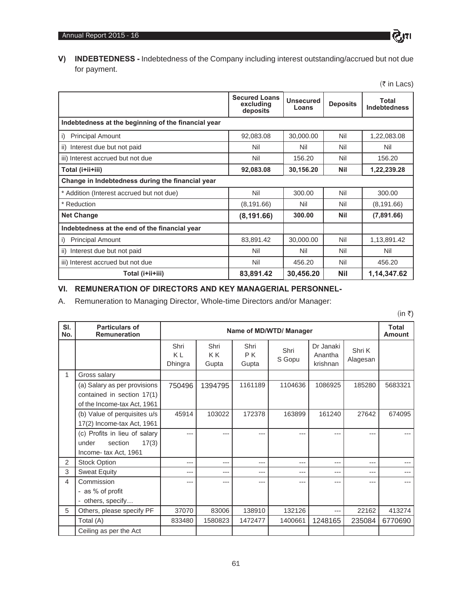$(\bar{\tau}$  in Lacs)

टेग़

|                                                     | <b>Secured Loans</b><br>excluding<br>deposits | Unsecured<br>Loans | <b>Deposits</b> | Total<br><b>Indebtedness</b> |  |  |  |
|-----------------------------------------------------|-----------------------------------------------|--------------------|-----------------|------------------------------|--|--|--|
| Indebtedness at the beginning of the financial year |                                               |                    |                 |                              |  |  |  |
| <b>Principal Amount</b><br>i)                       | 92,083.08                                     | 30.000.00          | Nil             | 1,22,083.08                  |  |  |  |
| Interest due but not paid<br>ii)                    | Nil                                           | Nil                | Nil             | Nil                          |  |  |  |
| iii) Interest accrued but not due                   | Nil                                           | 156.20             | Nil             | 156.20                       |  |  |  |
| Total (i+ii+iii)                                    | 92,083.08                                     | 30,156.20          | <b>Nil</b>      | 1,22,239.28                  |  |  |  |
| Change in Indebtedness during the financial year    |                                               |                    |                 |                              |  |  |  |
| * Addition (Interest accrued but not due)           | Nil                                           | 300.00             | Nil             | 300.00                       |  |  |  |
| * Reduction                                         | (8, 191.66)                                   | Nil                | Nil             | (8, 191.66)                  |  |  |  |
| <b>Net Change</b>                                   | (8, 191.66)                                   | 300.00             | <b>Nil</b>      | (7,891.66)                   |  |  |  |
| Indebtedness at the end of the financial year       |                                               |                    |                 |                              |  |  |  |
| <b>Principal Amount</b><br>i)                       | 83,891.42                                     | 30,000.00          | Nil             | 1,13,891.42                  |  |  |  |
| Interest due but not paid<br>ii)                    | Nil                                           | Nil                | Nil             | Nil                          |  |  |  |
| iii) Interest accrued but not due                   | Nil                                           | 456.20             | Nil             | 456.20                       |  |  |  |
| Total (i+ii+iii)                                    | 83,891.42                                     | 30,456.20          | <b>Nil</b>      | 1,14,347.62                  |  |  |  |

## **VI. REMUNERATION OF DIRECTORS AND KEY MANAGERIAL PERSONNEL-**

A. Remuneration to Managing Director, Whole-time Directors and/or Manager:

 $(in \overline{\tau})$ 

| SI.<br>No. | <b>Particulars of</b><br><b>Remuneration</b>                                              |                       | Name of MD/WTD/ Manager |                     |                |                                  |                    |         |  |  |  |
|------------|-------------------------------------------------------------------------------------------|-----------------------|-------------------------|---------------------|----------------|----------------------------------|--------------------|---------|--|--|--|
|            |                                                                                           | Shri<br>KL<br>Dhingra | Shri<br>K K<br>Gupta    | Shri<br>PK<br>Gupta | Shri<br>S Gopu | Dr Janaki<br>Anantha<br>krishnan | Shri K<br>Alagesan |         |  |  |  |
|            | Gross salary                                                                              |                       |                         |                     |                |                                  |                    |         |  |  |  |
|            | (a) Salary as per provisions<br>contained in section 17(1)<br>of the Income-tax Act, 1961 | 750496                | 1394795                 | 1161189             | 1104636        | 1086925                          | 185280             | 5683321 |  |  |  |
|            | (b) Value of perquisites u/s<br>17(2) Income-tax Act, 1961                                | 45914                 | 103022                  | 172378              | 163899         | 161240                           | 27642              | 674095  |  |  |  |
|            | (c) Profits in lieu of salary<br>section<br>under<br>17(3)<br>Income- tax Act, 1961       | ---                   | ---                     | ---                 | ---            | ---                              | ---                |         |  |  |  |
| 2          | <b>Stock Option</b>                                                                       | ---                   | ---                     | ---                 | ---            | ---                              | $---$              |         |  |  |  |
| 3          | <b>Sweat Equity</b>                                                                       | $---$                 | ---                     | ---                 | ---            | ---                              | $- - -$            | ---     |  |  |  |
| 4          | Commission<br>- as % of profit<br>- others, specify                                       | ---                   | ---                     | ---                 |                | ---                              | ---                |         |  |  |  |
| 5          | Others, please specify PF                                                                 | 37070                 | 83006                   | 138910              | 132126         | ---                              | 22162              | 413274  |  |  |  |
|            | Total (A)                                                                                 | 833480                | 1580823                 | 1472477             | 1400661        | 1248165                          | 235084             | 6770690 |  |  |  |
|            | Ceiling as per the Act                                                                    |                       |                         |                     |                |                                  |                    |         |  |  |  |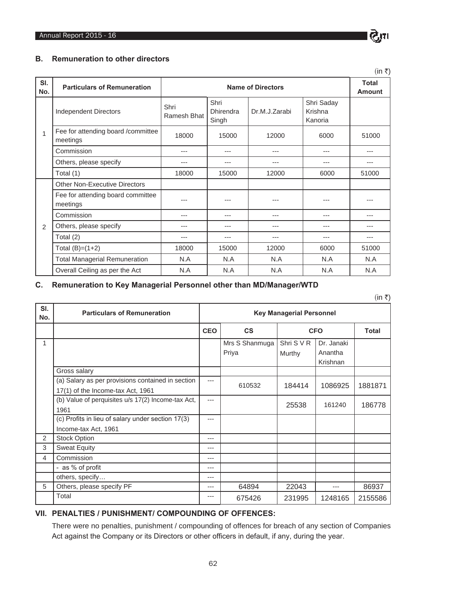## **B. Remuneration to other directors**

|                | (in ₹)                                         |                     |                                   |                          |                                  |                 |  |  |  |  |  |
|----------------|------------------------------------------------|---------------------|-----------------------------------|--------------------------|----------------------------------|-----------------|--|--|--|--|--|
| SI.<br>No.     | <b>Particulars of Remuneration</b>             |                     |                                   | <b>Name of Directors</b> |                                  | Total<br>Amount |  |  |  |  |  |
|                | <b>Independent Directors</b>                   | Shri<br>Ramesh Bhat | Shri<br><b>Dhirendra</b><br>Singh | Dr.M.J.Zarabi            | Shri Saday<br>Krishna<br>Kanoria |                 |  |  |  |  |  |
| 1              | Fee for attending board /committee<br>meetings | 18000               | 15000                             | 12000                    | 6000                             | 51000           |  |  |  |  |  |
|                | Commission                                     | ---                 | ---                               | ---                      | ---                              | ---             |  |  |  |  |  |
|                | Others, please specify                         | ---                 | $---$                             | $---$                    | ---                              | ---             |  |  |  |  |  |
|                | Total (1)                                      | 18000               | 15000                             | 12000                    | 6000                             | 51000           |  |  |  |  |  |
|                | <b>Other Non-Executive Directors</b>           |                     |                                   |                          |                                  |                 |  |  |  |  |  |
|                | Fee for attending board committee<br>meetings  | ---                 | ---                               |                          |                                  | ---             |  |  |  |  |  |
|                | Commission                                     | ---                 | $---$                             | ---                      | ---                              | ---             |  |  |  |  |  |
| $\overline{2}$ | Others, please specify                         | ---                 | ---                               | ---                      | ---                              | ---             |  |  |  |  |  |
|                | Total (2)                                      | ---                 | $---$                             | ---                      | ---                              | ---             |  |  |  |  |  |
|                | Total $(B)=(1+2)$                              | 18000               | 15000                             | 12000                    | 6000                             | 51000           |  |  |  |  |  |
|                | <b>Total Managerial Remuneration</b>           | N.A                 | N.A                               | N.A                      | N.A                              | N.A             |  |  |  |  |  |
|                | Overall Ceiling as per the Act                 | N.A                 | N.A                               | N.A                      | N.A                              | N.A             |  |  |  |  |  |

## **C. Remuneration to Key Managerial Personnel other than MD/Manager/WTD**

 $(in \overline{\tau})$ 

| SI.<br>No. | <b>Particulars of Remuneration</b>                 | <b>Key Managerial Personnel</b> |                |            |                     |              |  |  |
|------------|----------------------------------------------------|---------------------------------|----------------|------------|---------------------|--------------|--|--|
|            |                                                    | <b>CEO</b>                      | $\mathsf{cs}$  | <b>CFO</b> |                     | <b>Total</b> |  |  |
|            |                                                    |                                 | Mrs S Shanmuga | Shri S V R | Dr. Janaki          |              |  |  |
|            |                                                    |                                 | Priya          | Murthy     | Anantha<br>Krishnan |              |  |  |
|            | Gross salary                                       |                                 |                |            |                     |              |  |  |
|            | (a) Salary as per provisions contained in section  |                                 | 610532         | 184414     | 1086925             | 1881871      |  |  |
|            | 17(1) of the Income-tax Act, 1961                  |                                 |                |            |                     |              |  |  |
|            | (b) Value of perquisites u/s 17(2) Income-tax Act, | ---                             |                | 25538      | 161240              | 186778       |  |  |
|            | 1961                                               |                                 |                |            |                     |              |  |  |
|            | (c) Profits in lieu of salary under section 17(3)  |                                 |                |            |                     |              |  |  |
|            | Income-tax Act, 1961                               |                                 |                |            |                     |              |  |  |
| 2          | <b>Stock Option</b>                                | ---                             |                |            |                     |              |  |  |
| 3          | <b>Sweat Equity</b>                                | $---$                           |                |            |                     |              |  |  |
| 4          | Commission                                         | ---                             |                |            |                     |              |  |  |
|            | - as % of profit                                   | $---$                           |                |            |                     |              |  |  |
|            | others, specify                                    | ---                             |                |            |                     |              |  |  |
| 5          | Others, please specify PF                          | ---                             | 64894          | 22043      | ---                 | 86937        |  |  |
|            | Total                                              | ---                             | 675426         | 231995     | 1248165             | 2155586      |  |  |

## **VII. PENALTIES / PUNISHMENT/ COMPOUNDING OF OFFENCES:**

There were no penalties, punishment / compounding of offences for breach of any section of Companies Act against the Company or its Directors or other officers in default, if any, during the year.

टेग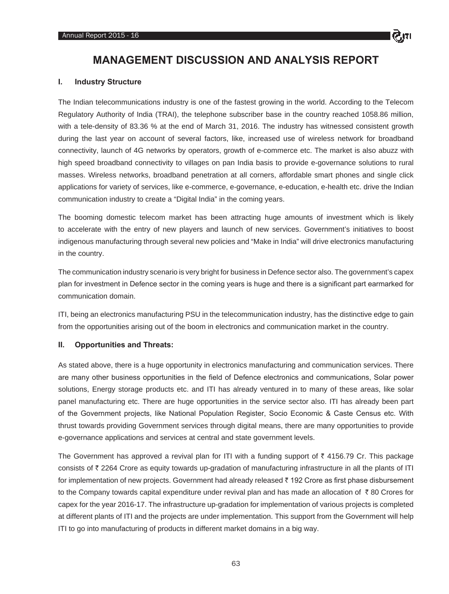

#### **I. Industry Structure**

The Indian telecommunications industry is one of the fastest growing in the world. According to the Telecom Regulatory Authority of India (TRAI), the telephone subscriber base in the country reached 1058.86 million, with a tele-density of 83.36 % at the end of March 31, 2016. The industry has witnessed consistent growth during the last year on account of several factors, like, increased use of wireless network for broadband connectivity, launch of 4G networks by operators, growth of e-commerce etc. The market is also abuzz with high speed broadband connectivity to villages on pan India basis to provide e-governance solutions to rural masses. Wireless networks, broadband penetration at all corners, affordable smart phones and single click applications for variety of services, like e-commerce, e-governance, e-education, e-health etc. drive the Indian communication industry to create a "Digital India" in the coming years.

The booming domestic telecom market has been attracting huge amounts of investment which is likely to accelerate with the entry of new players and launch of new services. Government's initiatives to boost indigenous manufacturing through several new policies and "Make in India" will drive electronics manufacturing in the country.

The communication industry scenario is very bright for business in Defence sector also. The government's capex plan for investment in Defence sector in the coming years is huge and there is a significant part earmarked for communication domain.

ITI, being an electronics manufacturing PSU in the telecommunication industry, has the distinctive edge to gain from the opportunities arising out of the boom in electronics and communication market in the country.

#### **II. Opportunities and Threats:**

As stated above, there is a huge opportunity in electronics manufacturing and communication services. There are many other business opportunities in the field of Defence electronics and communications, Solar power solutions, Energy storage products etc. and ITI has already ventured in to many of these areas, like solar panel manufacturing etc. There are huge opportunities in the service sector also. ITI has already been part of the Government projects, like National Population Register, Socio Economic & Caste Census etc. With thrust towards providing Government services through digital means, there are many opportunities to provide e-governance applications and services at central and state government levels.

The Government has approved a revival plan for ITI with a funding support of  $\bar{\tau}$  4156.79 Cr. This package consists of  $\bar{\tau}$  2264 Crore as equity towards up-gradation of manufacturing infrastructure in all the plants of ITI for implementation of new projects. Government had already released ₹ 192 Crore as first phase disbursement to the Company towards capital expenditure under revival plan and has made an allocation of  $\bar{\tau}$  80 Crores for capex for the year 2016-17. The infrastructure up-gradation for implementation of various projects is completed at different plants of ITI and the projects are under implementation. This support from the Government will help ITI to go into manufacturing of products in different market domains in a big way.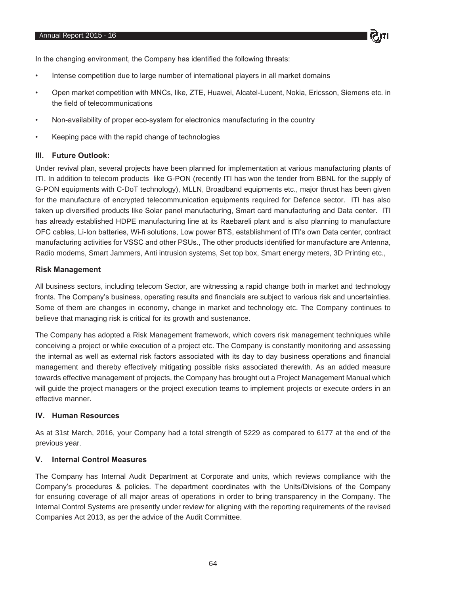In the changing environment, the Company has identified the following threats:

- Intense competition due to large number of international players in all market domains
- Open market competition with MNCs, like, ZTE, Huawei, Alcatel-Lucent, Nokia, Ericsson, Siemens etc. in the field of telecommunications
- Non-availability of proper eco-system for electronics manufacturing in the country
- Keeping pace with the rapid change of technologies

#### **III. Future Outlook:**

Under revival plan, several projects have been planned for implementation at various manufacturing plants of ITI. In addition to telecom products like G-PON (recently ITI has won the tender from BBNL for the supply of G-PON equipments with C-DoT technology), MLLN, Broadband equipments etc., major thrust has been given for the manufacture of encrypted telecommunication equipments required for Defence sector. ITI has also taken up diversified products like Solar panel manufacturing, Smart card manufacturing and Data center. ITI has already established HDPE manufacturing line at its Raebareli plant and is also planning to manufacture OFC cables, Li-Ion batteries, Wi-fi solutions, Low power BTS, establishment of ITI's own Data center, contract manufacturing activities for VSSC and other PSUs., The other products identified for manufacture are Antenna, Radio modems, Smart Jammers, Anti intrusion systems, Set top box, Smart energy meters, 3D Printing etc.,

#### **Risk Management**

All business sectors, including telecom Sector, are witnessing a rapid change both in market and technology fronts. The Company's business, operating results and financials are subject to various risk and uncertainties. Some of them are changes in economy, change in market and technology etc. The Company continues to believe that managing risk is critical for its growth and sustenance.

The Company has adopted a Risk Management framework, which covers risk management techniques while conceiving a project or while execution of a project etc. The Company is constantly monitoring and assessing the internal as well as external risk factors associated with its day to day business operations and financial management and thereby effectively mitigating possible risks associated therewith. As an added measure towards effective management of projects, the Company has brought out a Project Management Manual which will guide the project managers or the project execution teams to implement projects or execute orders in an effective manner.

#### **IV. Human Resources**

As at 31st March, 2016, your Company had a total strength of 5229 as compared to 6177 at the end of the previous year.

#### **V. Internal Control Measures**

The Company has Internal Audit Department at Corporate and units, which reviews compliance with the Company's procedures & policies. The department coordinates with the Units/Divisions of the Company for ensuring coverage of all major areas of operations in order to bring transparency in the Company. The Internal Control Systems are presently under review for aligning with the reporting requirements of the revised Companies Act 2013, as per the advice of the Audit Committee.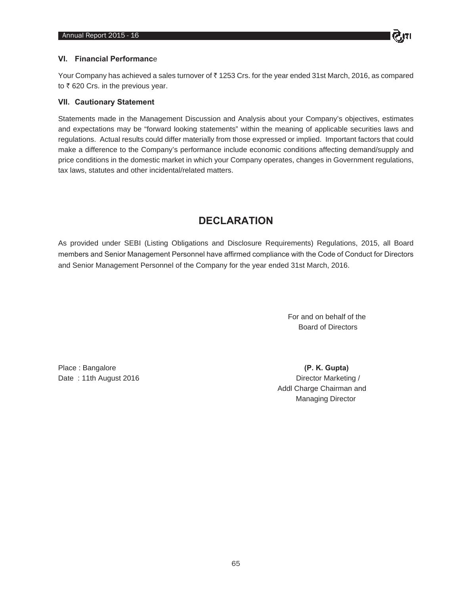

## **VI. Financial Performanc**e

Your Company has achieved a sales turnover of  $\bar{\tau}$  1253 Crs. for the year ended 31st March, 2016, as compared to  $\bar{\tau}$  620 Crs. in the previous year.

#### **VII. Cautionary Statement**

Statements made in the Management Discussion and Analysis about your Company's objectives, estimates and expectations may be "forward looking statements" within the meaning of applicable securities laws and regulations. Actual results could differ materially from those expressed or implied. Important factors that could make a difference to the Company's performance include economic conditions affecting demand/supply and price conditions in the domestic market in which your Company operates, changes in Government regulations, tax laws, statutes and other incidental/related matters.

# **DECLARATION**

As provided under SEBI (Listing Obligations and Disclosure Requirements) Regulations, 2015, all Board members and Senior Management Personnel have affirmed compliance with the Code of Conduct for Directors and Senior Management Personnel of the Company for the year ended 31st March, 2016.

> For and on behalf of the Board of Directors

Place : Bangalore **(P. K. Gupta)**

Date : 11th August 2016 **Director Marketing /** Director Marketing / Addl Charge Chairman and Managing Director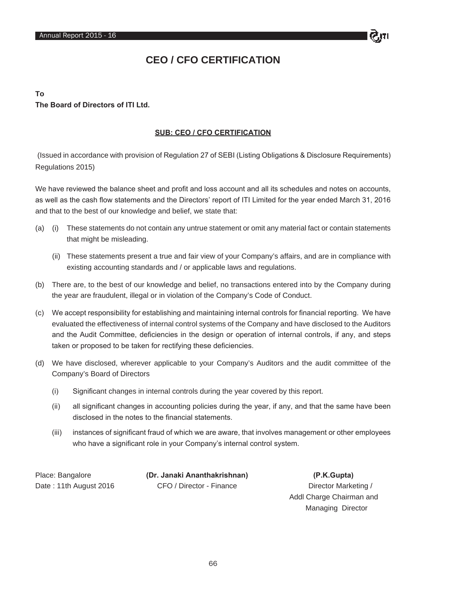# **CEO / CFO CERTIFICATION**

## **To The Board of Directors of ITI Ltd.**

#### **SUB: CEO / CFO CERTIFICATION**

(Issued in accordance with provision of Regulation 27 of SEBI (Listing Obligations & Disclosure Requirements) Regulations 2015)

We have reviewed the balance sheet and profit and loss account and all its schedules and notes on accounts, as well as the cash flow statements and the Directors' report of ITI Limited for the year ended March 31, 2016 and that to the best of our knowledge and belief, we state that:

- (a) (i) These statements do not contain any untrue statement or omit any material fact or contain statements that might be misleading.
	- (ii) These statements present a true and fair view of your Company's affairs, and are in compliance with existing accounting standards and / or applicable laws and regulations.
- (b) There are, to the best of our knowledge and belief, no transactions entered into by the Company during the year are fraudulent, illegal or in violation of the Company's Code of Conduct.
- (c) We accept responsibility for establishing and maintaining internal controls for financial reporting. We have evaluated the effectiveness of internal control systems of the Company and have disclosed to the Auditors and the Audit Committee, deficiencies in the design or operation of internal controls, if any, and steps taken or proposed to be taken for rectifying these deficiencies.
- (d) We have disclosed, wherever applicable to your Company's Auditors and the audit committee of the Company's Board of Directors
	- (i) Significant changes in internal controls during the year covered by this report.
	- (ii) all significant changes in accounting policies during the year, if any, and that the same have been disclosed in the notes to the financial statements.
	- (iii) instances of significant fraud of which we are aware, that involves management or other employees who have a significant role in your Company's internal control system.

Place: Bangalore **(Dr. Janaki Ananthakrishnan) (P.K.Gupta)** Date: 11th August 2016 CFO / Director - Finance CFO Director Marketing /

 Addl Charge Chairman and Managing Director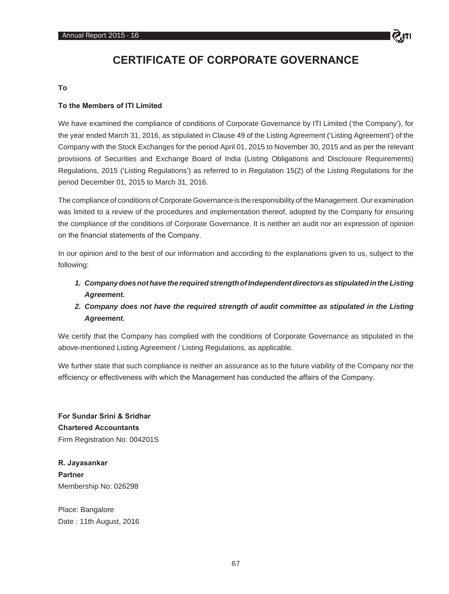

# **CERTIFICATE OF CORPORATE GOVERNANCE**

#### **To**

#### **To the Members of ITI Limited**

We have examined the compliance of conditions of Corporate Governance by ITI Limited ('the Company'), for the year ended March 31, 2016, as stipulated in Clause 49 of the Listing Agreement ('Listing Agreement') of the Company with the Stock Exchanges for the period April 01, 2015 to November 30, 2015 and as per the relevant provisions of Securities and Exchange Board of India (Listing Obligations and Disclosure Requirements) Regulations, 2015 ('Listing Regulations') as referred to in Regulation 15(2) of the Listing Regulations for the period December 01, 2015 to March 31, 2016.

The compliance of conditions of Corporate Governance is the responsibility of the Management. Our examination was limited to a review of the procedures and implementation thereof, adopted by the Company for ensuring the compliance of the conditions of Corporate Governance. It is neither an audit nor an expression of opinion on the financial statements of the Company.

In our opinion and to the best of our information and according to the explanations given to us, subject to the following:

*1. Company does not have the required strength of Independent directors as stipulated in the Listing Agreement.*

## *2. Company does not have the required strength of audit committee as stipulated in the Listing Agreement.*

We certify that the Company has complied with the conditions of Corporate Governance as stipulated in the above-mentioned Listing Agreement / Listing Regulations, as applicable.

We further state that such compliance is neither an assurance as to the future viability of the Company nor the efficiency or effectiveness with which the Management has conducted the affairs of the Company.

**For Sundar Srini & Sridhar Chartered Accountants** Firm Registration No: 004201S

**R. Jayasankar Partner** Membership No: 026298

Place: Bangalore Date : 11th August, 2016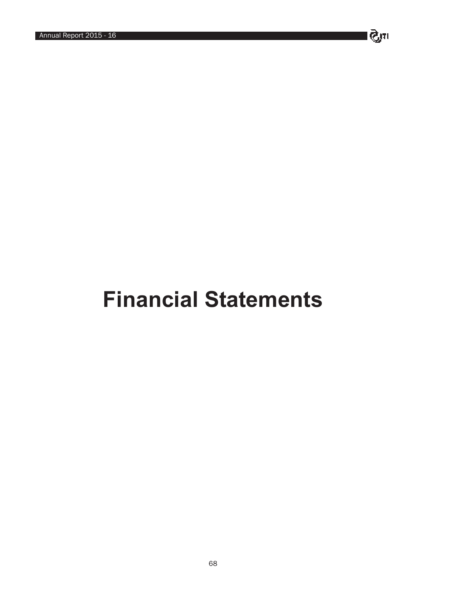# **Financial Statements**

∣हुम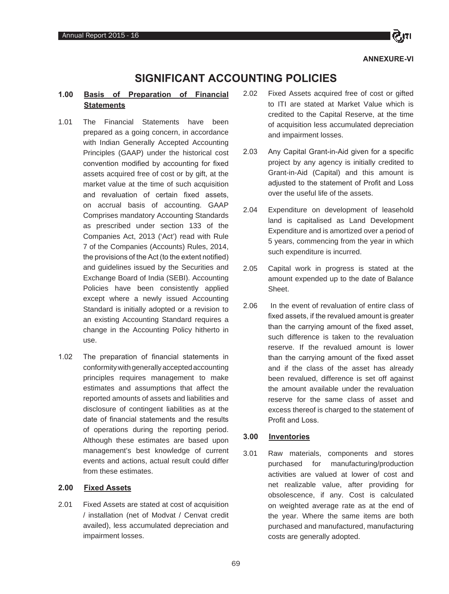

**ANNEXURE-VI** 

## **SIGNIFICANT ACCOUNTING POLICIES**

## **1.00 Basis of Preparation of Financial Statements**

- 1.01 The Financial Statements have been prepared as a going concern, in accordance with Indian Generally Accepted Accounting Principles (GAAP) under the historical cost convention modified by accounting for fixed assets acquired free of cost or by gift, at the market value at the time of such acquisition and revaluation of certain fixed assets, on accrual basis of accounting. GAAP Comprises mandatory Accounting Standards as prescribed under section 133 of the Companies Act, 2013 ('Act') read with Rule 7 of the Companies (Accounts) Rules, 2014, the provisions of the Act (to the extent notified) and guidelines issued by the Securities and Exchange Board of India (SEBI). Accounting Policies have been consistently applied except where a newly issued Accounting Standard is initially adopted or a revision to an existing Accounting Standard requires a change in the Accounting Policy hitherto in use.
- 1.02 The preparation of financial statements in conformity with generally accepted accounting principles requires management to make estimates and assumptions that affect the reported amounts of assets and liabilities and disclosure of contingent liabilities as at the date of financial statements and the results of operations during the reporting period. Although these estimates are based upon management's best knowledge of current events and actions, actual result could differ from these estimates.

## **2.00 Fixed Assets**

2.01 Fixed Assets are stated at cost of acquisition / installation (net of Modvat / Cenvat credit availed), less accumulated depreciation and impairment losses.

- 2.02 Fixed Assets acquired free of cost or gifted to ITI are stated at Market Value which is credited to the Capital Reserve, at the time of acquisition less accumulated depreciation and impairment losses.
- 2.03 Any Capital Grant-in-Aid given for a specific project by any agency is initially credited to Grant-in-Aid (Capital) and this amount is adjusted to the statement of Profit and Loss over the useful life of the assets.
- 2.04 Expenditure on development of leasehold land is capitalised as Land Development Expenditure and is amortized over a period of 5 years, commencing from the year in which such expenditure is incurred.
- 2.05 Capital work in progress is stated at the amount expended up to the date of Balance **Sheet**
- 2.06 In the event of revaluation of entire class of fixed assets, if the revalued amount is greater than the carrying amount of the fixed asset, such difference is taken to the revaluation reserve. If the revalued amount is lower than the carrying amount of the fixed asset and if the class of the asset has already been revalued, difference is set off against the amount available under the revaluation reserve for the same class of asset and excess thereof is charged to the statement of Profit and Loss.

#### **3.00 Inventories**

3.01 Raw materials, components and stores purchased for manufacturing/production activities are valued at lower of cost and net realizable value, after providing for obsolescence, if any. Cost is calculated on weighted average rate as at the end of the year. Where the same items are both purchased and manufactured, manufacturing costs are generally adopted.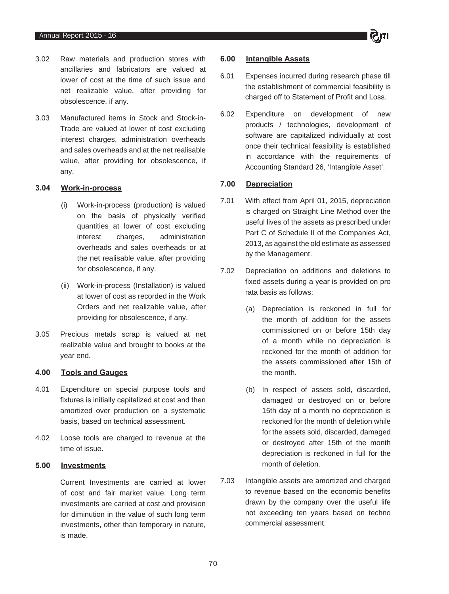- 3.02 Raw materials and production stores with ancillaries and fabricators are valued at lower of cost at the time of such issue and net realizable value, after providing for obsolescence, if any.
- 3.03 Manufactured items in Stock and Stock-in-Trade are valued at lower of cost excluding interest charges, administration overheads and sales overheads and at the net realisable value, after providing for obsolescence, if any.

#### **3.04 Work-in-process**

- (i) Work-in-process (production) is valued on the basis of physically verified quantities at lower of cost excluding interest charges, administration overheads and sales overheads or at the net realisable value, after providing for obsolescence, if any.
- (ii) Work-in-process (Installation) is valued at lower of cost as recorded in the Work Orders and net realizable value, after providing for obsolescence, if any.
- 3.05 Precious metals scrap is valued at net realizable value and brought to books at the year end.

#### **4.00 Tools and Gauges**

- 4.01 Expenditure on special purpose tools and fixtures is initially capitalized at cost and then amortized over production on a systematic basis, based on technical assessment.
- 4.02 Loose tools are charged to revenue at the time of issue.

#### **5.00 Investments**

Current Investments are carried at lower of cost and fair market value. Long term investments are carried at cost and provision for diminution in the value of such long term investments, other than temporary in nature, is made.

#### **6.00 Intangible Assets**

- 6.01 Expenses incurred during research phase till the establishment of commercial feasibility is charged off to Statement of Profit and Loss.
- 6.02 Expenditure on development of new products / technologies, development of software are capitalized individually at cost once their technical feasibility is established in accordance with the requirements of Accounting Standard 26, 'Intangible Asset'.

#### **7.00 Depreciation**

- 7.01 With effect from April 01, 2015, depreciation is charged on Straight Line Method over the useful lives of the assets as prescribed under Part C of Schedule II of the Companies Act, 2013, as against the old estimate as assessed by the Management.
- 7.02 Depreciation on additions and deletions to fixed assets during a year is provided on pro rata basis as follows:
	- (a) Depreciation is reckoned in full for the month of addition for the assets commissioned on or before 15th day of a month while no depreciation is reckoned for the month of addition for the assets commissioned after 15th of the month.
	- (b) In respect of assets sold, discarded, damaged or destroyed on or before 15th day of a month no depreciation is reckoned for the month of deletion while for the assets sold, discarded, damaged or destroyed after 15th of the month depreciation is reckoned in full for the month of deletion.
- 7.03 Intangible assets are amortized and charged to revenue based on the economic benefits drawn by the company over the useful life not exceeding ten years based on techno commercial assessment.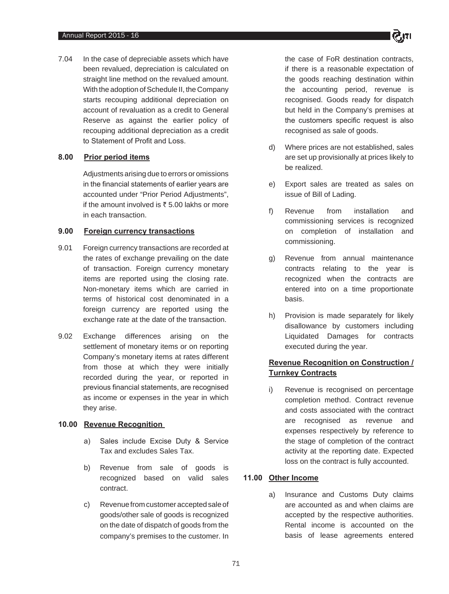7.04 In the case of depreciable assets which have been revalued, depreciation is calculated on straight line method on the revalued amount. With the adoption of Schedule II, the Company starts recouping additional depreciation on account of revaluation as a credit to General Reserve as against the earlier policy of recouping additional depreciation as a credit to Statement of Profit and Loss.

#### **8.00 Prior period items**

Adjustments arising due to errors or omissions in the financial statements of earlier years are accounted under "Prior Period Adjustments", if the amount involved is  $\bar{\tau}$  5.00 lakhs or more in each transaction.

#### **9.00 Foreign currency transactions**

- 9.01 Foreign currency transactions are recorded at the rates of exchange prevailing on the date of transaction. Foreign currency monetary items are reported using the closing rate. Non-monetary items which are carried in terms of historical cost denominated in a foreign currency are reported using the exchange rate at the date of the transaction.
- 9.02 Exchange differences arising on the settlement of monetary items or on reporting Company's monetary items at rates different from those at which they were initially recorded during the year, or reported in previous financial statements, are recognised as income or expenses in the year in which they arise.

#### **10.00 Revenue Recognition**

- a) Sales include Excise Duty & Service Tax and excludes Sales Tax.
- b) Revenue from sale of goods is recognized based on valid sales contract.
- c) Revenue from customer accepted sale of goods/other sale of goods is recognized on the date of dispatch of goods from the company's premises to the customer. In

the case of FoR destination contracts, if there is a reasonable expectation of the goods reaching destination within the accounting period, revenue is recognised. Goods ready for dispatch but held in the Company's premises at the customers specific request is also recognised as sale of goods.

- d) Where prices are not established, sales are set up provisionally at prices likely to be realized.
- e) Export sales are treated as sales on issue of Bill of Lading.
- f) Revenue from installation and commissioning services is recognized on completion of installation and commissioning.
- g) Revenue from annual maintenance contracts relating to the year is recognized when the contracts are entered into on a time proportionate basis.
- h) Provision is made separately for likely disallowance by customers including Liquidated Damages for contracts executed during the year.

## **Revenue Recognition on Construction / Turnkey Contracts**

i) Revenue is recognised on percentage completion method. Contract revenue and costs associated with the contract are recognised as revenue and expenses respectively by reference to the stage of completion of the contract activity at the reporting date. Expected loss on the contract is fully accounted.

#### **11.00 Other Income**

a) Insurance and Customs Duty claims are accounted as and when claims are accepted by the respective authorities. Rental income is accounted on the basis of lease agreements entered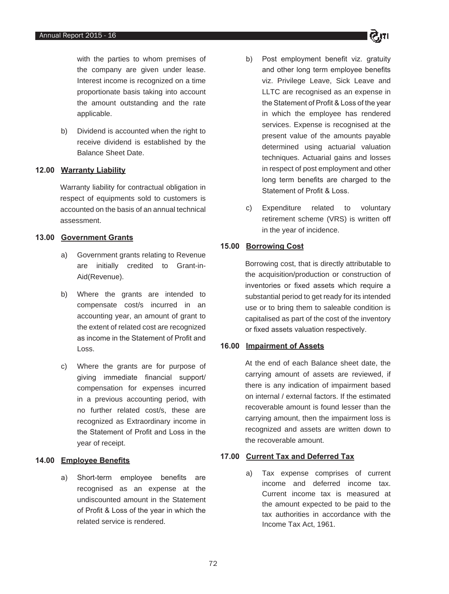with the parties to whom premises of the company are given under lease. Interest income is recognized on a time proportionate basis taking into account the amount outstanding and the rate applicable.

b) Dividend is accounted when the right to receive dividend is established by the Balance Sheet Date.

### **12.00 Warranty Liability**

Warranty liability for contractual obligation in respect of equipments sold to customers is accounted on the basis of an annual technical assessment.

### **13.00 Government Grants**

- a) Government grants relating to Revenue are initially credited to Grant-in-Aid(Revenue).
- b) Where the grants are intended to compensate cost/s incurred in an accounting year, an amount of grant to the extent of related cost are recognized as income in the Statement of Profit and Loss.
- c) Where the grants are for purpose of giving immediate financial support/ compensation for expenses incurred in a previous accounting period, with no further related cost/s, these are recognized as Extraordinary income in the Statement of Profit and Loss in the year of receipt.

### **14.00 Employee Benefits**

a) Short-term employee benefits are recognised as an expense at the undiscounted amount in the Statement of Profit & Loss of the year in which the related service is rendered.

- b) Post employment benefit viz. gratuity and other long term employee benefits viz. Privilege Leave, Sick Leave and LLTC are recognised as an expense in the Statement of Profit & Loss of the year in which the employee has rendered services. Expense is recognised at the present value of the amounts payable determined using actuarial valuation techniques. Actuarial gains and losses in respect of post employment and other long term benefits are charged to the Statement of Profit & Loss.
- c) Expenditure related to voluntary retirement scheme (VRS) is written off in the year of incidence.

### **15.00 Borrowing Cost**

Borrowing cost, that is directly attributable to the acquisition/production or construction of inventories or fixed assets which require a substantial period to get ready for its intended use or to bring them to saleable condition is capitalised as part of the cost of the inventory or fixed assets valuation respectively.

### **16.00 Impairment of Assets**

At the end of each Balance sheet date, the carrying amount of assets are reviewed, if there is any indication of impairment based on internal / external factors. If the estimated recoverable amount is found lesser than the carrying amount, then the impairment loss is recognized and assets are written down to the recoverable amount.

### **17.00 Current Tax and Deferred Tax**

a) Tax expense comprises of current income and deferred income tax. Current income tax is measured at the amount expected to be paid to the tax authorities in accordance with the Income Tax Act, 1961.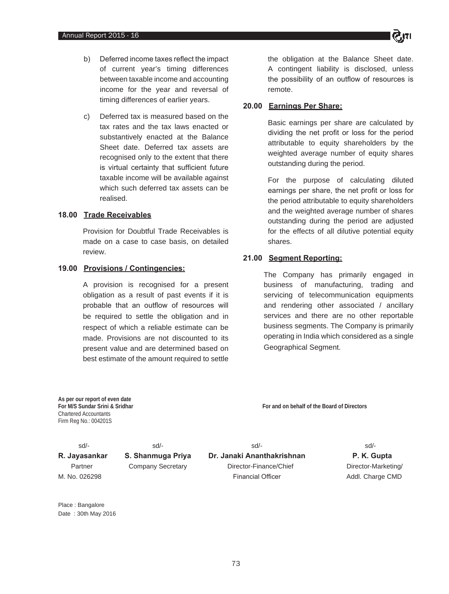- b) Deferred income taxes reflect the impact of current year's timing differences between taxable income and accounting income for the year and reversal of timing differences of earlier years.
- c) Deferred tax is measured based on the tax rates and the tax laws enacted or substantively enacted at the Balance Sheet date. Deferred tax assets are recognised only to the extent that there is virtual certainty that sufficient future taxable income will be available against which such deferred tax assets can be realised.

### **18.00 Trade Receivables**

Provision for Doubtful Trade Receivables is made on a case to case basis, on detailed review.

### **19.00 Provisions / Contingencies:**

A provision is recognised for a present obligation as a result of past events if it is probable that an outflow of resources will be required to settle the obligation and in respect of which a reliable estimate can be made. Provisions are not discounted to its present value and are determined based on best estimate of the amount required to settle

the obligation at the Balance Sheet date. A contingent liability is disclosed, unless the possibility of an outflow of resources is remote.

## **20.00 Earnings Per Share:**

Basic earnings per share are calculated by dividing the net profit or loss for the period attributable to equity shareholders by the weighted average number of equity shares outstanding during the period.

For the purpose of calculating diluted earnings per share, the net profit or loss for the period attributable to equity shareholders and the weighted average number of shares outstanding during the period are adjusted for the effects of all dilutive potential equity shares.

## **21.00 Segment Reporting:**

The Company has primarily engaged in business of manufacturing, trading and servicing of telecommunication equipments and rendering other associated / ancillary services and there are no other reportable business segments. The Company is primarily operating in India which considered as a single Geographical Segment.

**As per our report of even date**  Chartered Accountants Firm Reg No.: 004201S

**For M/S Sundar Srini & Sridhar For and on behalf of the Board of Directors**

 sd/- sd/- sd/- sd/- **R. Jayasankar S. Shanmuga Priya Dr. Janaki Ananthakrishnan P. K. Gupta** Partner Company Secretary Director-Finance/Chief Director-Marketing/ M. No. 026298 **Financial Officer** Addl. Charge CMD **Financial Officer** Addl. Charge CMD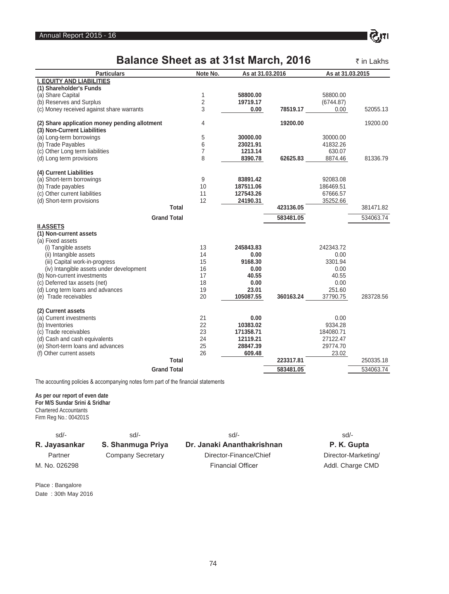

# **Balance Sheet as at 31st March, 2016**  $\vec{\tau}$  in Lakhs

| Particulars                                   | Note No.       | As at 31.03.2016 |           | As at 31.03.2015 |           |
|-----------------------------------------------|----------------|------------------|-----------|------------------|-----------|
| I. EQUITY AND LIABILITIES                     |                |                  |           |                  |           |
| (1) Shareholder's Funds                       |                |                  |           |                  |           |
| (a) Share Capital                             | 1              | 58800.00         |           | 58800.00         |           |
| (b) Reserves and Surplus                      | $\overline{2}$ | 19719.17         |           | (6744.87)        |           |
| (c) Money received against share warrants     | 3              | 0.00             | 78519.17  | 0.00             | 52055.13  |
| (2) Share application money pending allotment | 4              |                  | 19200.00  |                  | 19200.00  |
| (3) Non-Current Liabilities                   |                |                  |           |                  |           |
| (a) Long-term borrowings                      | 5              | 30000.00         |           | 30000.00         |           |
| (b) Trade Payables                            | 6              | 23021.91         |           | 41832.26         |           |
| (c) Other Long term liabilities               | $\overline{7}$ | 1213.14          |           | 630.07           |           |
| (d) Long term provisions                      | 8              | 8390.78          | 62625.83  | 8874.46          | 81336.79  |
| (4) Current Liabilities                       |                |                  |           |                  |           |
| (a) Short-term borrowings                     | 9              | 83891.42         |           | 92083.08         |           |
| (b) Trade payables                            | 10             | 187511.06        |           | 186469.51        |           |
| (c) Other current liabilities                 | 11             | 127543.26        |           | 67666.57         |           |
| (d) Short-term provisions                     | 12             | 24190.31         |           | 35252.66         |           |
| Total                                         |                |                  | 423136.05 |                  | 381471.82 |
| <b>Grand Total</b>                            |                |                  | 583481.05 |                  | 534063.74 |
| <b>II.ASSETS</b>                              |                |                  |           |                  |           |
| (1) Non-current assets                        |                |                  |           |                  |           |
| (a) Fixed assets                              |                |                  |           |                  |           |
| (i) Tangible assets                           | 13             | 245843.83        |           | 242343.72        |           |
| (ii) Intangible assets                        | 14             | 0.00             |           | 0.00             |           |
| (iii) Capital work-in-progress                | 15             | 9168.30          |           | 3301.94          |           |
| (iv) Intangible assets under development      | 16             | 0.00             |           | 0.00             |           |
| (b) Non-current investments                   | 17             | 40.55            |           | 40.55            |           |
| (c) Deferred tax assets (net)                 | 18             | 0.00             |           | 0.00             |           |
| (d) Long term loans and advances              | 19             | 23.01            |           | 251.60           |           |
| (e) Trade receivables                         | 20             | 105087.55        | 360163.24 | 37790.75         | 283728.56 |
| (2) Current assets                            |                |                  |           |                  |           |
| (a) Current investments                       | 21             | 0.00             |           | 0.00             |           |
| (b) Inventories                               | 22             | 10383.02         |           | 9334.28          |           |
| (c) Trade receivables                         | 23             | 171358.71        |           | 184080.71        |           |
| (d) Cash and cash equivalents                 | 24             | 12119.21         |           | 27122.47         |           |
| (e) Short-term loans and advances             | 25             | 28847.39         |           | 29774.70         |           |
| (f) Other current assets                      | 26             | 609.48           |           | 23.02            |           |
| Total                                         |                |                  | 223317.81 |                  | 250335.18 |
| <b>Grand Total</b>                            |                |                  | 583481.05 |                  | 534063.74 |

The accounting policies & accompanying notes form part of the financial statements

### **As per our report of even date For M/S Sundar Srini & Sridhar**  Chartered Accountants

Firm Reg No.: 004201S

| $sd/-$        | $sd/-$            | $sd/$ -                    | $sd/-$              |
|---------------|-------------------|----------------------------|---------------------|
| R. Jayasankar | S. Shanmuga Priya | Dr. Janaki Ananthakrishnan | P. K. Gupta         |
| Partner       | Company Secretary | Director-Finance/Chief     | Director-Marketing/ |
| M. No. 026298 |                   | <b>Financial Officer</b>   | Addl. Charge CMD    |
|               |                   |                            |                     |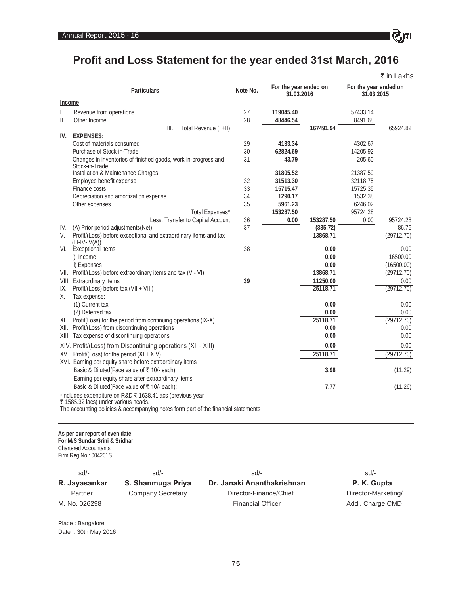# **Profit and Loss Statement for the year ended 31st March, 2016**

टेग़

|                |                                                                                                                            |          |                                     |           |                                     | ₹ in Lakhs |
|----------------|----------------------------------------------------------------------------------------------------------------------------|----------|-------------------------------------|-----------|-------------------------------------|------------|
|                | Particulars                                                                                                                | Note No. | For the year ended on<br>31.03.2016 |           | For the year ended on<br>31.03.2015 |            |
|                | Income                                                                                                                     |          |                                     |           |                                     |            |
| I.             | Revenue from operations                                                                                                    | 27       | 119045.40                           |           | 57433.14                            |            |
| $\mathbb{I}$ . | Other Income                                                                                                               | 28       | 48446.54                            |           | 8491.68                             |            |
|                | III.<br>Total Revenue (I +II)                                                                                              |          |                                     | 167491.94 |                                     | 65924.82   |
| IV.            | <b>EXPENSES:</b>                                                                                                           |          |                                     |           |                                     |            |
|                | Cost of materials consumed                                                                                                 | 29       | 4133.34                             |           | 4302.67                             |            |
|                | Purchase of Stock-in-Trade                                                                                                 | 30       | 62824.69                            |           | 14205.92                            |            |
|                | Changes in inventories of finished goods, work-in-progress and<br>Stock-in-Trade                                           | 31       | 43.79                               |           | 205.60                              |            |
|                | Installation & Maintenance Charges                                                                                         |          | 31805.52                            |           | 21387.59                            |            |
|                | Employee benefit expense                                                                                                   | 32       | 31513.30                            |           | 32118.75                            |            |
|                | Finance costs                                                                                                              | 33       | 15715.47                            |           | 15725.35                            |            |
|                | Depreciation and amortization expense                                                                                      | 34       | 1290.17                             |           | 1532.38                             |            |
|                | Other expenses                                                                                                             | 35       | 5961.23                             |           | 6246.02                             |            |
|                | Total Expenses*                                                                                                            |          | 153287.50                           |           | 95724.28                            |            |
|                | Less: Transfer to Capital Account                                                                                          | 36       | 0.00                                | 153287.50 | 0.00                                | 95724.28   |
| IV.            | (A) Prior period adjustments(Net)                                                                                          | 37       |                                     | (335.72)  |                                     | 86.76      |
| V.             | Profit/(Loss) before exceptional and extraordinary items and tax<br>$(III-IV-IV(A))$                                       |          |                                     | 13868.71  |                                     | (29712.70) |
|                | VI. Exceptional Items                                                                                                      | 38       |                                     | 0.00      |                                     | 0.00       |
|                | i) Income                                                                                                                  |          |                                     | 0.00      |                                     | 16500.00   |
|                | ii) Expenses                                                                                                               |          |                                     | 0.00      |                                     | (16500.00) |
|                | VII. Profit/(Loss) before extraordinary items and tax (V - VI)                                                             |          |                                     | 13868.71  |                                     | (29712.70) |
|                | VIII. Extraordinary Items                                                                                                  | 39       |                                     | 11250.00  |                                     | 0.00       |
| IX.            | Profit/(Loss) before tax (VII + VIII)                                                                                      |          |                                     | 25118.71  |                                     | (29712.70) |
| Х.             | Tax expense:                                                                                                               |          |                                     |           |                                     |            |
|                | (1) Current tax                                                                                                            |          |                                     | 0.00      |                                     | 0.00       |
|                | (2) Deferred tax                                                                                                           |          |                                     | 0.00      |                                     | 0.00       |
|                | XI. Profit(Loss) for the period from continuing operations (IX-X)                                                          |          |                                     | 25118.71  |                                     | (29712.70) |
|                | XII. Profit/(Loss) from discontinuing operations                                                                           |          |                                     | 0.00      |                                     | 0.00       |
|                | XIII. Tax expense of discontinuing operations                                                                              |          |                                     | 0.00      |                                     | 0.00       |
|                | XIV. Profit/(Loss) from Discontinuing operations (XII - XIII)                                                              |          |                                     | 0.00      |                                     | 0.00       |
|                | XV. Profit/(Loss) for the period $(XI + XIV)$                                                                              |          |                                     | 25118.71  |                                     | (29712.70) |
|                | XVI. Earning per equity share before extraordinary items                                                                   |          |                                     |           |                                     |            |
|                | Basic & Diluted(Face value of ₹10/- each)                                                                                  |          |                                     | 3.98      |                                     | (11.29)    |
|                | Earning per equity share after extraordinary items                                                                         |          |                                     |           |                                     |            |
|                | Basic & Diluted(Face value of ₹ 10/- each):                                                                                |          |                                     | 7.77      |                                     | (11.26)    |
|                | *Includes expenditure on R&D ₹ 1638.41lacs (previous year                                                                  |          |                                     |           |                                     |            |
|                | ₹ 1585.32 lacs) under various heads.<br>The accounting policies & accompanying notes form part of the financial statements |          |                                     |           |                                     |            |

**As per our report of even date For M/S Sundar Srini & Sridhar**  Chartered Accountants Firm Reg No.: 004201S

| $sd/-$        | $-$ \ba           | $sd/-$                     | $sd/-$              |
|---------------|-------------------|----------------------------|---------------------|
| R. Jayasankar | S. Shanmuga Priya | Dr. Janaki Ananthakrishnan | P. K. Gupta         |
| Partner       | Company Secretary | Director-Finance/Chief     | Director-Marketing/ |
| M. No. 026298 |                   | <b>Financial Officer</b>   | Addl. Charge CMD    |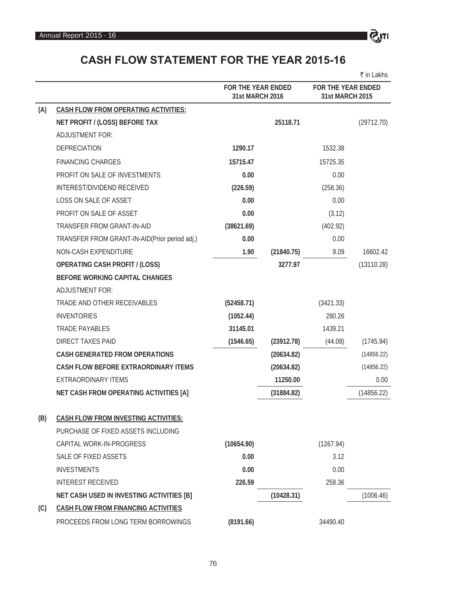76

Annual Report 2015 - 16

# **CASH FLOW STATEMENT FOR THE YEAR 2015-16**

|     |                                               |                                       |            |                                       | ₹ in Lakhs |
|-----|-----------------------------------------------|---------------------------------------|------------|---------------------------------------|------------|
|     |                                               | FOR THE YEAR ENDED<br>31st MARCH 2016 |            | FOR THE YEAR ENDED<br>31st MARCH 2015 |            |
| (A) | <b>CASH FLOW FROM OPERATING ACTIVITIES:</b>   |                                       |            |                                       |            |
|     | NET PROFIT / (LOSS) BEFORE TAX                |                                       | 25118.71   |                                       | (29712.70) |
|     | <b>ADJUSTMENT FOR:</b>                        |                                       |            |                                       |            |
|     | <b>DEPRECIATION</b>                           | 1290.17                               |            | 1532.38                               |            |
|     | <b>FINANCING CHARGES</b>                      | 15715.47                              |            | 15725.35                              |            |
|     | PROFIT ON SALE OF INVESTMENTS                 | 0.00                                  |            | 0.00                                  |            |
|     | INTEREST/DIVIDEND RECEIVED                    | (226.59)                              |            | (258.36)                              |            |
|     | LOSS ON SALE OF ASSET                         | 0.00                                  |            | 0.00                                  |            |
|     | PROFIT ON SALE OF ASSET                       | 0.00                                  |            | (3.12)                                |            |
|     | TRANSFER FROM GRANT-IN-AID                    | (38621.69)                            |            | (402.92)                              |            |
|     | TRANSFER FROM GRANT-IN-AID(Prior period adj.) | 0.00                                  |            | 0.00                                  |            |
|     | NON-CASH EXPENDITURE                          | 1.90                                  | (21840.75) | 9.09                                  | 16602.42   |
|     | <b>OPERATING CASH PROFIT / (LOSS)</b>         |                                       | 3277.97    |                                       | (13110.28) |
|     | BEFORE WORKING CAPITAL CHANGES                |                                       |            |                                       |            |
|     | <b>ADJUSTMENT FOR:</b>                        |                                       |            |                                       |            |
|     | TRADE AND OTHER RECEIVABLES                   | (52458.71)                            |            | (3421.33)                             |            |
|     | <b>INVENTORIES</b>                            | (1052.44)                             |            | 280.26                                |            |
|     | <b>TRADE PAYABLES</b>                         | 31145.01                              |            | 1439.21                               |            |
|     | <b>DIRECT TAXES PAID</b>                      | (1546.65)                             | (23912.78) | (44.08)                               | (1745.94)  |
|     | <b>CASH GENERATED FROM OPERATIONS</b>         |                                       | (20634.82) |                                       | (14856.22) |
|     | CASH FLOW BEFORE EXTRAORDINARY ITEMS          |                                       | (20634.82) |                                       | (14856.22) |
|     | EXTRAORDINARY ITEMS                           |                                       | 11250.00   |                                       | 0.00       |
|     | <b>NET CASH FROM OPERATING ACTIVITIES [A]</b> |                                       | (31884.82) |                                       | (14856.22) |
| (B) | <b>CASH FLOW FROM INVESTING ACTIVITIES:</b>   |                                       |            |                                       |            |
|     | PURCHASE OF FIXED ASSETS INCLUDING            |                                       |            |                                       |            |
|     | CAPITAL WORK-IN-PROGRESS                      | (10654.90)                            |            | (1267.94)                             |            |
|     | SALE OF FIXED ASSETS                          | 0.00                                  |            | 3.12                                  |            |
|     | <b>INVESTMENTS</b>                            | 0.00                                  |            | 0.00                                  |            |
|     | <b>INTEREST RECEIVED</b>                      | 226.59                                |            | 258.36                                |            |
|     | NET CASH USED IN INVESTING ACTIVITIES [B]     |                                       | (10428.31) |                                       | (1006.46)  |
| (C) | <b>CASH FLOW FROM FINANCING ACTIVITIES</b>    |                                       |            |                                       |            |
|     | PROCEEDS FROM LONG TERM BORROWINGS            | (8191.66)                             |            | 34490.40                              |            |

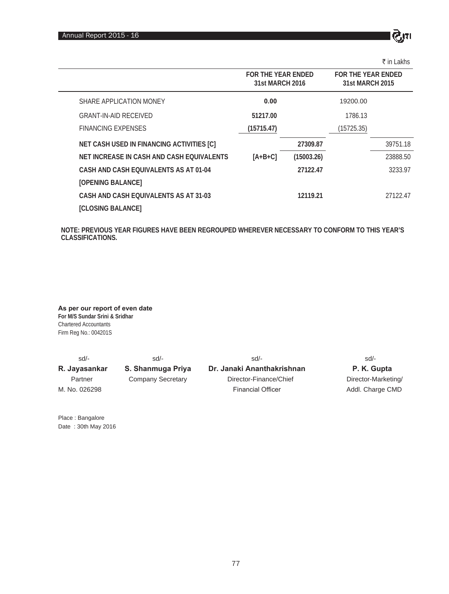|                                                  |                                              |            |                                       | $\bar{\tau}$ in Lakhs |
|--------------------------------------------------|----------------------------------------------|------------|---------------------------------------|-----------------------|
|                                                  | <b>FOR THE YEAR ENDED</b><br>31st MARCH 2016 |            | FOR THE YEAR ENDED<br>31st MARCH 2015 |                       |
| SHARE APPLICATION MONEY                          | 0.00                                         |            | 19200.00                              |                       |
| <b>GRANT-IN-AID RECEIVED</b>                     | 51217.00                                     |            | 1786.13                               |                       |
| <b>FINANCING EXPENSES</b>                        | (15715.47)                                   |            | (15725.35)                            |                       |
| <b>NET CASH USED IN FINANCING ACTIVITIES [C]</b> |                                              | 27309.87   |                                       | 39751.18              |
| NFT INCREASE IN CASH AND CASH FOUIVAL ENTS       | $[A+B+C]$                                    | (15003.26) |                                       | 23888.50              |
| CASH AND CASH FOUIVAL FNTS AS AT 01-04           |                                              | 27122.47   |                                       | 3233.97               |
| [OPENING BALANCE]                                |                                              |            |                                       |                       |
| CASH AND CASH FOUIVAL FNTS AS AT 31-03           |                                              | 12119.21   |                                       | 27122.47              |
| [CLOSING BALANCE]                                |                                              |            |                                       |                       |

**NOTE: PREVIOUS YEAR FIGURES HAVE BEEN REGROUPED WHEREVER NECESSARY TO CONFORM TO THIS YEAR'S CLASSIFICATIONS.**

**As per our report of even date For M/S Sundar Srini & Sridhar**  Chartered Accountants Firm Reg No.: 004201S

| $sd/-$        | $-$ \ba           | $sd/-$                     | $sd/-$              |
|---------------|-------------------|----------------------------|---------------------|
| R. Jayasankar | S. Shanmuga Priya | Dr. Janaki Ananthakrishnan | P. K. Gupta         |
| Partner       | Company Secretary | Director-Finance/Chief     | Director-Marketing/ |
| M. No. 026298 |                   | <b>Financial Officer</b>   | Addl. Charge CMD    |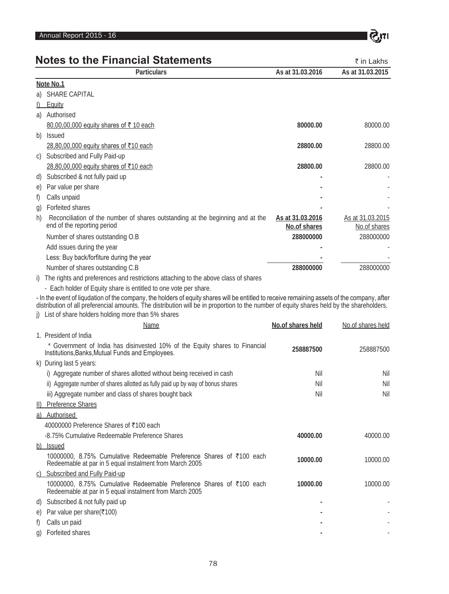# **Notes to the Financial Statements**  $\bar{\tau}$  in Lakhs

| <b>Particulars</b>                                                                                                                                                                                                                                                                        | As at 31.03.2016                 | As at 31.03.2015                 |
|-------------------------------------------------------------------------------------------------------------------------------------------------------------------------------------------------------------------------------------------------------------------------------------------|----------------------------------|----------------------------------|
| Note No.1                                                                                                                                                                                                                                                                                 |                                  |                                  |
| SHARE CAPITAL<br>a)                                                                                                                                                                                                                                                                       |                                  |                                  |
| Equity                                                                                                                                                                                                                                                                                    |                                  |                                  |
| Authorised<br>a)                                                                                                                                                                                                                                                                          |                                  |                                  |
| 80,00,00,000 equity shares of ₹10 each                                                                                                                                                                                                                                                    | 80000.00                         | 80000.00                         |
| <b>Issued</b><br>b)                                                                                                                                                                                                                                                                       |                                  |                                  |
| 28,80,00,000 equity shares of ₹10 each                                                                                                                                                                                                                                                    | 28800.00                         | 28800.00                         |
| Subscribed and Fully Paid-up<br>$\mathcal{C}$                                                                                                                                                                                                                                             |                                  |                                  |
| 28,80,00,000 equity shares of ₹10 each                                                                                                                                                                                                                                                    | 28800.00                         | 28800.00                         |
| Subscribed & not fully paid up<br>d)                                                                                                                                                                                                                                                      |                                  |                                  |
| Par value per share<br>$\epsilon$                                                                                                                                                                                                                                                         |                                  |                                  |
| Calls unpaid<br>f)                                                                                                                                                                                                                                                                        |                                  |                                  |
| Forfeited shares<br>q)                                                                                                                                                                                                                                                                    |                                  |                                  |
| Reconciliation of the number of shares outstanding at the beginning and at the<br>h)<br>end of the reporting period                                                                                                                                                                       | As at 31.03.2016<br>No.of shares | As at 31.03.2015<br>No.of shares |
| Number of shares outstanding O.B                                                                                                                                                                                                                                                          | 288000000                        | 288000000                        |
| Add issues during the year                                                                                                                                                                                                                                                                |                                  |                                  |
| Less: Buy back/forfiture during the year                                                                                                                                                                                                                                                  |                                  |                                  |
| Number of shares outstanding C.B                                                                                                                                                                                                                                                          | 288000000                        | 288000000                        |
| The rights and preferences and restrictions attaching to the above class of shares<br>i)                                                                                                                                                                                                  |                                  |                                  |
| - Each holder of Equity share is entitled to one vote per share.                                                                                                                                                                                                                          |                                  |                                  |
| - In the event of liqudation of the company, the holders of equity shares will be entitled to receive remaining assets of the company, after<br>distribution of all preferencial amounts. The distribution will be in proportion to the number of equity shares held by the shareholders. |                                  |                                  |
| j) List of share holders holding more than 5% shares                                                                                                                                                                                                                                      |                                  |                                  |
| Name                                                                                                                                                                                                                                                                                      | No.of shares held                | No.of shares held                |

**द्धाः** 

|    | 1. President of India                                                                                                           |           |           |
|----|---------------------------------------------------------------------------------------------------------------------------------|-----------|-----------|
|    | * Government of India has disinvested 10% of the Equity shares to Financial<br>Institutions, Banks, Mutual Funds and Employees. | 258887500 | 258887500 |
|    | k) During last 5 years:                                                                                                         |           |           |
|    | i) Aggregate number of shares allotted without being received in cash                                                           | Nil       | Nil       |
|    | ii) Aggregate number of shares allotted as fully paid up by way of bonus shares                                                 | Nil       | Nil       |
|    | iii) Aggregate number and class of shares bought back                                                                           | Nil       | Nil       |
|    | II) Preference Shares                                                                                                           |           |           |
| a) | Authorised                                                                                                                      |           |           |
|    | 40000000 Preference Shares of ₹100 each                                                                                         |           |           |
|    | -8.75% Cumulative Redeemable Preference Shares                                                                                  | 40000.00  | 40000.00  |
|    | b) Issued                                                                                                                       |           |           |
|    | 10000000, 8.75% Cumulative Redeemable Preference Shares of ₹100 each<br>Redeemable at par in 5 equal instalment from March 2005 | 10000.00  | 10000.00  |
|    | c) Subscribed and Fully Paid-up                                                                                                 |           |           |
|    | 10000000, 8.75% Cumulative Redeemable Preference Shares of ₹100 each<br>Redeemable at par in 5 equal instalment from March 2005 | 10000.00  | 10000.00  |
| d) | Subscribed & not fully paid up                                                                                                  |           |           |
| e) | Par value per share(₹100)                                                                                                       |           |           |
| f) | Calls un paid                                                                                                                   |           |           |
| q) | Forfeited shares                                                                                                                |           |           |
|    |                                                                                                                                 |           |           |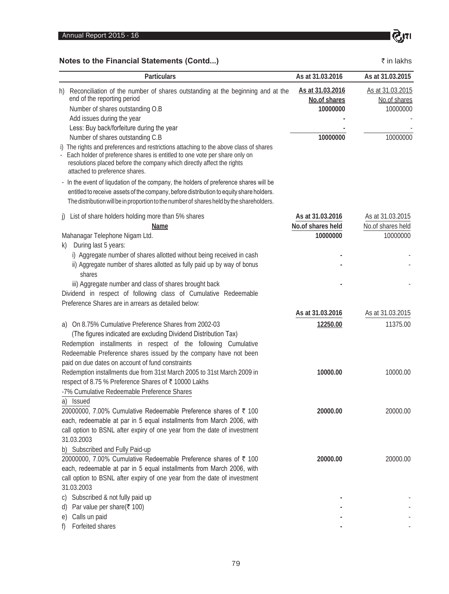

**द्धाः** 

|         | <b>Particulars</b>                                                                                                                                                                                                                                                              | As at 31.03.2016                 | As at 31.03.2015                 |
|---------|---------------------------------------------------------------------------------------------------------------------------------------------------------------------------------------------------------------------------------------------------------------------------------|----------------------------------|----------------------------------|
| h)      | Reconciliation of the number of shares outstanding at the beginning and at the<br>end of the reporting period                                                                                                                                                                   | As at 31.03.2016<br>No.of shares | As at 31.03.2015<br>No.of shares |
|         | Number of shares outstanding O.B                                                                                                                                                                                                                                                | 10000000                         | 10000000                         |
|         | Add issues during the year                                                                                                                                                                                                                                                      |                                  |                                  |
|         | Less: Buy back/forfeiture during the year                                                                                                                                                                                                                                       |                                  |                                  |
|         | Number of shares outstanding C.B                                                                                                                                                                                                                                                | 10000000                         | 10000000                         |
|         | i) The rights and preferences and restrictions attaching to the above class of shares<br>Each holder of preference shares is entitled to one vote per share only on<br>resolutions placed before the company which directly affect the rights<br>attached to preference shares. |                                  |                                  |
|         | - In the event of liqudation of the company, the holders of preference shares will be<br>entitled to receive assets of the company, before distribution to equity share holders.<br>The distribution will be in proportion to the number of shares held by the shareholders.    |                                  |                                  |
| $\vert$ | List of share holders holding more than 5% shares                                                                                                                                                                                                                               | As at 31.03.2016                 | As at 31.03.2015                 |
|         | Name                                                                                                                                                                                                                                                                            | No.of shares held                | No.of shares held                |
|         | Mahanagar Telephone Nigam Ltd.                                                                                                                                                                                                                                                  | 10000000                         | 10000000                         |
| K)      | During last 5 years:                                                                                                                                                                                                                                                            |                                  |                                  |
|         | i) Aggregate number of shares allotted without being received in cash<br>ii) Aggregate number of shares allotted as fully paid up by way of bonus<br>shares                                                                                                                     |                                  |                                  |
|         | iii) Aggregate number and class of shares brought back                                                                                                                                                                                                                          |                                  |                                  |
|         | Dividend in respect of following class of Cumulative Redeemable<br>Preference Shares are in arrears as detailed below:                                                                                                                                                          |                                  |                                  |
|         |                                                                                                                                                                                                                                                                                 | As at 31.03.2016                 | As at 31.03.2015                 |
| a)      | On 8.75% Cumulative Preference Shares from 2002-03                                                                                                                                                                                                                              | 12250.00                         | 11375.00                         |
|         | (The figures indicated are excluding Dividend Distribution Tax)                                                                                                                                                                                                                 |                                  |                                  |
|         | Redemption installments in respect of the following Cumulative                                                                                                                                                                                                                  |                                  |                                  |
|         | Redeemable Preference shares issued by the company have not been                                                                                                                                                                                                                |                                  |                                  |
|         | paid on due dates on account of fund constraints                                                                                                                                                                                                                                |                                  |                                  |
|         | Redemption installments due from 31st March 2005 to 31st March 2009 in                                                                                                                                                                                                          | 10000.00                         | 10000.00                         |
|         | respect of 8.75 % Preference Shares of ₹ 10000 Lakhs                                                                                                                                                                                                                            |                                  |                                  |
|         | -7% Cumulative Redeemable Preference Shares                                                                                                                                                                                                                                     |                                  |                                  |
|         | a) Issued                                                                                                                                                                                                                                                                       |                                  |                                  |
|         | 20000000, 7.00% Cumulative Redeemable Preference shares of ₹ 100                                                                                                                                                                                                                | 20000.00                         | 20000.00                         |
|         | each, redeemable at par in 5 equal installments from March 2006, with                                                                                                                                                                                                           |                                  |                                  |
|         | call option to BSNL after expiry of one year from the date of investment                                                                                                                                                                                                        |                                  |                                  |
|         | 31.03.2003                                                                                                                                                                                                                                                                      |                                  |                                  |
|         | b) Subscribed and Fully Paid-up                                                                                                                                                                                                                                                 |                                  |                                  |
|         | 20000000, 7.00% Cumulative Redeemable Preference shares of ₹ 100<br>each, redeemable at par in 5 equal installments from March 2006, with                                                                                                                                       | 20000.00                         | 20000.00                         |
|         | call option to BSNL after expiry of one year from the date of investment                                                                                                                                                                                                        |                                  |                                  |
|         | 31.03.2003                                                                                                                                                                                                                                                                      |                                  |                                  |
|         | Subscribed & not fully paid up<br>C)                                                                                                                                                                                                                                            |                                  |                                  |
| d)      | Par value per share(₹ 100)                                                                                                                                                                                                                                                      |                                  |                                  |
| e)      | Calls un paid                                                                                                                                                                                                                                                                   |                                  |                                  |
|         | Forfeited shares                                                                                                                                                                                                                                                                |                                  |                                  |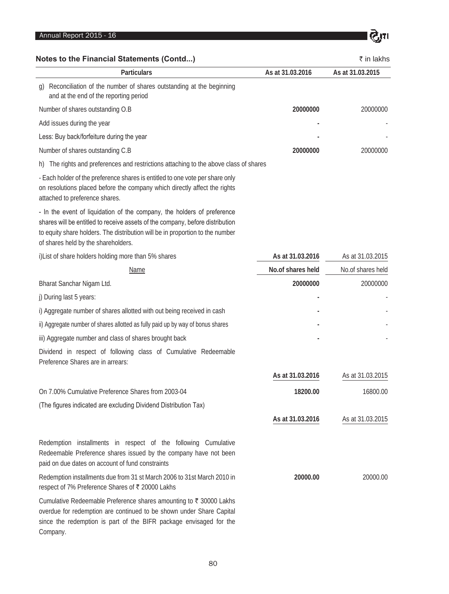**द्धाः**।

| <b>Notes to the Financial Statements (Contd)</b>                                                                                                                                                                                                                                 |                   | ₹ in lakhs        |
|----------------------------------------------------------------------------------------------------------------------------------------------------------------------------------------------------------------------------------------------------------------------------------|-------------------|-------------------|
| <b>Particulars</b>                                                                                                                                                                                                                                                               | As at 31.03.2016  | As at 31.03.2015  |
| g) Reconciliation of the number of shares outstanding at the beginning<br>and at the end of the reporting period                                                                                                                                                                 |                   |                   |
| Number of shares outstanding O.B                                                                                                                                                                                                                                                 | 20000000          | 20000000          |
| Add issues during the year                                                                                                                                                                                                                                                       |                   |                   |
| Less: Buy back/forfeiture during the year                                                                                                                                                                                                                                        |                   |                   |
| Number of shares outstanding C.B                                                                                                                                                                                                                                                 | 20000000          | 20000000          |
| h) The rights and preferences and restrictions attaching to the above class of shares                                                                                                                                                                                            |                   |                   |
| - Each holder of the preference shares is entitled to one vote per share only<br>on resolutions placed before the company which directly affect the rights<br>attached to preference shares.                                                                                     |                   |                   |
| - In the event of liquidation of the company, the holders of preference<br>shares will be entitled to receive assets of the company, before distribution<br>to equity share holders. The distribution will be in proportion to the number<br>of shares held by the shareholders. |                   |                   |
| i) List of share holders holding more than 5% shares                                                                                                                                                                                                                             | As at 31.03.2016  | As at 31.03.2015  |
| <u>Name</u>                                                                                                                                                                                                                                                                      | No.of shares held | No.of shares held |
| Bharat Sanchar Nigam Ltd.                                                                                                                                                                                                                                                        | 20000000          | 20000000          |
| j) During last 5 years:                                                                                                                                                                                                                                                          |                   |                   |
| i) Aggregate number of shares allotted with out being received in cash                                                                                                                                                                                                           |                   |                   |
| ii) Aggregate number of shares allotted as fully paid up by way of bonus shares                                                                                                                                                                                                  |                   |                   |
| iii) Aggregate number and class of shares brought back                                                                                                                                                                                                                           |                   |                   |
| Dividend in respect of following class of Cumulative Redeemable<br>Preference Shares are in arrears:                                                                                                                                                                             |                   |                   |
|                                                                                                                                                                                                                                                                                  | As at 31.03.2016  | As at 31.03.2015  |
| On 7.00% Cumulative Preference Shares from 2003-04                                                                                                                                                                                                                               | 18200.00          | 16800.00          |
| (The figures indicated are excluding Dividend Distribution Tax)                                                                                                                                                                                                                  |                   |                   |
|                                                                                                                                                                                                                                                                                  | As at 31.03.2016  | As at 31.03.2015  |
| Redemption installments in respect of the following Cumulative<br>Redeemable Preference shares issued by the company have not been<br>paid on due dates on account of fund constraints                                                                                           |                   |                   |
| Redemption installments due from 31 st March 2006 to 31st March 2010 in<br>respect of 7% Preference Shares of ₹ 20000 Lakhs                                                                                                                                                      | 20000.00          | 20000.00          |
| Cumulative Redeemable Preference shares amounting to ₹ 30000 Lakhs<br>overdue for redemption are continued to be shown under Share Capital<br>since the redemption is part of the BIFR package envisaged for the<br>Company.                                                     |                   |                   |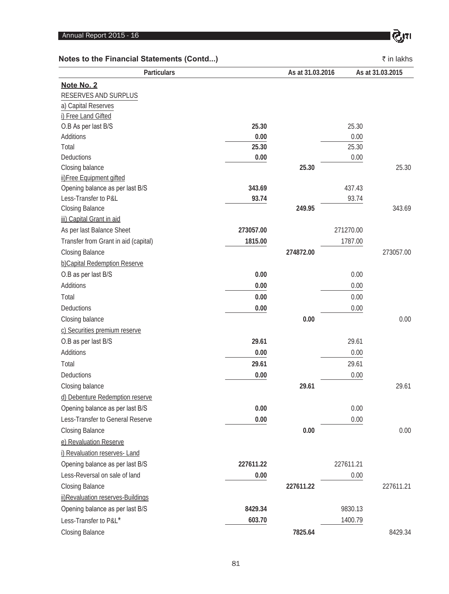| Notes to the Financial Statements (Contd) | ₹ in lakhs |
|-------------------------------------------|------------|
|-------------------------------------------|------------|

| Particulars                          | As at 31.03.2016<br>As at 31.03.2015 |           |           |           |
|--------------------------------------|--------------------------------------|-----------|-----------|-----------|
| Note No. 2                           |                                      |           |           |           |
| RESERVES AND SURPLUS                 |                                      |           |           |           |
| a) Capital Reserves                  |                                      |           |           |           |
| i) Free Land Gifted                  |                                      |           |           |           |
| O.B As per last B/S                  | 25.30                                |           | 25.30     |           |
| Additions                            | 0.00                                 |           | 0.00      |           |
| Total                                | 25.30                                |           | 25.30     |           |
| <b>Deductions</b>                    | 0.00                                 |           | 0.00      |           |
| Closing balance                      |                                      | 25.30     |           | 25.30     |
| ii)Free Equipment gifted             |                                      |           |           |           |
| Opening balance as per last B/S      | 343.69                               |           | 437.43    |           |
| Less-Transfer to P&L                 | 93.74                                |           | 93.74     |           |
| <b>Closing Balance</b>               |                                      | 249.95    |           | 343.69    |
| iii) Capital Grant in aid            |                                      |           |           |           |
| As per last Balance Sheet            | 273057.00                            |           | 271270.00 |           |
| Transfer from Grant in aid (capital) | 1815.00                              |           | 1787.00   |           |
| <b>Closing Balance</b>               |                                      | 274872.00 |           | 273057.00 |
| b)Capital Redemption Reserve         |                                      |           |           |           |
| O.B as per last B/S                  | 0.00                                 |           | 0.00      |           |
| Additions                            | 0.00                                 |           | 0.00      |           |
| Total                                | 0.00                                 |           | 0.00      |           |
| Deductions                           | 0.00                                 |           | 0.00      |           |
| Closing balance                      |                                      | 0.00      |           | 0.00      |
| c) Securities premium reserve        |                                      |           |           |           |
| O.B as per last B/S                  | 29.61                                |           | 29.61     |           |
| Additions                            | 0.00                                 |           | 0.00      |           |
| Total                                | 29.61                                |           | 29.61     |           |
| Deductions                           | 0.00                                 |           | 0.00      |           |
| Closing balance                      |                                      | 29.61     |           | 29.61     |
| d) Debenture Redemption reserve      |                                      |           |           |           |
| Opening balance as per last B/S      | 0.00                                 |           | 0.00      |           |
| Less-Transfer to General Reserve     | 0.00                                 |           | 0.00      |           |
| <b>Closing Balance</b>               |                                      | 0.00      |           | 0.00      |
| e) Revaluation Reserve               |                                      |           |           |           |
| i) Revaluation reserves- Land        |                                      |           |           |           |
| Opening balance as per last B/S      | 227611.22                            |           | 227611.21 |           |
| Less-Reversal on sale of land        | 0.00                                 |           | 0.00      |           |
| <b>Closing Balance</b>               |                                      | 227611.22 |           | 227611.21 |
|                                      |                                      |           |           |           |
| ii) Revaluation reserves-Buildings   |                                      |           |           |           |
| Opening balance as per last B/S      | 8429.34                              |           | 9830.13   |           |
| Less-Transfer to P&L*                | 603.70                               |           | 1400.79   |           |
| <b>Closing Balance</b>               |                                      | 7825.64   |           | 8429.34   |

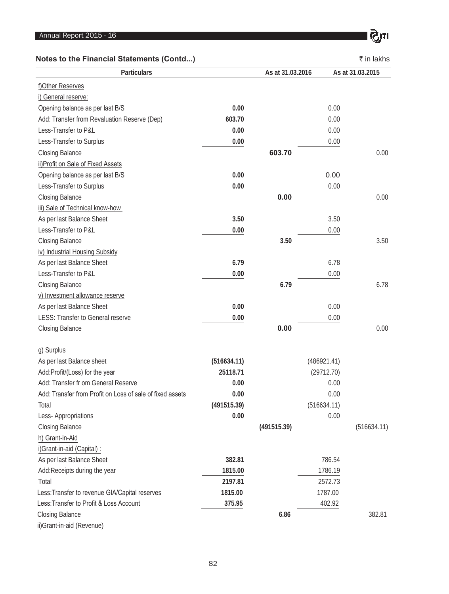| Particulars                                               | As at 31.03.2016 |             | As at 31.03.2015 |             |
|-----------------------------------------------------------|------------------|-------------|------------------|-------------|
| f)Other Reserves                                          |                  |             |                  |             |
| i) General reserve:                                       |                  |             |                  |             |
| Opening balance as per last B/S                           | 0.00             |             | 0.00             |             |
| Add: Transfer from Revaluation Reserve (Dep)              | 603.70           |             | 0.00             |             |
| Less-Transfer to P&L                                      | 0.00             |             | 0.00             |             |
| Less-Transfer to Surplus                                  | 0.00             |             | 0.00             |             |
| <b>Closing Balance</b>                                    |                  | 603.70      |                  | 0.00        |
| ii) Profit on Sale of Fixed Assets                        |                  |             |                  |             |
| Opening balance as per last B/S                           | 0.00             |             | 0.00             |             |
| Less-Transfer to Surplus                                  | 0.00             |             | 0.00             |             |
| <b>Closing Balance</b>                                    |                  | 0.00        |                  | 0.00        |
| iii) Sale of Technical know-how                           |                  |             |                  |             |
| As per last Balance Sheet                                 | 3.50             |             | 3.50             |             |
| Less-Transfer to P&L                                      | 0.00             |             | 0.00             |             |
| <b>Closing Balance</b>                                    |                  | 3.50        |                  | 3.50        |
| iv) Industrial Housing Subsidy                            |                  |             |                  |             |
| As per last Balance Sheet                                 | 6.79             |             | 6.78             |             |
| Less-Transfer to P&L                                      | 0.00             |             | 0.00             |             |
| <b>Closing Balance</b>                                    |                  | 6.79        |                  | 6.78        |
| v) Investment allowance reserve                           |                  |             |                  |             |
| As per last Balance Sheet                                 | 0.00             |             | 0.00             |             |
| LESS: Transfer to General reserve                         | 0.00             |             | 0.00             |             |
| <b>Closing Balance</b>                                    |                  | 0.00        |                  | 0.00        |
|                                                           |                  |             |                  |             |
| g) Surplus                                                |                  |             |                  |             |
| As per last Balance sheet                                 | (516634.11)      |             | (486921.41)      |             |
| Add:Profit/(Loss) for the year                            | 25118.71         |             | (29712.70)       |             |
| Add: Transfer fr om General Reserve                       | 0.00             |             | 0.00             |             |
| Add: Transfer from Profit on Loss of sale of fixed assets | 0.00             |             | 0.00             |             |
| Total                                                     | (491515.39)      |             | (516634.11)      |             |
| Less- Appropriations                                      | 0.00             |             | 0.00             |             |
| <b>Closing Balance</b>                                    |                  | (491515.39) |                  | (516634.11) |
| h) Grant-in-Aid                                           |                  |             |                  |             |
| i)Grant-in-aid (Capital) :                                |                  |             |                  |             |
| As per last Balance Sheet                                 | 382.81           |             | 786.54           |             |
| Add:Receipts during the year                              | 1815.00          |             | 1786.19          |             |
| Total                                                     | 2197.81          |             | 2572.73          |             |
| Less: Transfer to revenue GIA/Capital reserves            | 1815.00          |             | 1787.00          |             |
| Less: Transfer to Profit & Loss Account                   | 375.95           |             | 402.92           |             |
| <b>Closing Balance</b>                                    |                  | 6.86        |                  | 382.81      |
| ii) Grant-in-aid (Revenue)                                |                  |             |                  |             |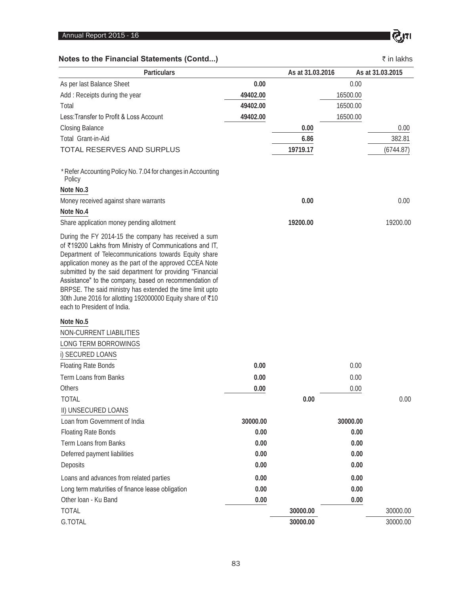

| Particulars                                                                                                                                                                                                                                                                                                                                                                                                                                                                                                          |          | As at 31.03.2016 |          | As at 31.03.2015 |
|----------------------------------------------------------------------------------------------------------------------------------------------------------------------------------------------------------------------------------------------------------------------------------------------------------------------------------------------------------------------------------------------------------------------------------------------------------------------------------------------------------------------|----------|------------------|----------|------------------|
| As per last Balance Sheet                                                                                                                                                                                                                                                                                                                                                                                                                                                                                            | 0.00     |                  | 0.00     |                  |
| Add: Receipts during the year                                                                                                                                                                                                                                                                                                                                                                                                                                                                                        | 49402.00 |                  | 16500.00 |                  |
| Total                                                                                                                                                                                                                                                                                                                                                                                                                                                                                                                | 49402.00 |                  | 16500.00 |                  |
| Less: Transfer to Profit & Loss Account                                                                                                                                                                                                                                                                                                                                                                                                                                                                              | 49402.00 |                  | 16500.00 |                  |
| <b>Closing Balance</b>                                                                                                                                                                                                                                                                                                                                                                                                                                                                                               |          | 0.00             |          | 0.00             |
| Total Grant-in-Aid                                                                                                                                                                                                                                                                                                                                                                                                                                                                                                   |          | 6.86             |          | 382.81           |
| TOTAL RESERVES AND SURPLUS                                                                                                                                                                                                                                                                                                                                                                                                                                                                                           |          | 19719.17         |          | (6744.87)        |
| * Refer Accounting Policy No. 7.04 for changes in Accounting<br>Policy                                                                                                                                                                                                                                                                                                                                                                                                                                               |          |                  |          |                  |
| Note No.3                                                                                                                                                                                                                                                                                                                                                                                                                                                                                                            |          |                  |          |                  |
| Money received against share warrants                                                                                                                                                                                                                                                                                                                                                                                                                                                                                |          | 0.00             |          | 0.00             |
| Note No.4                                                                                                                                                                                                                                                                                                                                                                                                                                                                                                            |          |                  |          |                  |
| Share application money pending allotment                                                                                                                                                                                                                                                                                                                                                                                                                                                                            |          | 19200.00         |          | 19200.00         |
| During the FY 2014-15 the company has received a sum<br>of ₹19200 Lakhs from Ministry of Communications and IT,<br>Department of Telecommunications towards Equity share<br>application money as the part of the approved CCEA Note<br>submitted by the said department for providing "Financial<br>Assistance" to the company, based on recommendation of<br>BRPSE. The said ministry has extended the time limit upto<br>30th June 2016 for allotting 192000000 Equity share of ₹10<br>each to President of India. |          |                  |          |                  |
| Note No.5                                                                                                                                                                                                                                                                                                                                                                                                                                                                                                            |          |                  |          |                  |
| NON-CURRENT LIABILITIES                                                                                                                                                                                                                                                                                                                                                                                                                                                                                              |          |                  |          |                  |
| LONG TERM BORROWINGS                                                                                                                                                                                                                                                                                                                                                                                                                                                                                                 |          |                  |          |                  |
| i) SECURED LOANS                                                                                                                                                                                                                                                                                                                                                                                                                                                                                                     |          |                  |          |                  |
| <b>Floating Rate Bonds</b>                                                                                                                                                                                                                                                                                                                                                                                                                                                                                           | 0.00     |                  | 0.00     |                  |
| Term Loans from Banks                                                                                                                                                                                                                                                                                                                                                                                                                                                                                                | 0.00     |                  | 0.00     |                  |
| Others                                                                                                                                                                                                                                                                                                                                                                                                                                                                                                               | 0.00     |                  | 0.00     |                  |
| <b>TOTAL</b>                                                                                                                                                                                                                                                                                                                                                                                                                                                                                                         |          | 0.00             |          | 0.00             |
| II) UNSECURED LOANS                                                                                                                                                                                                                                                                                                                                                                                                                                                                                                  |          |                  |          |                  |
| Loan from Government of India                                                                                                                                                                                                                                                                                                                                                                                                                                                                                        | 30000.00 |                  | 30000.00 |                  |
| <b>Floating Rate Bonds</b>                                                                                                                                                                                                                                                                                                                                                                                                                                                                                           | 0.00     |                  | 0.00     |                  |
| Term Loans from Banks                                                                                                                                                                                                                                                                                                                                                                                                                                                                                                | 0.00     |                  | 0.00     |                  |
| Deferred payment liabilities                                                                                                                                                                                                                                                                                                                                                                                                                                                                                         | 0.00     |                  | 0.00     |                  |
| Deposits                                                                                                                                                                                                                                                                                                                                                                                                                                                                                                             | 0.00     |                  | 0.00     |                  |
| Loans and advances from related parties                                                                                                                                                                                                                                                                                                                                                                                                                                                                              | 0.00     |                  | 0.00     |                  |
| Long term maturities of finance lease obligation                                                                                                                                                                                                                                                                                                                                                                                                                                                                     | 0.00     |                  | 0.00     |                  |
| Other Ioan - Ku Band                                                                                                                                                                                                                                                                                                                                                                                                                                                                                                 | 0.00     |                  | 0.00     |                  |
| <b>TOTAL</b>                                                                                                                                                                                                                                                                                                                                                                                                                                                                                                         |          | 30000.00         |          | 30000.00         |
| G.TOTAL                                                                                                                                                                                                                                                                                                                                                                                                                                                                                                              |          | 30000.00         |          | 30000.00         |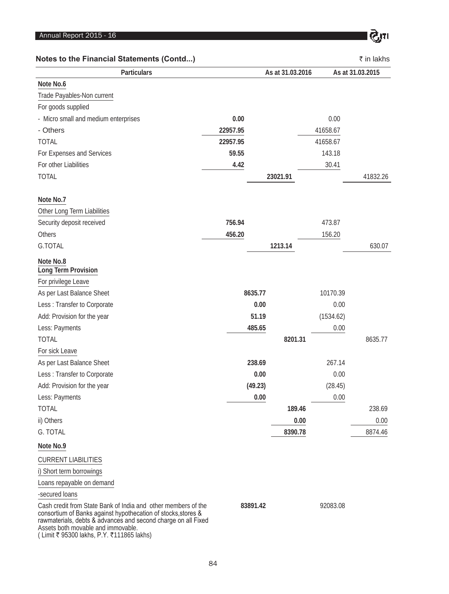द्धाः

| Notes to the Financial Statements (Contd)                                                                                                                                                                                             |          |                  |           | ₹ in lakhs       |
|---------------------------------------------------------------------------------------------------------------------------------------------------------------------------------------------------------------------------------------|----------|------------------|-----------|------------------|
| <b>Particulars</b>                                                                                                                                                                                                                    |          | As at 31.03.2016 |           | As at 31.03.2015 |
| Note No.6                                                                                                                                                                                                                             |          |                  |           |                  |
| Trade Payables-Non current                                                                                                                                                                                                            |          |                  |           |                  |
| For goods supplied                                                                                                                                                                                                                    |          |                  |           |                  |
| - Micro small and medium enterprises                                                                                                                                                                                                  | 0.00     |                  | 0.00      |                  |
| - Others                                                                                                                                                                                                                              | 22957.95 |                  | 41658.67  |                  |
| <b>TOTAL</b>                                                                                                                                                                                                                          | 22957.95 |                  | 41658.67  |                  |
| For Expenses and Services                                                                                                                                                                                                             | 59.55    |                  | 143.18    |                  |
| For other Liabilities                                                                                                                                                                                                                 | 4.42     |                  | 30.41     |                  |
| <b>TOTAL</b>                                                                                                                                                                                                                          |          | 23021.91         |           | 41832.26         |
| Note No.7                                                                                                                                                                                                                             |          |                  |           |                  |
| Other Long Term Liabilities                                                                                                                                                                                                           |          |                  |           |                  |
| Security deposit received                                                                                                                                                                                                             | 756.94   |                  | 473.87    |                  |
| Others                                                                                                                                                                                                                                | 456.20   |                  | 156.20    |                  |
| <b>G.TOTAL</b>                                                                                                                                                                                                                        |          | 1213.14          |           | 630.07           |
| Note No.8<br>Long Term Provision                                                                                                                                                                                                      |          |                  |           |                  |
| For privilege Leave                                                                                                                                                                                                                   |          |                  |           |                  |
| As per Last Balance Sheet                                                                                                                                                                                                             |          | 8635.77          | 10170.39  |                  |
| Less : Transfer to Corporate                                                                                                                                                                                                          |          | 0.00             | 0.00      |                  |
| Add: Provision for the year                                                                                                                                                                                                           |          | 51.19            | (1534.62) |                  |
| Less: Payments                                                                                                                                                                                                                        |          | 485.65           | 0.00      |                  |
| <b>TOTAL</b>                                                                                                                                                                                                                          |          | 8201.31          |           | 8635.77          |
| For sick Leave                                                                                                                                                                                                                        |          |                  |           |                  |
| As per Last Balance Sheet                                                                                                                                                                                                             |          | 238.69           | 267.14    |                  |
| Less : Transfer to Corporate                                                                                                                                                                                                          |          | 0.00             | 0.00      |                  |
| Add: Provision for the year                                                                                                                                                                                                           |          | (49.23)          | (28.45)   |                  |
| Less: Payments                                                                                                                                                                                                                        |          | 0.00             | 0.00      |                  |
| <b>TOTAL</b>                                                                                                                                                                                                                          |          | 189.46           |           | 238.69           |
| ii) Others                                                                                                                                                                                                                            |          | 0.00             |           | 0.00             |
| G. TOTAL                                                                                                                                                                                                                              |          | 8390.78          |           | 8874.46          |
| Note No.9                                                                                                                                                                                                                             |          |                  |           |                  |
| <b>CURRENT LIABILITIES</b>                                                                                                                                                                                                            |          |                  |           |                  |
| i) Short term borrowings                                                                                                                                                                                                              |          |                  |           |                  |
| Loans repayable on demand                                                                                                                                                                                                             |          |                  |           |                  |
| -secured loans                                                                                                                                                                                                                        |          |                  |           |                  |
| Cash credit from State Bank of India and other members of the<br>consortium of Banks against hypothecation of stocks, stores &<br>rawmaterials, debts & advances and second charge on all Fixed<br>Assets both movable and immovable. |          | 83891.42         | 92083.08  |                  |

(Limit ₹ 95300 lakhs, P.Y. ₹111865 lakhs)

84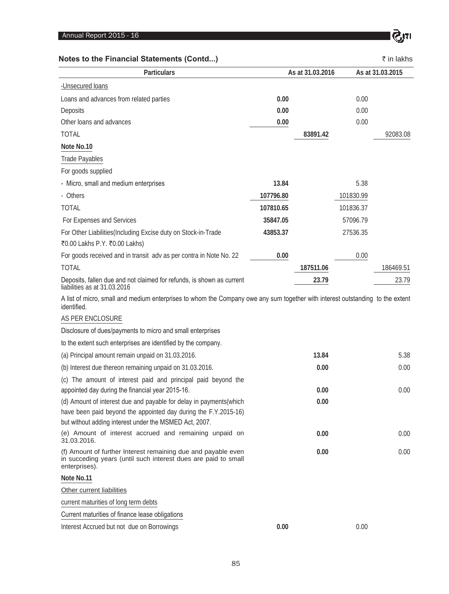

| <b>Particulars</b>                                                                                                                               |           | As at 31.03.2016 |           | As at 31.03.2015 |
|--------------------------------------------------------------------------------------------------------------------------------------------------|-----------|------------------|-----------|------------------|
| -Unsecured loans                                                                                                                                 |           |                  |           |                  |
| Loans and advances from related parties                                                                                                          | 0.00      |                  | 0.00      |                  |
| Deposits                                                                                                                                         | 0.00      |                  | 0.00      |                  |
| Other loans and advances                                                                                                                         | 0.00      |                  | 0.00      |                  |
| <b>TOTAL</b>                                                                                                                                     |           | 83891.42         |           | 92083.08         |
| Note No.10                                                                                                                                       |           |                  |           |                  |
| <b>Trade Payables</b>                                                                                                                            |           |                  |           |                  |
| For goods supplied                                                                                                                               |           |                  |           |                  |
| - Micro, small and medium enterprises                                                                                                            | 13.84     |                  | 5.38      |                  |
| - Others                                                                                                                                         | 107796.80 |                  | 101830.99 |                  |
| <b>TOTAL</b>                                                                                                                                     | 107810.65 |                  | 101836.37 |                  |
| For Expenses and Services                                                                                                                        | 35847.05  |                  | 57096.79  |                  |
| For Other Liabilities(Including Excise duty on Stock-in-Trade                                                                                    | 43853.37  |                  | 27536.35  |                  |
| ₹0.00 Lakhs P.Y. ₹0.00 Lakhs)                                                                                                                    |           |                  |           |                  |
| For goods received and in transit adv as per contra in Note No. 22                                                                               | 0.00      |                  | 0.00      |                  |
| <b>TOTAL</b>                                                                                                                                     |           | 187511.06        |           | 186469.51        |
| Deposits, fallen due and not claimed for refunds, is shown as current<br>liabilities as at 31.03.2016                                            |           | 23.79            |           | 23.79            |
| A list of micro, small and medium enterprises to whom the Company owe any sum together with interest outstanding to the extent<br>identified.    |           |                  |           |                  |
| AS PER ENCLOSURE                                                                                                                                 |           |                  |           |                  |
| Disclosure of dues/payments to micro and small enterprises                                                                                       |           |                  |           |                  |
| to the extent such enterprises are identified by the company.                                                                                    |           |                  |           |                  |
| (a) Principal amount remain unpaid on 31.03.2016.                                                                                                |           | 13.84            |           | 5.38             |
| (b) Interest due thereon remaining unpaid on 31.03.2016.                                                                                         |           | 0.00             |           | 0.00             |
| (c) The amount of interest paid and principal paid beyond the                                                                                    |           |                  |           |                  |
| appointed day during the financial year 2015-16.                                                                                                 |           | 0.00             |           | 0.00             |
| (d) Amount of interest due and payable for delay in payments (which                                                                              |           | 0.00             |           |                  |
| have been paid beyond the appointed day during the F.Y.2015-16)<br>but without adding interest under the MSMED Act, 2007.                        |           |                  |           |                  |
| (e) Amount of interest accrued and remaining unpaid on<br>31.03.2016.                                                                            |           | 0.00             |           | 0.00             |
| (f) Amount of further Interest remaining due and payable even<br>in succeding years (until such interest dues are paid to small<br>enterprises). |           | 0.00             |           | 0.00             |
| Note No.11                                                                                                                                       |           |                  |           |                  |
| Other current liabilities                                                                                                                        |           |                  |           |                  |
| current maturities of long term debts                                                                                                            |           |                  |           |                  |
| Current maturities of finance lease obligations                                                                                                  |           |                  |           |                  |
| Interest Accrued but not due on Borrowings                                                                                                       | 0.00      |                  | 0.00      |                  |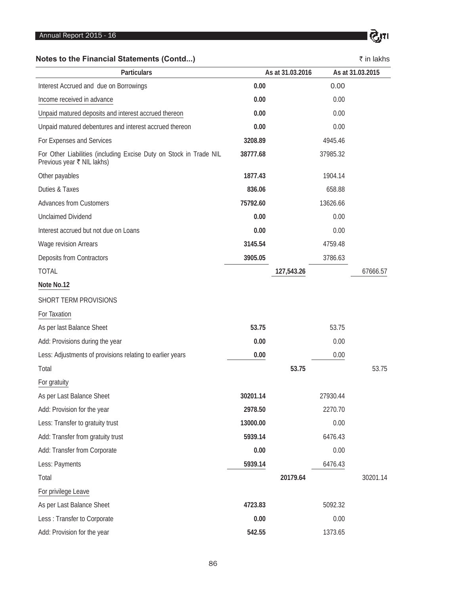| <b>Particulars</b>                                                                               |          | As at 31.03.2016 |          | As at 31.03.2015 |
|--------------------------------------------------------------------------------------------------|----------|------------------|----------|------------------|
| Interest Accrued and due on Borrowings                                                           | 0.00     |                  | 0.00     |                  |
| Income received in advance                                                                       | 0.00     |                  | 0.00     |                  |
| Unpaid matured deposits and interest accrued thereon                                             | 0.00     |                  | 0.00     |                  |
| Unpaid matured debentures and interest accrued thereon                                           | 0.00     |                  | 0.00     |                  |
| For Expenses and Services                                                                        | 3208.89  |                  | 4945.46  |                  |
| For Other Liabilities (including Excise Duty on Stock in Trade NIL<br>Previous year ₹ NIL lakhs) | 38777.68 |                  | 37985.32 |                  |
| Other payables                                                                                   | 1877.43  |                  | 1904.14  |                  |
| Duties & Taxes                                                                                   | 836.06   |                  | 658.88   |                  |
| <b>Advances from Customers</b>                                                                   | 75792.60 |                  | 13626.66 |                  |
| <b>Unclaimed Dividend</b>                                                                        | 0.00     |                  | 0.00     |                  |
| Interest accrued but not due on Loans                                                            | 0.00     |                  | 0.00     |                  |
| Wage revision Arrears                                                                            | 3145.54  |                  | 4759.48  |                  |
| Deposits from Contractors                                                                        | 3905.05  |                  | 3786.63  |                  |
| <b>TOTAL</b>                                                                                     |          | 127,543.26       |          | 67666.57         |
| Note No.12                                                                                       |          |                  |          |                  |
| SHORT TERM PROVISIONS                                                                            |          |                  |          |                  |
| For Taxation                                                                                     |          |                  |          |                  |
| As per last Balance Sheet                                                                        | 53.75    |                  | 53.75    |                  |
| Add: Provisions during the year                                                                  | 0.00     |                  | 0.00     |                  |
| Less: Adjustments of provisions relating to earlier years                                        | 0.00     |                  | 0.00     |                  |
| Total                                                                                            |          | 53.75            |          | 53.75            |
| For gratuity                                                                                     |          |                  |          |                  |
| As per Last Balance Sheet                                                                        | 30201.14 |                  | 27930.44 |                  |
| Add: Provision for the year                                                                      | 2978.50  |                  | 2270.70  |                  |
| Less: Transfer to gratuity trust                                                                 | 13000.00 |                  | 0.00     |                  |
| Add: Transfer from gratuity trust                                                                | 5939.14  |                  | 6476.43  |                  |
| Add: Transfer from Corporate                                                                     | 0.00     |                  | 0.00     |                  |
| Less: Payments                                                                                   | 5939.14  |                  | 6476.43  |                  |
| Total                                                                                            |          | 20179.64         |          | 30201.14         |
| For privilege Leave                                                                              |          |                  |          |                  |
| As per Last Balance Sheet                                                                        | 4723.83  |                  | 5092.32  |                  |
| Less : Transfer to Corporate                                                                     | 0.00     |                  | 0.00     |                  |
| Add: Provision for the year                                                                      | 542.55   |                  | 1373.65  |                  |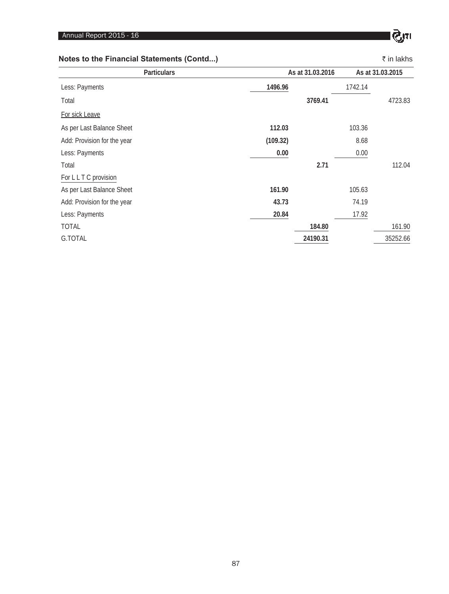

| <b>Particulars</b>          | As at 31.03.2016 |          | As at 31.03.2015 |          |
|-----------------------------|------------------|----------|------------------|----------|
| Less: Payments              | 1496.96          |          | 1742.14          |          |
| Total                       |                  | 3769.41  |                  | 4723.83  |
| For sick Leave              |                  |          |                  |          |
| As per Last Balance Sheet   | 112.03           |          | 103.36           |          |
| Add: Provision for the year | (109.32)         |          | 8.68             |          |
| Less: Payments              | 0.00             |          | 0.00             |          |
| Total                       |                  | 2.71     |                  | 112.04   |
| For L L T C provision       |                  |          |                  |          |
| As per Last Balance Sheet   | 161.90           |          | 105.63           |          |
| Add: Provision for the year | 43.73            |          | 74.19            |          |
| Less: Payments              | 20.84            |          | 17.92            |          |
| <b>TOTAL</b>                |                  | 184.80   |                  | 161.90   |
| <b>G.TOTAL</b>              |                  | 24190.31 |                  | 35252.66 |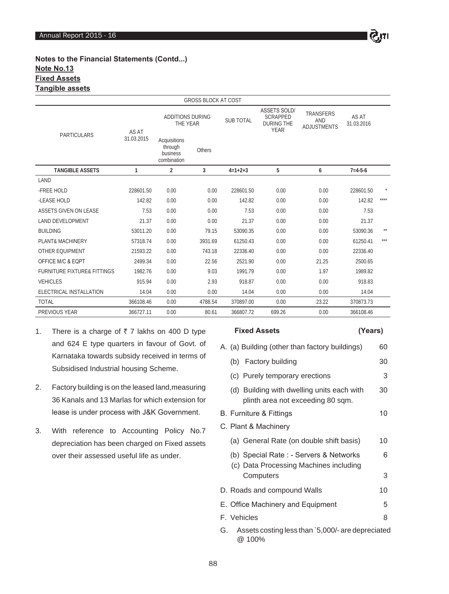## **Notes to the Financial Statements (Contd...) Note No.13 Fixed Assets Tangible assets**

| <b>GROSS BLOCK AT COST</b>             |            |                                                           |         |                  |                                                                            |                                               |                     |              |  |  |
|----------------------------------------|------------|-----------------------------------------------------------|---------|------------------|----------------------------------------------------------------------------|-----------------------------------------------|---------------------|--------------|--|--|
|                                        | AS AT      | <b>ADDITIONS DURING</b><br>THE YEAR                       |         | <b>SUB TOTAL</b> | <b>ASSETS SOLD/</b><br><b>SCRAPPED</b><br><b>DURING THE</b><br><b>YEAR</b> | <b>TRANSFERS</b><br>AND<br><b>ADJUSTMENTS</b> | AS AT<br>31.03.2016 |              |  |  |
| <b>PARTICULARS</b>                     | 31.03.2015 | <b>Acquisitions</b><br>through<br>business<br>combination | Others  |                  |                                                                            |                                               |                     |              |  |  |
| <b>TANGIBLE ASSETS</b>                 | 1          | $\overline{2}$                                            | 3       | $4=1+2+3$        | 5                                                                          | 6                                             | $7 = 4 - 5 - 6$     |              |  |  |
| LAND                                   |            |                                                           |         |                  |                                                                            |                                               |                     |              |  |  |
| -FREE HOLD                             | 228601.50  | 0.00                                                      | 0.00    | 228601.50        | 0.00                                                                       | 0.00                                          | 228601.50           |              |  |  |
| -LEASE HOLD                            | 142.82     | 0.00                                                      | 0.00    | 142.82           | 0.00                                                                       | 0.00                                          | 142.82              | ****         |  |  |
| ASSETS GIVEN ON LEASE                  | 7.53       | 0.00                                                      | 0.00    | 7.53             | 0.00                                                                       | 0.00                                          | 7.53                |              |  |  |
| <b>LAND DEVELOPMENT</b>                | 21.37      | 0.00                                                      | 0.00    | 21.37            | 0.00                                                                       | 0.00                                          | 21.37               |              |  |  |
| <b>BUILDING</b>                        | 53011.20   | 0.00                                                      | 79.15   | 53090.35         | 0.00                                                                       | 0.00                                          | 53090.36            | $\star\star$ |  |  |
| <b>PLANT&amp; MACHINERY</b>            | 57318.74   | 0.00                                                      | 3931.69 | 61250.43         | 0.00                                                                       | 0.00                                          | 61250.41            | ***          |  |  |
| OTHER FOUIPMENT                        | 21593.22   | 0.00                                                      | 743.18  | 22336.40         | 0.00                                                                       | 0.00                                          | 22336.40            |              |  |  |
| OFFICE M/C & EQPT                      | 2499.34    | 0.00                                                      | 22.56   | 2521.90          | 0.00                                                                       | 21.25                                         | 2500.65             |              |  |  |
| <b>FURNITURE FIXTURE&amp; FITTINGS</b> | 1982.76    | 0.00                                                      | 9.03    | 1991.79          | 0.00                                                                       | 1.97                                          | 1989.82             |              |  |  |
| <b>VEHICLES</b>                        | 915.94     | 0.00                                                      | 2.93    | 918.87           | 0.00                                                                       | 0.00                                          | 918.83              |              |  |  |
| ELECTRICAL INSTALLATION                | 14.04      | 0.00                                                      | 0.00    | 14.04            | 0.00                                                                       | 0.00                                          | 14.04               |              |  |  |
| <b>TOTAL</b>                           | 366108.46  | 0.00                                                      | 4788.54 | 370897.00        | 0.00                                                                       | 23.22                                         | 370873.73           |              |  |  |
| PREVIOUS YEAR                          | 366727.11  | 0.00                                                      | 80.61   | 366807.72        | 699.26                                                                     | 0.00                                          | 366108.46           |              |  |  |

- 1. There is a charge of  $\bar{z}$  7 lakhs on 400 D type and 624 E type quarters in favour of Govt. of Karnataka towards subsidy received in terms of Subsidised Industrial housing Scheme.
- 2. Factory building is on the leased land,measuring 36 Kanals and 13 Marlas for which extension for lease is under process with J&K Government.
- 3. With reference to Accounting Policy No.7 depreciation has been charged on Fixed assets over their assessed useful life as under.

### **Fixed Assets (Years)**

|    | A. (a) Building (other than factory buildings)                                    | 60 |
|----|-----------------------------------------------------------------------------------|----|
|    | (b) Factory building                                                              | 30 |
|    | (c) Purely temporary erections                                                    | 3  |
|    | (d) Building with dwelling units each with<br>plinth area not exceeding 80 sqm.   | 30 |
|    | <b>B.</b> Furniture & Fittings                                                    | 10 |
|    | C. Plant & Machinery                                                              |    |
|    | (a) General Rate (on double shift basis)                                          | 10 |
|    | (b) Special Rate : - Servers & Networks<br>(c) Data Processing Machines including | 6  |
|    | Computers                                                                         | 3  |
|    | D. Roads and compound Walls                                                       | 10 |
|    | E. Office Machinery and Equipment                                                 | 5  |
|    | F. Vehicles                                                                       | 8  |
| G. | Assets costing less than `5,000/- are depreciated<br>@ 100%                       |    |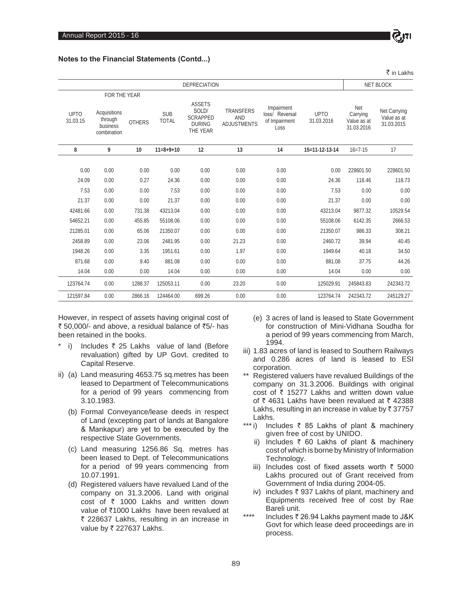### **Notes to the Financial Statements (Contd...)**

| <b>DEPRECIATION</b>     |                                                                    |               |                            |                                                                 |                                               |                                                       |                           |                                              | <b>NET BLOCK</b>                          |
|-------------------------|--------------------------------------------------------------------|---------------|----------------------------|-----------------------------------------------------------------|-----------------------------------------------|-------------------------------------------------------|---------------------------|----------------------------------------------|-------------------------------------------|
| <b>UPTO</b><br>31.03.15 | FOR THE YEAR<br>Acquisitions<br>through<br>business<br>combination | <b>OTHERS</b> | <b>SUB</b><br><b>TOTAL</b> | <b>ASSETS</b><br>SOLD/<br>SCRAPPED<br><b>DURING</b><br>THE YEAR | TRANSFERS<br><b>AND</b><br><b>ADJUSTMENTS</b> | Impairment<br>loss/ Reversal<br>of Impairment<br>Loss | <b>UPTO</b><br>31.03.2016 | Net<br>Carrying<br>Value as at<br>31.03.2016 | Net Carrying<br>Value as at<br>31.03.2015 |
| 8                       | 9                                                                  | 10            | $11=8+9+10$                | 12                                                              | 13                                            | 14                                                    | $15 = 11 - 12 - 13 - 14$  | $16 = 7 - 15$                                | 17                                        |
| 0.00                    | 0.00                                                               | 0.00          | 0.00                       | 0.00                                                            | 0.00                                          | 0.00                                                  | 0.00                      | 228601.50                                    | 228601.50                                 |
| 24.09                   | 0.00                                                               | 0.27          | 24.36                      | 0.00                                                            | 0.00                                          | 0.00                                                  | 24.36                     | 118.46                                       | 118.73                                    |
| 7.53                    | 0.00                                                               | 0.00          | 7.53                       | 0.00                                                            | 0.00                                          | 0.00                                                  | 7.53                      | 0.00                                         | 0.00                                      |
| 21.37                   | 0.00                                                               | 0.00          | 21.37                      | 0.00                                                            | 0.00                                          | 0.00                                                  | 21.37                     | 0.00                                         | 0.00                                      |
| 42481.66                | 0.00                                                               | 731.38        | 43213.04                   | 0.00                                                            | 0.00                                          | 0.00                                                  | 43213.04                  | 9877.32                                      | 10529.54                                  |
| 54652.21                | 0.00                                                               | 455.85        | 55108.06                   | 0.00                                                            | 0.00                                          | 0.00                                                  | 55108.06                  | 6142.35                                      | 2666.53                                   |
| 21285.01                | 0.00                                                               | 65.06         | 21350.07                   | 0.00                                                            | 0.00                                          | 0.00                                                  | 21350.07                  | 986.33                                       | 308.21                                    |
| 2458.89                 | 0.00                                                               | 23.06         | 2481.95                    | 0.00                                                            | 21.23                                         | 0.00                                                  | 2460.72                   | 39.94                                        | 40.45                                     |
| 1948.26                 | 0.00                                                               | 3.35          | 1951.61                    | 0.00                                                            | 1.97                                          | 0.00                                                  | 1949.64                   | 40.18                                        | 34.50                                     |
| 871.68                  | 0.00                                                               | 9.40          | 881.08                     | 0.00                                                            | 0.00                                          | 0.00                                                  | 881.08                    | 37.75                                        | 44.26                                     |
| 14.04                   | 0.00                                                               | 0.00          | 14.04                      | 0.00                                                            | 0.00                                          | 0.00                                                  | 14.04                     | 0.00                                         | 0.00                                      |
| 123764.74               | 0.00                                                               | 1288.37       | 125053.11                  | 0.00                                                            | 23.20                                         | 0.00                                                  | 125029.91                 | 245843.83                                    | 242343.72                                 |
| 121597.84               | 0.00                                                               | 2866.16       | 124464.00                  | 699.26                                                          | 0.00                                          | 0.00                                                  | 123764.74                 | 242343.72                                    | 245129.27                                 |

However, in respect of assets having original cost of ₹ 50,000/- and above, a residual balance of  $\overline{5}$ /- has been retained in the books.

- i) Includes  $\bar{\tau}$  25 Lakhs value of land (Before revaluation) gifted by UP Govt. credited to Capital Reserve.
- ii) (a) Land measuring 4653.75 sq.metres has been leased to Department of Telecommunications for a period of 99 years commencing from 3.10.1983.
	- (b) Formal Conveyance/lease deeds in respect of Land (excepting part of lands at Bangalore & Mankapur) are yet to be executed by the respective State Governments.
	- (c) Land measuring 1256.86 Sq. metres has been leased to Dept. of Telecommunications for a period of 99 years commencing from 10.07.1991.
	- (d) Registered valuers have revalued Land of the company on 31.3.2006. Land with original cost of  $\bar{\tau}$  1000 Lakhs and written down value of ₹1000 Lakhs have been revalued at ₹ 228637 Lakhs, resulting in an increase in value by  $\bar{\tau}$  227637 Lakhs.
- (e) 3 acres of land is leased to State Government for construction of Mini-Vidhana Soudha for a period of 99 years commencing from March, 1994.
- iii) 1.83 acres of land is leased to Southern Railways and 0.286 acres of land is leased to ESI corporation.
- \*\* Registered valuers have revalued Buildings of the company on 31.3.2006. Buildings with original cost of  $\bar{\tau}$  15277 Lakhs and written down value of  $\bar{\tau}$  4631 Lakhs have been revalued at  $\bar{\tau}$  42388 Lakhs, resulting in an increase in value by  $\bar{z}$  37757
- Lakhs.<br><sup>\*\*\* i)</sup> Inc Includes  $\bar{\tau}$  85 Lakhs of plant & machinery given free of cost by UNIDO.
	- ii) Includes  $\bar{\tau}$  60 Lakhs of plant & machinery cost of which is borne by Ministry of Information Technology.
	- iii) Includes cost of fixed assets worth  $\bar{\tau}$  5000 Lakhs procured out of Grant received from Government of India during 2004-05.
	- iv) includes  $\bar{\tau}$  937 Lakhs of plant, machinery and Equipments received free of cost by Rae Bareli unit.
- Includes  $\bar{\tau}$  26.94 Lakhs payment made to J&K Govt for which lease deed proceedings are in process.

 $\bar{\tau}$  in Lakhs

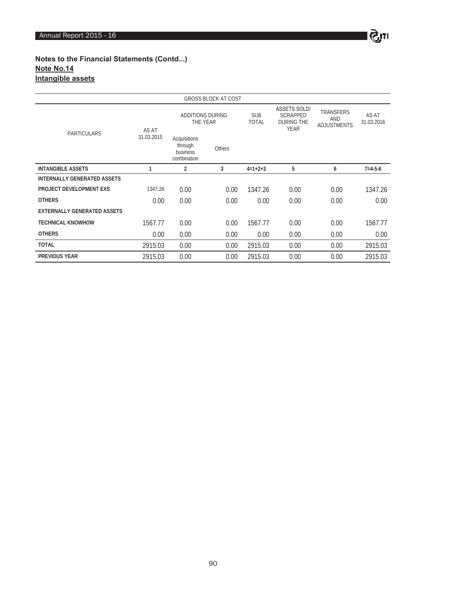## **Notes to the Financial Statements (Contd...) Note No.14 Intangible assets**

| <b>GROSS BLOCK AT COST</b>         |            |                                                    |        |                            |                                                                     |                                               |                     |  |  |
|------------------------------------|------------|----------------------------------------------------|--------|----------------------------|---------------------------------------------------------------------|-----------------------------------------------|---------------------|--|--|
|                                    | AS AT      | ADDITIONS DURING<br>THE YEAR                       |        | <b>SUB</b><br><b>TOTAL</b> | ASSETS SOLD/<br><b>SCRAPPED</b><br><b>DURING THE</b><br><b>YEAR</b> | <b>TRANSFERS</b><br>AND<br><b>ADJUSTMENTS</b> | AS AT<br>31.03.2016 |  |  |
| <b>PARTICULARS</b>                 | 31.03.2015 | Acquisitions<br>through<br>business<br>combination | Others |                            |                                                                     |                                               |                     |  |  |
| <b>INTANGIBLE ASSETS</b>           | 1          | 2                                                  | 3      | $4=1+2+3$                  | 5                                                                   | 6                                             | $7 = 4 - 5 - 6$     |  |  |
| <b>INTERNALLY GENERATED ASSETS</b> |            |                                                    |        |                            |                                                                     |                                               |                     |  |  |
| PROJECT DEVELOPMENT EXS            | 1347.26    | 0.00                                               | 0.00   | 1347.26                    | 0.00                                                                | 0.00                                          | 1347.26             |  |  |
| <b>OTHERS</b>                      | 0.00       | 0.00                                               | 0.00   | 0.00                       | 0.00                                                                | 0.00                                          | 0.00                |  |  |
| EXTERNALLY GENERATED ASSETS        |            |                                                    |        |                            |                                                                     |                                               |                     |  |  |
| <b>TECHNICAL KNOWHOW</b>           | 1567.77    | 0.00                                               | 0.00   | 1567.77                    | 0.00                                                                | 0.00                                          | 1567.77             |  |  |
| <b>OTHERS</b>                      | 0.00       | 0.00                                               | 0.00   | 0.00                       | 0.00                                                                | 0.00                                          | 0.00                |  |  |
| <b>TOTAL</b>                       | 2915.03    | 0.00                                               | 0.00   | 2915.03                    | 0.00                                                                | 0.00                                          | 2915.03             |  |  |
| <b>PREVIOUS YEAR</b>               | 2915.03    | 0.00                                               | 0.00   | 2915.03                    | 0.00                                                                | 0.00                                          | 2915.03             |  |  |

दुम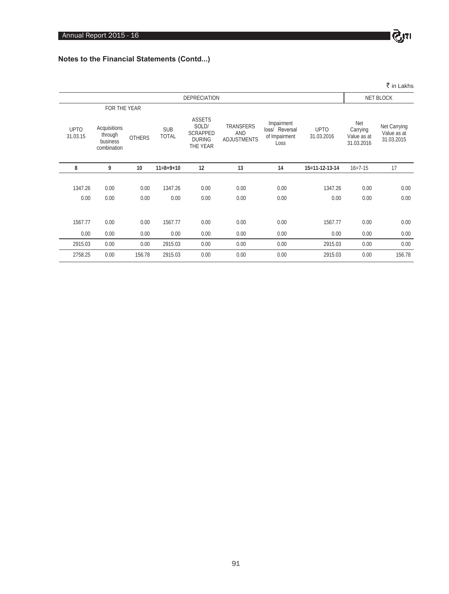

# **Notes to the Financial Statements (Contd...)**

|                         |                                                    |               |                            |                                                                 |                                        |                                                       |                           |                                              | ₹ in Lakhs                                |
|-------------------------|----------------------------------------------------|---------------|----------------------------|-----------------------------------------------------------------|----------------------------------------|-------------------------------------------------------|---------------------------|----------------------------------------------|-------------------------------------------|
|                         |                                                    |               |                            | <b>DEPRECIATION</b>                                             |                                        |                                                       |                           |                                              | <b>NET BLOCK</b>                          |
|                         | FOR THE YEAR                                       |               |                            |                                                                 |                                        |                                                       |                           |                                              |                                           |
| <b>UPTO</b><br>31.03.15 | Acquisitions<br>through<br>business<br>combination | <b>OTHERS</b> | <b>SUB</b><br><b>TOTAL</b> | <b>ASSETS</b><br>SOLD/<br>SCRAPPED<br><b>DURING</b><br>THE YEAR | TRANSFERS<br>AND<br><b>ADJUSTMENTS</b> | Impairment<br>loss/ Reversal<br>of Impairment<br>Loss | <b>UPTO</b><br>31.03.2016 | Net<br>Carrying<br>Value as at<br>31.03.2016 | Net Carrying<br>Value as at<br>31.03.2015 |
| 8                       | 9                                                  | 10            | $11=8+9+10$                | 12                                                              | 13                                     | 14                                                    | $15 = 11 - 12 - 13 - 14$  | $16 = 7 - 15$                                | 17                                        |
|                         |                                                    |               |                            |                                                                 |                                        |                                                       |                           |                                              |                                           |
| 1347.26                 | 0.00                                               | 0.00          | 1347.26                    | 0.00                                                            | 0.00                                   | 0.00                                                  | 1347.26                   | 0.00                                         | 0.00                                      |
| 0.00                    | 0.00                                               | 0.00          | 0.00                       | 0.00                                                            | 0.00                                   | 0.00                                                  | 0.00                      | 0.00                                         | 0.00                                      |
|                         |                                                    |               |                            |                                                                 |                                        |                                                       |                           |                                              |                                           |
| 1567.77                 | 0.00                                               | 0.00          | 1567.77                    | 0.00                                                            | 0.00                                   | 0.00                                                  | 1567.77                   | 0.00                                         | 0.00                                      |
| 0.00                    | 0.00                                               | 0.00          | 0.00                       | 0.00                                                            | 0.00                                   | 0.00                                                  | 0.00                      | 0.00                                         | 0.00                                      |
| 2915.03                 | 0.00                                               | 0.00          | 2915.03                    | 0.00                                                            | 0.00                                   | 0.00                                                  | 2915.03                   | 0.00                                         | 0.00                                      |
| 2758.25                 | 0.00                                               | 156.78        | 2915.03                    | 0.00                                                            | 0.00                                   | 0.00                                                  | 2915.03                   | 0.00                                         | 156.78                                    |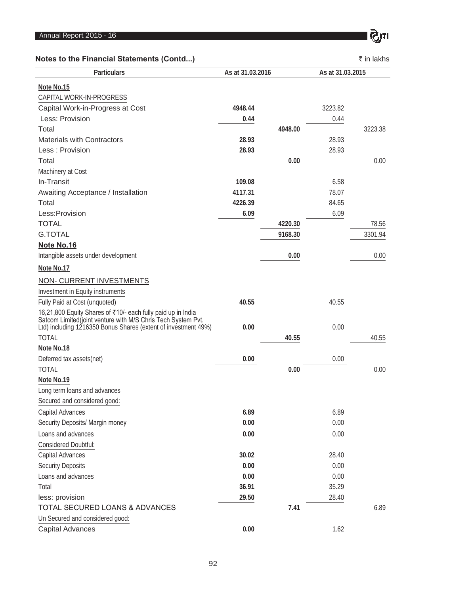| Particulars                                                                                                                                                                                    | As at 31.03.2016 |         | As at 31.03.2015 |         |
|------------------------------------------------------------------------------------------------------------------------------------------------------------------------------------------------|------------------|---------|------------------|---------|
| Note No.15                                                                                                                                                                                     |                  |         |                  |         |
| CAPITAL WORK-IN-PROGRESS                                                                                                                                                                       |                  |         |                  |         |
| Capital Work-in-Progress at Cost                                                                                                                                                               | 4948.44          |         | 3223.82          |         |
| Less: Provision                                                                                                                                                                                | 0.44             |         | 0.44             |         |
| Total                                                                                                                                                                                          |                  | 4948.00 |                  | 3223.38 |
| <b>Materials with Contractors</b>                                                                                                                                                              | 28.93            |         | 28.93            |         |
| Less: Provision                                                                                                                                                                                | 28.93            |         | 28.93            |         |
| Total                                                                                                                                                                                          |                  | 0.00    |                  | 0.00    |
| Machinery at Cost                                                                                                                                                                              |                  |         |                  |         |
| In-Transit                                                                                                                                                                                     | 109.08           |         | 6.58             |         |
| Awaiting Acceptance / Installation                                                                                                                                                             | 4117.31          |         | 78.07            |         |
| Total                                                                                                                                                                                          | 4226.39          |         | 84.65            |         |
| Less: Provision                                                                                                                                                                                | 6.09             |         | 6.09             |         |
| <b>TOTAL</b>                                                                                                                                                                                   |                  | 4220.30 |                  | 78.56   |
| <b>G.TOTAL</b>                                                                                                                                                                                 |                  | 9168.30 |                  | 3301.94 |
| Note No.16                                                                                                                                                                                     |                  |         |                  |         |
| Intangible assets under development                                                                                                                                                            |                  | 0.00    |                  | 0.00    |
| Note No.17                                                                                                                                                                                     |                  |         |                  |         |
| NON- CURRENT INVESTMENTS                                                                                                                                                                       |                  |         |                  |         |
| Investment in Equity instruments                                                                                                                                                               |                  |         |                  |         |
| Fully Paid at Cost (unquoted)                                                                                                                                                                  | 40.55            |         | 40.55            |         |
| 16,21,800 Equity Shares of ₹10/- each fully paid up in India<br>Satcom Limited(joint venture with M/S Chris Tech System Pvt.<br>Ltd) including 1216350 Bonus Shares (extent of investment 49%) | 0.00             |         | 0.00             |         |
| <b>TOTAL</b>                                                                                                                                                                                   |                  | 40.55   |                  | 40.55   |
| Note No.18                                                                                                                                                                                     |                  |         |                  |         |
| Deferred tax assets(net)                                                                                                                                                                       | 0.00             |         | 0.00             |         |
| <b>TOTAL</b>                                                                                                                                                                                   |                  | 0.00    |                  | 0.00    |
| Note No.19                                                                                                                                                                                     |                  |         |                  |         |
| Long term loans and advances                                                                                                                                                                   |                  |         |                  |         |
| Secured and considered good:                                                                                                                                                                   |                  |         |                  |         |
| Capital Advances                                                                                                                                                                               | 6.89             |         | 6.89             |         |
| Security Deposits/ Margin money                                                                                                                                                                | 0.00             |         | 0.00             |         |
| Loans and advances                                                                                                                                                                             | 0.00             |         | 0.00             |         |
| Considered Doubtful:                                                                                                                                                                           |                  |         |                  |         |
| Capital Advances                                                                                                                                                                               | 30.02            |         | 28.40            |         |
| <b>Security Deposits</b>                                                                                                                                                                       | 0.00             |         | 0.00             |         |
| Loans and advances                                                                                                                                                                             | 0.00             |         | 0.00             |         |
| Total                                                                                                                                                                                          | 36.91            |         | 35.29            |         |
| less: provision                                                                                                                                                                                | 29.50            |         | 28.40            |         |
| TOTAL SECURED LOANS & ADVANCES                                                                                                                                                                 |                  | 7.41    |                  | 6.89    |
| Un Secured and considered good:                                                                                                                                                                |                  |         |                  |         |
| <b>Capital Advances</b>                                                                                                                                                                        | 0.00             |         | 1.62             |         |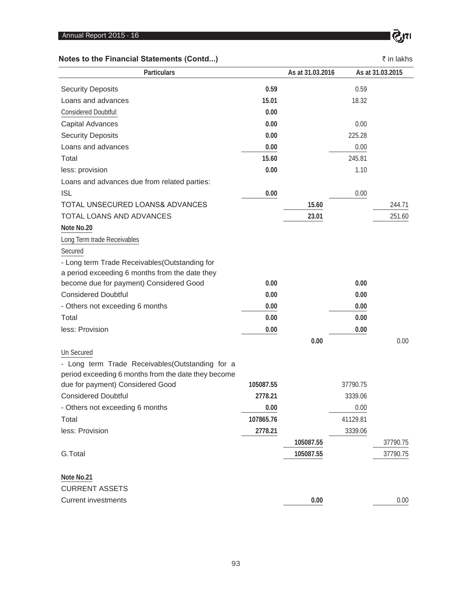

| <b>Particulars</b>                                  |           | As at 31.03.2016 |          | As at 31.03.2015 |
|-----------------------------------------------------|-----------|------------------|----------|------------------|
| <b>Security Deposits</b>                            | 0.59      |                  | 0.59     |                  |
| Loans and advances                                  | 15.01     |                  | 18.32    |                  |
| <b>Considered Doubtful:</b>                         | 0.00      |                  |          |                  |
| <b>Capital Advances</b>                             | 0.00      |                  | 0.00     |                  |
| <b>Security Deposits</b>                            | 0.00      |                  | 225.28   |                  |
| Loans and advances                                  | 0.00      |                  | 0.00     |                  |
| Total                                               | 15.60     |                  | 245.81   |                  |
| less: provision                                     | 0.00      |                  | 1.10     |                  |
| Loans and advances due from related parties:        |           |                  |          |                  |
| <b>ISL</b>                                          | 0.00      |                  | 0.00     |                  |
| TOTAL UNSECURED LOANS& ADVANCES                     |           | 15.60            |          | 244.71           |
| TOTAL LOANS AND ADVANCES                            |           | 23.01            |          | 251.60           |
| Note No.20                                          |           |                  |          |                  |
| Long Term trade Receivables                         |           |                  |          |                  |
| Secured                                             |           |                  |          |                  |
| - Long term Trade Receivables (Outstanding for      |           |                  |          |                  |
| a period exceeding 6 months from the date they      |           |                  |          |                  |
| become due for payment) Considered Good             | 0.00      |                  | 0.00     |                  |
| <b>Considered Doubtful</b>                          | 0.00      |                  | 0.00     |                  |
| - Others not exceeding 6 months                     | 0.00      |                  | 0.00     |                  |
| Total                                               | 0.00      |                  | 0.00     |                  |
| less: Provision                                     | 0.00      |                  | 0.00     |                  |
|                                                     |           | 0.00             |          | 0.00             |
| <b>Un Secured</b>                                   |           |                  |          |                  |
| - Long term Trade Receivables (Outstanding for a    |           |                  |          |                  |
| period exceeding 6 months from the date they become |           |                  |          |                  |
| due for payment) Considered Good                    | 105087.55 |                  | 37790.75 |                  |
| <b>Considered Doubtful</b>                          | 2778.21   |                  | 3339.06  |                  |
| - Others not exceeding 6 months                     | 0.00      |                  | 0.00     |                  |
| Total                                               | 107865.76 |                  | 41129.81 |                  |
| less: Provision                                     | 2778.21   |                  | 3339.06  |                  |
|                                                     |           | 105087.55        |          | 37790.75         |
| G.Total                                             |           | 105087.55        |          | 37790.75         |
| Note No.21                                          |           |                  |          |                  |
| <b>CURRENT ASSETS</b>                               |           |                  |          |                  |
| <b>Current investments</b>                          |           | 0.00             |          | 0.00             |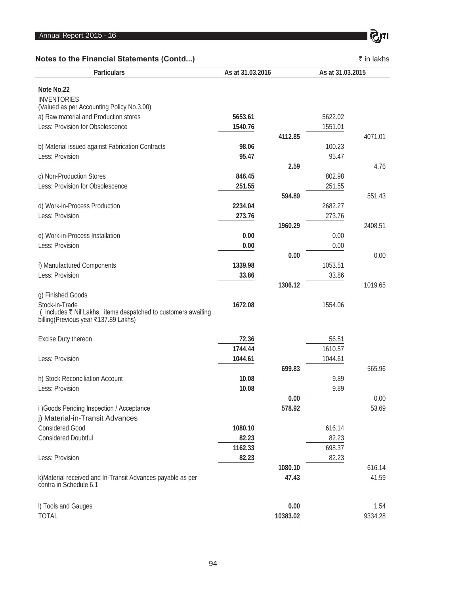| <b>Particulars</b>                                                             | As at 31.03.2016 |          | As at 31.03.2015 |         |
|--------------------------------------------------------------------------------|------------------|----------|------------------|---------|
| Note No.22                                                                     |                  |          |                  |         |
| <b>INVENTORIES</b>                                                             |                  |          |                  |         |
| (Valued as per Accounting Policy No.3.00)                                      |                  |          |                  |         |
| a) Raw material and Production stores                                          | 5653.61          |          | 5622.02          |         |
| Less: Provision for Obsolescence                                               | 1540.76          |          | 1551.01          |         |
|                                                                                |                  | 4112.85  |                  | 4071.01 |
| b) Material issued against Fabrication Contracts                               | 98.06            |          | 100.23           |         |
| Less: Provision                                                                | 95.47            |          | 95.47            |         |
|                                                                                |                  | 2.59     |                  | 4.76    |
| c) Non-Production Stores                                                       | 846.45           |          | 802.98           |         |
| Less: Provision for Obsolescence                                               | 251.55           |          | 251.55           |         |
|                                                                                |                  | 594.89   |                  | 551.43  |
| d) Work-in-Process Production                                                  | 2234.04          |          | 2682.27          |         |
| Less: Provision                                                                | 273.76           |          | 273.76           |         |
|                                                                                |                  | 1960.29  |                  | 2408.51 |
| e) Work-in-Process Installation                                                | 0.00             |          | 0.00             |         |
| Less: Provision                                                                | 0.00             |          | 0.00             |         |
|                                                                                |                  | 0.00     |                  | 0.00    |
| f) Manufactured Components                                                     | 1339.98          |          | 1053.51          |         |
| Less: Provision                                                                | 33.86            |          | 33.86            |         |
|                                                                                |                  | 1306.12  |                  | 1019.65 |
| g) Finished Goods                                                              |                  |          |                  |         |
| Stock-in-Trade<br>includes ₹ Nil Lakhs, items despatched to customers awaiting | 1672.08          |          | 1554.06          |         |
| billing (Previous year ₹137.89 Lakhs)                                          |                  |          |                  |         |
|                                                                                |                  |          |                  |         |
| Excise Duty thereon                                                            | 72.36            |          | 56.51            |         |
|                                                                                | 1744.44          |          | 1610.57          |         |
| Less: Provision                                                                | 1044.61          |          | 1044.61          |         |
|                                                                                |                  | 699.83   |                  | 565.96  |
| h) Stock Reconciliation Account                                                | 10.08            |          | 9.89             |         |
| Less: Provision                                                                | 10.08            |          | 9.89             |         |
|                                                                                |                  | 0.00     |                  | 0.00    |
| i )Goods Pending Inspection / Acceptance                                       |                  | 578.92   |                  | 53.69   |
| j) Material-in-Transit Advances                                                |                  |          |                  |         |
| <b>Considered Good</b>                                                         | 1080.10          |          | 616.14           |         |
| <b>Considered Doubtful</b>                                                     | 82.23            |          | 82.23            |         |
|                                                                                | 1162.33          |          | 698.37           |         |
| Less: Provision                                                                | 82.23            |          | 82.23            |         |
|                                                                                |                  | 1080.10  |                  | 616.14  |
| k) Material received and In-Transit Advances payable as per                    |                  | 47.43    |                  | 41.59   |
| contra in Schedule 6.1                                                         |                  |          |                  |         |
|                                                                                |                  |          |                  |         |
| I) Tools and Gauges                                                            |                  | 0.00     |                  | 1.54    |
| <b>TOTAL</b>                                                                   |                  | 10383.02 |                  | 9334.28 |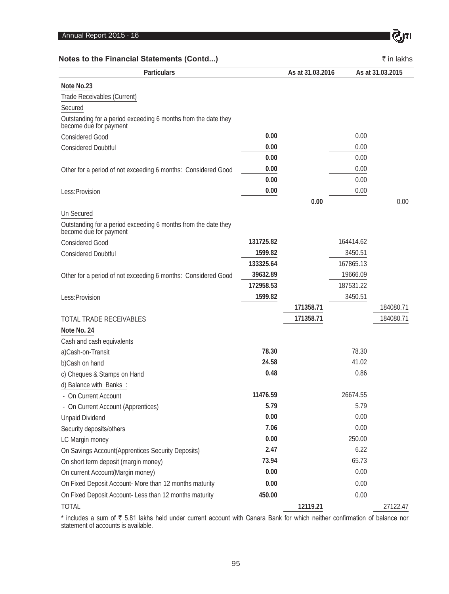Trade Receivables (Current)

become due for payment

**Note No.23**

Secured



## **Notes to the Financial Statements (Contd...) in lakhs** ₹ in lakhs

Outstanding for a period exceeding 6 months from the date they Considered Good **0.00** 0.00 Considered Doubtful **0.00** 0.00 **0.00** 0.00 Other for a period of not exceeding 6 months: Considered Good **0.00 0.00 0.00 0.00 0.00** 0.00 Less:Provision **0.00** 0.00 Particulars **As at 31.03.2016** As at 31.03.2015

|                                                                                                                                                                   |           | 0.00      |           | 0.00      |
|-------------------------------------------------------------------------------------------------------------------------------------------------------------------|-----------|-----------|-----------|-----------|
| Un Secured                                                                                                                                                        |           |           |           |           |
| Outstanding for a period exceeding 6 months from the date they<br>become due for payment                                                                          |           |           |           |           |
| <b>Considered Good</b>                                                                                                                                            | 131725.82 |           | 164414.62 |           |
| <b>Considered Doubtful</b>                                                                                                                                        | 1599.82   |           | 3450.51   |           |
|                                                                                                                                                                   | 133325.64 |           | 167865.13 |           |
| Other for a period of not exceeding 6 months: Considered Good                                                                                                     | 39632.89  |           | 19666.09  |           |
|                                                                                                                                                                   | 172958.53 |           | 187531.22 |           |
| Less: Provision                                                                                                                                                   | 1599.82   |           | 3450.51   |           |
|                                                                                                                                                                   |           | 171358.71 |           | 184080.71 |
| <b>TOTAL TRADE RECEIVABLES</b>                                                                                                                                    |           | 171358.71 |           | 184080.71 |
| Note No. 24                                                                                                                                                       |           |           |           |           |
| Cash and cash equivalents                                                                                                                                         |           |           |           |           |
| a)Cash-on-Transit                                                                                                                                                 | 78.30     |           | 78.30     |           |
| b)Cash on hand                                                                                                                                                    | 24.58     |           | 41.02     |           |
| c) Cheques & Stamps on Hand                                                                                                                                       | 0.48      |           | 0.86      |           |
| d) Balance with Banks:                                                                                                                                            |           |           |           |           |
| - On Current Account                                                                                                                                              | 11476.59  |           | 26674.55  |           |
| - On Current Account (Apprentices)                                                                                                                                | 5.79      |           | 5.79      |           |
| <b>Unpaid Dividend</b>                                                                                                                                            | 0.00      |           | 0.00      |           |
| Security deposits/others                                                                                                                                          | 7.06      |           | 0.00      |           |
| LC Margin money                                                                                                                                                   | 0.00      |           | 250.00    |           |
| On Savings Account(Apprentices Security Deposits)                                                                                                                 | 2.47      |           | 6.22      |           |
| On short term deposit (margin money)                                                                                                                              | 73.94     |           | 65.73     |           |
| On current Account(Margin money)                                                                                                                                  | 0.00      |           | 0.00      |           |
| On Fixed Deposit Account- More than 12 months maturity                                                                                                            | 0.00      |           | 0.00      |           |
| On Fixed Deposit Account- Less than 12 months maturity                                                                                                            | 450.00    |           | 0.00      |           |
| <b>TOTAL</b>                                                                                                                                                      |           | 12119.21  |           | 27122.47  |
| * includes a sum of ₹ 5.81 lakhs held under current account with Canara Bank for which neither confirmation of balance nor<br>statement of accounts is available. |           |           |           |           |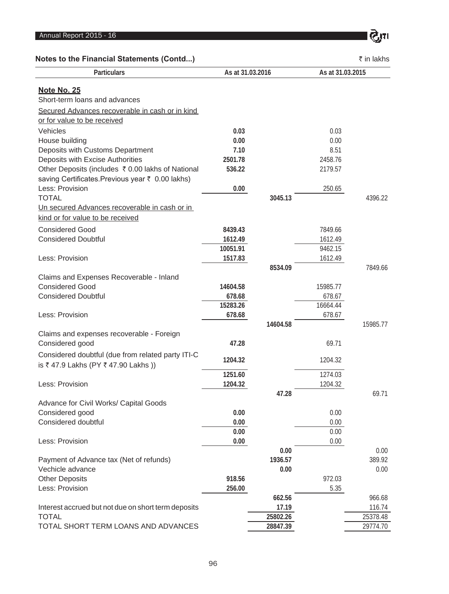| Particulars                                                   | As at 31.03.2016 |                      | As at 31.03.2015 |                      |
|---------------------------------------------------------------|------------------|----------------------|------------------|----------------------|
|                                                               |                  |                      |                  |                      |
| Note No. 25<br>Short-term loans and advances                  |                  |                      |                  |                      |
| Secured Advances recoverable in cash or in kind               |                  |                      |                  |                      |
| or for value to be received                                   |                  |                      |                  |                      |
| Vehicles                                                      | 0.03             |                      | 0.03             |                      |
| House building                                                | 0.00             |                      | 0.00             |                      |
| Deposits with Customs Department                              | 7.10             |                      | 8.51             |                      |
| Deposits with Excise Authorities                              | 2501.78          |                      | 2458.76          |                      |
| Other Deposits (includes ₹ 0.00 lakhs of National             | 536.22           |                      | 2179.57          |                      |
| saving Certificates. Previous year ₹ 0.00 lakhs)              |                  |                      |                  |                      |
| Less: Provision                                               | 0.00             |                      | 250.65           |                      |
| <b>TOTAL</b><br>Un secured Advances recoverable in cash or in |                  | 3045.13              |                  | 4396.22              |
| kind or for value to be received                              |                  |                      |                  |                      |
| <b>Considered Good</b>                                        | 8439.43          |                      | 7849.66          |                      |
| <b>Considered Doubtful</b>                                    | 1612.49          |                      | 1612.49          |                      |
|                                                               | 10051.91         |                      | 9462.15          |                      |
| Less: Provision                                               | 1517.83          |                      | 1612.49          |                      |
|                                                               |                  | 8534.09              |                  | 7849.66              |
| Claims and Expenses Recoverable - Inland                      |                  |                      |                  |                      |
| <b>Considered Good</b>                                        | 14604.58         |                      | 15985.77         |                      |
| <b>Considered Doubtful</b>                                    | 678.68           |                      | 678.67           |                      |
|                                                               | 15283.26         |                      | 16664.44         |                      |
| Less: Provision                                               | 678.68           | 14604.58             | 678.67           | 15985.77             |
| Claims and expenses recoverable - Foreign                     |                  |                      |                  |                      |
| Considered good                                               | 47.28            |                      | 69.71            |                      |
| Considered doubtful (due from related party ITI-C             |                  |                      |                  |                      |
| is ₹47.9 Lakhs (PY ₹47.90 Lakhs))                             | 1204.32          |                      | 1204.32          |                      |
|                                                               | 1251.60          |                      | 1274.03          |                      |
| Less: Provision                                               | 1204.32          |                      | 1204.32          |                      |
|                                                               |                  | 47.28                |                  | 69.71                |
| Advance for Civil Works/ Capital Goods                        |                  |                      |                  |                      |
| Considered good                                               | 0.00             |                      | 0.00             |                      |
| Considered doubtful                                           | 0.00<br>0.00     |                      | 0.00<br>0.00     |                      |
| Less: Provision                                               | 0.00             |                      | 0.00             |                      |
|                                                               |                  | 0.00                 |                  | 0.00                 |
| Payment of Advance tax (Net of refunds)                       |                  | 1936.57              |                  | 389.92               |
| Vechicle advance                                              |                  | 0.00                 |                  | 0.00                 |
| <b>Other Deposits</b>                                         | 918.56           |                      | 972.03           |                      |
| Less: Provision                                               | 256.00           |                      | 5.35             |                      |
|                                                               |                  | 662.56               |                  | 966.68               |
| Interest accrued but not due on short term deposits           |                  | 17.19                |                  | 116.74               |
| <b>TOTAL</b><br>TOTAL SHORT TERM LOANS AND ADVANCES           |                  | 25802.26<br>28847.39 |                  | 25378.48<br>29774.70 |
|                                                               |                  |                      |                  |                      |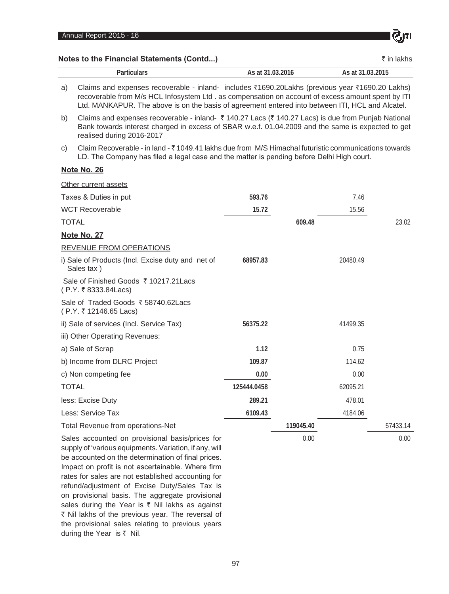

|              | Notes to the Financial Statements (Contd)                                                                                                                                                                                                                                                                 |                  | ₹ in lakhs       |
|--------------|-----------------------------------------------------------------------------------------------------------------------------------------------------------------------------------------------------------------------------------------------------------------------------------------------------------|------------------|------------------|
|              | <b>Particulars</b>                                                                                                                                                                                                                                                                                        | As at 31.03.2016 | As at 31.03.2015 |
| a)           | Claims and expenses recoverable - inland- includes ₹1690.20Lakhs (previous year ₹1690.20 Lakhs)<br>recoverable from M/s HCL Infosystem Ltd . as compensation on account of excess amount spent by ITI<br>Ltd. MANKAPUR. The above is on the basis of agreement entered into between ITI, HCL and Alcatel. |                  |                  |
| b)           | Claims and expenses recoverable - inland- ₹ 140.27 Lacs (₹ 140.27 Lacs) is due from Punjab National<br>Bank towards interest charged in excess of SBAR w.e.f. 01.04.2009 and the same is expected to get<br>realised during 2016-2017                                                                     |                  |                  |
| C)           | Claim Recoverable - in land - ₹ 1049.41 lakhs due from M/S Himachal futuristic communications towards<br>LD. The Company has filed a legal case and the matter is pending before Delhi High court.                                                                                                        |                  |                  |
|              | Note No. 26                                                                                                                                                                                                                                                                                               |                  |                  |
|              | Other current assets                                                                                                                                                                                                                                                                                      |                  |                  |
|              | Taxes & Duties in put                                                                                                                                                                                                                                                                                     | 593.76           | 7.46             |
|              | <b>WCT Recoverable</b>                                                                                                                                                                                                                                                                                    | 15.72            | 15.56            |
| <b>TOTAL</b> |                                                                                                                                                                                                                                                                                                           |                  | 609.48<br>23.02  |
|              | <b>Note No. 27</b>                                                                                                                                                                                                                                                                                        |                  |                  |
|              | <b>REVENUE FROM OPERATIONS</b>                                                                                                                                                                                                                                                                            |                  |                  |
|              | i) Sale of Products (Incl. Excise duty and net of<br>Sales tax)                                                                                                                                                                                                                                           | 68957.83         | 20480.49         |
|              | Sale of Finished Goods ₹ 10217.21 Lacs<br>(P.Y. ₹8333.84Lacs)                                                                                                                                                                                                                                             |                  |                  |
|              | Sale of Traded Goods ₹ 58740.62Lacs<br>(P.Y. ₹12146.65 Lacs)                                                                                                                                                                                                                                              |                  |                  |
|              | ii) Sale of services (Incl. Service Tax)                                                                                                                                                                                                                                                                  | 56375.22         | 41499.35         |
|              | iii) Other Operating Revenues:                                                                                                                                                                                                                                                                            |                  |                  |
|              | a) Sale of Scrap                                                                                                                                                                                                                                                                                          | 1.12             | 0.75             |
|              | b) Income from DLRC Project                                                                                                                                                                                                                                                                               | 109.87           | 114.62           |
|              | c) Non competing fee                                                                                                                                                                                                                                                                                      | 0.00             | 0.00             |
|              | <b>TOTAL</b>                                                                                                                                                                                                                                                                                              | 125444.0458      | 62095.21         |
|              | less: Excise Duty                                                                                                                                                                                                                                                                                         | 289.21           | 478.01           |

Sales accounted on provisional basis/prices for supply of 'various equipments. Variation, if any, will be accounted on the determination of final prices. Impact on profit is not ascertainable. Where firm rates for sales are not established accounting for refund/adjustment of Excise Duty/Sales Tax is on provisional basis. The aggregate provisional sales during the Year is  $\bar{\tau}$  Nil lakhs as against ₹ Nil lakhs of the previous year. The reversal of the provisional sales relating to previous years during the Year is  $\bar{\tau}$  Nil.

Less: Service Tax **6109.43** 4184.06

Total Revenue from operations-Net **119045.40** 57433.14

0.00 0.00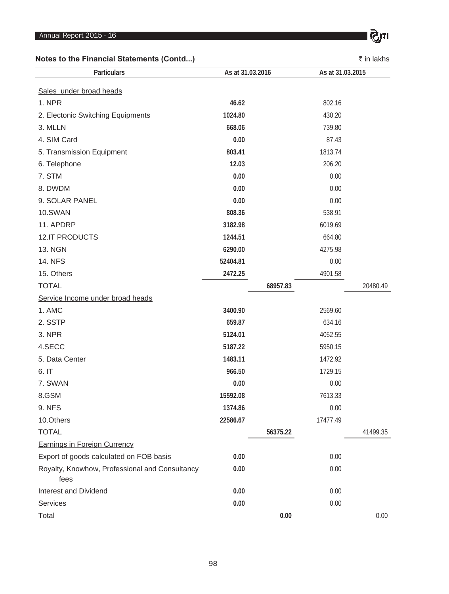| <b>Particulars</b>                                     | As at 31.03.2016 |          | As at 31.03.2015 |          |
|--------------------------------------------------------|------------------|----------|------------------|----------|
| Sales under broad heads                                |                  |          |                  |          |
| 1. NPR                                                 | 46.62            |          | 802.16           |          |
| 2. Electonic Switching Equipments                      | 1024.80          |          | 430.20           |          |
| 3. MLLN                                                | 668.06           |          | 739.80           |          |
| 4. SIM Card                                            | 0.00             |          | 87.43            |          |
| 5. Transmission Equipment                              | 803.41           |          | 1813.74          |          |
| 6. Telephone                                           | 12.03            |          | 206.20           |          |
| 7. STM                                                 | 0.00             |          | 0.00             |          |
| 8. DWDM                                                | 0.00             |          | 0.00             |          |
| 9. SOLAR PANEL                                         | 0.00             |          | 0.00             |          |
| 10.SWAN                                                | 808.36           |          | 538.91           |          |
| 11. APDRP                                              | 3182.98          |          | 6019.69          |          |
| <b>12.IT PRODUCTS</b>                                  | 1244.51          |          | 664.80           |          |
| <b>13. NGN</b>                                         | 6290.00          |          | 4275.98          |          |
| <b>14. NFS</b>                                         | 52404.81         |          | 0.00             |          |
| 15. Others                                             | 2472.25          |          | 4901.58          |          |
| <b>TOTAL</b>                                           |                  | 68957.83 |                  | 20480.49 |
| Service Income under broad heads                       |                  |          |                  |          |
| 1. AMC                                                 | 3400.90          |          | 2569.60          |          |
| 2. SSTP                                                | 659.87           |          | 634.16           |          |
| 3. NPR                                                 | 5124.01          |          | 4052.55          |          |
| 4.SECC                                                 | 5187.22          |          | 5950.15          |          |
| 5. Data Center                                         | 1483.11          |          | 1472.92          |          |
| 6. IT                                                  | 966.50           |          | 1729.15          |          |
| 7. SWAN                                                | 0.00             |          | 0.00             |          |
| 8.GSM                                                  | 15592.08         |          | 7613.33          |          |
| <b>9. NFS</b>                                          | 1374.86          |          | 0.00             |          |
| 10.Others                                              | 22586.67         |          | 17477.49         |          |
| <b>TOTAL</b>                                           |                  | 56375.22 |                  | 41499.35 |
| <b>Earnings in Foreign Currency</b>                    |                  |          |                  |          |
| Export of goods calculated on FOB basis                | 0.00             |          | 0.00             |          |
| Royalty, Knowhow, Professional and Consultancy<br>fees | 0.00             |          | 0.00             |          |
| <b>Interest and Dividend</b>                           | 0.00             |          | 0.00             |          |
| Services                                               | 0.00             |          | 0.00             |          |
| Total                                                  |                  | 0.00     |                  | 0.00     |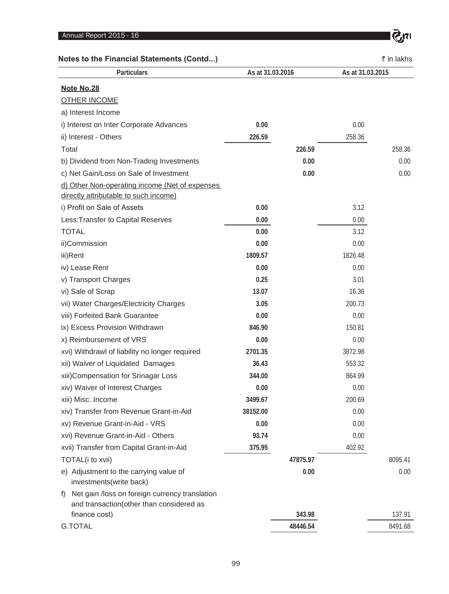

| <b>Particulars</b>                                                                              | As at 31.03.2016 |          | As at 31.03.2015 |         |
|-------------------------------------------------------------------------------------------------|------------------|----------|------------------|---------|
| Note No.28                                                                                      |                  |          |                  |         |
| <b>OTHER INCOME</b>                                                                             |                  |          |                  |         |
| a) Interest Income                                                                              |                  |          |                  |         |
| i) Interest on Inter Corporate Advances                                                         | 0.00             |          | 0.00             |         |
| ii) Interest - Others                                                                           | 226.59           |          | 258.36           |         |
| Total                                                                                           |                  | 226.59   |                  | 258.36  |
| b) Dividend from Non-Trading Investments                                                        |                  | 0.00     |                  | 0.00    |
| c) Net Gain/Loss on Sale of Investment                                                          |                  | 0.00     |                  | 0.00    |
| d) Other Non-operating income (Net of expenses<br>directly attributable to such income)         |                  |          |                  |         |
| i) Profit on Sale of Assets                                                                     | 0.00             |          | 3.12             |         |
| Less: Transfer to Capital Reserves                                                              | 0.00             |          | 0.00             |         |
| <b>TOTAL</b>                                                                                    | 0.00             |          | 3.12             |         |
| ii)Commission                                                                                   | 0.00             |          | 0.00             |         |
| iii)Rent                                                                                        | 1809.57          |          | 1826.48          |         |
| iv) Lease Rent                                                                                  | 0.00             |          | 0.00             |         |
| v) Transport Charges                                                                            | 0.25             |          | 3.01             |         |
| vi) Sale of Scrap                                                                               | 13.07            |          | 16.36            |         |
| vii) Water Charges/Electricity Charges                                                          | 3.05             |          | 200.73           |         |
| viii) Forfeited Bank Guarantee                                                                  | 0.00             |          | 0.00             |         |
| ix) Excess Provision Withdrawn                                                                  | 846.90           |          | 150.81           |         |
| x) Reimbursement of VRS                                                                         | 0.00             |          | 0.00             |         |
| xvi) Withdrawl of liability no longer required                                                  | 2701.35          |          | 3872.98          |         |
| xii) Waiver of Liquidated Damages                                                               | 36.43            |          | 553.32           |         |
| xiii) Compensation for Srinagar Loss                                                            | 344.00           |          | 864.99           |         |
| xiv) Waiver of Interest Charges                                                                 | 0.00             |          | 0.00             |         |
| xiii) Misc. Income                                                                              | 3499.67          |          | 200.69           |         |
| xiv) Transfer from Revenue Grant-in-Aid                                                         | 38152.00         |          | 0.00             |         |
| xv) Revenue Grant-in-Aid - VRS                                                                  | 0.00             |          | 0.00             |         |
| xvi) Revenue Grant-in-Aid - Others                                                              | 93.74            |          | 0.00             |         |
| xvii) Transfer from Capital Grant-in-Aid                                                        | 375.95           |          | 402.92           |         |
| TOTAL(i to xvii)                                                                                |                  | 47875.97 |                  | 8095.41 |
| e) Adjustment to the carrying value of<br>investments(write back)                               |                  | 0.00     |                  | 0.00    |
| Net gain /loss on foreign currency translation<br>f<br>and transaction(other than considered as |                  |          |                  |         |
| finance cost)                                                                                   |                  | 343.98   |                  | 137.91  |
| <b>G.TOTAL</b>                                                                                  |                  | 48446.54 |                  | 8491.68 |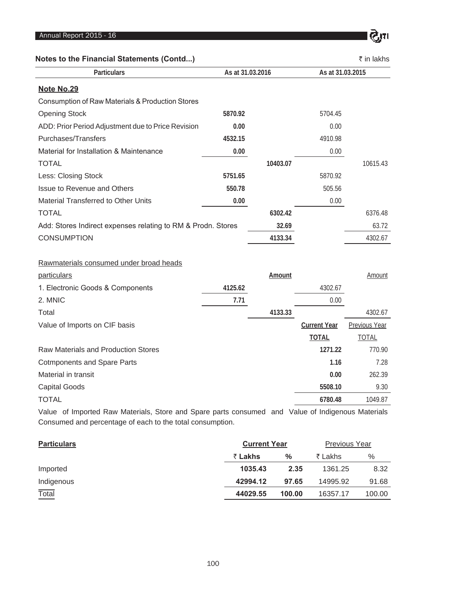Annual Report 2015 - 16

| Notes to the Financial Statements (Contd)                    |                  | ₹ in lakhs    |                     |               |
|--------------------------------------------------------------|------------------|---------------|---------------------|---------------|
| Particulars                                                  | As at 31.03.2016 |               | As at 31.03.2015    |               |
| Note No.29                                                   |                  |               |                     |               |
| Consumption of Raw Materials & Production Stores             |                  |               |                     |               |
| <b>Opening Stock</b>                                         | 5870.92          |               | 5704.45             |               |
| ADD: Prior Period Adjustment due to Price Revision           | 0.00             |               | 0.00                |               |
| Purchases/Transfers                                          | 4532.15          |               | 4910.98             |               |
| Material for Installation & Maintenance                      | 0.00             |               | 0.00                |               |
| <b>TOTAL</b>                                                 |                  | 10403.07      |                     | 10615.43      |
| Less: Closing Stock                                          | 5751.65          |               | 5870.92             |               |
| Issue to Revenue and Others                                  | 550.78           |               | 505.56              |               |
| Material Transferred to Other Units                          | 0.00             |               | 0.00                |               |
| <b>TOTAL</b>                                                 |                  | 6302.42       |                     | 6376.48       |
| Add: Stores Indirect expenses relating to RM & Prodn. Stores |                  | 32.69         |                     | 63.72         |
| <b>CONSUMPTION</b>                                           |                  | 4133.34       |                     | 4302.67       |
| Rawmaterials consumed under broad heads                      |                  |               |                     |               |
| <b>particulars</b>                                           |                  | <b>Amount</b> |                     | Amount        |
| 1. Electronic Goods & Components                             | 4125.62          |               | 4302.67             |               |
| 2. MNIC                                                      | 7.71             |               | 0.00                |               |
| Total                                                        |                  | 4133.33       |                     | 4302.67       |
| Value of Imports on CIF basis                                |                  |               | <b>Current Year</b> | Previous Year |
|                                                              |                  |               | <b>TOTAL</b>        | <b>TOTAL</b>  |
| Raw Materials and Production Stores                          |                  |               | 1271.22             | 770.90        |
| <b>Cotmponents and Spare Parts</b>                           |                  |               | 1.16                | 7.28          |
| Material in transit                                          |                  |               | 0.00                | 262.39        |
| <b>Capital Goods</b>                                         |                  |               | 5508.10             | 9.30          |
| <b>TOTAL</b>                                                 |                  |               | 6780.48             | 1049.87       |

Value of Imported Raw Materials, Store and Spare parts consumed and Value of Indigenous Materials Consumed and percentage of each to the total consumption.

| <b>Particulars</b> | <b>Current Year</b> |               | <b>Previous Year</b> |        |
|--------------------|---------------------|---------------|----------------------|--------|
|                    | ₹ Lakhs             | $\frac{9}{6}$ | ₹ Lakhs              | $\%$   |
| Imported           | 1035.43             | 2.35          | 1361.25              | 8.32   |
| Indigenous         | 42994.12            | 97.65         | 14995.92             | 91.68  |
| Total              | 44029.55            | 100.00        | 16357.17             | 100.00 |

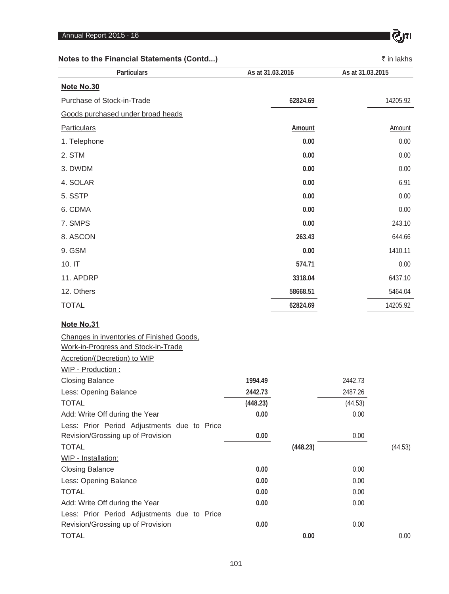

| Notes to the Financial Statements (Contd) | ₹ in lakhs       |                  |
|-------------------------------------------|------------------|------------------|
| Particulars                               | As at 31.03.2016 | As at 31.03.2015 |
| Note No.30                                |                  |                  |
| Purchase of Stock-in-Trade                | 62824.69         | 14205.92         |
| Goods purchased under broad heads         |                  |                  |
| <b>Particulars</b>                        | <b>Amount</b>    | Amount           |
| 1. Telephone                              | 0.00             | 0.00             |
| 2. STM                                    | 0.00             | 0.00             |
| 3. DWDM                                   | 0.00             | 0.00             |
| 4. SOLAR                                  | 0.00             | 6.91             |
| 5. SSTP                                   | 0.00             | 0.00             |
| 6. CDMA                                   | 0.00             | 0.00             |
| 7. SMPS                                   | 0.00             | 243.10           |
| 8. ASCON                                  | 263.43           | 644.66           |
| 9. GSM                                    | 0.00             | 1410.11          |
| 10. IT                                    | 574.71           | 0.00             |
| 11. APDRP                                 | 3318.04          | 6437.10          |
| 12. Others                                | 58668.51         | 5464.04          |
| <b>TOTAL</b>                              | 62824.69         | 14205.92         |

### **Note No.31**

| Changes in inventories of Finished Goods.   |          |          |         |         |
|---------------------------------------------|----------|----------|---------|---------|
| <b>Work-in-Progress and Stock-in-Trade</b>  |          |          |         |         |
| Accretion/(Decretion) to WIP                |          |          |         |         |
| WIP - Production:                           |          |          |         |         |
| <b>Closing Balance</b>                      | 1994.49  |          | 2442.73 |         |
| Less: Opening Balance                       | 2442.73  |          | 2487.26 |         |
| <b>TOTAL</b>                                | (448.23) |          | (44.53) |         |
| Add: Write Off during the Year              | 0.00     |          | 0.00    |         |
| Less: Prior Period Adjustments due to Price |          |          |         |         |
| Revision/Grossing up of Provision           | 0.00     |          | 0.00    |         |
| <b>TOTAL</b>                                |          | (448.23) |         | (44.53) |
| WIP - Installation:                         |          |          |         |         |
| <b>Closing Balance</b>                      | 0.00     |          | 0.00    |         |
| Less: Opening Balance                       | 0.00     |          | 0.00    |         |
| <b>TOTAL</b>                                | 0.00     |          | 0.00    |         |
| Add: Write Off during the Year              | 0.00     |          | 0.00    |         |
| Less: Prior Period Adjustments due to Price |          |          |         |         |
| Revision/Grossing up of Provision           | 0.00     |          | 0.00    |         |
| <b>TOTAL</b>                                |          | 0.00     |         | 0.00    |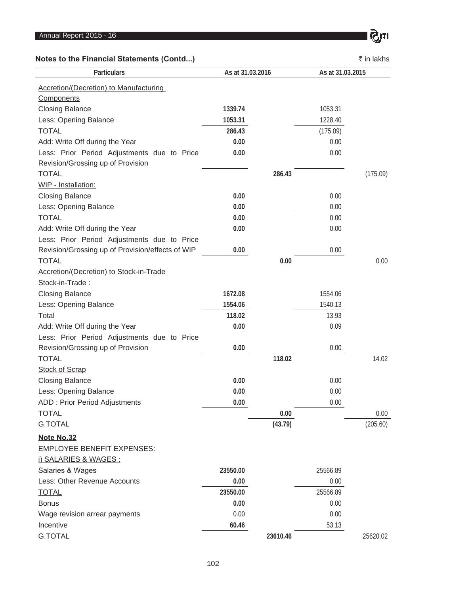द्धाः

| Particulars                                      | As at 31.03.2016 |          | As at 31.03.2015 |          |
|--------------------------------------------------|------------------|----------|------------------|----------|
| <b>Accretion/(Decretion) to Manufacturing</b>    |                  |          |                  |          |
| Components                                       |                  |          |                  |          |
| <b>Closing Balance</b>                           | 1339.74          |          | 1053.31          |          |
| Less: Opening Balance                            | 1053.31          |          | 1228.40          |          |
| <b>TOTAL</b>                                     | 286.43           |          | (175.09)         |          |
| Add: Write Off during the Year                   | 0.00             |          | 0.00             |          |
| Less: Prior Period Adjustments due to Price      | 0.00             |          | 0.00             |          |
| Revision/Grossing up of Provision                |                  |          |                  |          |
| <b>TOTAL</b>                                     |                  | 286.43   |                  | (175.09) |
| WIP - Installation:                              |                  |          |                  |          |
| <b>Closing Balance</b>                           | 0.00             |          | 0.00             |          |
| Less: Opening Balance                            | 0.00             |          | 0.00             |          |
| <b>TOTAL</b>                                     | 0.00             |          | 0.00             |          |
| Add: Write Off during the Year                   | 0.00             |          | 0.00             |          |
| Less: Prior Period Adjustments due to Price      |                  |          |                  |          |
| Revision/Grossing up of Provision/effects of WIP | 0.00             |          | 0.00             |          |
| <b>TOTAL</b>                                     |                  | 0.00     |                  | 0.00     |
| Accretion/(Decretion) to Stock-in-Trade          |                  |          |                  |          |
| Stock-in-Trade:                                  |                  |          |                  |          |
| <b>Closing Balance</b>                           | 1672.08          |          | 1554.06          |          |
| Less: Opening Balance                            | 1554.06          |          | 1540.13          |          |
| Total                                            | 118.02           |          | 13.93            |          |
| Add: Write Off during the Year                   | 0.00             |          | 0.09             |          |
| Less: Prior Period Adjustments due to Price      |                  |          |                  |          |
| Revision/Grossing up of Provision                | 0.00             |          | 0.00             |          |
| <b>TOTAL</b>                                     |                  | 118.02   |                  | 14.02    |
| <b>Stock of Scrap</b>                            |                  |          |                  |          |
| <b>Closing Balance</b>                           | 0.00             |          | 0.00             |          |
| Less: Opening Balance                            | 0.00             |          | 0.00             |          |
| <b>ADD: Prior Period Adjustments</b>             | 0.00             |          | 0.00             |          |
| <b>TOTAL</b>                                     |                  | 0.00     |                  | 0.00     |
| <b>G.TOTAL</b>                                   |                  | (43.79)  |                  | (205.60) |
| Note No.32                                       |                  |          |                  |          |
| <b>EMPLOYEE BENEFIT EXPENSES:</b>                |                  |          |                  |          |
| <u>i) SALARIES &amp; WAGES :</u>                 |                  |          |                  |          |
| Salaries & Wages                                 | 23550.00         |          | 25566.89         |          |
| Less: Other Revenue Accounts                     | 0.00             |          | 0.00             |          |
| <b>TOTAL</b>                                     | 23550.00         |          | 25566.89         |          |
| <b>Bonus</b>                                     | 0.00             |          | 0.00             |          |
| Wage revision arrear payments                    | 0.00             |          | 0.00             |          |
| Incentive                                        | 60.46            |          | 53.13            |          |
| <b>G.TOTAL</b>                                   |                  | 23610.46 |                  | 25620.02 |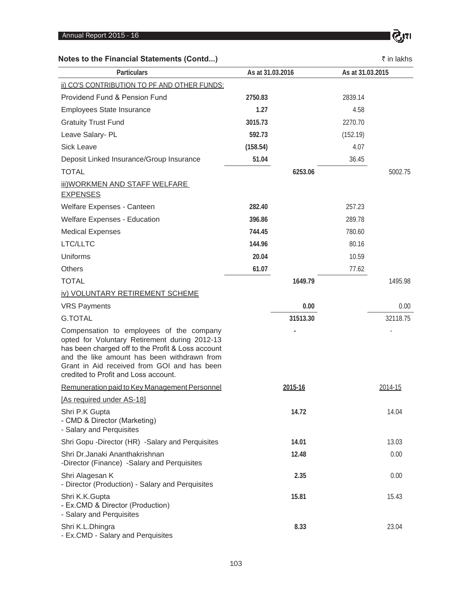| <b>Particulars</b>                                                                                                                                                                                                                                                                   | As at 31.03.2016 |          | As at 31.03.2015 |          |
|--------------------------------------------------------------------------------------------------------------------------------------------------------------------------------------------------------------------------------------------------------------------------------------|------------------|----------|------------------|----------|
| ii) CO'S CONTRIBUTION TO PF AND OTHER FUNDS:                                                                                                                                                                                                                                         |                  |          |                  |          |
| Providend Fund & Pension Fund                                                                                                                                                                                                                                                        | 2750.83          |          | 2839.14          |          |
| <b>Employees State Insurance</b>                                                                                                                                                                                                                                                     | 1.27             |          | 4.58             |          |
| <b>Gratuity Trust Fund</b>                                                                                                                                                                                                                                                           | 3015.73          |          | 2270.70          |          |
| Leave Salary- PL                                                                                                                                                                                                                                                                     | 592.73           |          | (152.19)         |          |
| <b>Sick Leave</b>                                                                                                                                                                                                                                                                    | (158.54)         |          | 4.07             |          |
| Deposit Linked Insurance/Group Insurance                                                                                                                                                                                                                                             | 51.04            |          | 36.45            |          |
| <b>TOTAL</b>                                                                                                                                                                                                                                                                         |                  | 6253.06  |                  | 5002.75  |
| iii) WORKMEN AND STAFF WELFARE<br><b>EXPENSES</b>                                                                                                                                                                                                                                    |                  |          |                  |          |
| Welfare Expenses - Canteen                                                                                                                                                                                                                                                           | 282.40           |          | 257.23           |          |
| <b>Welfare Expenses - Education</b>                                                                                                                                                                                                                                                  | 396.86           |          | 289.78           |          |
| <b>Medical Expenses</b>                                                                                                                                                                                                                                                              | 744.45           |          | 780.60           |          |
| <b>LTC/LLTC</b>                                                                                                                                                                                                                                                                      | 144.96           |          | 80.16            |          |
| Uniforms                                                                                                                                                                                                                                                                             | 20.04            |          | 10.59            |          |
| <b>Others</b>                                                                                                                                                                                                                                                                        | 61.07            |          | 77.62            |          |
| <b>TOTAL</b>                                                                                                                                                                                                                                                                         |                  | 1649.79  |                  | 1495.98  |
| iv) VOLUNTARY RETIREMENT SCHEME                                                                                                                                                                                                                                                      |                  |          |                  |          |
| <b>VRS Payments</b>                                                                                                                                                                                                                                                                  |                  | 0.00     |                  | 0.00     |
| <b>G.TOTAL</b>                                                                                                                                                                                                                                                                       |                  | 31513.30 |                  | 32118.75 |
| Compensation to employees of the company<br>opted for Voluntary Retirement during 2012-13<br>has been charged off to the Profit & Loss account<br>and the like amount has been withdrawn from<br>Grant in Aid received from GOI and has been<br>credited to Profit and Loss account. |                  |          |                  |          |
| Remuneration paid to Key Management Personnel                                                                                                                                                                                                                                        |                  | 2015-16  |                  | 2014-15  |
| [As required under AS-18]                                                                                                                                                                                                                                                            |                  |          |                  |          |
| Shri P.K Gupta<br>- CMD & Director (Marketing)<br>- Salary and Perquisites                                                                                                                                                                                                           |                  | 14.72    |                  | 14.04    |
| Shri Gopu - Director (HR) - Salary and Perquisites                                                                                                                                                                                                                                   |                  | 14.01    |                  | 13.03    |
| Shri Dr. Janaki Ananthakrishnan<br>-Director (Finance) -Salary and Perquisites                                                                                                                                                                                                       |                  | 12.48    |                  | 0.00     |
| Shri Alagesan K<br>- Director (Production) - Salary and Perquisites                                                                                                                                                                                                                  |                  | 2.35     |                  | 0.00     |
| Shri K.K.Gupta<br>- Ex.CMD & Director (Production)<br>- Salary and Perquisites                                                                                                                                                                                                       |                  | 15.81    |                  | 15.43    |
| Shri K.L.Dhingra<br>- Ex.CMD - Salary and Perquisites                                                                                                                                                                                                                                |                  | 8.33     |                  | 23.04    |

**द्धाः** 

103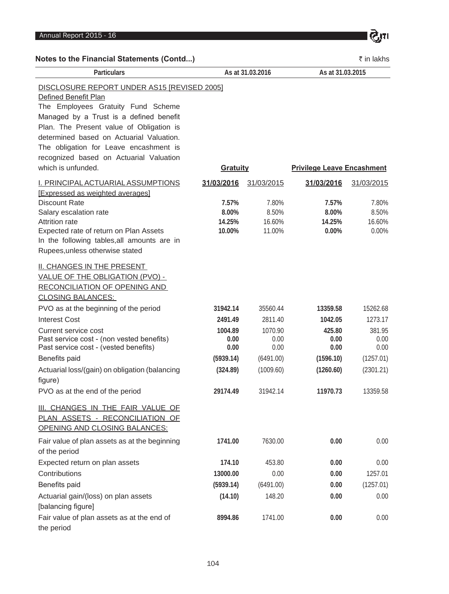**द्धाः** 

| Notes to the Financial Statements (Contd) | ₹ in lakhs |
|-------------------------------------------|------------|
|-------------------------------------------|------------|

| <b>Particulars</b>                                                                                                                                                                                                                                                                                                                                      |                                    | As at 31.03.2016                   |                                   | As at 31.03.2015                  |  |
|---------------------------------------------------------------------------------------------------------------------------------------------------------------------------------------------------------------------------------------------------------------------------------------------------------------------------------------------------------|------------------------------------|------------------------------------|-----------------------------------|-----------------------------------|--|
| DISCLOSURE REPORT UNDER AS15 [REVISED 2005]<br>Defined Benefit Plan<br>The Employees Gratuity Fund Scheme<br>Managed by a Trust is a defined benefit<br>Plan. The Present value of Obligation is<br>determined based on Actuarial Valuation.<br>The obligation for Leave encashment is<br>recognized based on Actuarial Valuation<br>which is unfunded. | Gratuity                           |                                    | <b>Privilege Leave Encashment</b> |                                   |  |
| I. PRINCIPAL ACTUARIAL ASSUMPTIONS                                                                                                                                                                                                                                                                                                                      | 31/03/2016                         | 31/03/2015                         | 31/03/2016                        | 31/03/2015                        |  |
| <b>[Expressed as weighted averages]</b><br><b>Discount Rate</b><br>Salary escalation rate<br><b>Attrition rate</b><br>Expected rate of return on Plan Assets<br>In the following tables, all amounts are in<br>Rupees, unless otherwise stated                                                                                                          | 7.57%<br>8.00%<br>14.25%<br>10.00% | 7.80%<br>8.50%<br>16.60%<br>11.00% | 7.57%<br>8.00%<br>14.25%<br>0.00% | 7.80%<br>8.50%<br>16.60%<br>0.00% |  |
| II. CHANGES IN THE PRESENT<br><u>VALUE OF THE OBLIGATION (PVO) -</u><br><b>RECONCILIATION OF OPENING AND</b><br><b>CLOSING BALANCES:</b>                                                                                                                                                                                                                |                                    |                                    |                                   |                                   |  |
| PVO as at the beginning of the period                                                                                                                                                                                                                                                                                                                   | 31942.14                           | 35560.44                           | 13359.58                          | 15262.68                          |  |
| <b>Interest Cost</b>                                                                                                                                                                                                                                                                                                                                    | 2491.49                            | 2811.40                            | 1042.05                           | 1273.17                           |  |
| Current service cost<br>Past service cost - (non vested benefits)<br>Past service cost - (vested benefits)                                                                                                                                                                                                                                              | 1004.89<br>0.00<br>0.00            | 1070.90<br>0.00<br>0.00            | 425.80<br>0.00<br>0.00            | 381.95<br>0.00<br>0.00            |  |
| Benefits paid                                                                                                                                                                                                                                                                                                                                           | (5939.14)                          | (6491.00)                          | (1596.10)                         | (1257.01)                         |  |
| Actuarial loss/(gain) on obligation (balancing<br>figure)                                                                                                                                                                                                                                                                                               | (324.89)                           | (1009.60)                          | (1260.60)                         | (2301.21)                         |  |
| PVO as at the end of the period                                                                                                                                                                                                                                                                                                                         | 29174.49                           | 31942.14                           | 11970.73                          | 13359.58                          |  |
| III. CHANGES IN THE FAIR VALUE OF<br>PLAN ASSETS - RECONCILIATION OF<br>OPENING AND CLOSING BALANCES:                                                                                                                                                                                                                                                   |                                    |                                    |                                   |                                   |  |
| Fair value of plan assets as at the beginning<br>of the period                                                                                                                                                                                                                                                                                          | 1741.00                            | 7630.00                            | 0.00                              | 0.00                              |  |
| Expected return on plan assets                                                                                                                                                                                                                                                                                                                          | 174.10                             | 453.80                             | 0.00                              | 0.00                              |  |
| Contributions                                                                                                                                                                                                                                                                                                                                           | 13000.00                           | 0.00                               | 0.00                              | 1257.01                           |  |
| Benefits paid                                                                                                                                                                                                                                                                                                                                           | (5939.14)                          | (6491.00)                          | 0.00                              | (1257.01)                         |  |
| Actuarial gain/(loss) on plan assets<br>[balancing figure]                                                                                                                                                                                                                                                                                              | (14.10)                            | 148.20                             | 0.00                              | 0.00                              |  |
| Fair value of plan assets as at the end of                                                                                                                                                                                                                                                                                                              | 8994.86                            | 1741.00                            | 0.00                              | 0.00                              |  |

the period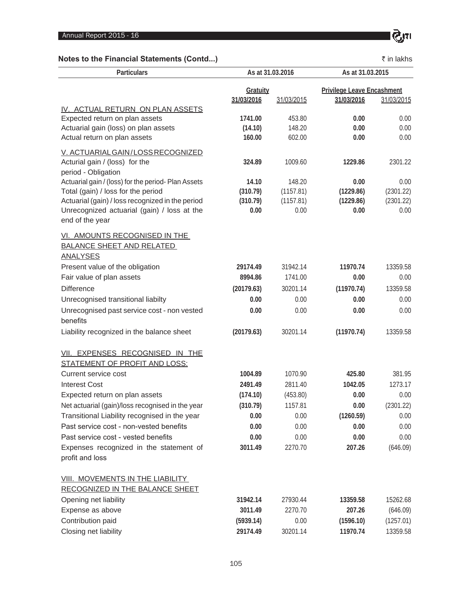| <b>Particulars</b>                                  |                        | As at 31.03.2016 | As at 31.03.2015                  |            |
|-----------------------------------------------------|------------------------|------------------|-----------------------------------|------------|
|                                                     |                        |                  | <b>Privilege Leave Encashment</b> |            |
|                                                     | Gratuity<br>31/03/2016 | 31/03/2015       | 31/03/2016                        | 31/03/2015 |
| IV. ACTUAL RETURN ON PLAN ASSETS                    |                        |                  |                                   |            |
| Expected return on plan assets                      | 1741.00                | 453.80           | 0.00                              | 0.00       |
| Actuarial gain (loss) on plan assets                | (14.10)                | 148.20           | 0.00                              | 0.00       |
| Actual return on plan assets                        | 160.00                 | 602.00           | 0.00                              | 0.00       |
| V. ACTUARIAL GAIN/LOSS RECOGNIZED                   |                        |                  |                                   |            |
| Acturial gain / (loss) for the                      | 324.89                 | 1009.60          | 1229.86                           | 2301.22    |
| period - Obligation                                 |                        |                  |                                   |            |
| Actuarial gain / (loss) for the period- Plan Assets | 14.10                  | 148.20           | 0.00                              | 0.00       |
| Total (gain) / loss for the period                  | (310.79)               | (1157.81)        | (1229.86)                         | (2301.22)  |
| Actuarial (gain) / loss recognized in the period    | (310.79)               | (1157.81)        | (1229.86)                         | (2301.22)  |
| Unrecognized actuarial (gain) / loss at the         | 0.00                   | 0.00             | 0.00                              | 0.00       |
| end of the year                                     |                        |                  |                                   |            |
| VI. AMOUNTS RECOGNISED IN THE                       |                        |                  |                                   |            |
| <b>BALANCE SHEET AND RELATED</b>                    |                        |                  |                                   |            |
| <b>ANALYSES</b>                                     |                        |                  |                                   |            |
| Present value of the obligation                     | 29174.49               | 31942.14         | 11970.74                          | 13359.58   |
| Fair value of plan assets                           | 8994.86                | 1741.00          | 0.00                              | 0.00       |
| <b>Difference</b>                                   | (20179.63)             | 30201.14         | (11970.74)                        | 13359.58   |
| Unrecognised transitional liabilty                  | 0.00                   | 0.00             | 0.00                              | 0.00       |
| Unrecognised past service cost - non vested         | 0.00                   | 0.00             | 0.00                              | 0.00       |
| benefits                                            |                        |                  |                                   |            |
| Liability recognized in the balance sheet           | (20179.63)             | 30201.14         | (11970.74)                        | 13359.58   |
| VII. EXPENSES RECOGNISED IN THE                     |                        |                  |                                   |            |
| STATEMENT OF PROFIT AND LOSS:                       |                        |                  |                                   |            |
| Current service cost                                | 1004.89                | 1070.90          | 425.80                            | 381.95     |
| <b>Interest Cost</b>                                | 2491.49                | 2811.40          | 1042.05                           | 1273.17    |
| Expected return on plan assets                      | (174.10)               | (453.80)         | 0.00                              | 0.00       |
| Net actuarial (gain)/loss recognised in the year    | (310.79)               | 1157.81          | 0.00                              | (2301.22)  |
| Transitional Liability recognised in the year       | 0.00                   | 0.00             | (1260.59)                         | 0.00       |
| Past service cost - non-vested benefits             | 0.00                   | 0.00             | 0.00                              | 0.00       |
| Past service cost - vested benefits                 | 0.00                   | 0.00             | 0.00                              | 0.00       |
| Expenses recognized in the statement of             | 3011.49                | 2270.70          | 207.26                            | (646.09)   |
| profit and loss                                     |                        |                  |                                   |            |
| <b>VIII. MOVEMENTS IN THE LIABILITY</b>             |                        |                  |                                   |            |
| RECOGNIZED IN THE BALANCE SHEET                     |                        |                  |                                   |            |
| Opening net liability                               | 31942.14               | 27930.44         | 13359.58                          | 15262.68   |
| Expense as above                                    | 3011.49                | 2270.70          | 207.26                            | (646.09)   |
| Contribution paid                                   | (5939.14)              | 0.00             | (1596.10)                         | (1257.01)  |
| Closing net liability                               | 29174.49               | 30201.14         | 11970.74                          | 13359.58   |

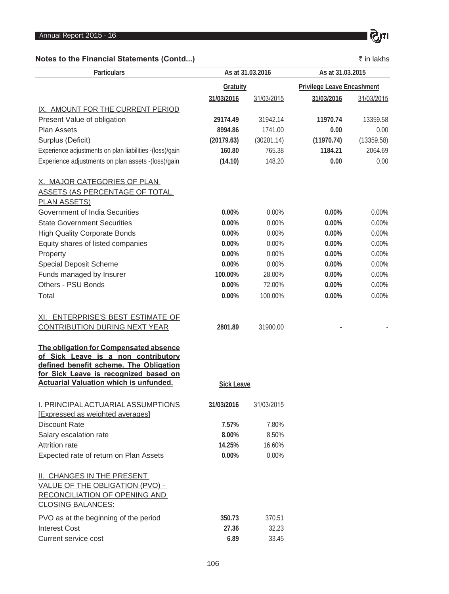## Annual Report 2015 - 16

# **Notes to the Financial Statements (Contd...)** ` in lakhs

| <b>Particulars</b>                                                                                                                                                                                                | As at 31.03.2016  |            | As at 31.03.2015                  |            |
|-------------------------------------------------------------------------------------------------------------------------------------------------------------------------------------------------------------------|-------------------|------------|-----------------------------------|------------|
|                                                                                                                                                                                                                   | Gratuity          |            | <b>Privilege Leave Encashment</b> |            |
|                                                                                                                                                                                                                   | 31/03/2016        | 31/03/2015 | 31/03/2016                        | 31/03/2015 |
| IX. AMOUNT FOR THE CURRENT PERIOD                                                                                                                                                                                 |                   |            |                                   |            |
| Present Value of obligation                                                                                                                                                                                       | 29174.49          | 31942.14   | 11970.74                          | 13359.58   |
| <b>Plan Assets</b>                                                                                                                                                                                                | 8994.86           | 1741.00    | 0.00                              | 0.00       |
| Surplus (Deficit)                                                                                                                                                                                                 | (20179.63)        | (30201.14) | (11970.74)                        | (13359.58) |
| Experience adjustments on plan liabilities -(loss)/gain                                                                                                                                                           | 160.80            | 765.38     | 1184.21                           | 2064.69    |
| Experience adjustments on plan assets -(loss)/gain                                                                                                                                                                | (14.10)           | 148.20     | 0.00                              | 0.00       |
| X. MAJOR CATEGORIES OF PLAN                                                                                                                                                                                       |                   |            |                                   |            |
| <b>ASSETS (AS PERCENTAGE OF TOTAL</b>                                                                                                                                                                             |                   |            |                                   |            |
| <b>PLAN ASSETS)</b>                                                                                                                                                                                               |                   |            |                                   |            |
| Government of India Securities                                                                                                                                                                                    | 0.00%             | 0.00%      | 0.00%                             | 0.00%      |
| <b>State Government Securities</b>                                                                                                                                                                                | 0.00%             | 0.00%      | 0.00%                             | 0.00%      |
| <b>High Quality Corporate Bonds</b>                                                                                                                                                                               | 0.00%             | 0.00%      | 0.00%                             | 0.00%      |
| Equity shares of listed companies                                                                                                                                                                                 | 0.00%             | 0.00%      | 0.00%                             | 0.00%      |
| Property                                                                                                                                                                                                          | 0.00%             | 0.00%      | 0.00%                             | 0.00%      |
| <b>Special Deposit Scheme</b>                                                                                                                                                                                     | 0.00%             | 0.00%      | 0.00%                             | 0.00%      |
| Funds managed by Insurer                                                                                                                                                                                          | 100.00%           | 28.00%     | 0.00%                             | 0.00%      |
| Others - PSU Bonds                                                                                                                                                                                                | 0.00%             | 72.00%     | 0.00%                             | 0.00%      |
| Total                                                                                                                                                                                                             | 0.00%             | 100.00%    | 0.00%                             | 0.00%      |
| XI. ENTERPRISE'S BEST ESTIMATE OF                                                                                                                                                                                 |                   |            |                                   |            |
| <b>CONTRIBUTION DURING NEXT YEAR</b>                                                                                                                                                                              | 2801.89           | 31900.00   |                                   |            |
| The obligation for Compensated absence<br>of Sick Leave is a non contributory<br>defined benefit scheme. The Obligation<br>for Sick Leave is recognized based on<br><b>Actuarial Valuation which is unfunded.</b> | <b>Sick Leave</b> |            |                                   |            |
|                                                                                                                                                                                                                   |                   |            |                                   |            |
| I. PRINCIPAL ACTUARIAL ASSUMPTIONS<br><b>[Expressed as weighted averages]</b>                                                                                                                                     | 31/03/2016        | 31/03/2015 |                                   |            |
| <b>Discount Rate</b>                                                                                                                                                                                              | 7.57%             | 7.80%      |                                   |            |
| Salary escalation rate                                                                                                                                                                                            | 8.00%             | 8.50%      |                                   |            |
| <b>Attrition rate</b>                                                                                                                                                                                             | 14.25%            | 16.60%     |                                   |            |
| Expected rate of return on Plan Assets                                                                                                                                                                            | 0.00%             | 0.00%      |                                   |            |
| <b>II. CHANGES IN THE PRESENT</b><br>VALUE OF THE OBLIGATION (PVO) -<br><b>RECONCILIATION OF OPENING AND</b><br><b>CLOSING BALANCES:</b>                                                                          |                   |            |                                   |            |
| PVO as at the beginning of the period                                                                                                                                                                             | 350.73            | 370.51     |                                   |            |
| <b>Interest Cost</b>                                                                                                                                                                                              | 27.36             | 32.23      |                                   |            |
| Current service cost                                                                                                                                                                                              | 6.89              | 33.45      |                                   |            |

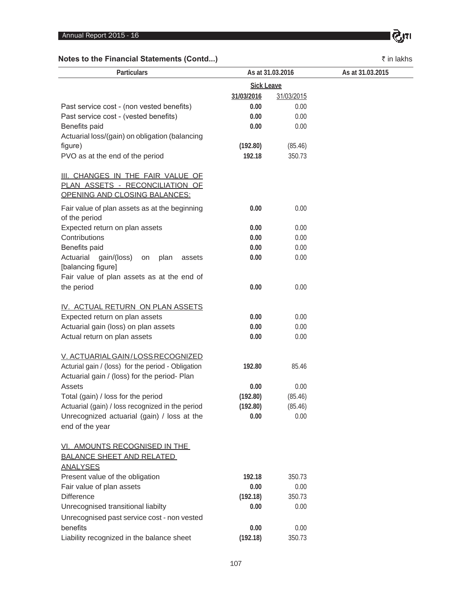| <b>Particulars</b>                                                                                           |                   | As at 31.03.2016 | As at 31.03.2015 |
|--------------------------------------------------------------------------------------------------------------|-------------------|------------------|------------------|
|                                                                                                              | <b>Sick Leave</b> |                  |                  |
|                                                                                                              | 31/03/2016        | 31/03/2015       |                  |
| Past service cost - (non vested benefits)                                                                    | 0.00              | 0.00             |                  |
| Past service cost - (vested benefits)                                                                        | 0.00              | 0.00             |                  |
| Benefits paid                                                                                                | 0.00              | 0.00             |                  |
| Actuarial loss/(gain) on obligation (balancing                                                               |                   |                  |                  |
| figure)                                                                                                      | (192.80)          | (85.46)          |                  |
| PVO as at the end of the period                                                                              | 192.18            | 350.73           |                  |
| <b>III. CHANGES IN THE FAIR VALUE OF</b><br>PLAN ASSETS - RECONCILIATION OF<br>OPENING AND CLOSING BALANCES: |                   |                  |                  |
| Fair value of plan assets as at the beginning<br>of the period                                               | 0.00              | 0.00             |                  |
| Expected return on plan assets                                                                               | 0.00              | 0.00             |                  |
| Contributions                                                                                                | 0.00              | 0.00             |                  |
| Benefits paid                                                                                                | 0.00              | 0.00             |                  |
| Actuarial<br>gain/(loss)<br>plan<br>assets<br>on                                                             | 0.00              | 0.00             |                  |
| [balancing figure]                                                                                           |                   |                  |                  |
| Fair value of plan assets as at the end of                                                                   |                   |                  |                  |
| the period                                                                                                   | 0.00              | 0.00             |                  |
| IV. ACTUAL RETURN ON PLAN ASSETS                                                                             |                   |                  |                  |
| Expected return on plan assets                                                                               | 0.00              | 0.00             |                  |
| Actuarial gain (loss) on plan assets                                                                         | 0.00              | 0.00             |                  |
| Actual return on plan assets                                                                                 | 0.00              | 0.00             |                  |
| V. ACTUARIAL GAIN/LOSS RECOGNIZED                                                                            |                   |                  |                  |
| Acturial gain / (loss) for the period - Obligation<br>Actuarial gain / (loss) for the period- Plan           | 192.80            | 85.46            |                  |
| Assets                                                                                                       | 0.00              | 0.00             |                  |
| Total (gain) / loss for the period                                                                           | (192.80)          | (85.46)          |                  |
| Actuarial (gain) / loss recognized in the period                                                             | (192.80)          | (85.46)          |                  |
| Unrecognized actuarial (gain) / loss at the                                                                  | 0.00              | 0.00             |                  |
| end of the year                                                                                              |                   |                  |                  |
| VI. AMOUNTS RECOGNISED IN THE<br><b>BALANCE SHEET AND RELATED</b><br><b>ANALYSES</b>                         |                   |                  |                  |
| Present value of the obligation                                                                              | 192.18            | 350.73           |                  |
| Fair value of plan assets                                                                                    | 0.00              | 0.00             |                  |
| <b>Difference</b>                                                                                            | (192.18)          | 350.73           |                  |
| Unrecognised transitional liabilty                                                                           | 0.00              | 0.00             |                  |
| Unrecognised past service cost - non vested                                                                  |                   |                  |                  |
| benefits                                                                                                     | 0.00              | 0.00             |                  |
| Liability recognized in the balance sheet                                                                    | (192.18)          | 350.73           |                  |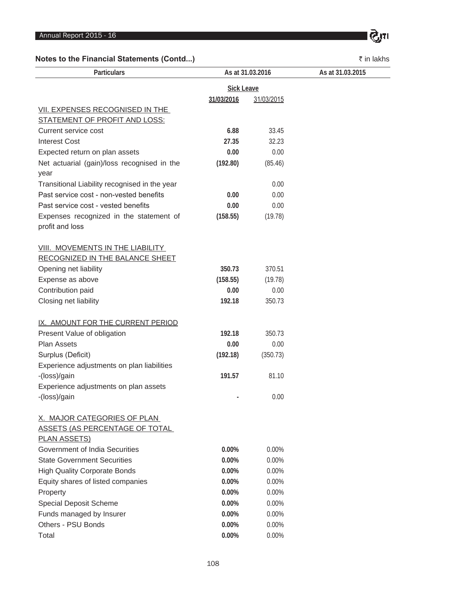### **Notes to the Financial Statements (Contd...)** in lakhs ₹in lakhs

द्धाः

| Particulars                                   |                   | As at 31.03.2016 | As at 31.03.2015 |
|-----------------------------------------------|-------------------|------------------|------------------|
|                                               | <b>Sick Leave</b> |                  |                  |
|                                               | 31/03/2016        | 31/03/2015       |                  |
| VII. EXPENSES RECOGNISED IN THE               |                   |                  |                  |
| <u>STATEMENT OF PROFIT AND LOSS:</u>          |                   |                  |                  |
| Current service cost                          | 6.88              | 33.45            |                  |
| <b>Interest Cost</b>                          | 27.35             | 32.23            |                  |
| Expected return on plan assets                | 0.00              | 0.00             |                  |
| Net actuarial (gain)/loss recognised in the   | (192.80)          | (85.46)          |                  |
| year                                          |                   |                  |                  |
| Transitional Liability recognised in the year |                   | 0.00             |                  |
| Past service cost - non-vested benefits       | 0.00              | 0.00             |                  |
| Past service cost - vested benefits           | 0.00              | 0.00             |                  |
| Expenses recognized in the statement of       | (158.55)          | (19.78)          |                  |
| profit and loss                               |                   |                  |                  |
|                                               |                   |                  |                  |
| <b>VIII. MOVEMENTS IN THE LIABILITY</b>       |                   |                  |                  |
| RECOGNIZED IN THE BALANCE SHEET               |                   |                  |                  |
| Opening net liability                         | 350.73            | 370.51           |                  |
| Expense as above                              | (158.55)          | (19.78)          |                  |
| Contribution paid                             | 0.00              | 0.00             |                  |
| Closing net liability                         | 192.18            | 350.73           |                  |
|                                               |                   |                  |                  |
| IX. AMOUNT FOR THE CURRENT PERIOD             |                   |                  |                  |
| Present Value of obligation                   | 192.18            | 350.73           |                  |
| <b>Plan Assets</b>                            | 0.00              | 0.00             |                  |
| Surplus (Deficit)                             | (192.18)          | (350.73)         |                  |
| Experience adjustments on plan liabilities    |                   |                  |                  |
| -(loss)/gain                                  | 191.57            | 81.10            |                  |
| Experience adjustments on plan assets         |                   |                  |                  |
| -(loss)/gain                                  |                   | 0.00             |                  |
|                                               |                   |                  |                  |
| <u>X. MAJOR CATEGORIES OF PLAN</u>            |                   |                  |                  |
| <b>ASSETS (AS PERCENTAGE OF TOTAL</b>         |                   |                  |                  |
| <b>PLAN ASSETS)</b>                           |                   |                  |                  |
| Government of India Securities                | 0.00%             | 0.00%            |                  |
| <b>State Government Securities</b>            | 0.00%             | 0.00%            |                  |
| <b>High Quality Corporate Bonds</b>           | 0.00%             | 0.00%            |                  |
| Equity shares of listed companies             | 0.00%             | 0.00%            |                  |
| Property                                      | 0.00%             | 0.00%            |                  |
| <b>Special Deposit Scheme</b>                 | 0.00%             | 0.00%            |                  |
| Funds managed by Insurer                      | 0.00%             | 0.00%            |                  |
| Others - PSU Bonds                            | 0.00%             | 0.00%            |                  |
| Total                                         | 0.00%             | 0.00%            |                  |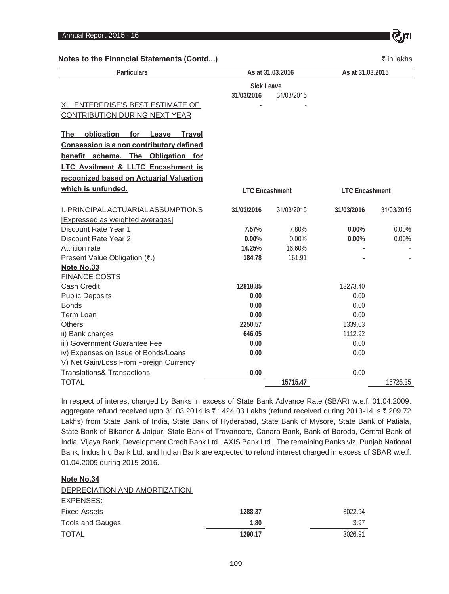**Notes to the Financial Statements (Contd...) in lakhs** ₹ in lakhs

| <b>Particulars</b>                                     |                       | As at 31.03.2016 | As at 31.03.2015      |            |
|--------------------------------------------------------|-----------------------|------------------|-----------------------|------------|
|                                                        | <b>Sick Leave</b>     |                  |                       |            |
|                                                        | 31/03/2016            | 31/03/2015       |                       |            |
| XI. ENTERPRISE'S BEST ESTIMATE OF                      |                       |                  |                       |            |
| CONTRIBUTION DURING NEXT YEAR                          |                       |                  |                       |            |
|                                                        |                       |                  |                       |            |
| obligation<br>for Leave<br><b>The</b><br><b>Travel</b> |                       |                  |                       |            |
| Consession is a non contributory defined               |                       |                  |                       |            |
| benefit scheme. The Obligation for                     |                       |                  |                       |            |
| LTC Availment & LLTC Encashment is                     |                       |                  |                       |            |
| recognized based on Actuarial Valuation                |                       |                  |                       |            |
| which is unfunded.                                     | <b>LTC Encashment</b> |                  | <b>LTC Encashment</b> |            |
| I. PRINCIPAL ACTUARIAL ASSUMPTIONS                     | 31/03/2016            | 31/03/2015       | 31/03/2016            | 31/03/2015 |
| [Expressed as weighted averages]                       |                       |                  |                       |            |
| Discount Rate Year 1                                   | 7.57%                 | 7.80%            | 0.00%                 | $0.00\%$   |
| Discount Rate Year 2                                   | 0.00%                 | 0.00%            | 0.00%                 | 0.00%      |
| <b>Attrition rate</b>                                  | 14.25%                | 16.60%           |                       |            |
| Present Value Obligation (₹.)                          | 184.78                | 161.91           |                       |            |
| Note No.33                                             |                       |                  |                       |            |
| <b>FINANCE COSTS</b>                                   |                       |                  |                       |            |
| <b>Cash Credit</b>                                     | 12818.85              |                  | 13273.40              |            |
| <b>Public Deposits</b>                                 | 0.00                  |                  | 0.00                  |            |
| <b>Bonds</b><br><b>Term Loan</b>                       | 0.00<br>0.00          |                  | 0.00<br>0.00          |            |
| <b>Others</b>                                          | 2250.57               |                  | 1339.03               |            |
| ii) Bank charges                                       | 646.05                |                  | 1112.92               |            |
| iii) Government Guarantee Fee                          | 0.00                  |                  | 0.00                  |            |
| iv) Expenses on Issue of Bonds/Loans                   | 0.00                  |                  | 0.00                  |            |
| V) Net Gain/Loss From Foreign Currency                 |                       |                  |                       |            |
| <b>Translations&amp; Transactions</b>                  | 0.00                  |                  | 0.00                  |            |
| <b>TOTAL</b>                                           |                       | 15715.47         |                       | 15725.35   |

In respect of interest charged by Banks in excess of State Bank Advance Rate (SBAR) w.e.f. 01.04.2009, aggregate refund received upto 31.03.2014 is  $\bar{\tau}$  1424.03 Lakhs (refund received during 2013-14 is  $\bar{\tau}$  209.72 Lakhs) from State Bank of India, State Bank of Hyderabad, State Bank of Mysore, State Bank of Patiala, State Bank of Bikaner & Jaipur, State Bank of Travancore, Canara Bank, Bank of Baroda, Central Bank of India, Vijaya Bank, Development Credit Bank Ltd., AXIS Bank Ltd.. The remaining Banks viz, Punjab National Bank, Indus Ind Bank Ltd. and Indian Bank are expected to refund interest charged in excess of SBAR w.e.f. 01.04.2009 during 2015-2016.

### **Note No.34**

| <b>TOTAL</b>                  | 1290.17 | 3026.91 |
|-------------------------------|---------|---------|
| <b>Tools and Gauges</b>       | 1.80    | 3.97    |
| <b>Fixed Assets</b>           | 1288.37 | 3022.94 |
| EXPENSES:                     |         |         |
| DEPRECIATION AND AMORTIZATION |         |         |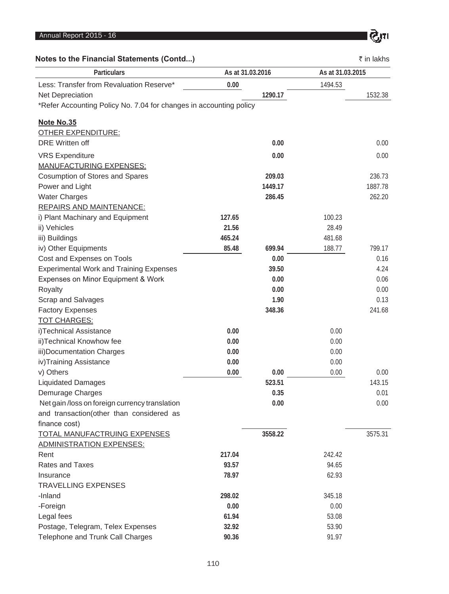द्धाः

### **Notes to the Financial Statements (Contd...)** in lakhs ₹in lakhs

| Particulars                                                        | As at 31.03.2016 |         | As at 31.03.2015 |              |
|--------------------------------------------------------------------|------------------|---------|------------------|--------------|
| Less: Transfer from Revaluation Reserve*                           | 0.00             |         | 1494.53          |              |
| Net Depreciation                                                   |                  | 1290.17 |                  | 1532.38      |
| *Refer Accounting Policy No. 7.04 for changes in accounting policy |                  |         |                  |              |
| Note No.35                                                         |                  |         |                  |              |
| <b>OTHER EXPENDITURE:</b>                                          |                  |         |                  |              |
| <b>DRE</b> Written off                                             |                  | 0.00    |                  | 0.00         |
| <b>VRS</b> Expenditure                                             |                  | 0.00    |                  | 0.00         |
| <b>MANUFACTURING EXPENSES:</b>                                     |                  |         |                  |              |
| Cosumption of Stores and Spares                                    |                  | 209.03  |                  | 236.73       |
| Power and Light                                                    |                  | 1449.17 |                  | 1887.78      |
| <b>Water Charges</b>                                               |                  | 286.45  |                  | 262.20       |
| <b>REPAIRS AND MAINTENANCE:</b>                                    |                  |         |                  |              |
| i) Plant Machinary and Equipment                                   | 127.65           |         | 100.23           |              |
| ii) Vehicles                                                       | 21.56            |         | 28.49            |              |
| iii) Buildings                                                     | 465.24           |         | 481.68           |              |
| iv) Other Equipments                                               | 85.48            | 699.94  | 188.77           | 799.17       |
| Cost and Expenses on Tools                                         |                  | 0.00    |                  | 0.16         |
| <b>Experimental Work and Training Expenses</b>                     |                  | 39.50   |                  | 4.24         |
| Expenses on Minor Equipment & Work                                 |                  | 0.00    |                  | 0.06         |
| Royalty                                                            |                  | 0.00    |                  | 0.00         |
| Scrap and Salvages                                                 |                  | 1.90    |                  | 0.13         |
| <b>Factory Expenses</b>                                            |                  | 348.36  |                  | 241.68       |
| <b>TOT CHARGES:</b>                                                |                  |         |                  |              |
| i)Technical Assistance                                             | 0.00             |         | 0.00             |              |
| ii)Technical Knowhow fee                                           | 0.00             |         | 0.00             |              |
|                                                                    | 0.00             |         | 0.00             |              |
| iii) Documentation Charges                                         | 0.00             |         | 0.00             |              |
| iv)Training Assistance                                             | 0.00             | 0.00    | 0.00             | 0.00         |
| v) Others<br><b>Liquidated Damages</b>                             |                  | 523.51  |                  | 143.15       |
|                                                                    |                  | 0.35    |                  |              |
| Demurage Charges<br>Net gain /loss on foreign currency translation |                  | 0.00    |                  | 0.01<br>0.00 |
| and transaction(other than considered as                           |                  |         |                  |              |
| finance cost)                                                      |                  |         |                  |              |
| <b>TOTAL MANUFACTRUING EXPENSES</b>                                |                  | 3558.22 |                  | 3575.31      |
| <b>ADMINISTRATION EXPENSES:</b>                                    |                  |         |                  |              |
| Rent                                                               | 217.04           |         | 242.42           |              |
| <b>Rates and Taxes</b>                                             | 93.57            |         | 94.65            |              |
| Insurance                                                          | 78.97            |         | 62.93            |              |
| <b>TRAVELLING EXPENSES</b>                                         |                  |         |                  |              |
| -Inland                                                            | 298.02           |         | 345.18           |              |
|                                                                    | 0.00             |         | 0.00             |              |
| -Foreign                                                           | 61.94            |         | 53.08            |              |
| Legal fees                                                         | 32.92            |         | 53.90            |              |
| Postage, Telegram, Telex Expenses                                  |                  |         |                  |              |
| Telephone and Trunk Call Charges                                   | 90.36            |         | 91.97            |              |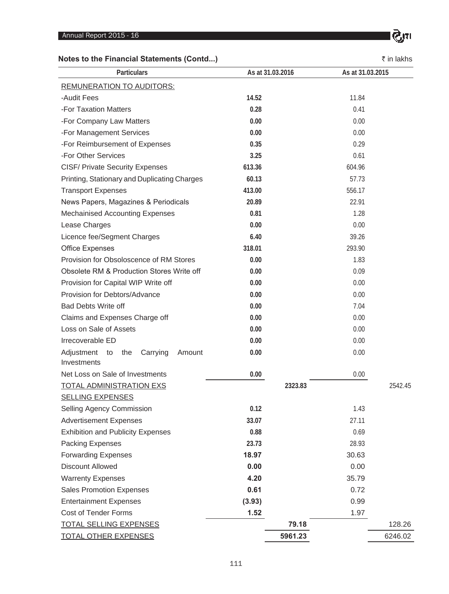## **Notes to the Financial Statements (Contd...)** in lakhs ₹in lakhs

| Particulars                                  | As at 31.03.2016 | As at 31.03.2015 |
|----------------------------------------------|------------------|------------------|
| <b>REMUNERATION TO AUDITORS:</b>             |                  |                  |
| -Audit Fees                                  | 14.52            | 11.84            |
| -For Taxation Matters                        | 0.28             | 0.41             |
| -For Company Law Matters                     | 0.00             | 0.00             |
| -For Management Services                     | 0.00             | 0.00             |
| -For Reimbursement of Expenses               | 0.35             | 0.29             |
| -For Other Services                          | 3.25             | 0.61             |
| <b>CISF/ Private Security Expenses</b>       | 613.36           | 604.96           |
| Printing, Stationary and Duplicating Charges | 60.13            | 57.73            |
| <b>Transport Expenses</b>                    | 413.00           | 556.17           |
| News Papers, Magazines & Periodicals         | 20.89            | 22.91            |
| <b>Mechainised Accounting Expenses</b>       | 0.81             | 1.28             |
| Lease Charges                                | 0.00             | 0.00             |
| Licence fee/Segment Charges                  | 6.40             | 39.26            |
| <b>Office Expenses</b>                       | 318.01           | 293.90           |
| Provision for Obsoloscence of RM Stores      | 0.00             | 1.83             |
| Obsolete RM & Production Stores Write off    | 0.00             | 0.09             |
| Provision for Capital WIP Write off          | 0.00             | 0.00             |
| Provision for Debtors/Advance                | 0.00             | 0.00             |
| <b>Bad Debts Write off</b>                   | 0.00             | 7.04             |
| Claims and Expenses Charge off               | 0.00             | 0.00             |
| Loss on Sale of Assets                       | 0.00             | 0.00             |
| Irrecoverable ED                             | 0.00             | 0.00             |
| Adjustment to<br>the<br>Carrying<br>Amount   | 0.00             | 0.00             |
| Investments                                  |                  |                  |
| Net Loss on Sale of Investments              | 0.00             | 0.00             |
| <b>TOTAL ADMINISTRATION EXS</b>              | 2323.83          | 2542.45          |
| <b>SELLING EXPENSES</b>                      |                  |                  |
| Selling Agency Commission                    | 0.12             | 1.43             |
| <b>Advertisement Expenses</b>                | 33.07            | 27.11            |
| <b>Exhibition and Publicity Expenses</b>     | 0.88             | 0.69             |
| Packing Expenses                             | 23.73            | 28.93            |
| <b>Forwarding Expenses</b>                   | 18.97            | 30.63            |
| <b>Discount Allowed</b>                      | 0.00             | 0.00             |
| <b>Warrenty Expenses</b>                     | 4.20             | 35.79            |
| <b>Sales Promotion Expenses</b>              | 0.61             | 0.72             |
| <b>Entertainment Expenses</b>                | (3.93)           | 0.99             |
| <b>Cost of Tender Forms</b>                  | 1.52             | 1.97             |
| <b>TOTAL SELLING EXPENSES</b>                | 79.18            | 128.26           |
| <b>TOTAL OTHER EXPENSES</b>                  | 5961.23          | 6246.02          |

111

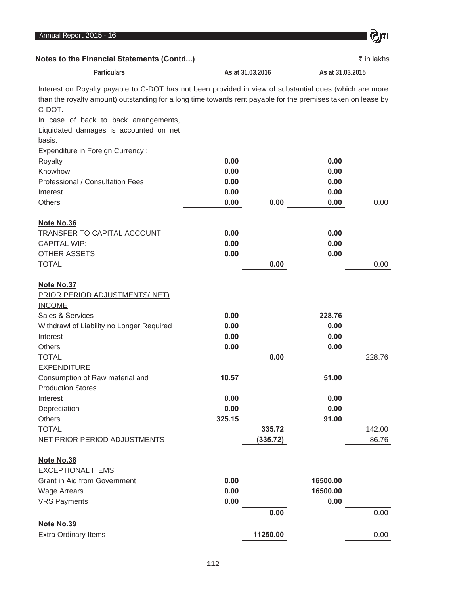द्धाः

| <b>Notes to the Financial Statements (Contd)</b>                                                                                                                                                                       |                  |          |                  | $\bar{\tau}$ in lakhs |
|------------------------------------------------------------------------------------------------------------------------------------------------------------------------------------------------------------------------|------------------|----------|------------------|-----------------------|
| <b>Particulars</b>                                                                                                                                                                                                     | As at 31.03.2016 |          | As at 31.03.2015 |                       |
| Interest on Royalty payable to C-DOT has not been provided in view of substantial dues (which are more<br>than the royalty amount) outstanding for a long time towards rent payable for the premises taken on lease by |                  |          |                  |                       |
| C-DOT.                                                                                                                                                                                                                 |                  |          |                  |                       |
| In case of back to back arrangements,                                                                                                                                                                                  |                  |          |                  |                       |
| Liquidated damages is accounted on net                                                                                                                                                                                 |                  |          |                  |                       |
| basis.                                                                                                                                                                                                                 |                  |          |                  |                       |
| <b>Expenditure in Foreign Currency:</b>                                                                                                                                                                                |                  |          |                  |                       |
| Royalty                                                                                                                                                                                                                | 0.00             |          | 0.00             |                       |
| Knowhow                                                                                                                                                                                                                | 0.00             |          | 0.00             |                       |
| Professional / Consultation Fees                                                                                                                                                                                       | 0.00             |          | 0.00             |                       |
| Interest                                                                                                                                                                                                               | 0.00             |          | 0.00             |                       |
| <b>Others</b>                                                                                                                                                                                                          | 0.00             | 0.00     | 0.00             | 0.00                  |
| Note No.36                                                                                                                                                                                                             |                  |          |                  |                       |
| TRANSFER TO CAPITAL ACCOUNT                                                                                                                                                                                            | 0.00             |          | 0.00             |                       |
| <b>CAPITAL WIP:</b>                                                                                                                                                                                                    | 0.00             |          | 0.00             |                       |
| <b>OTHER ASSETS</b>                                                                                                                                                                                                    | 0.00             |          | 0.00             |                       |
| <b>TOTAL</b>                                                                                                                                                                                                           |                  | 0.00     |                  | 0.00                  |
|                                                                                                                                                                                                                        |                  |          |                  |                       |
| Note No.37<br><b>PRIOR PERIOD ADJUSTMENTS( NET)</b>                                                                                                                                                                    |                  |          |                  |                       |
| <b>INCOME</b>                                                                                                                                                                                                          |                  |          |                  |                       |
| Sales & Services                                                                                                                                                                                                       | 0.00             |          | 228.76           |                       |
| Withdrawl of Liability no Longer Required                                                                                                                                                                              | 0.00             |          | 0.00             |                       |
| Interest                                                                                                                                                                                                               | 0.00             |          | 0.00             |                       |
| <b>Others</b>                                                                                                                                                                                                          | 0.00             |          | 0.00             |                       |
| <b>TOTAL</b>                                                                                                                                                                                                           |                  | 0.00     |                  | 228.76                |
| <b>EXPENDITURE</b>                                                                                                                                                                                                     |                  |          |                  |                       |
| Consumption of Raw material and                                                                                                                                                                                        | 10.57            |          | 51.00            |                       |
| <b>Production Stores</b>                                                                                                                                                                                               |                  |          |                  |                       |
| Interest                                                                                                                                                                                                               | 0.00             |          | 0.00             |                       |
| Depreciation                                                                                                                                                                                                           | 0.00             |          | 0.00             |                       |
| <b>Others</b>                                                                                                                                                                                                          | 325.15           |          | 91.00            |                       |
| <b>TOTAL</b>                                                                                                                                                                                                           |                  | 335.72   |                  | 142.00                |
| NET PRIOR PERIOD ADJUSTMENTS                                                                                                                                                                                           |                  | (335.72) |                  | 86.76                 |
| Note No.38                                                                                                                                                                                                             |                  |          |                  |                       |
| <b>EXCEPTIONAL ITEMS</b>                                                                                                                                                                                               |                  |          |                  |                       |
| <b>Grant in Aid from Government</b>                                                                                                                                                                                    | 0.00             |          | 16500.00         |                       |
| <b>Wage Arrears</b>                                                                                                                                                                                                    | 0.00             |          | 16500.00         |                       |
|                                                                                                                                                                                                                        | 0.00             |          |                  |                       |
| <b>VRS Payments</b>                                                                                                                                                                                                    |                  |          | 0.00             |                       |
|                                                                                                                                                                                                                        |                  | 0.00     |                  | 0.00                  |
| Note No.39                                                                                                                                                                                                             |                  |          |                  |                       |
| <b>Extra Ordinary Items</b>                                                                                                                                                                                            |                  | 11250.00 |                  | 0.00                  |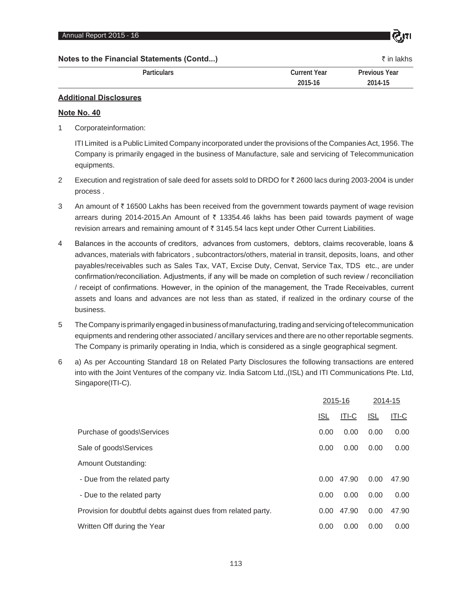

#### **Notes to the Financial Statements (Contd...)** in lakhs and the statements of the statements of the statements of the statements of the statements of the statements of the statements of the statements of the statements of

| ___<br>____        |               |                      |
|--------------------|---------------|----------------------|
| <b>Dorticulare</b> | Current Year  | <b>Previous Year</b> |
|                    | 2015.16<br>10 | 2014.1F<br>ျခ        |
|                    |               |                      |

### **Additional Disclosures**

#### **Note No. 40**

1 Corporateinformation:

ITI Limited is a Public Limited Company incorporated under the provisions of the Companies Act, 1956. The Company is primarily engaged in the business of Manufacture, sale and servicing of Telecommunication equipments.

- 2 Execution and registration of sale deed for assets sold to DRDO for  $\bar{\tau}$  2600 lacs during 2003-2004 is under process .
- 3 An amount of ₹16500 Lakhs has been received from the government towards payment of wage revision arrears during 2014-2015.An Amount of  $\bar{\tau}$  13354.46 lakhs has been paid towards payment of wage revision arrears and remaining amount of  $\bar{\tau}$  3145.54 lacs kept under Other Current Liabilities.
- 4 Balances in the accounts of creditors, advances from customers, debtors, claims recoverable, loans & advances, materials with fabricators , subcontractors/others, material in transit, deposits, loans, and other payables/receivables such as Sales Tax, VAT, Excise Duty, Cenvat, Service Tax, TDS etc., are under confirmation/reconciliation. Adjustments, if any will be made on completion of such review / reconciliation / receipt of confirmations. However, in the opinion of the management, the Trade Receivables, current assets and loans and advances are not less than as stated, if realized in the ordinary course of the business.
- 5 The Company is primarily engaged in business of manufacturing, trading and servicing of telecommunication equipments and rendering other associated / ancillary services and there are no other reportable segments. The Company is primarily operating in India, which is considered as a single geographical segment.
- 6 a) As per Accounting Standard 18 on Related Party Disclosures the following transactions are entered into with the Joint Ventures of the company viz. India Satcom Ltd.,(ISL) and ITI Communications Pte. Ltd, Singapore(ITI-C).

|                                                               | 2015-16    |         | 2014-15    |         |
|---------------------------------------------------------------|------------|---------|------------|---------|
|                                                               | <u>ISL</u> | $ITI-C$ | <u>ISL</u> | $ITI-C$ |
| Purchase of goods\Services                                    | 0.00       | 0.00    | 0.00       | 0.00    |
| Sale of goods\Services                                        | 0.00       | 0.00    | 0.00       | 0.00    |
| Amount Outstanding:                                           |            |         |            |         |
| - Due from the related party                                  | 0.00       | 47.90   | 0.00       | 47.90   |
| - Due to the related party                                    | 0.00       | 0.00    | 0.00       | 0.00    |
| Provision for doubtful debts against dues from related party. | 0.00       | 47.90   | 0.00       | 47.90   |
| Written Off during the Year                                   | 0.00       | 0.00    | 0.00       | 0.00    |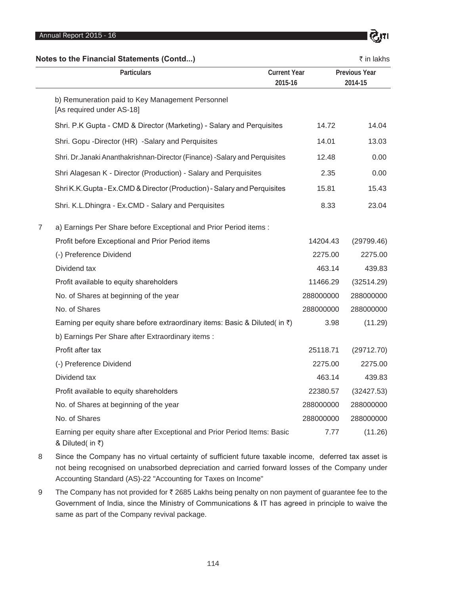|   | <b>Notes to the Financial Statements (Contd)</b>                                                      |                     | ₹ in lakhs           |
|---|-------------------------------------------------------------------------------------------------------|---------------------|----------------------|
|   | Particulars                                                                                           | <b>Current Year</b> | <b>Previous Year</b> |
|   |                                                                                                       | 2015-16             | 2014-15              |
|   | b) Remuneration paid to Key Management Personnel<br>[As required under AS-18]                         |                     |                      |
|   | Shri. P.K Gupta - CMD & Director (Marketing) - Salary and Perquisites                                 | 14.72               | 14.04                |
|   | Shri. Gopu - Director (HR) - Salary and Perquisites                                                   | 14.01               | 13.03                |
|   | Shri. Dr. Janaki Ananthakrishnan-Director (Finance) - Salary and Perquisites                          | 12.48               | 0.00                 |
|   | Shri Alagesan K - Director (Production) - Salary and Perquisites                                      | 2.35                | 0.00                 |
|   | Shri K.K. Gupta - Ex. CMD & Director (Production) - Salary and Perquisites                            | 15.81               | 15.43                |
|   | Shri. K.L.Dhingra - Ex.CMD - Salary and Perquisites                                                   | 8.33                | 23.04                |
| 7 | a) Earnings Per Share before Exceptional and Prior Period items :                                     |                     |                      |
|   | Profit before Exceptional and Prior Period items                                                      | 14204.43            | (29799.46)           |
|   | (-) Preference Dividend                                                                               | 2275.00             | 2275.00              |
|   | Dividend tax                                                                                          | 463.14              | 439.83               |
|   | Profit available to equity shareholders                                                               | 11466.29            | (32514.29)           |
|   | No. of Shares at beginning of the year                                                                | 288000000           | 288000000            |
|   | No. of Shares                                                                                         | 288000000           | 288000000            |
|   | Earning per equity share before extraordinary items: Basic & Diluted( in $\bar{z}$ )                  | 3.98                | (11.29)              |
|   | b) Earnings Per Share after Extraordinary items:                                                      |                     |                      |
|   | Profit after tax                                                                                      | 25118.71            | (29712.70)           |
|   | (-) Preference Dividend                                                                               | 2275.00             | 2275.00              |
|   | Dividend tax                                                                                          | 463.14              | 439.83               |
|   | Profit available to equity shareholders                                                               | 22380.57            | (32427.53)           |
|   | No. of Shares at beginning of the year                                                                | 288000000           | 288000000            |
|   | No. of Shares                                                                                         | 288000000           | 288000000            |
|   | Earning per equity share after Exceptional and Prior Period Items: Basic<br>& Diluted( in $\bar{z}$ ) | 7.77                | (11.26)              |

टिग्रा

- 8 Since the Company has no virtual certainty of sufficient future taxable income, deferred tax asset is not being recognised on unabsorbed depreciation and carried forward losses of the Company under Accounting Standard (AS)-22 "Accounting for Taxes on Income"
- 9 The Company has not provided for ₹ 2685 Lakhs being penalty on non payment of guarantee fee to the Government of India, since the Ministry of Communications & IT has agreed in principle to waive the same as part of the Company revival package.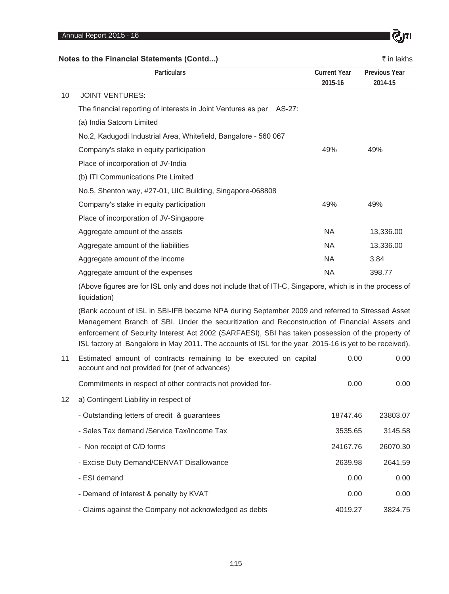#### Annual Report 2015 - 16

|    | Notes to the Financial Statements (Contd)                               |                                | ₹ in lakhs                      |
|----|-------------------------------------------------------------------------|--------------------------------|---------------------------------|
|    | Particulars                                                             | <b>Current Year</b><br>2015-16 | <b>Previous Year</b><br>2014-15 |
| 10 | <b>JOINT VENTURES:</b>                                                  |                                |                                 |
|    | The financial reporting of interests in Joint Ventures as per<br>AS-27: |                                |                                 |
|    | (a) India Satcom Limited                                                |                                |                                 |
|    | No.2, Kadugodi Industrial Area, Whitefield, Bangalore - 560 067         |                                |                                 |
|    | Company's stake in equity participation                                 | 49%                            | 49%                             |
|    | Place of incorporation of JV-India                                      |                                |                                 |
|    | (b) ITI Communications Pte Limited                                      |                                |                                 |
|    | No.5, Shenton way, #27-01, UIC Building, Singapore-068808               |                                |                                 |
|    | Company's stake in equity participation                                 | 49%                            | 49%                             |
|    | Place of incorporation of JV-Singapore                                  |                                |                                 |
|    | Aggregate amount of the assets                                          | <b>NA</b>                      | 13,336.00                       |
|    | Aggregate amount of the liabilities                                     | <b>NA</b>                      | 13,336.00                       |
|    | Aggregate amount of the income                                          | <b>NA</b>                      | 3.84                            |
|    | Aggregate amount of the expenses                                        | NA                             | 398.77                          |

(Above figures are for ISL only and does not include that of ITI-C, Singapore, which is in the process of liquidation)

(Bank account of ISL in SBI-IFB became NPA during September 2009 and referred to Stressed Asset Management Branch of SBI. Under the securitization and Reconstruction of Financial Assets and enforcement of Security Interest Act 2002 (SARFAESI), SBI has taken possession of the property of ISL factory at Bangalore in May 2011. The accounts of ISL for the year 2015-16 is yet to be received).

| 11              | Estimated amount of contracts remaining to be executed on capital<br>account and not provided for (net of advances) | 0.00     | 0.00     |
|-----------------|---------------------------------------------------------------------------------------------------------------------|----------|----------|
|                 | Commitments in respect of other contracts not provided for-                                                         | 0.00     | 0.00     |
| 12 <sup>°</sup> | a) Contingent Liability in respect of                                                                               |          |          |
|                 | - Outstanding letters of credit & guarantees                                                                        | 18747.46 | 23803.07 |
|                 | - Sales Tax demand / Service Tax/Income Tax                                                                         | 3535.65  | 3145.58  |
|                 | - Non receipt of C/D forms                                                                                          | 24167.76 | 26070.30 |
|                 | - Excise Duty Demand/CENVAT Disallowance                                                                            | 2639.98  | 2641.59  |
|                 | - ESI demand                                                                                                        | 0.00     | 0.00     |
|                 | - Demand of interest & penalty by KVAT                                                                              | 0.00     | 0.00     |
|                 | - Claims against the Company not acknowledged as debts                                                              | 4019.27  | 3824.75  |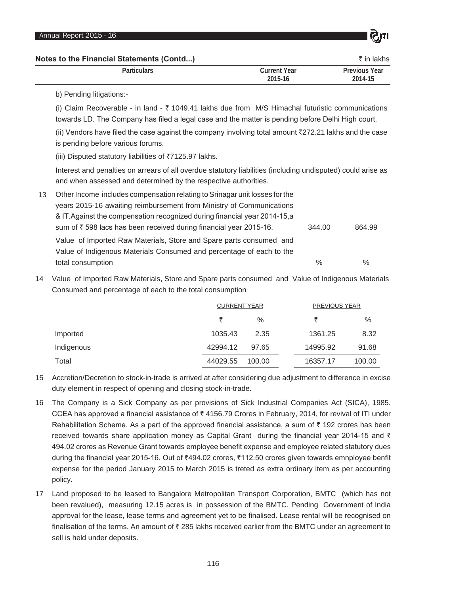|    | Annual Report 2015 - 16                                                                                                                                                                                                                                                                                |                                | (ट)ग                            |
|----|--------------------------------------------------------------------------------------------------------------------------------------------------------------------------------------------------------------------------------------------------------------------------------------------------------|--------------------------------|---------------------------------|
|    | Notes to the Financial Statements (Contd)                                                                                                                                                                                                                                                              |                                | ₹ in lakhs                      |
|    | <b>Particulars</b>                                                                                                                                                                                                                                                                                     | <b>Current Year</b><br>2015-16 | <b>Previous Year</b><br>2014-15 |
|    | b) Pending litigations:-                                                                                                                                                                                                                                                                               |                                |                                 |
|    | (i) Claim Recoverable - in land - $\bar{\tau}$ 1049.41 lakhs due from M/S Himachal futuristic communications<br>towards LD. The Company has filed a legal case and the matter is pending before Delhi High court.                                                                                      |                                |                                 |
|    | (ii) Vendors have filed the case against the company involving total amount ₹272.21 lakhs and the case<br>is pending before various forums.                                                                                                                                                            |                                |                                 |
|    | (iii) Disputed statutory liabilities of $\overline{7}7125.97$ lakhs.                                                                                                                                                                                                                                   |                                |                                 |
|    | Interest and penalties on arrears of all overdue statutory liabilities (including undisputed) could arise as<br>and when assessed and determined by the respective authorities.                                                                                                                        |                                |                                 |
| 13 | Other Income includes compensation relating to Srinagar unit losses for the<br>years 2015-16 awaiting reimbursement from Ministry of Communications<br>& IT. Against the compensation recognized during financial year 2014-15, a<br>sum of ₹598 lacs has been received during financial year 2015-16. | 344.00                         | 864.99                          |
|    | Value of Imported Raw Materials, Store and Spare parts consumed and<br>Value of Indigenous Materials Consumed and percentage of each to the<br>total consumption                                                                                                                                       | $\%$                           | $\%$                            |

∍

14 Value of Imported Raw Materials, Store and Spare parts consumed and Value of Indigenous Materials Consumed and percentage of each to the total consumption

|            | <b>CURRENT YEAR</b> |               | PREVIOUS YEAR |        |
|------------|---------------------|---------------|---------------|--------|
|            | ₹                   | $\frac{0}{0}$ | ₹             | %      |
| Imported   | 1035.43             | 2.35          | 1361.25       | 8.32   |
| Indigenous | 42994.12            | 97.65         | 14995.92      | 91.68  |
| Total      | 44029.55            | 100.00        | 16357.17      | 100.00 |

- 15 Accretion/Decretion to stock-in-trade is arrived at after considering due adjustment to difference in excise duty element in respect of opening and closing stock-in-trade.
- 16 The Company is a Sick Company as per provisions of Sick Industrial Companies Act (SICA), 1985. CCEA has approved a financial assistance of  $\bar{\tau}$  4156.79 Crores in February, 2014, for revival of ITI under Rehabilitation Scheme. As a part of the approved financial assistance, a sum of  $\bar{\tau}$  192 crores has been received towards share application money as Capital Grant during the financial year 2014-15 and  $\bar{\tau}$ 494.02 crores as Revenue Grant towards employee benefit expense and employee related statutory dues during the financial year 2015-16. Out of ₹494.02 crores, ₹112.50 crores given towards emnployee benfit expense for the period January 2015 to March 2015 is treted as extra ordinary item as per accounting policy.
- 17 Land proposed to be leased to Bangalore Metropolitan Transport Corporation, BMTC (which has not been revalued), measuring 12.15 acres is in possession of the BMTC. Pending Government of India approval for the lease, lease terms and agreement yet to be finalised. Lease rental will be recognised on finalisation of the terms. An amount of  $\bar{\tau}$  285 lakhs received earlier from the BMTC under an agreement to sell is held under deposits.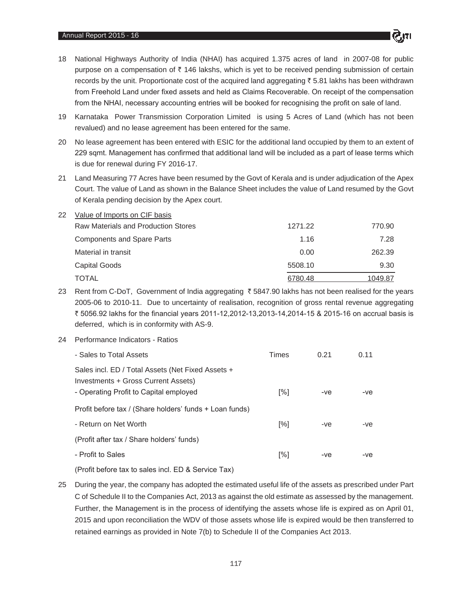- 18 National Highways Authority of India (NHAI) has acquired 1.375 acres of land in 2007-08 for public purpose on a compensation of  $\bar{\tau}$  146 lakshs, which is yet to be received pending submission of certain records by the unit. Proportionate cost of the acquired land aggregating  $\bar{\tau}$  5.81 lakhs has been withdrawn from Freehold Land under fixed assets and held as Claims Recoverable. On receipt of the compensation from the NHAI, necessary accounting entries will be booked for recognising the profit on sale of land.
- 19 Karnataka Power Transmission Corporation Limited is using 5 Acres of Land (which has not been revalued) and no lease agreement has been entered for the same.
- 20 No lease agreement has been entered with ESIC for the additional land occupied by them to an extent of 229 sqmt. Management has confirmed that additional land will be included as a part of lease terms which is due for renewal during FY 2016-17.
- 21 Land Measuring 77 Acres have been resumed by the Govt of Kerala and is under adjudication of the Apex Court. The value of Land as shown in the Balance Sheet includes the value of Land resumed by the Govt of Kerala pending decision by the Apex court.

| 22 | Value of Imports on CIF basis       |         |         |
|----|-------------------------------------|---------|---------|
|    | Raw Materials and Production Stores | 1271.22 | 770.90  |
|    | <b>Components and Spare Parts</b>   | 1.16    | 7.28    |
|    | Material in transit                 | 0.00    | 262.39  |
|    | Capital Goods                       | 5508.10 | 9.30    |
|    | TOTAL                               | 6780.48 | 1049.87 |

23 Rent from C-DoT, Government of India aggregating  $\bar{\tau}$  5847.90 lakhs has not been realised for the years 2005-06 to 2010-11. Due to uncertainty of realisation, recognition of gross rental revenue aggregating ₹ 5056.92 lakhs for the financial years 2011-12,2012-13,2013-14,2014-15 & 2015-16 on accrual basis is deferred, which is in conformity with AS-9.

24 Performance Indicators - Ratios

| - Sales to Total Assets                                                                                                            | Times | 0.21  | 0.11 |
|------------------------------------------------------------------------------------------------------------------------------------|-------|-------|------|
| Sales incl. ED / Total Assets (Net Fixed Assets +<br>Investments + Gross Current Assets)<br>- Operating Profit to Capital employed | [%]   | -ve   | -ve  |
| Profit before tax / (Share holders' funds + Loan funds)                                                                            |       |       |      |
| - Return on Net Worth                                                                                                              | [%]   | $-ve$ | -ve  |
| (Profit after tax / Share holders' funds)                                                                                          |       |       |      |
| - Profit to Sales                                                                                                                  | [%]   | $-ve$ | -ve  |
|                                                                                                                                    |       |       |      |

(Profit before tax to sales incl. ED & Service Tax)

25 During the year, the company has adopted the estimated useful life of the assets as prescribed under Part C of Schedule II to the Companies Act, 2013 as against the old estimate as assessed by the management. Further, the Management is in the process of identifying the assets whose life is expired as on April 01, 2015 and upon reconciliation the WDV of those assets whose life is expired would be then transferred to retained earnings as provided in Note 7(b) to Schedule II of the Companies Act 2013.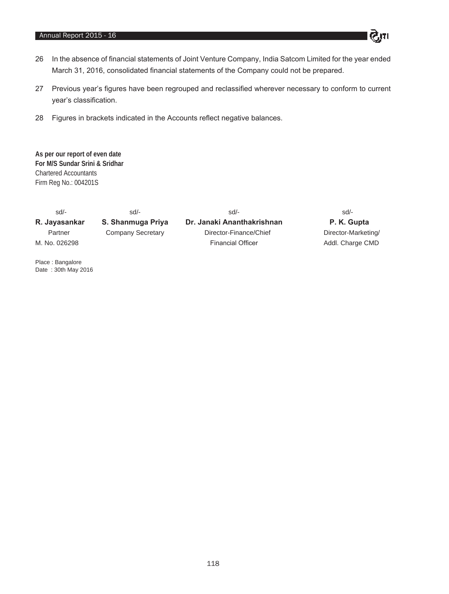#### Annual Report 2015 - 16

26 In the absence of financial statements of Joint Venture Company, India Satcom Limited for the year ended March 31, 2016, consolidated financial statements of the Company could not be prepared.

टिग्रा

- 27 Previous year's figures have been regrouped and reclassified wherever necessary to conform to current year's classification.
- 28 Figures in brackets indicated in the Accounts reflect negative balances.

**As per our report of even date For M/S Sundar Srini & Sridhar**  Chartered Accountants Firm Reg No.: 004201S

| $-$ \ba       | $sd/-$            | sd/-                       | $sd/-$              |
|---------------|-------------------|----------------------------|---------------------|
| R. Jayasankar | S. Shanmuga Priya | Dr. Janaki Ananthakrishnan | P. K. Gupta         |
| Partner       | Company Secretary | Director-Finance/Chief     | Director-Marketing/ |
| M. No. 026298 |                   | <b>Financial Officer</b>   | Addl. Charge CMD    |

Place : Bangalore Date : 30th May 2016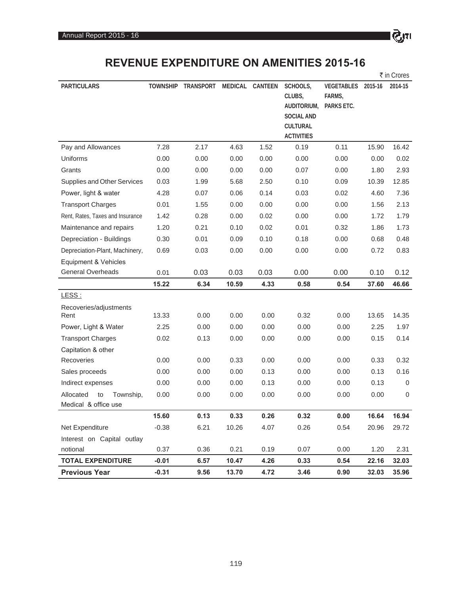

# **REVENUE EXPENDITURE ON AMENITIES 2015-16**

|                                  |                 |           |                |         |                   |                   |         | ₹ in Crores      |
|----------------------------------|-----------------|-----------|----------------|---------|-------------------|-------------------|---------|------------------|
| <b>PARTICULARS</b>               | <b>TOWNSHIP</b> | TRANSPORT | <b>MEDICAL</b> | CANTEEN | SCHOOLS,          | <b>VEGETABLES</b> | 2015-16 | 2014-15          |
|                                  |                 |           |                |         | CLUBS,            | FARMS,            |         |                  |
|                                  |                 |           |                |         | AUDITORIUM,       | PARKS ETC.        |         |                  |
|                                  |                 |           |                |         | <b>SOCIAL AND</b> |                   |         |                  |
|                                  |                 |           |                |         | CULTURAL          |                   |         |                  |
|                                  |                 |           |                |         | <b>ACTIVITIES</b> |                   |         |                  |
| Pay and Allowances               | 7.28            | 2.17      | 4.63           | 1.52    | 0.19              | 0.11              | 15.90   | 16.42            |
| Uniforms                         | 0.00            | 0.00      | 0.00           | 0.00    | 0.00              | 0.00              | 0.00    | 0.02             |
| Grants                           | 0.00            | 0.00      | 0.00           | 0.00    | 0.07              | 0.00              | 1.80    | 2.93             |
| Supplies and Other Services      | 0.03            | 1.99      | 5.68           | 2.50    | 0.10              | 0.09              | 10.39   | 12.85            |
| Power, light & water             | 4.28            | 0.07      | 0.06           | 0.14    | 0.03              | 0.02              | 4.60    | 7.36             |
| <b>Transport Charges</b>         | 0.01            | 1.55      | 0.00           | 0.00    | 0.00              | 0.00              | 1.56    | 2.13             |
| Rent, Rates, Taxes and Insurance | 1.42            | 0.28      | 0.00           | 0.02    | 0.00              | 0.00              | 1.72    | 1.79             |
| Maintenance and repairs          | 1.20            | 0.21      | 0.10           | 0.02    | 0.01              | 0.32              | 1.86    | 1.73             |
| Depreciation - Buildings         | 0.30            | 0.01      | 0.09           | 0.10    | 0.18              | 0.00              | 0.68    | 0.48             |
| Depreciation-Plant, Machinery,   | 0.69            | 0.03      | 0.00           | 0.00    | 0.00              | 0.00              | 0.72    | 0.83             |
| Equipment & Vehicles             |                 |           |                |         |                   |                   |         |                  |
| General Overheads                | 0.01            | 0.03      | 0.03           | 0.03    | 0.00              | 0.00              | 0.10    | 0.12             |
|                                  | 15.22           | 6.34      | 10.59          | 4.33    | 0.58              | 0.54              | 37.60   | 46.66            |
| LESS:                            |                 |           |                |         |                   |                   |         |                  |
| Recoveries/adjustments           |                 |           |                |         |                   |                   |         |                  |
| Rent                             | 13.33           | 0.00      | 0.00           | 0.00    | 0.32              | 0.00              | 13.65   | 14.35            |
| Power, Light & Water             | 2.25            | 0.00      | 0.00           | 0.00    | 0.00              | 0.00              | 2.25    | 1.97             |
| <b>Transport Charges</b>         | 0.02            | 0.13      | 0.00           | 0.00    | 0.00              | 0.00              | 0.15    | 0.14             |
| Capitation & other               |                 |           |                |         |                   |                   |         |                  |
| Recoveries                       | 0.00            | 0.00      | 0.33           | 0.00    | 0.00              | 0.00              | 0.33    | 0.32             |
| Sales proceeds                   | 0.00            | 0.00      | 0.00           | 0.13    | 0.00              | 0.00              | 0.13    | 0.16             |
| Indirect expenses                | 0.00            | 0.00      | 0.00           | 0.13    | 0.00              | 0.00              | 0.13    | 0                |
| Allocated<br>Township,<br>to     | 0.00            | 0.00      | 0.00           | 0.00    | 0.00              | 0.00              | 0.00    | $\boldsymbol{0}$ |
| Medical & office use             |                 |           |                |         |                   |                   |         |                  |
|                                  | 15.60           | 0.13      | 0.33           | 0.26    | 0.32              | 0.00              | 16.64   | 16.94            |
| Net Expenditure                  | $-0.38$         | 6.21      | 10.26          | 4.07    | 0.26              | 0.54              | 20.96   | 29.72            |
| Interest on Capital outlay       |                 |           |                |         |                   |                   |         |                  |
| notional                         | 0.37            | 0.36      | 0.21           | 0.19    | 0.07              | 0.00              | 1.20    | 2.31             |
| <b>TOTAL EXPENDITURE</b>         | $-0.01$         | 6.57      | 10.47          | 4.26    | 0.33              | 0.54              | 22.16   | 32.03            |
| <b>Previous Year</b>             | $-0.31$         | 9.56      | 13.70          | 4.72    | 3.46              | 0.90              | 32.03   | 35.96            |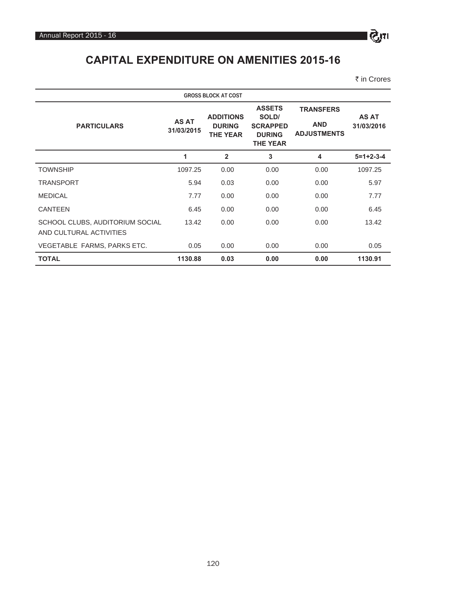# **CAPITAL EXPENDITURE ON AMENITIES 2015-16**

₹ in Crores

दुम

| <b>GROSS BLOCK AT COST</b>                                 |                            |                                                      |                                                                               |                                                      |                            |  |
|------------------------------------------------------------|----------------------------|------------------------------------------------------|-------------------------------------------------------------------------------|------------------------------------------------------|----------------------------|--|
| <b>PARTICULARS</b>                                         | <b>AS AT</b><br>31/03/2015 | <b>ADDITIONS</b><br><b>DURING</b><br><b>THE YEAR</b> | <b>ASSETS</b><br>SOLD/<br><b>SCRAPPED</b><br><b>DURING</b><br><b>THE YEAR</b> | <b>TRANSFERS</b><br><b>AND</b><br><b>ADJUSTMENTS</b> | <b>AS AT</b><br>31/03/2016 |  |
|                                                            | 1                          | $\overline{\mathbf{2}}$                              | 3                                                                             | 4                                                    | $5 = 1 + 2 - 3 - 4$        |  |
| <b>TOWNSHIP</b>                                            | 1097.25                    | 0.00                                                 | 0.00                                                                          | 0.00                                                 | 1097.25                    |  |
| <b>TRANSPORT</b>                                           | 5.94                       | 0.03                                                 | 0.00                                                                          | 0.00                                                 | 5.97                       |  |
| <b>MEDICAL</b>                                             | 7.77                       | 0.00                                                 | 0.00                                                                          | 0.00                                                 | 7.77                       |  |
| <b>CANTEEN</b>                                             | 6.45                       | 0.00                                                 | 0.00                                                                          | 0.00                                                 | 6.45                       |  |
| SCHOOL CLUBS, AUDITORIUM SOCIAL<br>AND CULTURAL ACTIVITIES | 13.42                      | 0.00                                                 | 0.00                                                                          | 0.00                                                 | 13.42                      |  |
| VEGETABLE FARMS, PARKS ETC.                                | 0.05                       | 0.00                                                 | 0.00                                                                          | 0.00                                                 | 0.05                       |  |
| <b>TOTAL</b>                                               | 1130.88                    | 0.03                                                 | 0.00                                                                          | 0.00                                                 | 1130.91                    |  |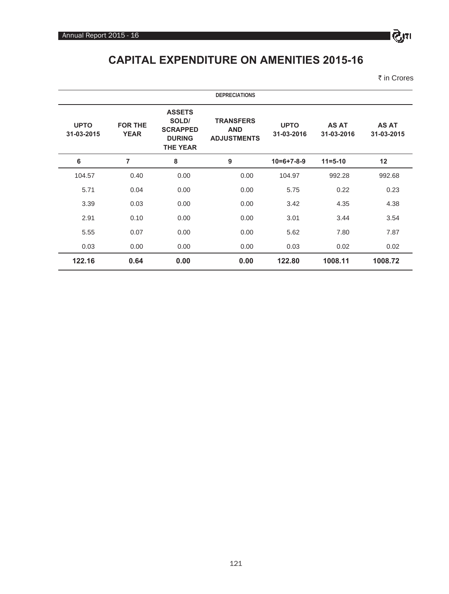# **CAPITAL EXPENDITURE ON AMENITIES 2015-16**

₹ in Crores

दुम

|                           |                               |                                                                               | <b>DEPRECIATIONS</b>                                 |                           |                            |                            |
|---------------------------|-------------------------------|-------------------------------------------------------------------------------|------------------------------------------------------|---------------------------|----------------------------|----------------------------|
| <b>UPTO</b><br>31-03-2015 | <b>FOR THE</b><br><b>YEAR</b> | <b>ASSETS</b><br>SOLD/<br><b>SCRAPPED</b><br><b>DURING</b><br><b>THE YEAR</b> | <b>TRANSFERS</b><br><b>AND</b><br><b>ADJUSTMENTS</b> | <b>UPTO</b><br>31-03-2016 | <b>AS AT</b><br>31-03-2016 | <b>AS AT</b><br>31-03-2015 |
| 6                         | 7                             | 8                                                                             | 9                                                    | $10=6+7-8-9$              | $11 = 5 - 10$              | 12                         |
| 104.57                    | 0.40                          | 0.00                                                                          | 0.00                                                 | 104.97                    | 992.28                     | 992.68                     |
| 5.71                      | 0.04                          | 0.00                                                                          | 0.00                                                 | 5.75                      | 0.22                       | 0.23                       |
| 3.39                      | 0.03                          | 0.00                                                                          | 0.00                                                 | 3.42                      | 4.35                       | 4.38                       |
| 2.91                      | 0.10                          | 0.00                                                                          | 0.00                                                 | 3.01                      | 3.44                       | 3.54                       |
| 5.55                      | 0.07                          | 0.00                                                                          | 0.00                                                 | 5.62                      | 7.80                       | 7.87                       |
| 0.03                      | 0.00                          | 0.00                                                                          | 0.00                                                 | 0.03                      | 0.02                       | 0.02                       |
| 122.16                    | 0.64                          | 0.00                                                                          | 0.00                                                 | 122.80                    | 1008.11                    | 1008.72                    |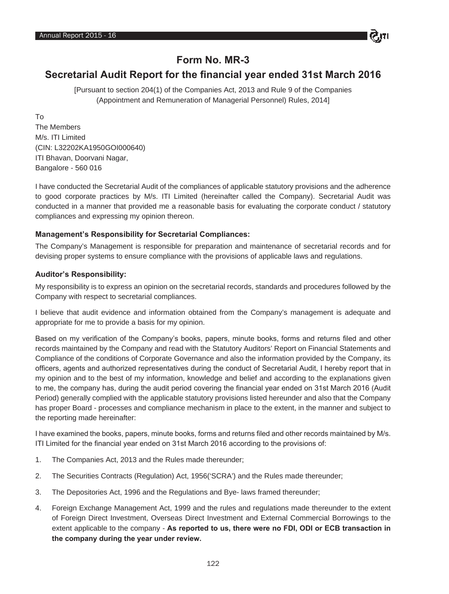

## **Form No. MR-3**

## **Secretarial Audit Report for the financial year ended 31st March 2016**

[Pursuant to section 204(1) of the Companies Act, 2013 and Rule 9 of the Companies (Appointment and Remuneration of Managerial Personnel) Rules, 2014]

To The Members M/s. ITI Limited (CIN: L32202KA1950GOI000640) ITI Bhavan, Doorvani Nagar, Bangalore - 560 016

I have conducted the Secretarial Audit of the compliances of applicable statutory provisions and the adherence to good corporate practices by M/s. ITI Limited (hereinafter called the Company). Secretarial Audit was conducted in a manner that provided me a reasonable basis for evaluating the corporate conduct / statutory compliances and expressing my opinion thereon.

### **Management's Responsibility for Secretarial Compliances:**

The Company's Management is responsible for preparation and maintenance of secretarial records and for devising proper systems to ensure compliance with the provisions of applicable laws and regulations.

### **Auditor's Responsibility:**

My responsibility is to express an opinion on the secretarial records, standards and procedures followed by the Company with respect to secretarial compliances.

I believe that audit evidence and information obtained from the Company's management is adequate and appropriate for me to provide a basis for my opinion.

Based on my verification of the Company's books, papers, minute books, forms and returns filed and other records maintained by the Company and read with the Statutory Auditors' Report on Financial Statements and Compliance of the conditions of Corporate Governance and also the information provided by the Company, its officers, agents and authorized representatives during the conduct of Secretarial Audit, I hereby report that in my opinion and to the best of my information, knowledge and belief and according to the explanations given to me, the company has, during the audit period covering the financial year ended on 31st March 2016 (Audit Period) generally complied with the applicable statutory provisions listed hereunder and also that the Company has proper Board - processes and compliance mechanism in place to the extent, in the manner and subject to the reporting made hereinafter:

I have examined the books, papers, minute books, forms and returns filed and other records maintained by M/s. ITI Limited for the financial year ended on 31st March 2016 according to the provisions of:

- 1. The Companies Act, 2013 and the Rules made thereunder;
- 2. The Securities Contracts (Regulation) Act, 1956('SCRA') and the Rules made thereunder;
- 3. The Depositories Act, 1996 and the Regulations and Bye- laws framed thereunder;
- 4. Foreign Exchange Management Act, 1999 and the rules and regulations made thereunder to the extent of Foreign Direct Investment, Overseas Direct Investment and External Commercial Borrowings to the extent applicable to the company - **As reported to us, there were no FDI, ODI or ECB transaction in the company during the year under review.**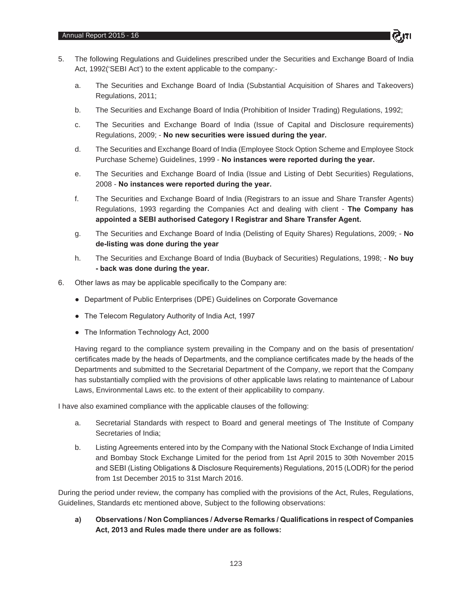

- a. The Securities and Exchange Board of India (Substantial Acquisition of Shares and Takeovers) Regulations, 2011;
- b. The Securities and Exchange Board of India (Prohibition of Insider Trading) Regulations, 1992;
- c. The Securities and Exchange Board of India (Issue of Capital and Disclosure requirements) Regulations, 2009; - **No new securities were issued during the year.**
- d. The Securities and Exchange Board of India (Employee Stock Option Scheme and Employee Stock Purchase Scheme) Guidelines, 1999 - **No instances were reported during the year.**
- e. The Securities and Exchange Board of India (Issue and Listing of Debt Securities) Regulations, 2008 - **No instances were reported during the year.**
- f. The Securities and Exchange Board of India (Registrars to an issue and Share Transfer Agents) Regulations, 1993 regarding the Companies Act and dealing with client - **The Company has appointed a SEBI authorised Category I Registrar and Share Transfer Agent.**
- g. The Securities and Exchange Board of India (Delisting of Equity Shares) Regulations, 2009; **No de-listing was done during the year**
- h. The Securities and Exchange Board of India (Buyback of Securities) Regulations, 1998; **No buy - back was done during the year.**
- 6. Other laws as may be applicable specifically to the Company are:
	- Department of Public Enterprises (DPE) Guidelines on Corporate Governance
	- The Telecom Regulatory Authority of India Act, 1997
	- The Information Technology Act, 2000

Having regard to the compliance system prevailing in the Company and on the basis of presentation/ certificates made by the heads of Departments, and the compliance certificates made by the heads of the Departments and submitted to the Secretarial Department of the Company, we report that the Company has substantially complied with the provisions of other applicable laws relating to maintenance of Labour Laws, Environmental Laws etc. to the extent of their applicability to company.

I have also examined compliance with the applicable clauses of the following:

- a. Secretarial Standards with respect to Board and general meetings of The Institute of Company Secretaries of India;
- b. Listing Agreements entered into by the Company with the National Stock Exchange of India Limited and Bombay Stock Exchange Limited for the period from 1st April 2015 to 30th November 2015 and SEBI (Listing Obligations & Disclosure Requirements) Regulations, 2015 (LODR) for the period from 1st December 2015 to 31st March 2016.

During the period under review, the company has complied with the provisions of the Act, Rules, Regulations, Guidelines, Standards etc mentioned above, Subject to the following observations:

**a) Observations / Non Compliances / Adverse Remarks / Qualifications in respect of Companies Act, 2013 and Rules made there under are as follows:**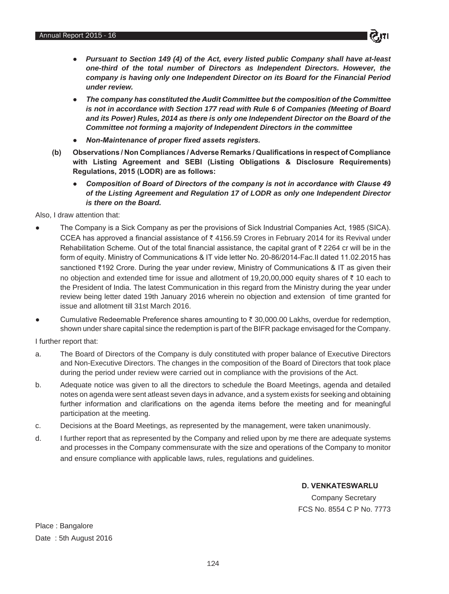- *Pursuant to Section 149 (4) of the Act, every listed public Company shall have at-least one-third of the total number of Directors as Independent Directors. However, the company is having only one Independent Director on its Board for the Financial Period under review.*
- *● The company has constituted the Audit Committee but the composition of the Committee is not in accordance with Section 177 read with Rule 6 of Companies (Meeting of Board and its Power) Rules, 2014 as there is only one Independent Director on the Board of the Committee not forming a majority of Independent Directors in the committee*
- *● Non-Maintenance of proper fixed assets registers.*
- **(b) Observations / Non Compliances / Adverse Remarks / Qualifications in respect of Compliance with Listing Agreement and SEBI (Listing Obligations & Disclosure Requirements) Regulations, 2015 (LODR) are as follows:**
	- *● Composition of Board of Directors of the company is not in accordance with Clause 49 of the Listing Agreement and Regulation 17 of LODR as only one Independent Director is there on the Board.*

Also, I draw attention that:

- The Company is a Sick Company as per the provisions of Sick Industrial Companies Act, 1985 (SICA). CCEA has approved a financial assistance of  $\bar{\tau}$  4156.59 Crores in February 2014 for its Revival under Rehabilitation Scheme. Out of the total financial assistance, the capital grant of  $\bar{\tau}$  2264 cr will be in the form of equity. Ministry of Communications & IT vide letter No. 20-86/2014-Fac.II dated 11.02.2015 has sanctioned ₹192 Crore. During the year under review, Ministry of Communications & IT as given their no objection and extended time for issue and allotment of 19,20,00,000 equity shares of  $\bar{\tau}$  10 each to the President of India. The latest Communication in this regard from the Ministry during the year under review being letter dated 19th January 2016 wherein no objection and extension of time granted for issue and allotment till 31st March 2016.
- Cumulative Redeemable Preference shares amounting to  $\bar{\tau}$  30,000.00 Lakhs, overdue for redemption, shown under share capital since the redemption is part of the BIFR package envisaged for the Company.

I further report that:

- a. The Board of Directors of the Company is duly constituted with proper balance of Executive Directors and Non-Executive Directors. The changes in the composition of the Board of Directors that took place during the period under review were carried out in compliance with the provisions of the Act.
- b. Adequate notice was given to all the directors to schedule the Board Meetings, agenda and detailed notes on agenda were sent atleast seven days in advance, and a system exists for seeking and obtaining further information and clarifications on the agenda items before the meeting and for meaningful participation at the meeting.
- c. Decisions at the Board Meetings, as represented by the management, were taken unanimously.
- d. I further report that as represented by the Company and relied upon by me there are adequate systems and processes in the Company commensurate with the size and operations of the Company to monitor and ensure compliance with applicable laws, rules, regulations and guidelines.

**D. VENKATESWARLU** Company Secretary FCS No. 8554 C P No. 7773

Place : Bangalore Date : 5th August 2016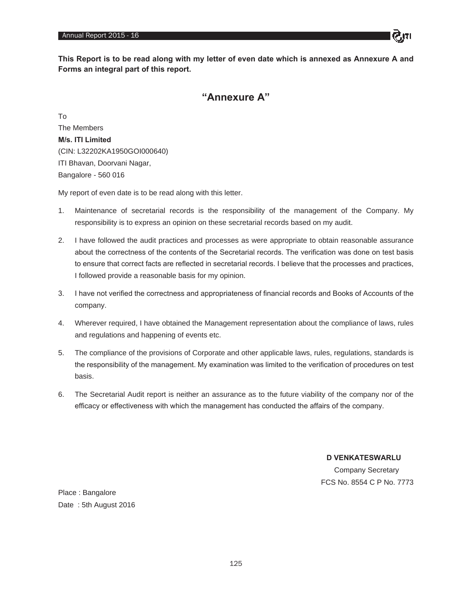**This Report is to be read along with my letter of even date which is annexed as Annexure A and Forms an integral part of this report.**

## **"Annexure A"**

To The Members **M/s. ITI Limited** (CIN: L32202KA1950GOI000640) ITI Bhavan, Doorvani Nagar, Bangalore - 560 016

My report of even date is to be read along with this letter.

- 1. Maintenance of secretarial records is the responsibility of the management of the Company. My responsibility is to express an opinion on these secretarial records based on my audit.
- 2. I have followed the audit practices and processes as were appropriate to obtain reasonable assurance about the correctness of the contents of the Secretarial records. The verification was done on test basis to ensure that correct facts are reflected in secretarial records. I believe that the processes and practices, I followed provide a reasonable basis for my opinion.
- 3. I have not verified the correctness and appropriateness of financial records and Books of Accounts of the company.
- 4. Wherever required, I have obtained the Management representation about the compliance of laws, rules and regulations and happening of events etc.
- 5. The compliance of the provisions of Corporate and other applicable laws, rules, regulations, standards is the responsibility of the management. My examination was limited to the verification of procedures on test basis.
- 6. The Secretarial Audit report is neither an assurance as to the future viability of the company nor of the efficacy or effectiveness with which the management has conducted the affairs of the company.

**D VENKATESWARLU**

Company Secretary FCS No. 8554 C P No. 7773

Place : Bangalore Date : 5th August 2016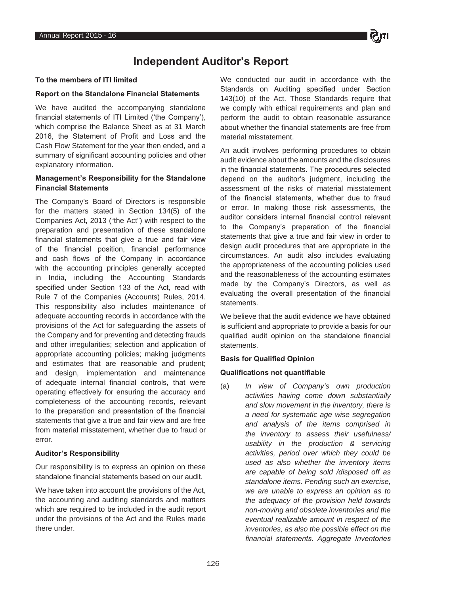## **Independent Auditor's Report**

#### **To the members of ITI limited**

#### **Report on the Standalone Financial Statements**

We have audited the accompanying standalone financial statements of ITI Limited ('the Company'), which comprise the Balance Sheet as at 31 March 2016, the Statement of Profit and Loss and the Cash Flow Statement for the year then ended, and a summary of significant accounting policies and other explanatory information.

### **Management's Responsibility for the Standalone Financial Statements**

The Company's Board of Directors is responsible for the matters stated in Section 134(5) of the Companies Act, 2013 ("the Act") with respect to the preparation and presentation of these standalone financial statements that give a true and fair view of the financial position, financial performance and cash flows of the Company in accordance with the accounting principles generally accepted in India, including the Accounting Standards specified under Section 133 of the Act, read with Rule 7 of the Companies (Accounts) Rules, 2014. This responsibility also includes maintenance of adequate accounting records in accordance with the provisions of the Act for safeguarding the assets of the Company and for preventing and detecting frauds and other irregularities; selection and application of appropriate accounting policies; making judgments and estimates that are reasonable and prudent; and design, implementation and maintenance of adequate internal financial controls, that were operating effectively for ensuring the accuracy and completeness of the accounting records, relevant to the preparation and presentation of the financial statements that give a true and fair view and are free from material misstatement, whether due to fraud or error.

#### **Auditor's Responsibility**

Our responsibility is to express an opinion on these standalone financial statements based on our audit.

We have taken into account the provisions of the Act, the accounting and auditing standards and matters which are required to be included in the audit report under the provisions of the Act and the Rules made there under.

We conducted our audit in accordance with the Standards on Auditing specified under Section 143(10) of the Act. Those Standards require that we comply with ethical requirements and plan and perform the audit to obtain reasonable assurance about whether the financial statements are free from material misstatement.

An audit involves performing procedures to obtain audit evidence about the amounts and the disclosures in the financial statements. The procedures selected depend on the auditor's judgment, including the assessment of the risks of material misstatement of the financial statements, whether due to fraud or error. In making those risk assessments, the auditor considers internal financial control relevant to the Company's preparation of the financial statements that give a true and fair view in order to design audit procedures that are appropriate in the circumstances. An audit also includes evaluating the appropriateness of the accounting policies used and the reasonableness of the accounting estimates made by the Company's Directors, as well as evaluating the overall presentation of the financial statements.

We believe that the audit evidence we have obtained is sufficient and appropriate to provide a basis for our qualified audit opinion on the standalone financial statements.

#### **Basis for Qualified Opinion**

#### **Qualifications not quantifiable**

(a) *In view of Company's own production activities having come down substantially and slow movement in the inventory, there is a need for systematic age wise segregation and analysis of the items comprised in the inventory to assess their usefulness/ usability in the production & servicing activities, period over which they could be used as also whether the inventory items are capable of being sold /disposed off as standalone items. Pending such an exercise, we are unable to express an opinion as to the adequacy of the provision held towards non-moving and obsolete inventories and the eventual realizable amount in respect of the inventories, as also the possible effect on the financial statements. Aggregate Inventories*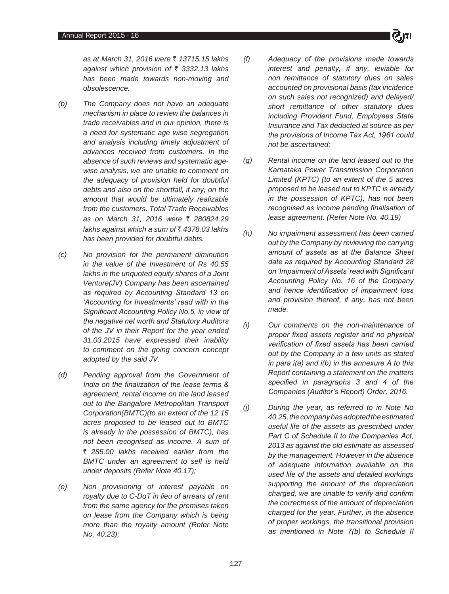*as at March 31, 2016 were* ` *13715.15 lakhs against which provision of* ` *3332.13 lakhs has been made towards non-moving and obsolescence.*

- *(b) The Company does not have an adequate mechanism in place to review the balances in trade receivables and in our opinion, there is a need for systematic age wise segregation and analysis including timely adjustment of advances received from customers. In the absence of such reviews and systematic agewise analysis, we are unable to comment on the adequacy of provision held for doubtful debts and also on the shortfall, if any, on the amount that would be ultimately realizable from the customers. Total Trade Receivables as on March 31, 2016 were* ` *280824.29 lakhs against which a sum of* ` *4378.03 lakhs has been provided for doubtful debts.*
- *(c) No provision for the permanent diminution in the value of the Investment of Rs 40.55 lakhs in the unquoted equity shares of a Joint Venture(JV) Company has been ascertained as required by Accounting Standard 13 on 'Accounting for Investments' read with in the Significant Accounting Policy No.5, in view of the negative net worth and Statutory Auditors of the JV in their Report for the year ended 31.03.2015 have expressed their inability to comment on the going concern concept adopted by the said JV.*
- *(d) Pending approval from the Government of India on the finalization of the lease terms & agreement, rental income on the land leased out to the Bangalore Metropolitan Transport Corporation(BMTC)(to an extent of the 12.15 acres proposed to be leased out to BMTC is already in the possession of BMTC), has not been recognised as income. A sum of*  ` *285.00 lakhs received earlier from the BMTC under an agreement to sell is held under deposits (Refer Note 40.17);*
- *(e) Non provisioning of interest payable on royalty due to C-DoT in lieu of arrears of rent from the same agency for the premises taken on lease from the Company which is being more than the royalty amount (Refer Note No. 40.23);*
- *(f) Adequacy of the provisions made towards interest and penalty, if any, leviable for non remittance of statutory dues on sales accounted on provisional basis (tax incidence on such sales not recognized) and delayed/ short remittance of other statutory dues including Provident Fund, Employees State Insurance and Tax deducted at source as per the provisions of Income Tax Act, 1961 could not be ascertained;*
- *(g) Rental income on the land leased out to the Karnataka Power Transmission Corporation Limited (KPTC) (to an extent of the 5 acres proposed to be leased out to KPTC is already in the possession of KPTC), has not been recognised as income pending finalisation of lease agreement. (Refer Note No. 40.19)*
- *(h) No impairment assessment has been carried out by the Company by reviewing the carrying amount of assets as at the Balance Sheet date as required by Accounting Standard 28 on 'Impairment of Assets' read with Significant Accounting Policy No. 16 of the Company and hence identification of impairment loss and provision thereof, if any, has not been made.*
- *(i) Our comments on the non-maintenance of proper fixed assets register and no physical verification of fixed assets has been carried out by the Company in a few units as stated in para i(a) and i(b) in the annexure A to this Report containing a statement on the matters specified in paragraphs 3 and 4 of the Companies (Auditor's Report) Order, 2016.*
- *(j) During the year, as referred to in Note No 40.25, the company has adopted the estimated useful life of the assets as prescribed under Part C of Schedule II to the Companies Act, 2013 as against the old estimate as assessed by the management. However in the absence of adequate information available on the used life of the assets and detailed workings supporting the amount of the depreciation charged, we are unable to verify and confirm the correctness of the amount of depreciation charged for the year. Further, in the absence of proper workings, the transitional provision as mentioned in Note 7(b) to Schedule II*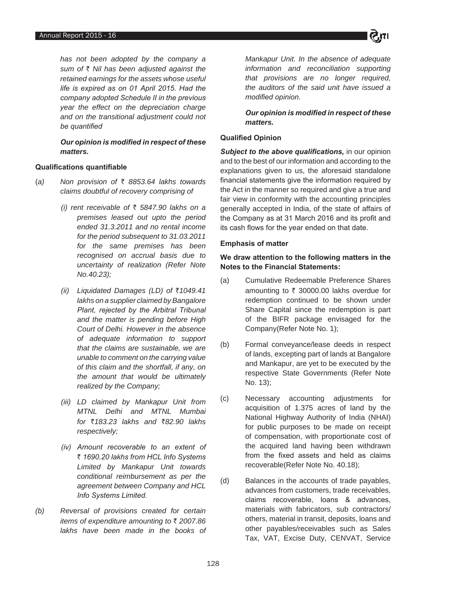*has not been adopted by the company a sum of* ` *Nil has been adjusted against the retained earnings for the assets whose useful life is expired as on 01 April 2015. Had the company adopted Schedule II in the previous year the effect on the depreciation charge and on the transitional adjustment could not be quantified*

#### *Our opinion is modified in respect of these matters.*

### **Qualifications quantifiable**

- (*a) Non provision of* ` *8853.64 lakhs towards claims doubtful of recovery comprising of* 
	- *(i) rent receivable of* ` *5847.90 lakhs on a premises leased out upto the period ended 31.3.2011 and no rental income for the period subsequent to 31.03.2011 for the same premises has been recognised on accrual basis due to uncertainty of realization (Refer Note No.40.23);*
	- *(ii) Liquidated Damages (LD) of* `*1049.41 lakhs on a supplier claimed by Bangalore Plant, rejected by the Arbitral Tribunal and the matter is pending before High Court of Delhi. However in the absence of adequate information to support that the claims are sustainable, we are unable to comment on the carrying value of this claim and the shortfall, if any, on the amount that would be ultimately realized by the Company;*
	- *(iii) LD claimed by Mankapur Unit from MTNL Delhi and MTNL Mumbai for* `*183.23 lakhs and* `*82.90 lakhs respectively;*
	- *(iv) Amount recoverable to an extent of*  ` *1690.20 lakhs from HCL Info Systems Limited by Mankapur Unit towards conditional reimbursement as per the agreement between Company and HCL Info Systems Limited.*
- *(b) Reversal of provisions created for certain items of expenditure amounting to ₹ 2007.86 lakhs have been made in the books of*

*Mankapur Unit. In the absence of adequate information and reconciliation supporting that provisions are no longer required, the auditors of the said unit have issued a modified opinion.*

*Our opinion is modified in respect of these matters.*

### **Qualified Opinion**

**Subject to the above qualifications, in our opinion** and to the best of our information and according to the explanations given to us, the aforesaid standalone financial statements give the information required by the Act in the manner so required and give a true and fair view in conformity with the accounting principles generally accepted in India, of the state of affairs of the Company as at 31 March 2016 and its profit and its cash flows for the year ended on that date.

#### **Emphasis of matter**

#### **We draw attention to the following matters in the Notes to the Financial Statements:**

- (a) Cumulative Redeemable Preference Shares amounting to  $\bar{\tau}$  30000.00 lakhs overdue for redemption continued to be shown under Share Capital since the redemption is part of the BIFR package envisaged for the Company(Refer Note No. 1);
- (b) Formal conveyance/lease deeds in respect of lands, excepting part of lands at Bangalore and Mankapur, are yet to be executed by the respective State Governments (Refer Note No. 13);
- (c) Necessary accounting adjustments for acquisition of 1.375 acres of land by the National Highway Authority of India (NHAI) for public purposes to be made on receipt of compensation, with proportionate cost of the acquired land having been withdrawn from the fixed assets and held as claims recoverable(Refer Note No. 40.18);
- (d) Balances in the accounts of trade payables, advances from customers, trade receivables, claims recoverable, loans & advances, materials with fabricators, sub contractors/ others, material in transit, deposits, loans and other payables/receivables such as Sales Tax, VAT, Excise Duty, CENVAT, Service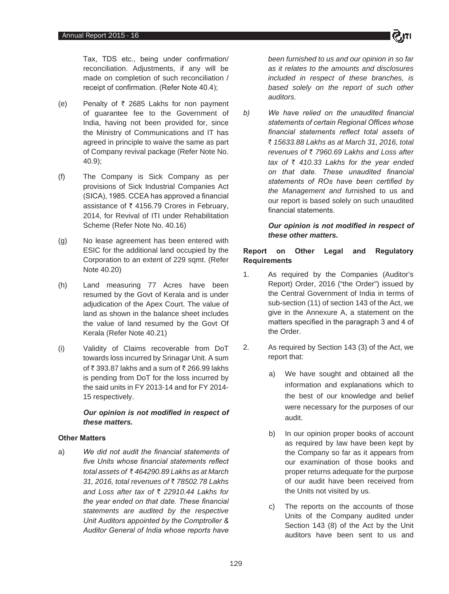Tax, TDS etc., being under confirmation/ reconciliation. Adjustments, if any will be made on completion of such reconciliation / receipt of confirmation. (Refer Note 40.4);

- (e) Penalty of  $\bar{\tau}$  2685 Lakhs for non payment of guarantee fee to the Government of India, having not been provided for, since the Ministry of Communications and IT has agreed in principle to waive the same as part of Company revival package (Refer Note No. 40.9);
- (f) The Company is Sick Company as per provisions of Sick Industrial Companies Act (SICA), 1985. CCEA has approved a financial assistance of  $\bar{\tau}$  4156.79 Crores in February, 2014, for Revival of ITI under Rehabilitation Scheme (Refer Note No. 40.16)
- (g) No lease agreement has been entered with ESIC for the additional land occupied by the Corporation to an extent of 229 sqmt. (Refer Note 40.20)
- (h) Land measuring 77 Acres have been resumed by the Govt of Kerala and is under adjudication of the Apex Court. The value of land as shown in the balance sheet includes the value of land resumed by the Govt Of Kerala (Refer Note 40.21)
- (i) Validity of Claims recoverable from DoT towards loss incurred by Srinagar Unit. A sum of  $\bar{\tau}$  393.87 lakhs and a sum of  $\bar{\tau}$  266.99 lakhs is pending from DoT for the loss incurred by the said units in FY 2013-14 and for FY 2014- 15 respectively.

### *Our opinion is not modified in respect of these matters.*

### **Other Matters**

a) *We did not audit the financial statements of five Units whose financial statements reflect total assets of* ` *464290.89 Lakhs as at March 31, 2016, total revenues of* ` *78502.78 Lakhs and Loss after tax of* ` *22910.44 Lakhs for the year ended on that date. These financial statements are audited by the respective Unit Auditors appointed by the Comptroller & Auditor General of India whose reports have* 

*been furnished to us and our opinion in so far as it relates to the amounts and disclosures included in respect of these branches, is based solely on the report of such other auditors.*

*b) We have relied on the unaudited financial statements of certain Regional Offices whose financial statements reflect total assets of*  ` *15633.88 Lakhs as at March 31, 2016, total revenues of* ` *7960.69 Lakhs and Loss after tax of* ` *410.33 Lakhs for the year ended on that date. These unaudited financial statements of ROs have been certified by the Management and fu*rnished to us and our report is based solely on such unaudited financial statements.

### *Our opinion is not modified in respect of these other matters.*

### **Report on Other Legal and Regulatory Requirements**

- 1. As required by the Companies (Auditor's Report) Order, 2016 ("the Order") issued by the Central Government of India in terms of sub-section (11) of section 143 of the Act, we give in the Annexure A, a statement on the matters specified in the paragraph 3 and 4 of the Order.
- 2. As required by Section 143 (3) of the Act, we report that:
	- a) We have sought and obtained all the information and explanations which to the best of our knowledge and belief were necessary for the purposes of our audit.
	- b) In our opinion proper books of account as required by law have been kept by the Company so far as it appears from our examination of those books and proper returns adequate for the purpose of our audit have been received from the Units not visited by us.
	- c) The reports on the accounts of those Units of the Company audited under Section 143 (8) of the Act by the Unit auditors have been sent to us and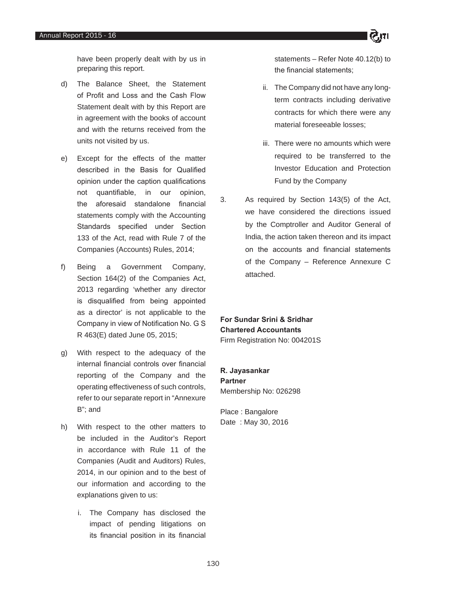have been properly dealt with by us in preparing this report.

- d) The Balance Sheet, the Statement of Profit and Loss and the Cash Flow Statement dealt with by this Report are in agreement with the books of account and with the returns received from the units not visited by us.
- e) Except for the effects of the matter described in the Basis for Qualified opinion under the caption qualifications not quantifiable, in our opinion, the aforesaid standalone financial statements comply with the Accounting Standards specified under Section 133 of the Act, read with Rule 7 of the Companies (Accounts) Rules, 2014;
- f) Being a Government Company, Section 164(2) of the Companies Act, 2013 regarding 'whether any director is disqualified from being appointed as a director' is not applicable to the Company in view of Notification No. G S R 463(E) dated June 05, 2015;
- g) With respect to the adequacy of the internal financial controls over financial reporting of the Company and the operating effectiveness of such controls, refer to our separate report in "Annexure B"; and
- h) With respect to the other matters to be included in the Auditor's Report in accordance with Rule 11 of the Companies (Audit and Auditors) Rules, 2014, in our opinion and to the best of our information and according to the explanations given to us:
	- i. The Company has disclosed the impact of pending litigations on its financial position in its financial

statements – Refer Note 40.12(b) to the financial statements;

- ii. The Company did not have any longterm contracts including derivative contracts for which there were any material foreseeable losses;
- iii. There were no amounts which were required to be transferred to the Investor Education and Protection Fund by the Company
- 3. As required by Section 143(5) of the Act, we have considered the directions issued by the Comptroller and Auditor General of India, the action taken thereon and its impact on the accounts and financial statements of the Company – Reference Annexure C attached.

**For Sundar Srini & Sridhar Chartered Accountants** Firm Registration No: 004201S

**R. Jayasankar Partner** Membership No: 026298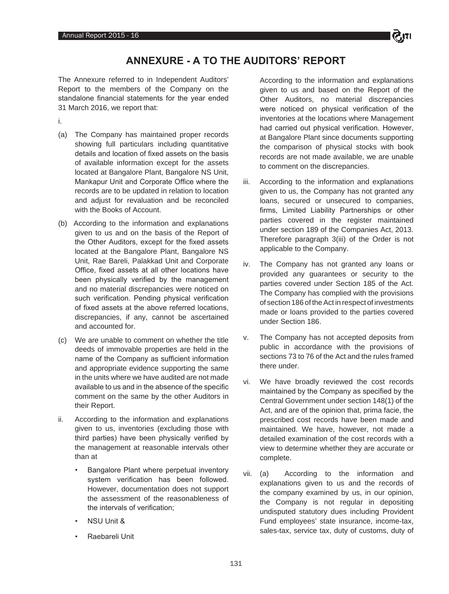

## **ANNEXURE - A TO THE AUDITORS' REPORT**

The Annexure referred to in Independent Auditors' Report to the members of the Company on the standalone financial statements for the year ended 31 March 2016, we report that:

i.

- (a) The Company has maintained proper records showing full particulars including quantitative details and location of fixed assets on the basis of available information except for the assets located at Bangalore Plant, Bangalore NS Unit, Mankapur Unit and Corporate Office where the records are to be updated in relation to location and adjust for revaluation and be reconciled with the Books of Account.
- (b) According to the information and explanations given to us and on the basis of the Report of the Other Auditors, except for the fixed assets located at the Bangalore Plant, Bangalore NS Unit, Rae Bareli, Palakkad Unit and Corporate Office, fixed assets at all other locations have been physically verified by the management and no material discrepancies were noticed on such verification. Pending physical verification of fixed assets at the above referred locations, discrepancies, if any, cannot be ascertained and accounted for.
- (c) We are unable to comment on whether the title deeds of immovable properties are held in the name of the Company as sufficient information and appropriate evidence supporting the same in the units where we have audited are not made available to us and in the absence of the specific comment on the same by the other Auditors in their Report.
- ii. According to the information and explanations given to us, inventories (excluding those with third parties) have been physically verified by the management at reasonable intervals other than at
	- Bangalore Plant where perpetual inventory system verification has been followed. However, documentation does not support the assessment of the reasonableness of the intervals of verification;
	- NSU Unit &
	- Raebareli Unit

According to the information and explanations given to us and based on the Report of the Other Auditors, no material discrepancies were noticed on physical verification of the inventories at the locations where Management had carried out physical verification. However, at Bangalore Plant since documents supporting the comparison of physical stocks with book records are not made available, we are unable to comment on the discrepancies.

- iii. According to the information and explanations given to us, the Company has not granted any loans, secured or unsecured to companies, firms, Limited Liability Partnerships or other parties covered in the register maintained under section 189 of the Companies Act, 2013. Therefore paragraph 3(iii) of the Order is not applicable to the Company.
- iv. The Company has not granted any loans or provided any guarantees or security to the parties covered under Section 185 of the Act. The Company has complied with the provisions of section 186 of the Act in respect of investments made or loans provided to the parties covered under Section 186.
- v. The Company has not accepted deposits from public in accordance with the provisions of sections 73 to 76 of the Act and the rules framed there under.
- vi. We have broadly reviewed the cost records maintained by the Company as specified by the Central Government under section 148(1) of the Act, and are of the opinion that, prima facie, the prescribed cost records have been made and maintained. We have, however, not made a detailed examination of the cost records with a view to determine whether they are accurate or complete.
- vii. (a) According to the information and explanations given to us and the records of the company examined by us, in our opinion, the Company is not regular in depositing undisputed statutory dues including Provident Fund employees' state insurance, income-tax, sales-tax, service tax, duty of customs, duty of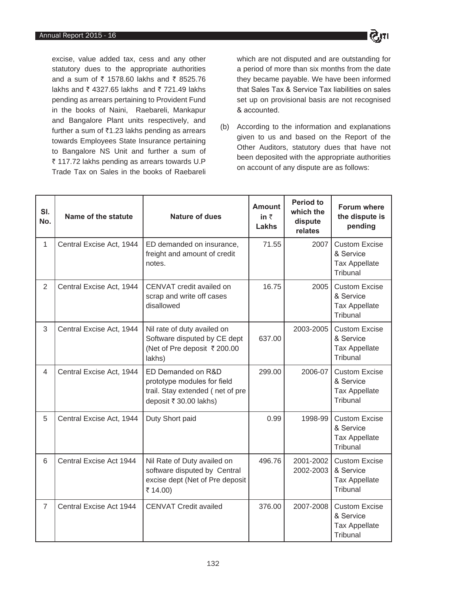excise, value added tax, cess and any other statutory dues to the appropriate authorities and a sum of ₹ 1578.60 lakhs and ₹ 8525.76 lakhs and  $\bar{\tau}$  4327.65 lakhs and  $\bar{\tau}$  721.49 lakhs pending as arrears pertaining to Provident Fund in the books of Naini, Raebareli, Mankapur and Bangalore Plant units respectively, and further a sum of  $\bar{\tau}$ 1.23 lakhs pending as arrears towards Employees State Insurance pertaining to Bangalore NS Unit and further a sum of ` 117.72 lakhs pending as arrears towards U.P Trade Tax on Sales in the books of Raebareli which are not disputed and are outstanding for a period of more than six months from the date they became payable. We have been informed that Sales Tax & Service Tax liabilities on sales set up on provisional basis are not recognised & accounted.

(नेपा

(b) According to the information and explanations given to us and based on the Report of the Other Auditors, statutory dues that have not been deposited with the appropriate authorities on account of any dispute are as follows:

| SI.<br>No.     | Name of the statute      | <b>Nature of dues</b>                                                                                           | <b>Amount</b><br>in $\bar{z}$<br>Lakhs | <b>Period to</b><br>which the<br>dispute<br>relates | <b>Forum where</b><br>the dispute is<br>pending                       |
|----------------|--------------------------|-----------------------------------------------------------------------------------------------------------------|----------------------------------------|-----------------------------------------------------|-----------------------------------------------------------------------|
| $\mathbf{1}$   | Central Excise Act, 1944 | ED demanded on insurance,<br>freight and amount of credit<br>notes.                                             | 71.55                                  | 2007                                                | <b>Custom Excise</b><br>& Service<br><b>Tax Appellate</b><br>Tribunal |
| $\overline{2}$ | Central Excise Act, 1944 | CENVAT credit availed on<br>scrap and write off cases<br>disallowed                                             | 16.75                                  | 2005                                                | <b>Custom Excise</b><br>& Service<br><b>Tax Appellate</b><br>Tribunal |
| 3              | Central Excise Act, 1944 | Nil rate of duty availed on<br>Software disputed by CE dept<br>(Net of Pre deposit ₹ 200.00<br>lakhs)           | 637.00                                 | 2003-2005                                           | <b>Custom Excise</b><br>& Service<br><b>Tax Appellate</b><br>Tribunal |
| $\overline{4}$ | Central Excise Act, 1944 | ED Demanded on R&D<br>prototype modules for field<br>trail. Stay extended (net of pre<br>deposit ₹ 30.00 lakhs) | 299.00                                 | 2006-07                                             | <b>Custom Excise</b><br>& Service<br><b>Tax Appellate</b><br>Tribunal |
| 5              | Central Excise Act, 1944 | Duty Short paid                                                                                                 | 0.99                                   | 1998-99                                             | <b>Custom Excise</b><br>& Service<br><b>Tax Appellate</b><br>Tribunal |
| 6              | Central Excise Act 1944  | Nil Rate of Duty availed on<br>software disputed by Central<br>excise dept (Net of Pre deposit<br>₹14.00)       | 496.76                                 | 2001-2002<br>2002-2003                              | <b>Custom Excise</b><br>& Service<br><b>Tax Appellate</b><br>Tribunal |
| $\overline{7}$ | Central Excise Act 1944  | <b>CENVAT Credit availed</b>                                                                                    | 376.00                                 | 2007-2008                                           | <b>Custom Excise</b><br>& Service<br><b>Tax Appellate</b><br>Tribunal |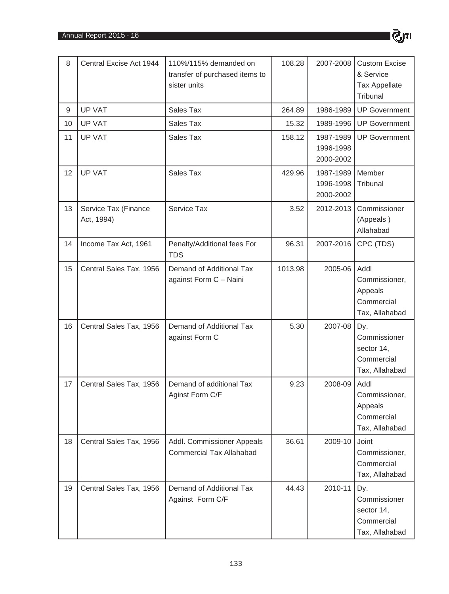

| 8               | Central Excise Act 1944            | 110%/115% demanded on<br>transfer of purchased items to<br>sister units | 108.28  | 2007-2008                           | <b>Custom Excise</b><br>& Service<br><b>Tax Appellate</b><br>Tribunal |
|-----------------|------------------------------------|-------------------------------------------------------------------------|---------|-------------------------------------|-----------------------------------------------------------------------|
| 9               | UP VAT                             | Sales Tax                                                               | 264.89  | 1986-1989                           | <b>UP Government</b>                                                  |
| 10              | <b>UP VAT</b>                      | Sales Tax                                                               | 15.32   | 1989-1996                           | <b>UP Government</b>                                                  |
| 11              | <b>UP VAT</b>                      | Sales Tax                                                               | 158.12  | 1987-1989<br>1996-1998<br>2000-2002 | <b>UP Government</b>                                                  |
| 12              | <b>UP VAT</b>                      | Sales Tax                                                               | 429.96  | 1987-1989<br>1996-1998<br>2000-2002 | Member<br>Tribunal                                                    |
| 13              | Service Tax (Finance<br>Act, 1994) | Service Tax                                                             | 3.52    | 2012-2013                           | Commissioner<br>(Appeals)<br>Allahabad                                |
| 14              | Income Tax Act, 1961               | Penalty/Additional fees For<br><b>TDS</b>                               | 96.31   | 2007-2016                           | CPC (TDS)                                                             |
| 15              | Central Sales Tax, 1956            | Demand of Additional Tax<br>against Form C - Naini                      | 1013.98 | 2005-06                             | Addl<br>Commissioner,<br>Appeals<br>Commercial<br>Tax, Allahabad      |
| 16              | Central Sales Tax, 1956            | Demand of Additional Tax<br>against Form C                              | 5.30    | 2007-08                             | Dy.<br>Commissioner<br>sector 14,<br>Commercial<br>Tax, Allahabad     |
| 17 <sub>1</sub> | Central Sales Tax, 1956            | Demand of additional Tax<br>Aginst Form C/F                             | 9.23    | 2008-09                             | Addl<br>Commissioner,<br>Appeals<br>Commercial<br>Tax, Allahabad      |
| 18              | Central Sales Tax, 1956            | Addl. Commissioner Appeals<br><b>Commercial Tax Allahabad</b>           | 36.61   | 2009-10                             | Joint<br>Commissioner,<br>Commercial<br>Tax, Allahabad                |
| 19              | Central Sales Tax, 1956            | Demand of Additional Tax<br>Against Form C/F                            | 44.43   | 2010-11                             | Dy.<br>Commissioner<br>sector 14,<br>Commercial<br>Tax, Allahabad     |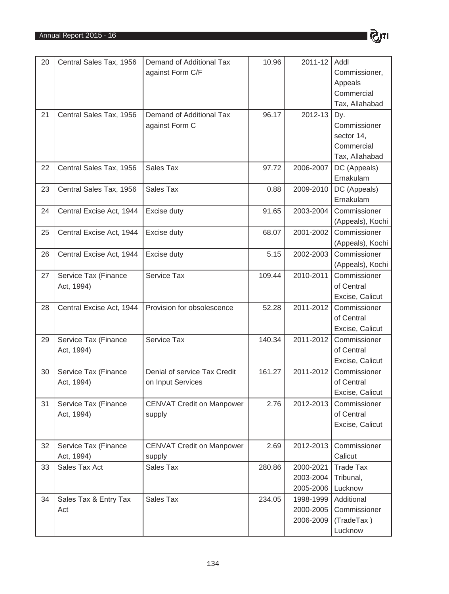| 20 | Central Sales Tax, 1956            | Demand of Additional Tax<br>against Form C/F      | 10.96  | 2011-12                             | Addl<br>Commissioner,<br>Appeals<br>Commercial<br>Tax, Allahabad  |
|----|------------------------------------|---------------------------------------------------|--------|-------------------------------------|-------------------------------------------------------------------|
| 21 | Central Sales Tax, 1956            | Demand of Additional Tax<br>against Form C        | 96.17  | 2012-13                             | Dy.<br>Commissioner<br>sector 14,<br>Commercial<br>Tax, Allahabad |
| 22 | Central Sales Tax, 1956            | Sales Tax                                         | 97.72  | 2006-2007                           | DC (Appeals)<br>Ernakulam                                         |
| 23 | Central Sales Tax, 1956            | Sales Tax                                         | 0.88   | 2009-2010                           | DC (Appeals)<br>Ernakulam                                         |
| 24 | Central Excise Act, 1944           | Excise duty                                       | 91.65  | 2003-2004                           | Commissioner<br>(Appeals), Kochi                                  |
| 25 | Central Excise Act, 1944           | Excise duty                                       | 68.07  | 2001-2002                           | Commissioner<br>(Appeals), Kochi                                  |
| 26 | Central Excise Act, 1944           | Excise duty                                       | 5.15   | 2002-2003                           | Commissioner<br>(Appeals), Kochi                                  |
| 27 | Service Tax (Finance<br>Act, 1994) | Service Tax                                       | 109.44 | 2010-2011                           | Commissioner<br>of Central<br>Excise, Calicut                     |
| 28 | Central Excise Act, 1944           | Provision for obsolescence                        | 52.28  | 2011-2012                           | Commissioner<br>of Central<br>Excise, Calicut                     |
| 29 | Service Tax (Finance<br>Act, 1994) | Service Tax                                       | 140.34 | 2011-2012                           | Commissioner<br>of Central<br>Excise, Calicut                     |
| 30 | Service Tax (Finance<br>Act, 1994) | Denial of service Tax Credit<br>on Input Services | 161.27 | 2011-2012                           | Commissioner<br>of Central<br>Excise, Calicut                     |
| 31 | Service Tax (Finance<br>Act, 1994) | <b>CENVAT Credit on Manpower</b><br>supply        | 2.76   | 2012-2013                           | Commissioner<br>of Central<br>Excise, Calicut                     |
| 32 | Service Tax (Finance<br>Act, 1994) | <b>CENVAT Credit on Manpower</b><br>supply        | 2.69   | 2012-2013                           | Commissioner<br>Calicut                                           |
| 33 | Sales Tax Act                      | Sales Tax                                         | 280.86 | 2000-2021<br>2003-2004<br>2005-2006 | <b>Trade Tax</b><br>Tribunal,<br>Lucknow                          |
| 34 | Sales Tax & Entry Tax<br>Act       | Sales Tax                                         | 234.05 | 1998-1999<br>2000-2005<br>2006-2009 | Additional<br>Commissioner<br>(TradeTax)<br>Lucknow               |

∣ह्युग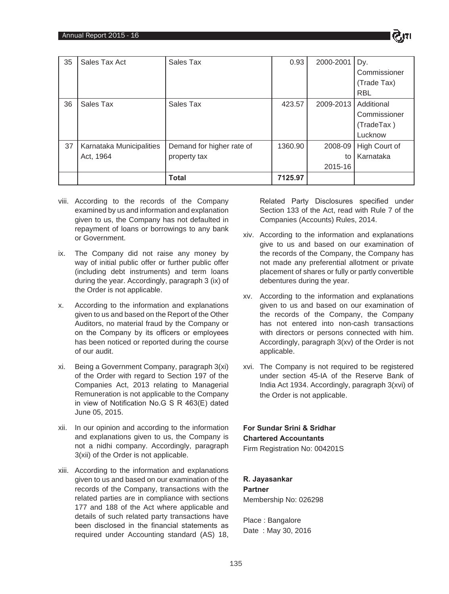| 35 | Sales Tax Act            | Sales Tax                 | 0.93    | 2000-2001 | Dy.           |
|----|--------------------------|---------------------------|---------|-----------|---------------|
|    |                          |                           |         |           | Commissioner  |
|    |                          |                           |         |           | (Trade Tax)   |
|    |                          |                           |         |           | <b>RBL</b>    |
| 36 | Sales Tax                | Sales Tax                 | 423.57  | 2009-2013 | Additional    |
|    |                          |                           |         |           | Commissioner  |
|    |                          |                           |         |           | (TradeTax)    |
|    |                          |                           |         |           | Lucknow       |
| 37 | Karnataka Municipalities | Demand for higher rate of | 1360.90 | 2008-09   | High Court of |
|    | Act, 1964                | property tax              |         | to        | Karnataka     |
|    |                          |                           |         | 2015-16   |               |
|    |                          | <b>Total</b>              | 7125.97 |           |               |

- viii. According to the records of the Company examined by us and information and explanation given to us, the Company has not defaulted in repayment of loans or borrowings to any bank or Government.
- ix. The Company did not raise any money by way of initial public offer or further public offer (including debt instruments) and term loans during the year. Accordingly, paragraph 3 (ix) of the Order is not applicable.
- x. According to the information and explanations given to us and based on the Report of the Other Auditors, no material fraud by the Company or on the Company by its officers or employees has been noticed or reported during the course of our audit.
- xi. Being a Government Company, paragraph 3(xi) of the Order with regard to Section 197 of the Companies Act, 2013 relating to Managerial Remuneration is not applicable to the Company in view of Notification No.G S R 463(E) dated June 05, 2015.
- xii. In our opinion and according to the information and explanations given to us, the Company is not a nidhi company. Accordingly, paragraph 3(xii) of the Order is not applicable.
- xiii. According to the information and explanations given to us and based on our examination of the records of the Company, transactions with the related parties are in compliance with sections 177 and 188 of the Act where applicable and details of such related party transactions have been disclosed in the financial statements as required under Accounting standard (AS) 18,

Related Party Disclosures specified under Section 133 of the Act, read with Rule 7 of the Companies (Accounts) Rules, 2014.

- xiv. According to the information and explanations give to us and based on our examination of the records of the Company, the Company has not made any preferential allotment or private placement of shares or fully or partly convertible debentures during the year.
- xv. According to the information and explanations given to us and based on our examination of the records of the Company, the Company has not entered into non-cash transactions with directors or persons connected with him. Accordingly, paragraph 3(xv) of the Order is not applicable.
- xvi. The Company is not required to be registered under section 45-IA of the Reserve Bank of India Act 1934. Accordingly, paragraph 3(xvi) of the Order is not applicable.

### **For Sundar Srini & Sridhar Chartered Accountants** Firm Registration No: 004201S

**R. Jayasankar Partner** Membership No: 026298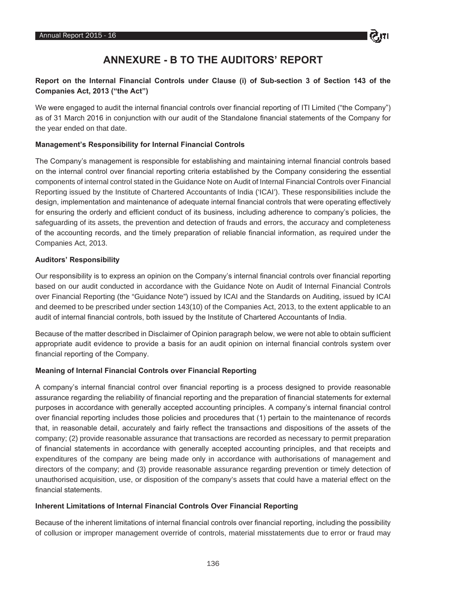## **ANNEXURE - B TO THE AUDITORS' REPORT**

### **Report on the Internal Financial Controls under Clause (i) of Sub-section 3 of Section 143 of the Companies Act, 2013 ("the Act")**

We were engaged to audit the internal financial controls over financial reporting of ITI Limited ("the Company") as of 31 March 2016 in conjunction with our audit of the Standalone financial statements of the Company for the year ended on that date.

#### **Management's Responsibility for Internal Financial Controls**

The Company's management is responsible for establishing and maintaining internal financial controls based on the internal control over financial reporting criteria established by the Company considering the essential components of internal control stated in the Guidance Note on Audit of Internal Financial Controls over Financial Reporting issued by the Institute of Chartered Accountants of India ('ICAI'). These responsibilities include the design, implementation and maintenance of adequate internal financial controls that were operating effectively for ensuring the orderly and efficient conduct of its business, including adherence to company's policies, the safeguarding of its assets, the prevention and detection of frauds and errors, the accuracy and completeness of the accounting records, and the timely preparation of reliable financial information, as required under the Companies Act, 2013.

#### **Auditors' Responsibility**

Our responsibility is to express an opinion on the Company's internal financial controls over financial reporting based on our audit conducted in accordance with the Guidance Note on Audit of Internal Financial Controls over Financial Reporting (the "Guidance Note") issued by ICAI and the Standards on Auditing, issued by ICAI and deemed to be prescribed under section 143(10) of the Companies Act, 2013, to the extent applicable to an audit of internal financial controls, both issued by the Institute of Chartered Accountants of India.

Because of the matter described in Disclaimer of Opinion paragraph below, we were not able to obtain sufficient appropriate audit evidence to provide a basis for an audit opinion on internal financial controls system over financial reporting of the Company.

### **Meaning of Internal Financial Controls over Financial Reporting**

A company's internal financial control over financial reporting is a process designed to provide reasonable assurance regarding the reliability of financial reporting and the preparation of financial statements for external purposes in accordance with generally accepted accounting principles. A company's internal financial control over financial reporting includes those policies and procedures that (1) pertain to the maintenance of records that, in reasonable detail, accurately and fairly reflect the transactions and dispositions of the assets of the company; (2) provide reasonable assurance that transactions are recorded as necessary to permit preparation of financial statements in accordance with generally accepted accounting principles, and that receipts and expenditures of the company are being made only in accordance with authorisations of management and directors of the company; and (3) provide reasonable assurance regarding prevention or timely detection of unauthorised acquisition, use, or disposition of the company's assets that could have a material effect on the financial statements.

#### **Inherent Limitations of Internal Financial Controls Over Financial Reporting**

Because of the inherent limitations of internal financial controls over financial reporting, including the possibility of collusion or improper management override of controls, material misstatements due to error or fraud may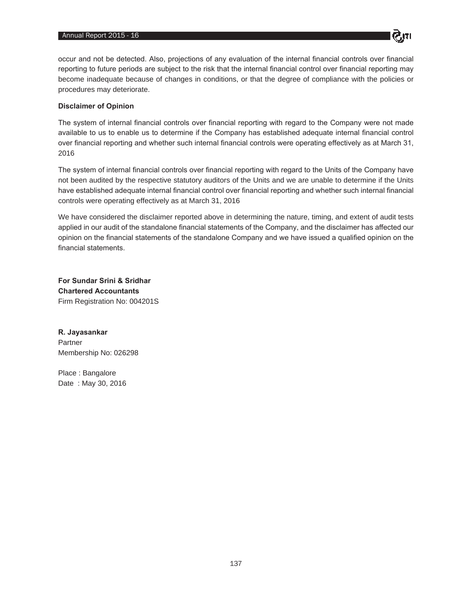#### Annual Report 2015 - 16



occur and not be detected. Also, projections of any evaluation of the internal financial controls over financial reporting to future periods are subject to the risk that the internal financial control over financial reporting may become inadequate because of changes in conditions, or that the degree of compliance with the policies or procedures may deteriorate.

### **Disclaimer of Opinion**

The system of internal financial controls over financial reporting with regard to the Company were not made available to us to enable us to determine if the Company has established adequate internal financial control over financial reporting and whether such internal financial controls were operating effectively as at March 31, 2016

The system of internal financial controls over financial reporting with regard to the Units of the Company have not been audited by the respective statutory auditors of the Units and we are unable to determine if the Units have established adequate internal financial control over financial reporting and whether such internal financial controls were operating effectively as at March 31, 2016

We have considered the disclaimer reported above in determining the nature, timing, and extent of audit tests applied in our audit of the standalone financial statements of the Company, and the disclaimer has affected our opinion on the financial statements of the standalone Company and we have issued a qualified opinion on the financial statements.

**For Sundar Srini & Sridhar Chartered Accountants** Firm Registration No: 004201S

**R. Jayasankar** Partner Membership No: 026298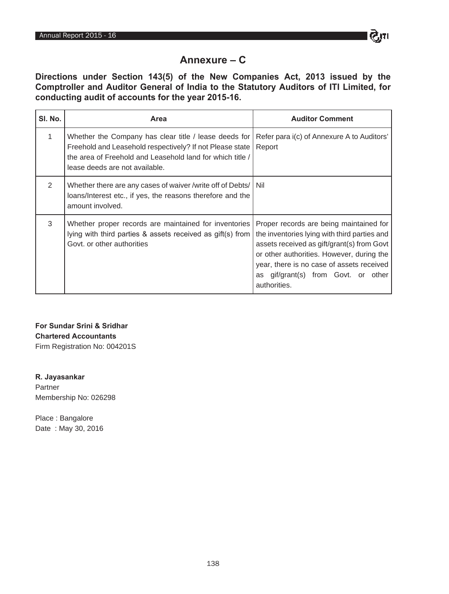

## **Annexure – C**

**Directions under Section 143(5) of the New Companies Act, 2013 issued by the Comptroller and Auditor General of India to the Statutory Auditors of ITI Limited, for conducting audit of accounts for the year 2015-16.**

| SI. No. | Area                                                                                                                                                                                                               | <b>Auditor Comment</b>                                                                                                                                                                                                                                                                 |
|---------|--------------------------------------------------------------------------------------------------------------------------------------------------------------------------------------------------------------------|----------------------------------------------------------------------------------------------------------------------------------------------------------------------------------------------------------------------------------------------------------------------------------------|
|         | Whether the Company has clear title / lease deeds for  <br>Freehold and Leasehold respectively? If not Please state<br>the area of Freehold and Leasehold land for which title /<br>lease deeds are not available. | Refer para i(c) of Annexure A to Auditors'<br>Report                                                                                                                                                                                                                                   |
| 2       | Whether there are any cases of waiver /write off of Debts/ Nil<br>loans/Interest etc., if yes, the reasons therefore and the<br>amount involved.                                                                   |                                                                                                                                                                                                                                                                                        |
| 3       | Whether proper records are maintained for inventories<br>lying with third parties & assets received as gift(s) from<br>Govt. or other authorities                                                                  | Proper records are being maintained for<br>the inventories lying with third parties and<br>assets received as gift/grant(s) from Govt<br>or other authorities. However, during the<br>year, there is no case of assets received<br>as gif/grant(s) from Govt. or other<br>authorities. |

**For Sundar Srini & Sridhar Chartered Accountants** Firm Registration No: 004201S

**R. Jayasankar** Partner Membership No: 026298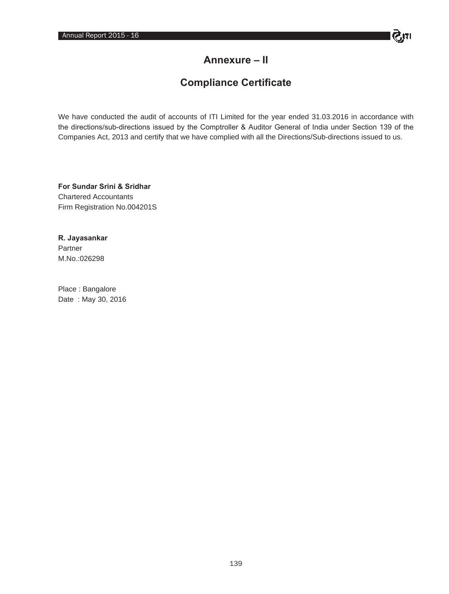

## **Annexure – II**

## **Compliance Certificate**

We have conducted the audit of accounts of ITI Limited for the year ended 31.03.2016 in accordance with the directions/sub-directions issued by the Comptroller & Auditor General of India under Section 139 of the Companies Act, 2013 and certify that we have complied with all the Directions/Sub-directions issued to us.

**For Sundar Srini & Sridhar** Chartered Accountants Firm Registration No.004201S

**R. Jayasankar** Partner M.No.:026298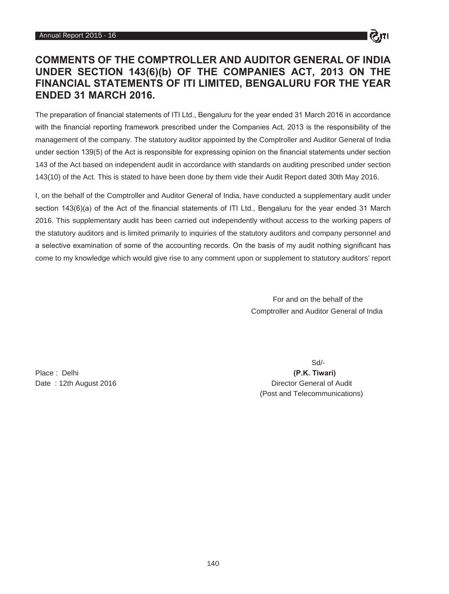## **COMMENTS OF THE COMPTROLLER AND AUDITOR GENERAL OF INDIA UNDER SECTION 143(6)(b) OF THE COMPANIES ACT, 2013 ON THE FINANCIAL STATEMENTS OF ITI LIMITED, BENGALURU FOR THE YEAR ENDED 31 MARCH 2016.**

The preparation of financial statements of ITI Ltd., Bengaluru for the year ended 31 March 2016 in accordance with the financial reporting framework prescribed under the Companies Act, 2013 is the responsibility of the management of the company. The statutory auditor appointed by the Comptroller and Auditor General of India under section 139(5) of the Act is responsible for expressing opinion on the financial statements under section 143 of the Act based on independent audit in accordance with standards on auditing prescribed under section 143(10) of the Act. This is stated to have been done by them vide their Audit Report dated 30th May 2016.

I, on the behalf of the Comptroller and Auditor General of India, have conducted a supplementary audit under section 143(6)(a) of the Act of the financial statements of ITI Ltd., Bengaluru for the year ended 31 March 2016. This supplementary audit has been carried out independently without access to the working papers of the statutory auditors and is limited primarily to inquiries of the statutory auditors and company personnel and a selective examination of some of the accounting records. On the basis of my audit nothing significant has come to my knowledge which would give rise to any comment upon or supplement to statutory auditors' report

> For and on the behalf of the Comptroller and Auditor General of India

टि पा

Place : Delhi **(P.K. Tiwari)**

Sd/- the state of the state of the state of the state of the state of the state of the state of the state of the state of the state of the state of the state of the state of the state of the state of the state of the state Date: 12th August 2016 **Director General of Audit** Director General of Audit (Post and Telecommunications)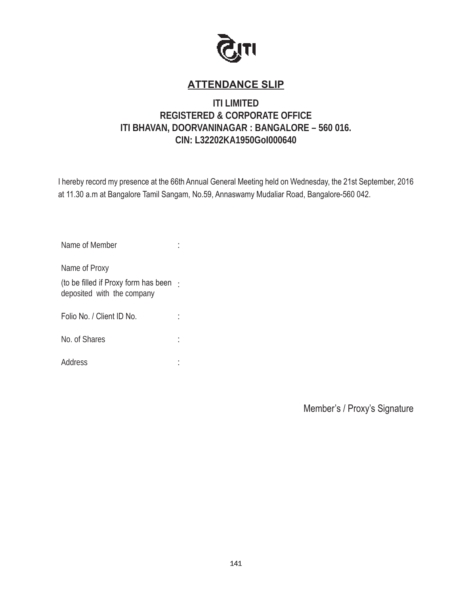

## **ATTENDANCE SLIP**

## **ITI LIMITED REGISTERED & CORPORATE OFFICE ITI BHAVAN, DOORVANINAGAR : BANGALORE – 560 016. CIN: L32202KA1950GoI000640**

I hereby record my presence at the 66th Annual General Meeting held on Wednesday, the 21st September, 2016 at 11.30 a.m at Bangalore Tamil Sangam, No.59, Annaswamy Mudaliar Road, Bangalore-560 042.

| Name of Member                                                                      |  |
|-------------------------------------------------------------------------------------|--|
| Name of Proxy<br>(to be filled if Proxy form has been<br>deposited with the company |  |
| Folio No. / Client ID No.                                                           |  |
| No. of Shares                                                                       |  |
| Address                                                                             |  |

Member's / Proxy's Signature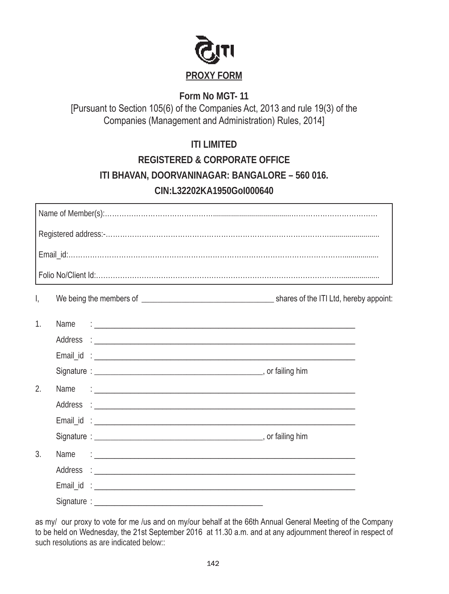

## **Form No MGT- 11** [Pursuant to Section 105(6) of the Companies Act, 2013 and rule 19(3) of the Companies (Management and Administration) Rules, 2014]

# **ITI LIMITED REGISTERED & CORPORATE OFFICE ITI BHAVAN, DOORVANINAGAR: BANGALORE – 560 016. CIN:L32202KA1950GoI000640**

| $\mathbf{I}$   |       |  |
|----------------|-------|--|
| $\mathbf{1}$ . | Name  |  |
|                |       |  |
|                |       |  |
|                |       |  |
| 2.             | Name. |  |
|                |       |  |
|                |       |  |
|                |       |  |
| 3.             | Name  |  |
|                |       |  |
|                |       |  |
|                |       |  |

as my/ our proxy to vote for me /us and on my/our behalf at the 66th Annual General Meeting of the Company to be held on Wednesday, the 21st September 2016 at 11.30 a.m. and at any adjournment thereof in respect of such resolutions as are indicated below::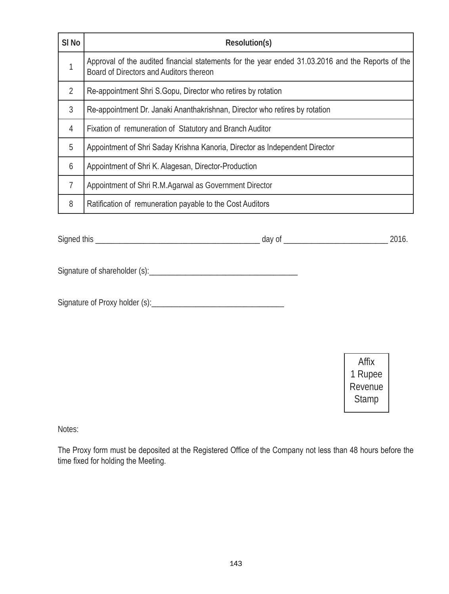| SI <sub>No</sub> | Resolution(s)                                                                                                                                |
|------------------|----------------------------------------------------------------------------------------------------------------------------------------------|
|                  | Approval of the audited financial statements for the year ended 31.03.2016 and the Reports of the<br>Board of Directors and Auditors thereon |
| $\overline{2}$   | Re-appointment Shri S.Gopu, Director who retires by rotation                                                                                 |
| $\mathfrak{Z}$   | Re-appointment Dr. Janaki Ananthakrishnan, Director who retires by rotation                                                                  |
| 4                | Fixation of remuneration of Statutory and Branch Auditor                                                                                     |
| 5                | Appointment of Shri Saday Krishna Kanoria, Director as Independent Director                                                                  |
| 6                | Appointment of Shri K. Alagesan, Director-Production                                                                                         |
| $\overline{7}$   | Appointment of Shri R.M.Agarwal as Government Director                                                                                       |
| 8                | Ratification of remuneration payable to the Cost Auditors                                                                                    |

Signed this \_\_\_\_\_\_\_\_\_\_\_\_\_\_\_\_\_\_\_\_\_\_\_\_\_\_\_\_\_\_\_\_\_\_\_\_\_\_\_\_\_ day of \_\_\_\_\_\_\_\_\_\_\_\_\_\_\_\_\_\_\_\_\_\_\_\_\_\_ 2016.

Signature of shareholder (s):\_\_\_\_\_\_\_\_\_\_\_\_\_\_\_\_\_\_\_\_\_\_\_\_\_\_\_\_\_\_\_\_\_\_\_\_\_

Signature of Proxy holder (s):\_\_\_\_\_\_\_\_\_\_\_\_\_\_\_\_\_\_\_\_\_\_\_\_\_\_\_\_\_\_\_\_\_

Affix 1 Rupee Revenue **Stamp** 

Notes:

The Proxy form must be deposited at the Registered Office of the Company not less than 48 hours before the time fixed for holding the Meeting.